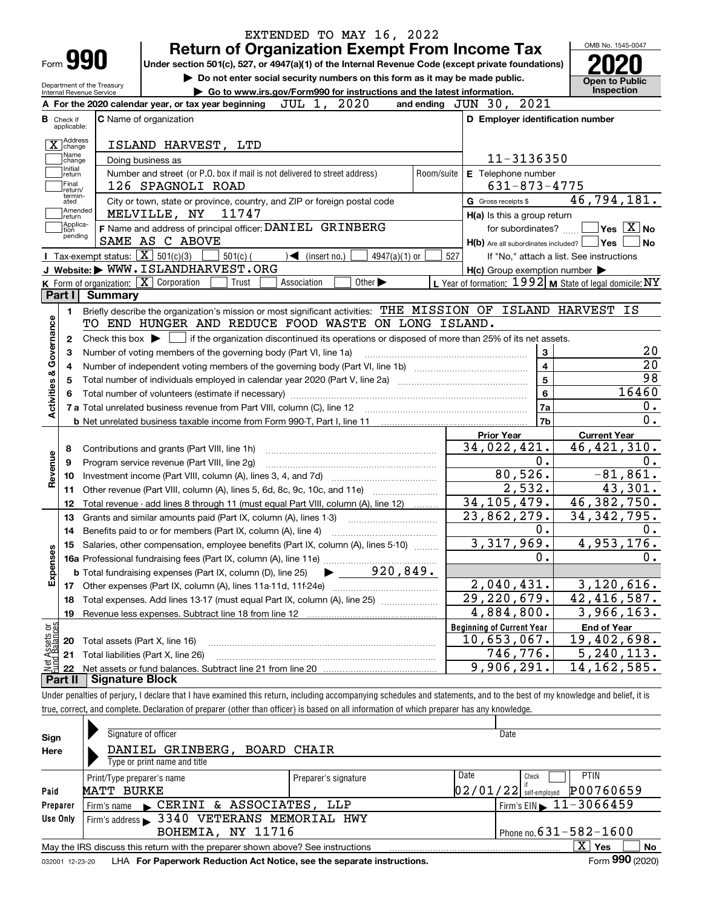|                                                                                  | Form <b>990</b>                                                                                                                                                                                    |                                                               |                                                                                                                  | <b>Return of Organization Exempt From Income Tax</b>                        |                                   |                             |            |                                                                                                                  |                      |                                          | OMB No. 1545-0047                                                                                                      |
|----------------------------------------------------------------------------------|----------------------------------------------------------------------------------------------------------------------------------------------------------------------------------------------------|---------------------------------------------------------------|------------------------------------------------------------------------------------------------------------------|-----------------------------------------------------------------------------|-----------------------------------|-----------------------------|------------|------------------------------------------------------------------------------------------------------------------|----------------------|------------------------------------------|------------------------------------------------------------------------------------------------------------------------|
|                                                                                  |                                                                                                                                                                                                    |                                                               | Under section 501(c), 527, or 4947(a)(1) of the Internal Revenue Code (except private foundations)               |                                                                             |                                   |                             |            |                                                                                                                  |                      |                                          |                                                                                                                        |
|                                                                                  |                                                                                                                                                                                                    | Department of the Treasury                                    |                                                                                                                  | Do not enter social security numbers on this form as it may be made public. |                                   |                             |            |                                                                                                                  |                      | <b>Open to Public</b><br>Inspection      |                                                                                                                        |
|                                                                                  | Internal Revenue Service                                                                                                                                                                           |                                                               | A For the 2020 calendar year, or tax year beginning                                                              | Go to www.irs.gov/Form990 for instructions and the latest information.      | JUL 1, 2020                       |                             |            | and ending $JUN$ 30, $2021$                                                                                      |                      |                                          |                                                                                                                        |
| в.                                                                               | Check if                                                                                                                                                                                           |                                                               | <b>C</b> Name of organization                                                                                    |                                                                             |                                   |                             |            | D Employer identification number                                                                                 |                      |                                          |                                                                                                                        |
|                                                                                  | applicable:                                                                                                                                                                                        |                                                               |                                                                                                                  |                                                                             |                                   |                             |            |                                                                                                                  |                      |                                          |                                                                                                                        |
|                                                                                  | X Address                                                                                                                                                                                          |                                                               | ISLAND HARVEST, LTD                                                                                              |                                                                             |                                   |                             |            |                                                                                                                  |                      |                                          |                                                                                                                        |
|                                                                                  | Name<br>change                                                                                                                                                                                     | Doing business as                                             |                                                                                                                  |                                                                             |                                   |                             |            |                                                                                                                  | 11-3136350           |                                          |                                                                                                                        |
|                                                                                  | Initial<br>return                                                                                                                                                                                  |                                                               | Number and street (or P.O. box if mail is not delivered to street address)                                       |                                                                             |                                   |                             | Room/suite | E Telephone number                                                                                               |                      |                                          |                                                                                                                        |
|                                                                                  | Final<br>return/                                                                                                                                                                                   |                                                               | 126 SPAGNOLI ROAD                                                                                                |                                                                             |                                   |                             |            |                                                                                                                  | $631 - 873 - 4775$   |                                          |                                                                                                                        |
|                                                                                  | termin-<br>ated<br> Amended                                                                                                                                                                        |                                                               | City or town, state or province, country, and ZIP or foreign postal code                                         |                                                                             |                                   |                             |            | G Gross receipts \$                                                                                              |                      | 46,794,181.                              |                                                                                                                        |
|                                                                                  | return<br>Applica-                                                                                                                                                                                 |                                                               | MELVILLE, NY 11747                                                                                               |                                                                             |                                   |                             |            | H(a) Is this a group return                                                                                      |                      |                                          |                                                                                                                        |
|                                                                                  | tion<br>pending                                                                                                                                                                                    |                                                               | F Name and address of principal officer: DANIEL GRINBERG                                                         |                                                                             |                                   |                             |            |                                                                                                                  | for subordinates?    |                                          | $\overline{\mathsf{Yes}}$ $\overline{\mathsf{X}}$ No                                                                   |
|                                                                                  |                                                                                                                                                                                                    | <b>I</b> Tax-exempt status: $\overline{\mathbf{X}}$ 501(c)(3) | SAME AS C ABOVE                                                                                                  |                                                                             |                                   |                             |            | $H(b)$ Are all subordinates included? $\Box$ Yes                                                                 |                      |                                          | No                                                                                                                     |
|                                                                                  |                                                                                                                                                                                                    |                                                               | J Website: WWW. ISLANDHARVEST. ORG                                                                               | $501(c)$ (                                                                  | $\sqrt{\phantom{a}}$ (insert no.) | 4947(a)(1) or               | 527        |                                                                                                                  |                      | If "No," attach a list. See instructions |                                                                                                                        |
|                                                                                  |                                                                                                                                                                                                    |                                                               | K Form of organization: $\boxed{\mathbf{X}}$ Corporation                                                         | Trust                                                                       | Association                       | Other $\blacktriangleright$ |            | $H(c)$ Group exemption number $\blacktriangleright$<br>L Year of formation: $1992$ M State of legal domicile: NY |                      |                                          |                                                                                                                        |
|                                                                                  | Part I                                                                                                                                                                                             | Summarv                                                       |                                                                                                                  |                                                                             |                                   |                             |            |                                                                                                                  |                      |                                          |                                                                                                                        |
|                                                                                  | 1.                                                                                                                                                                                                 |                                                               | Briefly describe the organization's mission or most significant activities: THE MISSION OF ISLAND HARVEST IS     |                                                                             |                                   |                             |            |                                                                                                                  |                      |                                          |                                                                                                                        |
|                                                                                  |                                                                                                                                                                                                    |                                                               |                                                                                                                  |                                                                             |                                   |                             |            |                                                                                                                  |                      |                                          |                                                                                                                        |
|                                                                                  | TO END HUNGER AND REDUCE FOOD WASTE ON LONG ISLAND.<br>Check this box $\blacktriangleright$ $\Box$ if the organization discontinued its operations or disposed of more than 25% of its net assets. |                                                               |                                                                                                                  |                                                                             |                                   |                             |            |                                                                                                                  |                      |                                          |                                                                                                                        |
|                                                                                  |                                                                                                                                                                                                    |                                                               |                                                                                                                  |                                                                             |                                   |                             |            |                                                                                                                  |                      |                                          |                                                                                                                        |
|                                                                                  | 2                                                                                                                                                                                                  |                                                               |                                                                                                                  |                                                                             |                                   |                             |            |                                                                                                                  |                      |                                          |                                                                                                                        |
|                                                                                  |                                                                                                                                                                                                    |                                                               | Number of voting members of the governing body (Part VI, line 1a)                                                |                                                                             |                                   |                             |            |                                                                                                                  | 3                    |                                          |                                                                                                                        |
|                                                                                  |                                                                                                                                                                                                    |                                                               |                                                                                                                  |                                                                             |                                   |                             |            |                                                                                                                  | $\overline{4}$       |                                          |                                                                                                                        |
|                                                                                  |                                                                                                                                                                                                    |                                                               | Total number of individuals employed in calendar year 2020 (Part V, line 2a) manufacture controller to intervent |                                                                             |                                   |                             |            |                                                                                                                  | $\overline{5}$       |                                          |                                                                                                                        |
|                                                                                  |                                                                                                                                                                                                    |                                                               |                                                                                                                  |                                                                             |                                   |                             |            |                                                                                                                  | $6\phantom{a}$<br>7a |                                          |                                                                                                                        |
|                                                                                  |                                                                                                                                                                                                    |                                                               |                                                                                                                  |                                                                             |                                   |                             |            |                                                                                                                  | 7b                   |                                          |                                                                                                                        |
|                                                                                  |                                                                                                                                                                                                    |                                                               |                                                                                                                  |                                                                             |                                   |                             |            | <b>Prior Year</b>                                                                                                |                      |                                          |                                                                                                                        |
|                                                                                  | 8                                                                                                                                                                                                  |                                                               |                                                                                                                  |                                                                             |                                   |                             |            | 34,022,421.                                                                                                      |                      | <b>Current Year</b><br>46, 421, 310.     |                                                                                                                        |
|                                                                                  | 9                                                                                                                                                                                                  |                                                               | Contributions and grants (Part VIII, line 1h)<br>Program service revenue (Part VIII, line 2g)                    |                                                                             |                                   |                             |            |                                                                                                                  | $\overline{0}$ .     |                                          |                                                                                                                        |
|                                                                                  | 10                                                                                                                                                                                                 |                                                               |                                                                                                                  |                                                                             |                                   |                             |            | 80,526.                                                                                                          |                      |                                          |                                                                                                                        |
|                                                                                  | 11                                                                                                                                                                                                 |                                                               | Other revenue (Part VIII, column (A), lines 5, 6d, 8c, 9c, 10c, and 11e)                                         |                                                                             |                                   |                             |            |                                                                                                                  | 2,532.               |                                          |                                                                                                                        |
|                                                                                  | 12                                                                                                                                                                                                 |                                                               | Total revenue - add lines 8 through 11 (must equal Part VIII, column (A), line 12)                               |                                                                             |                                   |                             |            | 34, 105, 479.                                                                                                    |                      | 46,382,750.                              |                                                                                                                        |
|                                                                                  | 13                                                                                                                                                                                                 |                                                               | Grants and similar amounts paid (Part IX, column (A), lines 1-3)                                                 |                                                                             |                                   |                             |            | $\overline{23,862,279}$ .                                                                                        |                      | 34, 342, 795.                            |                                                                                                                        |
|                                                                                  | 14                                                                                                                                                                                                 |                                                               | Benefits paid to or for members (Part IX, column (A), line 4)                                                    |                                                                             |                                   |                             |            |                                                                                                                  | 0.                   |                                          |                                                                                                                        |
|                                                                                  |                                                                                                                                                                                                    |                                                               | 15 Salaries, other compensation, employee benefits (Part IX, column (A), lines 5-10)                             |                                                                             |                                   |                             |            | 3,317,969.                                                                                                       |                      | 4,953,176.                               |                                                                                                                        |
|                                                                                  |                                                                                                                                                                                                    |                                                               |                                                                                                                  |                                                                             |                                   |                             |            |                                                                                                                  | 0.                   |                                          |                                                                                                                        |
|                                                                                  |                                                                                                                                                                                                    |                                                               |                                                                                                                  |                                                                             |                                   |                             |            |                                                                                                                  |                      |                                          |                                                                                                                        |
|                                                                                  |                                                                                                                                                                                                    |                                                               |                                                                                                                  |                                                                             |                                   |                             |            | 2,040,431.                                                                                                       |                      | 3,120,616.                               |                                                                                                                        |
|                                                                                  | 18                                                                                                                                                                                                 |                                                               | Total expenses. Add lines 13-17 (must equal Part IX, column (A), line 25)                                        |                                                                             |                                   |                             |            | $\overline{29}$ , 220, 679.                                                                                      |                      | 42, 416, 587.                            |                                                                                                                        |
|                                                                                  | 19                                                                                                                                                                                                 |                                                               |                                                                                                                  |                                                                             |                                   |                             |            | 4,884,800.                                                                                                       |                      | $\overline{3}$ , 966, 163.               |                                                                                                                        |
|                                                                                  |                                                                                                                                                                                                    |                                                               |                                                                                                                  |                                                                             |                                   |                             |            | <b>Beginning of Current Year</b>                                                                                 |                      | <b>End of Year</b>                       |                                                                                                                        |
|                                                                                  | 20                                                                                                                                                                                                 | Total assets (Part X, line 16)                                |                                                                                                                  |                                                                             |                                   |                             |            | 10,653,067.                                                                                                      |                      | 19,402,698.                              | 20<br>$\overline{20}$<br>$\overline{98}$<br>16460<br>0.<br>$\overline{0}$ .<br>0.<br>$-81,861.$<br>43,301.<br>0.<br>0. |
| Activities & Governance<br>Revenue<br>Expenses<br>Net Assets or<br>Eund Balances | 21                                                                                                                                                                                                 |                                                               | Total liabilities (Part X, line 26)                                                                              |                                                                             |                                   |                             |            | 746,776.<br>9,906,291.                                                                                           |                      | 5, 240, 113.<br>14,162,585.              |                                                                                                                        |

|              | Signature of officer                                                                 |                      | Date                                            |                             |
|--------------|--------------------------------------------------------------------------------------|----------------------|-------------------------------------------------|-----------------------------|
| Sign<br>Here | DANIEL GRINBERG,<br><b>BOARD CHAIR</b><br>Type or print name and title               |                      |                                                 |                             |
| Paid         | Print/Type preparer's name<br>MATT BURKE                                             | Preparer's signature | Date<br>Check<br>$02/01/22$ self-employed       | <b>PTIN</b><br>P00760659    |
| Preparer     | CERINI & ASSOCIATES, LLP<br>Firm's name                                              |                      | $'$ Firm's EIN $\blacktriangleright$ 11-3066459 |                             |
| Use Only     | Firm's address > 3340 VETERANS MEMORIAL HWY                                          |                      |                                                 |                             |
|              | BOHEMIA, NY 11716                                                                    |                      | Phone no. $631 - 582 - 1600$                    |                             |
|              | May the IRS discuss this return with the preparer shown above? See instructions      |                      | $\mathbf{X}$                                    | Yes<br>No                   |
|              | access the contract of the Department Deduction Ast Nation and the concrete included |                      |                                                 | $F_{\text{sum}}$ 990 (2020) |

true, correct, and complete. Declaration of preparer (other than officer) is based on all information of which preparer has any knowledge.

032001 12-23-20 LHA **For Paperwork Reduction Act Notice, see the separate instructions.** Form 990 (2020)

**990**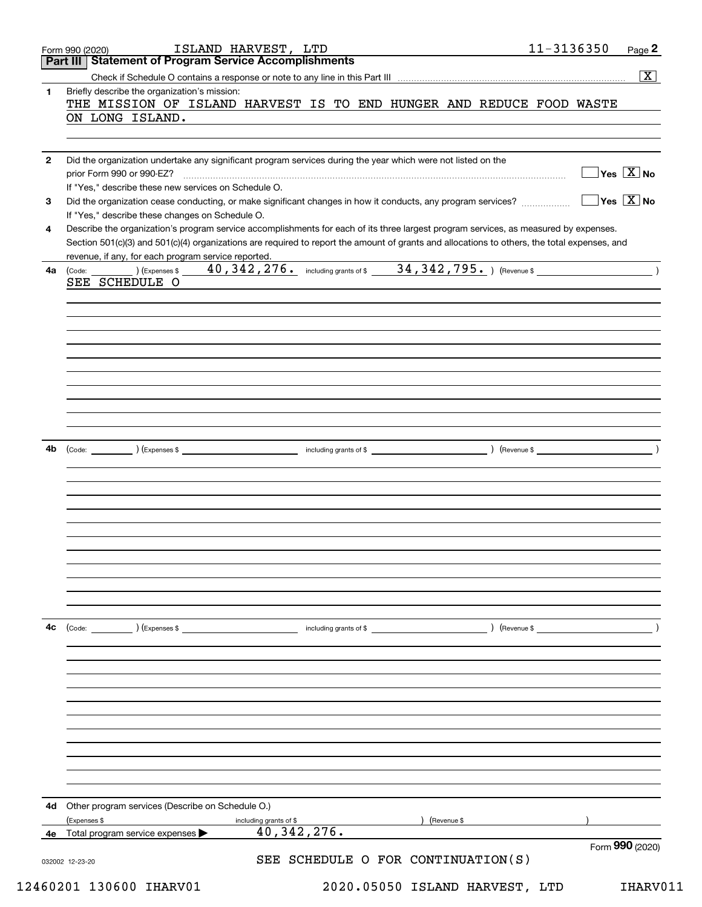|              | ISLAND HARVEST, LTD<br>Form 990 (2020)<br>Part III   Statement of Program Service Accomplishments                                            |               | 11-3136350 | Page 2                              |
|--------------|----------------------------------------------------------------------------------------------------------------------------------------------|---------------|------------|-------------------------------------|
|              |                                                                                                                                              |               |            | $\overline{\mathbf{X}}$             |
| 1            | Briefly describe the organization's mission:                                                                                                 |               |            |                                     |
|              | THE MISSION OF ISLAND HARVEST IS TO END HUNGER AND REDUCE FOOD WASTE                                                                         |               |            |                                     |
|              | ON LONG ISLAND.                                                                                                                              |               |            |                                     |
|              |                                                                                                                                              |               |            |                                     |
|              |                                                                                                                                              |               |            |                                     |
| $\mathbf{2}$ | Did the organization undertake any significant program services during the year which were not listed on the                                 |               |            |                                     |
|              | prior Form 990 or 990-EZ?                                                                                                                    |               |            | $\sqrt{}$ Yes $\sqrt{X}$ No         |
|              | If "Yes," describe these new services on Schedule O.                                                                                         |               |            |                                     |
| 3            |                                                                                                                                              |               |            | $\exists$ Yes $\boxed{\text{X}}$ No |
|              | If "Yes," describe these changes on Schedule O.                                                                                              |               |            |                                     |
| 4            | Describe the organization's program service accomplishments for each of its three largest program services, as measured by expenses.         |               |            |                                     |
|              | Section 501(c)(3) and 501(c)(4) organizations are required to report the amount of grants and allocations to others, the total expenses, and |               |            |                                     |
|              | revenue, if any, for each program service reported.                                                                                          |               |            |                                     |
| 4a           | (Code: (Code: (Expenses \$40,342,276. including grants of \$34,342,795.) (Revenue \$                                                         |               |            |                                     |
|              | SEE SCHEDULE O                                                                                                                               |               |            |                                     |
|              |                                                                                                                                              |               |            |                                     |
|              |                                                                                                                                              |               |            |                                     |
|              |                                                                                                                                              |               |            |                                     |
|              |                                                                                                                                              |               |            |                                     |
|              |                                                                                                                                              |               |            |                                     |
|              |                                                                                                                                              |               |            |                                     |
|              |                                                                                                                                              |               |            |                                     |
|              |                                                                                                                                              |               |            |                                     |
|              |                                                                                                                                              |               |            |                                     |
|              |                                                                                                                                              |               |            |                                     |
| 4b           |                                                                                                                                              |               |            |                                     |
|              |                                                                                                                                              |               |            |                                     |
|              |                                                                                                                                              |               |            |                                     |
|              |                                                                                                                                              |               |            |                                     |
|              |                                                                                                                                              |               |            |                                     |
|              |                                                                                                                                              |               |            |                                     |
|              |                                                                                                                                              |               |            |                                     |
|              |                                                                                                                                              |               |            |                                     |
|              |                                                                                                                                              |               |            |                                     |
|              |                                                                                                                                              |               |            |                                     |
|              |                                                                                                                                              |               |            |                                     |
|              |                                                                                                                                              |               |            |                                     |
|              |                                                                                                                                              |               |            |                                     |
| 4с           | $\left(\text{Code:} \right)$ $\left(\text{Expenses $}\right)$<br>including grants of \$                                                      | ) (Revenue \$ |            |                                     |
|              |                                                                                                                                              |               |            |                                     |
|              |                                                                                                                                              |               |            |                                     |
|              |                                                                                                                                              |               |            |                                     |
|              |                                                                                                                                              |               |            |                                     |
|              |                                                                                                                                              |               |            |                                     |
|              |                                                                                                                                              |               |            |                                     |
|              |                                                                                                                                              |               |            |                                     |
|              |                                                                                                                                              |               |            |                                     |
|              |                                                                                                                                              |               |            |                                     |
|              |                                                                                                                                              |               |            |                                     |
|              |                                                                                                                                              |               |            |                                     |
|              |                                                                                                                                              |               |            |                                     |
| 4d           | Other program services (Describe on Schedule O.)                                                                                             |               |            |                                     |
|              | (Revenue \$<br>(Expenses \$<br>including grants of \$                                                                                        |               |            |                                     |
|              | 40, 342, 276.<br>4e Total program service expenses                                                                                           |               |            |                                     |
|              |                                                                                                                                              |               |            | Form 990 (2020)                     |
|              |                                                                                                                                              |               |            |                                     |
|              | SEE SCHEDULE O FOR CONTINUATION(S)<br>032002 12-23-20                                                                                        |               |            |                                     |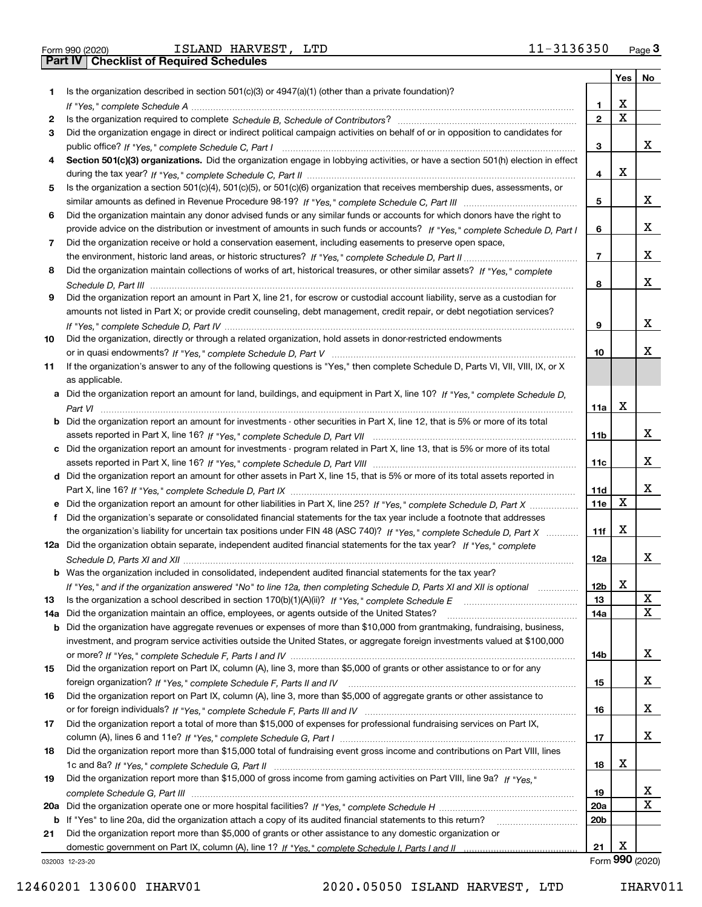|  | Form 990 (2020) |
|--|-----------------|

Form 990 (2020) Page **3Part IV Checklist of Required Schedules** ISLAND HARVEST, LTD 11-3136350

|     |                                                                                                                                                                                                                                 |                 | Yes         | No              |
|-----|---------------------------------------------------------------------------------------------------------------------------------------------------------------------------------------------------------------------------------|-----------------|-------------|-----------------|
| 1   | Is the organization described in section 501(c)(3) or 4947(a)(1) (other than a private foundation)?                                                                                                                             |                 |             |                 |
|     |                                                                                                                                                                                                                                 | 1               | x           |                 |
| 2   |                                                                                                                                                                                                                                 | $\mathbf{2}$    | $\mathbf X$ |                 |
| 3   | Did the organization engage in direct or indirect political campaign activities on behalf of or in opposition to candidates for                                                                                                 |                 |             |                 |
|     |                                                                                                                                                                                                                                 | 3               |             | X.              |
| 4   | Section 501(c)(3) organizations. Did the organization engage in lobbying activities, or have a section 501(h) election in effect                                                                                                |                 |             |                 |
|     |                                                                                                                                                                                                                                 | 4               | x           |                 |
| 5   | Is the organization a section 501(c)(4), 501(c)(5), or 501(c)(6) organization that receives membership dues, assessments, or                                                                                                    |                 |             |                 |
|     |                                                                                                                                                                                                                                 | 5               |             | X.              |
| 6   | Did the organization maintain any donor advised funds or any similar funds or accounts for which donors have the right to                                                                                                       |                 |             |                 |
|     | provide advice on the distribution or investment of amounts in such funds or accounts? If "Yes," complete Schedule D, Part I                                                                                                    | 6               |             | X.              |
| 7   | Did the organization receive or hold a conservation easement, including easements to preserve open space,                                                                                                                       | 7               |             | X.              |
| 8   | Did the organization maintain collections of works of art, historical treasures, or other similar assets? If "Yes," complete                                                                                                    |                 |             |                 |
|     |                                                                                                                                                                                                                                 | 8               |             | X.              |
| 9   | Did the organization report an amount in Part X, line 21, for escrow or custodial account liability, serve as a custodian for                                                                                                   |                 |             |                 |
|     | amounts not listed in Part X; or provide credit counseling, debt management, credit repair, or debt negotiation services?                                                                                                       |                 |             |                 |
|     |                                                                                                                                                                                                                                 | 9               |             | X.              |
| 10  | Did the organization, directly or through a related organization, hold assets in donor-restricted endowments                                                                                                                    |                 |             |                 |
|     |                                                                                                                                                                                                                                 | 10              |             | х               |
| 11  | If the organization's answer to any of the following questions is "Yes," then complete Schedule D, Parts VI, VII, VIII, IX, or X                                                                                                |                 |             |                 |
|     | as applicable.                                                                                                                                                                                                                  |                 |             |                 |
|     | a Did the organization report an amount for land, buildings, and equipment in Part X, line 10? If "Yes," complete Schedule D,                                                                                                   |                 |             |                 |
|     |                                                                                                                                                                                                                                 | 11a             | х           |                 |
|     | <b>b</b> Did the organization report an amount for investments - other securities in Part X, line 12, that is 5% or more of its total                                                                                           |                 |             |                 |
|     |                                                                                                                                                                                                                                 | 11b             |             | X.              |
|     | c Did the organization report an amount for investments - program related in Part X, line 13, that is 5% or more of its total                                                                                                   |                 |             |                 |
|     |                                                                                                                                                                                                                                 | 11c             |             | X.              |
|     | d Did the organization report an amount for other assets in Part X, line 15, that is 5% or more of its total assets reported in                                                                                                 |                 |             |                 |
|     |                                                                                                                                                                                                                                 | 11d             |             | X.              |
|     | e Did the organization report an amount for other liabilities in Part X, line 25? If "Yes," complete Schedule D, Part X                                                                                                         | <b>11e</b>      | х           |                 |
| f   | Did the organization's separate or consolidated financial statements for the tax year include a footnote that addresses                                                                                                         |                 |             |                 |
|     | the organization's liability for uncertain tax positions under FIN 48 (ASC 740)? If "Yes," complete Schedule D, Part X                                                                                                          | 11f             | x           |                 |
|     | 12a Did the organization obtain separate, independent audited financial statements for the tax year? If "Yes," complete                                                                                                         |                 |             |                 |
|     |                                                                                                                                                                                                                                 | 12a             |             | X.              |
|     | <b>b</b> Was the organization included in consolidated, independent audited financial statements for the tax year?                                                                                                              |                 |             |                 |
|     | If "Yes," and if the organization answered "No" to line 12a, then completing Schedule D, Parts XI and XII is optional                                                                                                           | 12 <sub>b</sub> | х           | X               |
| 13  | Is the organization a school described in section 170(b)(1)(A)(ii)? If "Yes," complete Schedule E                                                                                                                               | 13              |             | X               |
| 14a | Did the organization maintain an office, employees, or agents outside of the United States?<br><b>b</b> Did the organization have aggregate revenues or expenses of more than \$10,000 from grantmaking, fundraising, business, | 14a             |             |                 |
|     | investment, and program service activities outside the United States, or aggregate foreign investments valued at \$100,000                                                                                                      |                 |             |                 |
|     |                                                                                                                                                                                                                                 | 14b             |             | X.              |
| 15  | Did the organization report on Part IX, column (A), line 3, more than \$5,000 of grants or other assistance to or for any                                                                                                       |                 |             |                 |
|     |                                                                                                                                                                                                                                 | 15              |             | X.              |
| 16  | Did the organization report on Part IX, column (A), line 3, more than \$5,000 of aggregate grants or other assistance to                                                                                                        |                 |             |                 |
|     |                                                                                                                                                                                                                                 | 16              |             | X.              |
| 17  | Did the organization report a total of more than \$15,000 of expenses for professional fundraising services on Part IX,                                                                                                         |                 |             |                 |
|     |                                                                                                                                                                                                                                 | 17              |             | X.              |
| 18  | Did the organization report more than \$15,000 total of fundraising event gross income and contributions on Part VIII, lines                                                                                                    |                 |             |                 |
|     |                                                                                                                                                                                                                                 | 18              | X           |                 |
| 19  | Did the organization report more than \$15,000 of gross income from gaming activities on Part VIII, line 9a? If "Yes."                                                                                                          |                 |             |                 |
|     |                                                                                                                                                                                                                                 | 19              |             | X.              |
|     |                                                                                                                                                                                                                                 | 20a             |             | X               |
|     | b If "Yes" to line 20a, did the organization attach a copy of its audited financial statements to this return?                                                                                                                  | 20 <sub>b</sub> |             |                 |
| 21  | Did the organization report more than \$5,000 of grants or other assistance to any domestic organization or                                                                                                                     |                 |             |                 |
|     |                                                                                                                                                                                                                                 | 21              | x           |                 |
|     | 032003 12-23-20                                                                                                                                                                                                                 |                 |             | Form 990 (2020) |

032003 12-23-20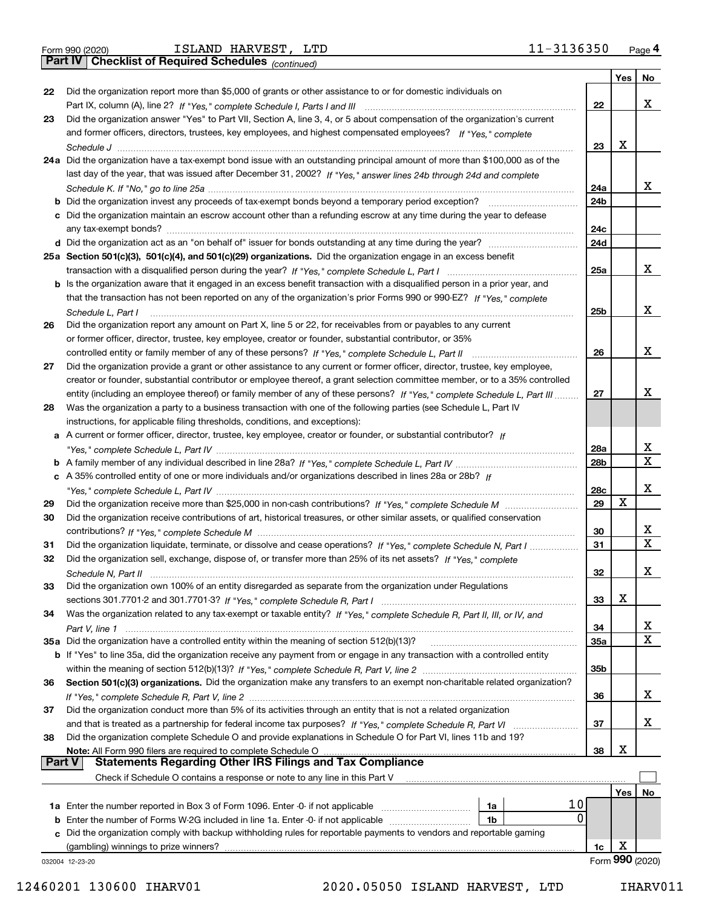|  | Form 990 (2020) |
|--|-----------------|
|  |                 |

*(continued)*

|               |                                                                                                                                                                                                                                                       |     | Yes $ $ | No              |
|---------------|-------------------------------------------------------------------------------------------------------------------------------------------------------------------------------------------------------------------------------------------------------|-----|---------|-----------------|
| 22            | Did the organization report more than \$5,000 of grants or other assistance to or for domestic individuals on                                                                                                                                         |     |         |                 |
|               |                                                                                                                                                                                                                                                       | 22  |         | x               |
| 23            | Did the organization answer "Yes" to Part VII, Section A, line 3, 4, or 5 about compensation of the organization's current                                                                                                                            |     |         |                 |
|               | and former officers, directors, trustees, key employees, and highest compensated employees? If "Yes," complete                                                                                                                                        |     |         |                 |
|               |                                                                                                                                                                                                                                                       | 23  | X       |                 |
|               | 24a Did the organization have a tax-exempt bond issue with an outstanding principal amount of more than \$100,000 as of the                                                                                                                           |     |         |                 |
|               | last day of the year, that was issued after December 31, 2002? If "Yes," answer lines 24b through 24d and complete                                                                                                                                    |     |         |                 |
|               |                                                                                                                                                                                                                                                       | 24a |         | x               |
|               | <b>b</b> Did the organization invest any proceeds of tax-exempt bonds beyond a temporary period exception?                                                                                                                                            | 24b |         |                 |
|               | c Did the organization maintain an escrow account other than a refunding escrow at any time during the year to defease                                                                                                                                |     |         |                 |
|               |                                                                                                                                                                                                                                                       | 24с |         |                 |
|               |                                                                                                                                                                                                                                                       | 24d |         |                 |
|               | 25a Section 501(c)(3), 501(c)(4), and 501(c)(29) organizations. Did the organization engage in an excess benefit                                                                                                                                      |     |         | x               |
|               |                                                                                                                                                                                                                                                       | 25a |         |                 |
|               | b Is the organization aware that it engaged in an excess benefit transaction with a disqualified person in a prior year, and<br>that the transaction has not been reported on any of the organization's prior Forms 990 or 990-EZ? If "Yes," complete |     |         |                 |
|               |                                                                                                                                                                                                                                                       | 25b |         | x               |
| 26            | Schedule L. Part I<br>Did the organization report any amount on Part X, line 5 or 22, for receivables from or payables to any current                                                                                                                 |     |         |                 |
|               | or former officer, director, trustee, key employee, creator or founder, substantial contributor, or 35%                                                                                                                                               |     |         |                 |
|               | controlled entity or family member of any of these persons? If "Yes," complete Schedule L, Part II                                                                                                                                                    | 26  |         | x               |
| 27            | Did the organization provide a grant or other assistance to any current or former officer, director, trustee, key employee,                                                                                                                           |     |         |                 |
|               | creator or founder, substantial contributor or employee thereof, a grant selection committee member, or to a 35% controlled                                                                                                                           |     |         |                 |
|               | entity (including an employee thereof) or family member of any of these persons? If "Yes," complete Schedule L, Part III                                                                                                                              | 27  |         | x               |
| 28            | Was the organization a party to a business transaction with one of the following parties (see Schedule L, Part IV                                                                                                                                     |     |         |                 |
|               | instructions, for applicable filing thresholds, conditions, and exceptions):                                                                                                                                                                          |     |         |                 |
|               | a A current or former officer, director, trustee, key employee, creator or founder, or substantial contributor? If                                                                                                                                    |     |         |                 |
|               |                                                                                                                                                                                                                                                       | 28a |         | x               |
|               |                                                                                                                                                                                                                                                       | 28b |         | X               |
|               | c A 35% controlled entity of one or more individuals and/or organizations described in lines 28a or 28b? If                                                                                                                                           |     |         |                 |
|               |                                                                                                                                                                                                                                                       | 28c |         | x               |
| 29            |                                                                                                                                                                                                                                                       | 29  | X       |                 |
| 30            | Did the organization receive contributions of art, historical treasures, or other similar assets, or qualified conservation                                                                                                                           |     |         |                 |
|               |                                                                                                                                                                                                                                                       | 30  |         | x               |
| 31            | Did the organization liquidate, terminate, or dissolve and cease operations? If "Yes," complete Schedule N, Part I                                                                                                                                    | 31  |         | X               |
| 32            | Did the organization sell, exchange, dispose of, or transfer more than 25% of its net assets? If "Yes," complete                                                                                                                                      |     |         |                 |
|               | Schedule N, Part II                                                                                                                                                                                                                                   | 32  |         | x               |
| 33            | Did the organization own 100% of an entity disregarded as separate from the organization under Regulations                                                                                                                                            |     |         |                 |
|               |                                                                                                                                                                                                                                                       | 33  | х       |                 |
| 34            | Was the organization related to any tax-exempt or taxable entity? If "Yes," complete Schedule R, Part II, III, or IV, and                                                                                                                             |     |         |                 |
|               |                                                                                                                                                                                                                                                       | 34  |         | х               |
|               | 35a Did the organization have a controlled entity within the meaning of section 512(b)(13)?                                                                                                                                                           | 35a |         | X               |
|               | b If "Yes" to line 35a, did the organization receive any payment from or engage in any transaction with a controlled entity                                                                                                                           |     |         |                 |
|               |                                                                                                                                                                                                                                                       | 35b |         |                 |
| 36            | Section 501(c)(3) organizations. Did the organization make any transfers to an exempt non-charitable related organization?                                                                                                                            |     |         | x               |
| 37            | Did the organization conduct more than 5% of its activities through an entity that is not a related organization                                                                                                                                      | 36  |         |                 |
|               |                                                                                                                                                                                                                                                       | 37  |         | x               |
| 38            | and that is treated as a partnership for federal income tax purposes? If "Yes," complete Schedule R, Part VI<br>Did the organization complete Schedule O and provide explanations in Schedule O for Part VI, lines 11b and 19?                        |     |         |                 |
|               | Note: All Form 990 filers are required to complete Schedule O                                                                                                                                                                                         | 38  | х       |                 |
| <b>Part V</b> | <b>Statements Regarding Other IRS Filings and Tax Compliance</b>                                                                                                                                                                                      |     |         |                 |
|               | Check if Schedule O contains a response or note to any line in this Part V                                                                                                                                                                            |     |         |                 |
|               |                                                                                                                                                                                                                                                       |     | Yes     | No              |
|               | 10<br>1a Enter the number reported in Box 3 of Form 1096. Enter -0- if not applicable<br>1a                                                                                                                                                           |     |         |                 |
| b             | 0<br>Enter the number of Forms W-2G included in line 1a. Enter -0- if not applicable<br>1b                                                                                                                                                            |     |         |                 |
|               | c Did the organization comply with backup withholding rules for reportable payments to vendors and reportable gaming                                                                                                                                  |     |         |                 |
|               | (gambling) winnings to prize winners?                                                                                                                                                                                                                 | 1c  | х       |                 |
|               | 032004 12-23-20                                                                                                                                                                                                                                       |     |         | Form 990 (2020) |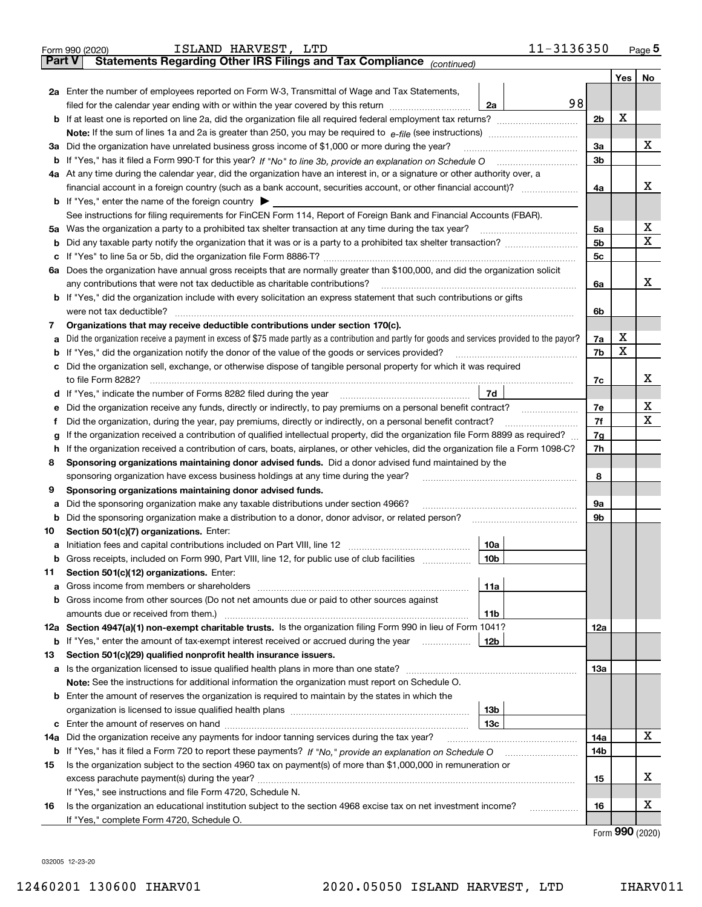|        | 11-3136350<br>ISLAND HARVEST, LTD<br>Form 990 (2020)                                                                                                                                                                                  |                |                                     | $Page$ <sup>5</sup> |
|--------|---------------------------------------------------------------------------------------------------------------------------------------------------------------------------------------------------------------------------------------|----------------|-------------------------------------|---------------------|
| Part V | Statements Regarding Other IRS Filings and Tax Compliance <sub>(continued)</sub>                                                                                                                                                      |                |                                     |                     |
|        |                                                                                                                                                                                                                                       |                | Yes                                 | No                  |
|        | 2a Enter the number of employees reported on Form W-3, Transmittal of Wage and Tax Statements,                                                                                                                                        |                |                                     |                     |
|        | 98<br>filed for the calendar year ending with or within the year covered by this return<br>2a                                                                                                                                         |                |                                     |                     |
|        | <b>b</b> If at least one is reported on line 2a, did the organization file all required federal employment tax returns?                                                                                                               | 2 <sub>b</sub> | X                                   |                     |
|        |                                                                                                                                                                                                                                       |                |                                     |                     |
|        | 3a Did the organization have unrelated business gross income of \$1,000 or more during the year?                                                                                                                                      | 3a             |                                     | х                   |
|        | <b>b</b> If "Yes," has it filed a Form 990-T for this year? If "No" to line 3b, provide an explanation on Schedule O                                                                                                                  | 3 <sub>b</sub> |                                     |                     |
|        | 4a At any time during the calendar year, did the organization have an interest in, or a signature or other authority over, a                                                                                                          |                |                                     |                     |
|        |                                                                                                                                                                                                                                       | 4a             |                                     | X                   |
|        | <b>b</b> If "Yes," enter the name of the foreign country $\triangleright$                                                                                                                                                             |                |                                     |                     |
|        | See instructions for filing requirements for FinCEN Form 114, Report of Foreign Bank and Financial Accounts (FBAR).                                                                                                                   |                |                                     |                     |
|        | 5a Was the organization a party to a prohibited tax shelter transaction at any time during the tax year?                                                                                                                              | 5a             |                                     | х                   |
|        |                                                                                                                                                                                                                                       | 5 <sub>b</sub> |                                     | х                   |
|        |                                                                                                                                                                                                                                       | 5 <sub>c</sub> |                                     |                     |
|        | 6a Does the organization have annual gross receipts that are normally greater than \$100,000, and did the organization solicit                                                                                                        |                |                                     |                     |
|        | any contributions that were not tax deductible as charitable contributions?                                                                                                                                                           | 6a             |                                     | X                   |
|        | <b>b</b> If "Yes," did the organization include with every solicitation an express statement that such contributions or gifts                                                                                                         |                |                                     |                     |
|        | were not tax deductible?                                                                                                                                                                                                              | 6b             |                                     |                     |
| 7      | Organizations that may receive deductible contributions under section 170(c).                                                                                                                                                         |                |                                     |                     |
| а      | Did the organization receive a payment in excess of \$75 made partly as a contribution and partly for goods and services provided to the payor?                                                                                       | 7a             | х                                   |                     |
|        | <b>b</b> If "Yes," did the organization notify the donor of the value of the goods or services provided?                                                                                                                              | 7b             | X                                   |                     |
|        | c Did the organization sell, exchange, or otherwise dispose of tangible personal property for which it was required                                                                                                                   |                |                                     |                     |
|        | to file Form 8282?                                                                                                                                                                                                                    | 7c             |                                     | X                   |
|        | 7d<br>d If "Yes," indicate the number of Forms 8282 filed during the year                                                                                                                                                             |                |                                     |                     |
| е      | Did the organization receive any funds, directly or indirectly, to pay premiums on a personal benefit contract?                                                                                                                       | 7e             |                                     | х                   |
| Ť      | Did the organization, during the year, pay premiums, directly or indirectly, on a personal benefit contract?                                                                                                                          | 7f             |                                     | X                   |
| g      | If the organization received a contribution of qualified intellectual property, did the organization file Form 8899 as required?                                                                                                      | 7g             |                                     |                     |
| h.     | If the organization received a contribution of cars, boats, airplanes, or other vehicles, did the organization file a Form 1098-C?                                                                                                    |                |                                     |                     |
| 8      | Sponsoring organizations maintaining donor advised funds. Did a donor advised fund maintained by the                                                                                                                                  |                |                                     |                     |
|        | sponsoring organization have excess business holdings at any time during the year?                                                                                                                                                    | 8              |                                     |                     |
| 9      | Sponsoring organizations maintaining donor advised funds.                                                                                                                                                                             |                |                                     |                     |
| а      | Did the sponsoring organization make any taxable distributions under section 4966?                                                                                                                                                    | 9а             |                                     |                     |
|        | <b>b</b> Did the sponsoring organization make a distribution to a donor, donor advisor, or related person?                                                                                                                            | 9b             |                                     |                     |
| 10     | Section 501(c)(7) organizations. Enter:                                                                                                                                                                                               |                |                                     |                     |
|        | 10a                                                                                                                                                                                                                                   |                |                                     |                     |
|        | <b>b</b> Gross receipts, included on Form 990, Part VIII, line 12, for public use of club facilities <i>manument</i><br>10b                                                                                                           |                |                                     |                     |
| 11     | Section 501(c)(12) organizations. Enter:                                                                                                                                                                                              |                |                                     |                     |
| а      | 11a<br>Gross income from members or shareholders [111] [12] content in the state of the state of the state of the state of the state of the state of the state of the state of the state of the state of the state of the state of th |                |                                     |                     |
|        | <b>b</b> Gross income from other sources (Do not net amounts due or paid to other sources against                                                                                                                                     |                |                                     |                     |
|        | amounts due or received from them.)<br>11b                                                                                                                                                                                            |                |                                     |                     |
|        | 12a Section 4947(a)(1) non-exempt charitable trusts. Is the organization filing Form 990 in lieu of Form 1041?                                                                                                                        | 12a            |                                     |                     |
|        | <b>b</b> If "Yes," enter the amount of tax-exempt interest received or accrued during the year<br>12b                                                                                                                                 |                |                                     |                     |
| 13     | Section 501(c)(29) qualified nonprofit health insurance issuers.                                                                                                                                                                      |                |                                     |                     |
|        |                                                                                                                                                                                                                                       | 13а            |                                     |                     |
|        | <b>Note:</b> See the instructions for additional information the organization must report on Schedule O.                                                                                                                              |                |                                     |                     |
|        | <b>b</b> Enter the amount of reserves the organization is required to maintain by the states in which the                                                                                                                             |                |                                     |                     |
|        | 13b                                                                                                                                                                                                                                   |                |                                     |                     |
|        | 13с                                                                                                                                                                                                                                   |                |                                     |                     |
| 14a    | Did the organization receive any payments for indoor tanning services during the tax year?                                                                                                                                            | 14a            |                                     | х                   |
|        |                                                                                                                                                                                                                                       | 14b            |                                     |                     |
| 15     | Is the organization subject to the section 4960 tax on payment(s) of more than \$1,000,000 in remuneration or                                                                                                                         |                |                                     |                     |
|        |                                                                                                                                                                                                                                       | 15             |                                     | х                   |
|        | If "Yes," see instructions and file Form 4720, Schedule N.                                                                                                                                                                            |                |                                     |                     |
| 16     | Is the organization an educational institution subject to the section 4968 excise tax on net investment income?                                                                                                                       | 16             |                                     | х                   |
|        | .                                                                                                                                                                                                                                     |                |                                     |                     |
|        | If "Yes," complete Form 4720, Schedule O.                                                                                                                                                                                             |                | $F_{\text{arm}}$ QQ $\Omega$ (2020) |                     |

Form (2020) **990**

032005 12-23-20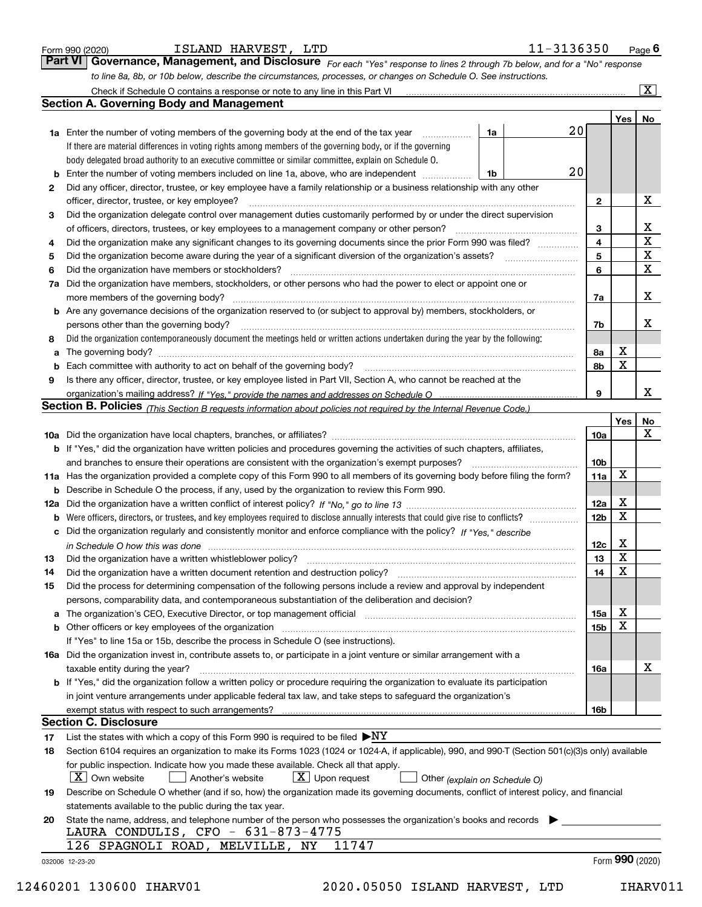|  | Form 990 (2020) |
|--|-----------------|
|  |                 |

| ISLAND | HARVEST, | LTD |
|--------|----------|-----|
|--------|----------|-----|

*For each "Yes" response to lines 2 through 7b below, and for a "No" response to line 8a, 8b, or 10b below, describe the circumstances, processes, or changes on Schedule O. See instructions.* Form 990 (2020) **Form 990 (2020) Example 1 SLAND HARVEST, LTD** 11-3136350 Page 6<br>**Part VI** | Governance, Management, and Disclosure *For each "Yes" response to lines 2 through 7b below, and for a "No" response* 

|    | Check if Schedule O contains a response or note to any line in this Part VI                                                                                           |    |    |                 |     | $\boxed{\text{X}}$ |
|----|-----------------------------------------------------------------------------------------------------------------------------------------------------------------------|----|----|-----------------|-----|--------------------|
|    | Section A. Governing Body and Management                                                                                                                              |    |    |                 |     |                    |
|    |                                                                                                                                                                       |    |    |                 | Yes | No                 |
|    | 1a Enter the number of voting members of the governing body at the end of the tax year                                                                                | 1a | 20 |                 |     |                    |
|    | If there are material differences in voting rights among members of the governing body, or if the governing                                                           |    |    |                 |     |                    |
|    | body delegated broad authority to an executive committee or similar committee, explain on Schedule O.                                                                 |    |    |                 |     |                    |
| b  | Enter the number of voting members included on line 1a, above, who are independent                                                                                    | 1b | 20 |                 |     |                    |
| 2  | Did any officer, director, trustee, or key employee have a family relationship or a business relationship with any other                                              |    |    |                 |     |                    |
|    | officer, director, trustee, or key employee?                                                                                                                          |    |    | 2               |     | х                  |
| 3  | Did the organization delegate control over management duties customarily performed by or under the direct supervision                                                 |    |    |                 |     |                    |
|    | of officers, directors, trustees, or key employees to a management company or other person?                                                                           |    |    | 3               |     | х                  |
| 4  | Did the organization make any significant changes to its governing documents since the prior Form 990 was filed?                                                      |    |    | 4               |     | $\mathbf X$        |
| 5  |                                                                                                                                                                       |    |    | 5               |     | X                  |
| 6  | Did the organization have members or stockholders?                                                                                                                    |    |    | 6               |     | $\mathbf X$        |
| 7a | Did the organization have members, stockholders, or other persons who had the power to elect or appoint one or                                                        |    |    |                 |     |                    |
|    | more members of the governing body?                                                                                                                                   |    |    | 7a              |     | х                  |
|    | <b>b</b> Are any governance decisions of the organization reserved to (or subject to approval by) members, stockholders, or                                           |    |    |                 |     |                    |
|    | persons other than the governing body?                                                                                                                                |    |    |                 |     | х                  |
|    |                                                                                                                                                                       |    |    | 7b              |     |                    |
| 8  | Did the organization contemporaneously document the meetings held or written actions undertaken during the year by the following:                                     |    |    |                 |     |                    |
| a  |                                                                                                                                                                       |    |    | 8a              | Х   |                    |
| b  |                                                                                                                                                                       |    |    | 8b              | X   |                    |
| 9  | Is there any officer, director, trustee, or key employee listed in Part VII, Section A, who cannot be reached at the                                                  |    |    |                 |     |                    |
|    |                                                                                                                                                                       |    |    | 9               |     | x                  |
|    | <b>Section B. Policies</b> (This Section B requests information about policies not required by the Internal Revenue Code.)                                            |    |    |                 |     |                    |
|    |                                                                                                                                                                       |    |    |                 | Yes | No                 |
|    |                                                                                                                                                                       |    |    | 10a             |     | x                  |
|    | <b>b</b> If "Yes," did the organization have written policies and procedures governing the activities of such chapters, affiliates,                                   |    |    |                 |     |                    |
|    | and branches to ensure their operations are consistent with the organization's exempt purposes?                                                                       |    |    | 10 <sub>b</sub> |     |                    |
|    | 11a Has the organization provided a complete copy of this Form 990 to all members of its governing body before filing the form?                                       |    |    | 11a             | X   |                    |
| b  | Describe in Schedule O the process, if any, used by the organization to review this Form 990.                                                                         |    |    |                 |     |                    |
|    |                                                                                                                                                                       |    |    | 12a             | х   |                    |
| b  |                                                                                                                                                                       |    |    | 12 <sub>b</sub> | X   |                    |
| c  | Did the organization regularly and consistently monitor and enforce compliance with the policy? If "Yes." describe                                                    |    |    |                 |     |                    |
|    | in Schedule O how this was done www.communication.com/www.communications.com/www.communications.com/                                                                  |    |    | 12c             | х   |                    |
| 13 | Did the organization have a written whistleblower policy?                                                                                                             |    |    | 13              | X   |                    |
| 14 | Did the organization have a written document retention and destruction policy?                                                                                        |    |    | 14              | X   |                    |
| 15 | Did the process for determining compensation of the following persons include a review and approval by independent                                                    |    |    |                 |     |                    |
|    | persons, comparability data, and contemporaneous substantiation of the deliberation and decision?                                                                     |    |    |                 |     |                    |
| a  | The organization's CEO, Executive Director, or top management official manufactured content of the organization's CEO, Executive Director, or top management official |    |    | 15a             | х   |                    |
|    | <b>b</b> Other officers or key employees of the organization                                                                                                          |    |    | 15b             | x   |                    |
|    | If "Yes" to line 15a or 15b, describe the process in Schedule O (see instructions).                                                                                   |    |    |                 |     |                    |
|    | 16a Did the organization invest in, contribute assets to, or participate in a joint venture or similar arrangement with a                                             |    |    |                 |     |                    |
|    | taxable entity during the year?                                                                                                                                       |    |    | 16a             |     | х                  |
|    | b If "Yes," did the organization follow a written policy or procedure requiring the organization to evaluate its participation                                        |    |    |                 |     |                    |
|    | in joint venture arrangements under applicable federal tax law, and take steps to safequard the organization's                                                        |    |    |                 |     |                    |
|    | exempt status with respect to such arrangements?                                                                                                                      |    |    | 16b             |     |                    |
|    | <b>Section C. Disclosure</b>                                                                                                                                          |    |    |                 |     |                    |
| 17 | List the states with which a copy of this Form 990 is required to be filed $\blacktriangleright$ NY                                                                   |    |    |                 |     |                    |
| 18 | Section 6104 requires an organization to make its Forms 1023 (1024 or 1024-A, if applicable), 990, and 990-T (Section 501(c)(3)s only) available                      |    |    |                 |     |                    |
|    | for public inspection. Indicate how you made these available. Check all that apply.                                                                                   |    |    |                 |     |                    |
|    | $X$ Own website<br>$X$ Upon request<br>Another's website<br>Other (explain on Schedule O)                                                                             |    |    |                 |     |                    |
| 19 | Describe on Schedule O whether (and if so, how) the organization made its governing documents, conflict of interest policy, and financial                             |    |    |                 |     |                    |
|    | statements available to the public during the tax year.                                                                                                               |    |    |                 |     |                    |
| 20 | State the name, address, and telephone number of the person who possesses the organization's books and records                                                        |    |    |                 |     |                    |
|    | LAURA CONDULIS, CFO - 631-873-4775                                                                                                                                    |    |    |                 |     |                    |
|    | 11747<br>126 SPAGNOLI ROAD, MELVILLE, NY                                                                                                                              |    |    |                 |     |                    |
|    | 032006 12-23-20                                                                                                                                                       |    |    |                 |     | Form 990 (2020)    |
|    |                                                                                                                                                                       |    |    |                 |     |                    |

12460201 130600 IHARV01 2020.05050 ISLAND HARVEST, LTD IHARV011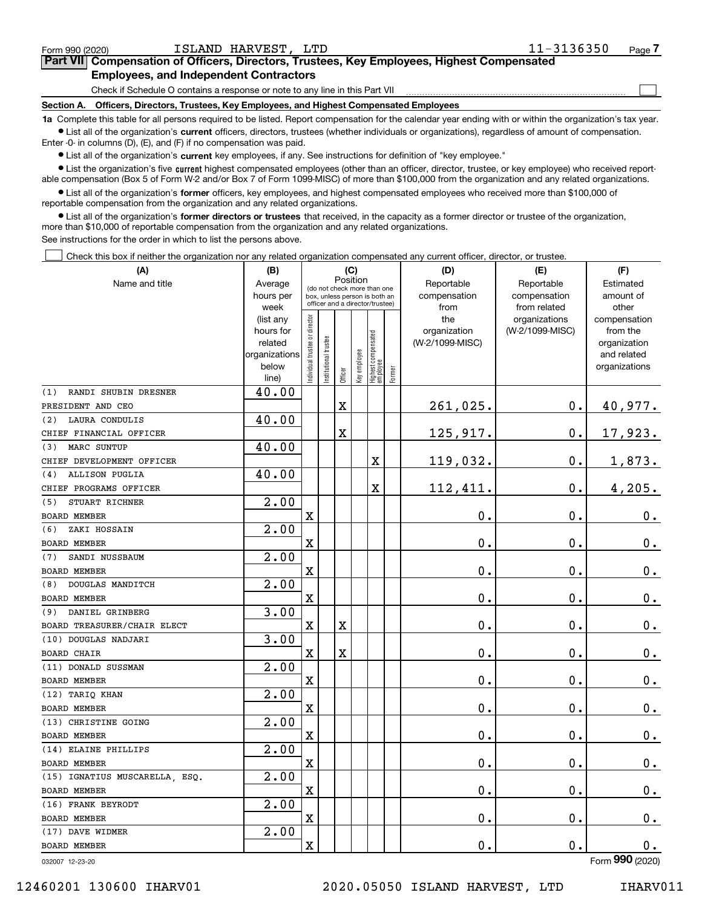| Form 990 (2020) | ISLAND HARVEST, LTD                                                                                                                                        | 11-3136350 | Page <sup>7</sup> |  |  |  |  |
|-----------------|------------------------------------------------------------------------------------------------------------------------------------------------------------|------------|-------------------|--|--|--|--|
|                 | <b>Part VII</b> Compensation of Officers, Directors, Trustees, Key Employees, Highest Compensated                                                          |            |                   |  |  |  |  |
|                 | <b>Employees, and Independent Contractors</b>                                                                                                              |            |                   |  |  |  |  |
|                 | Check if Schedule O contains a response or note to any line in this Part VII                                                                               |            |                   |  |  |  |  |
| Section A.      | Officers, Directors, Trustees, Key Employees, and Highest Compensated Employees                                                                            |            |                   |  |  |  |  |
|                 | 1a Complete this table for all persons required to be listed. Report compensation for the calendar year ending with or within the organization's tax year. |            |                   |  |  |  |  |

**•** List all of the organization's current officers, directors, trustees (whether individuals or organizations), regardless of amount of compensation. Enter -0- in columns (D), (E), and (F) if no compensation was paid.

 $\bullet$  List all of the organization's  $\,$ current key employees, if any. See instructions for definition of "key employee."

**•** List the organization's five current highest compensated employees (other than an officer, director, trustee, or key employee) who received reportable compensation (Box 5 of Form W-2 and/or Box 7 of Form 1099-MISC) of more than \$100,000 from the organization and any related organizations.

**•** List all of the organization's former officers, key employees, and highest compensated employees who received more than \$100,000 of reportable compensation from the organization and any related organizations.

**former directors or trustees**  ¥ List all of the organization's that received, in the capacity as a former director or trustee of the organization, more than \$10,000 of reportable compensation from the organization and any related organizations.

See instructions for the order in which to list the persons above.

Check this box if neither the organization nor any related organization compensated any current officer, director, or trustee.  $\mathcal{L}^{\text{max}}$ 

| (A)                            | (B)                                                                  | (C)                            |                                                                                                             |                         |              |                                   | (D)    | (E)                                    | (F)                                        |                                                                          |
|--------------------------------|----------------------------------------------------------------------|--------------------------------|-------------------------------------------------------------------------------------------------------------|-------------------------|--------------|-----------------------------------|--------|----------------------------------------|--------------------------------------------|--------------------------------------------------------------------------|
| Name and title                 | Average<br>hours per<br>week                                         |                                | Position<br>(do not check more than one<br>box, unless person is both an<br>officer and a director/trustee) |                         |              |                                   |        | Reportable<br>compensation<br>from     | Reportable<br>compensation<br>from related | Estimated<br>amount of<br>other                                          |
|                                | (list any<br>hours for<br>related<br>organizations<br>below<br>line) | Individual trustee or director | Institutional trustee                                                                                       | Officer                 | Key employee | Highest compensated<br>  employee | Former | the<br>organization<br>(W-2/1099-MISC) | organizations<br>(W-2/1099-MISC)           | compensation<br>from the<br>organization<br>and related<br>organizations |
| RANDI SHUBIN DRESNER<br>(1)    | 40.00                                                                |                                |                                                                                                             |                         |              |                                   |        |                                        |                                            |                                                                          |
| PRESIDENT AND CEO              |                                                                      |                                |                                                                                                             | $\overline{\textbf{X}}$ |              |                                   |        | 261,025.                               | $\mathbf 0$ .                              | 40,977.                                                                  |
| LAURA CONDULIS<br>(2)          | 40.00                                                                |                                |                                                                                                             |                         |              |                                   |        |                                        |                                            |                                                                          |
| CHIEF FINANCIAL OFFICER        |                                                                      |                                |                                                                                                             | X                       |              |                                   |        | 125,917.                               | $\mathbf 0$ .                              | 17,923.                                                                  |
| MARC SUNTUP<br>(3)             | 40.00                                                                |                                |                                                                                                             |                         |              |                                   |        |                                        |                                            |                                                                          |
| CHIEF DEVELOPMENT OFFICER      |                                                                      |                                |                                                                                                             |                         |              | $\mathbf X$                       |        | 119,032.                               | $\mathbf 0$ .                              | 1,873.                                                                   |
| <b>ALLISON PUGLIA</b><br>(4)   | 40.00                                                                |                                |                                                                                                             |                         |              |                                   |        |                                        |                                            |                                                                          |
| CHIEF PROGRAMS OFFICER         |                                                                      |                                |                                                                                                             |                         |              | X                                 |        | 112,411.                               | $\mathbf 0$ .                              | 4,205.                                                                   |
| STUART RICHNER<br>(5)          | 2.00                                                                 |                                |                                                                                                             |                         |              |                                   |        |                                        |                                            |                                                                          |
| BOARD MEMBER                   |                                                                      | $\mathbf x$                    |                                                                                                             |                         |              |                                   |        | 0.                                     | $\mathbf 0$ .                              | $0_{.}$                                                                  |
| ZAKI HOSSAIN<br>(6)            | 2.00                                                                 |                                |                                                                                                             |                         |              |                                   |        |                                        |                                            |                                                                          |
| <b>BOARD MEMBER</b>            |                                                                      | $\mathbf x$                    |                                                                                                             |                         |              |                                   |        | 0.                                     | $\mathbf 0$ .                              | $\mathbf 0$ .                                                            |
| SANDI NUSSBAUM<br>(7)          | 2.00                                                                 |                                |                                                                                                             |                         |              |                                   |        |                                        |                                            |                                                                          |
| <b>BOARD MEMBER</b>            |                                                                      | $\mathbf x$                    |                                                                                                             |                         |              |                                   |        | 0.                                     | $\mathbf 0$ .                              | $\mathbf 0$ .                                                            |
| DOUGLAS MANDITCH<br>(8)        | 2.00                                                                 |                                |                                                                                                             |                         |              |                                   |        |                                        |                                            |                                                                          |
| <b>BOARD MEMBER</b>            |                                                                      | X                              |                                                                                                             |                         |              |                                   |        | 0.                                     | 0.                                         | 0.                                                                       |
| DANIEL GRINBERG<br>(9)         | 3.00                                                                 |                                |                                                                                                             |                         |              |                                   |        |                                        |                                            |                                                                          |
| BOARD TREASURER/CHAIR ELECT    |                                                                      | $\mathbf X$                    |                                                                                                             | X                       |              |                                   |        | 0.                                     | 0.                                         | $0_{.}$                                                                  |
| (10) DOUGLAS NADJARI           | 3.00                                                                 |                                |                                                                                                             |                         |              |                                   |        |                                        |                                            |                                                                          |
| <b>BOARD CHAIR</b>             |                                                                      | X                              |                                                                                                             | $\overline{\textbf{X}}$ |              |                                   |        | 0.                                     | $\mathbf 0$ .                              | $0_{.}$                                                                  |
| (11) DONALD SUSSMAN            | 2.00                                                                 |                                |                                                                                                             |                         |              |                                   |        |                                        |                                            |                                                                          |
| <b>BOARD MEMBER</b>            |                                                                      | X                              |                                                                                                             |                         |              |                                   |        | 0.                                     | $\mathbf 0$ .                              | $0_{.}$                                                                  |
| (12) TARIQ KHAN                | $\overline{2.00}$                                                    |                                |                                                                                                             |                         |              |                                   |        |                                        |                                            |                                                                          |
| <b>BOARD MEMBER</b>            |                                                                      | $\mathbf x$                    |                                                                                                             |                         |              |                                   |        | 0.                                     | $\mathbf 0$ .                              | $0_{.}$                                                                  |
| (13) CHRISTINE GOING           | $\overline{2.00}$                                                    |                                |                                                                                                             |                         |              |                                   |        |                                        |                                            |                                                                          |
| <b>BOARD MEMBER</b>            |                                                                      | X                              |                                                                                                             |                         |              |                                   |        | 0.                                     | $\mathbf 0$ .                              | $0_{.}$                                                                  |
| (14) ELAINE PHILLIPS           | $\overline{2.00}$                                                    |                                |                                                                                                             |                         |              |                                   |        |                                        |                                            |                                                                          |
| <b>BOARD MEMBER</b>            |                                                                      | X                              |                                                                                                             |                         |              |                                   |        | 0.                                     | $\mathbf 0$ .                              | $\mathbf 0$ .                                                            |
| (15) IGNATIUS MUSCARELLA, ESQ. | 2.00                                                                 |                                |                                                                                                             |                         |              |                                   |        |                                        |                                            |                                                                          |
| <b>BOARD MEMBER</b>            |                                                                      | X                              |                                                                                                             |                         |              |                                   |        | 0.                                     | 0.                                         | $0_{.}$                                                                  |
| (16) FRANK BEYRODT             | 2.00                                                                 |                                |                                                                                                             |                         |              |                                   |        |                                        |                                            |                                                                          |
| <b>BOARD MEMBER</b>            |                                                                      | X                              |                                                                                                             |                         |              |                                   |        | 0.                                     | $\mathbf 0$ .                              | $\mathbf 0$ .                                                            |
| (17) DAVE WIDMER               | 2.00                                                                 |                                |                                                                                                             |                         |              |                                   |        |                                        |                                            |                                                                          |
| BOARD MEMBER                   |                                                                      | X                              |                                                                                                             |                         |              |                                   |        | 0.                                     | $\mathbf 0$ .                              | 0.                                                                       |

032007 12-23-20

Form (2020) **990**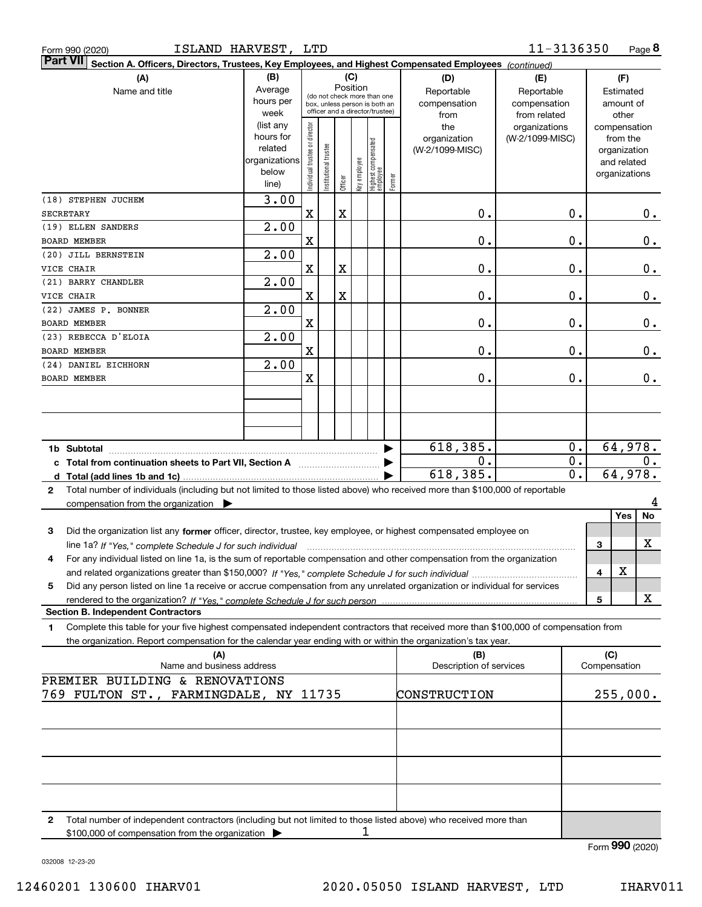| Form 990 (2020)        |  |
|------------------------|--|
| D <sub>2</sub> rt VIII |  |

| <b>Fall VII</b> Section A. Officers, Directors, Trustees, Key Employees, and Highest Compensated Employees (continued)                          |                        |                                |                                 |             |              |                                  |        |                         |                 |                  |               |         |
|-------------------------------------------------------------------------------------------------------------------------------------------------|------------------------|--------------------------------|---------------------------------|-------------|--------------|----------------------------------|--------|-------------------------|-----------------|------------------|---------------|---------|
| (A)                                                                                                                                             | (B)                    |                                |                                 |             | (C)          |                                  |        | (D)                     | (E)             |                  | (F)           |         |
| Name and title                                                                                                                                  | Average                |                                | (do not check more than one     |             | Position     |                                  |        | Reportable              | Reportable      |                  | Estimated     |         |
|                                                                                                                                                 | hours per              |                                | box, unless person is both an   |             |              |                                  |        | compensation            | compensation    |                  | amount of     |         |
|                                                                                                                                                 | week                   |                                | officer and a director/trustee) |             |              |                                  |        | from                    | from related    |                  | other         |         |
|                                                                                                                                                 | (list any              |                                |                                 |             |              |                                  |        | the                     | organizations   |                  | compensation  |         |
|                                                                                                                                                 | hours for              |                                |                                 |             |              |                                  |        | organization            | (W-2/1099-MISC) |                  | from the      |         |
|                                                                                                                                                 | related                |                                |                                 |             |              |                                  |        | (W-2/1099-MISC)         |                 |                  | organization  |         |
|                                                                                                                                                 | organizations<br>below | Individual trustee or director | nstitutional trustee            |             | key employee | Highest compensated<br> employee |        |                         |                 |                  | and related   |         |
|                                                                                                                                                 |                        |                                |                                 | Officer     |              |                                  | Former |                         |                 |                  | organizations |         |
|                                                                                                                                                 | line)                  |                                |                                 |             |              |                                  |        |                         |                 |                  |               |         |
| (18) STEPHEN JUCHEM                                                                                                                             | 3.00                   |                                |                                 |             |              |                                  |        |                         |                 |                  |               |         |
| <b>SECRETARY</b>                                                                                                                                |                        | X                              |                                 | $\mathbf X$ |              |                                  |        | 0.                      |                 | 0.               |               | $0_{.}$ |
| (19) ELLEN SANDERS                                                                                                                              | 2.00                   |                                |                                 |             |              |                                  |        |                         |                 |                  |               |         |
| <b>BOARD MEMBER</b>                                                                                                                             |                        | X                              |                                 |             |              |                                  |        | 0.                      |                 | $\mathbf 0$ .    |               | 0.      |
| (20) JILL BERNSTEIN                                                                                                                             | 2.00                   |                                |                                 |             |              |                                  |        |                         |                 |                  |               |         |
| VICE CHAIR                                                                                                                                      |                        | X                              |                                 | $\mathbf X$ |              |                                  |        | 0.                      |                 | $\mathbf 0$ .    |               | 0.      |
| (21) BARRY CHANDLER                                                                                                                             | 2.00                   |                                |                                 |             |              |                                  |        |                         |                 |                  |               |         |
| VICE CHAIR                                                                                                                                      |                        | $\overline{\mathbf{X}}$        |                                 | $\mathbf X$ |              |                                  |        | 0.                      |                 | $\mathbf 0$ .    |               | 0.      |
| (22) JAMES P. BONNER                                                                                                                            | 2.00                   |                                |                                 |             |              |                                  |        |                         |                 |                  |               |         |
| <b>BOARD MEMBER</b>                                                                                                                             |                        | X                              |                                 |             |              |                                  |        | 0.                      |                 | $\mathbf 0$ .    |               | 0.      |
| (23) REBECCA D'ELOIA                                                                                                                            | 2.00                   |                                |                                 |             |              |                                  |        |                         |                 |                  |               |         |
|                                                                                                                                                 |                        |                                |                                 |             |              |                                  |        |                         |                 |                  |               |         |
| <b>BOARD MEMBER</b>                                                                                                                             |                        | X                              |                                 |             |              |                                  |        | 0.                      |                 | $\mathbf 0$ .    |               | 0.      |
| (24) DANIEL EICHHORN                                                                                                                            | 2.00                   |                                |                                 |             |              |                                  |        |                         |                 |                  |               |         |
| <b>BOARD MEMBER</b>                                                                                                                             |                        | X                              |                                 |             |              |                                  |        | 0.                      |                 | 0.               |               | 0.      |
|                                                                                                                                                 |                        |                                |                                 |             |              |                                  |        |                         |                 |                  |               |         |
|                                                                                                                                                 |                        |                                |                                 |             |              |                                  |        |                         |                 |                  |               |         |
|                                                                                                                                                 |                        |                                |                                 |             |              |                                  |        |                         |                 |                  |               |         |
|                                                                                                                                                 |                        |                                |                                 |             |              |                                  |        |                         |                 |                  |               |         |
|                                                                                                                                                 |                        |                                |                                 |             |              |                                  |        | 618,385.                |                 | 0.               |               | 64,978. |
| c Total from continuation sheets to Part VII, Section A manufactured by                                                                         |                        |                                |                                 |             |              |                                  |        | 0.                      |                 | 0.               |               | 0.      |
|                                                                                                                                                 |                        |                                |                                 |             |              |                                  |        | 618,385.                |                 | $\overline{0}$ . |               | 64,978. |
| Total number of individuals (including but not limited to those listed above) who received more than \$100,000 of reportable<br>$\mathbf{2}$    |                        |                                |                                 |             |              |                                  |        |                         |                 |                  |               |         |
| compensation from the organization $\blacktriangleright$                                                                                        |                        |                                |                                 |             |              |                                  |        |                         |                 |                  |               | 4       |
|                                                                                                                                                 |                        |                                |                                 |             |              |                                  |        |                         |                 |                  | Yes           | No      |
| 3<br>Did the organization list any former officer, director, trustee, key employee, or highest compensated employee on                          |                        |                                |                                 |             |              |                                  |        |                         |                 |                  |               |         |
|                                                                                                                                                 |                        |                                |                                 |             |              |                                  |        |                         |                 |                  |               | х       |
| line 1a? If "Yes," complete Schedule J for such individual manufactured contained and the 1a? If "Yes," complete Schedule J for such individual |                        |                                |                                 |             |              |                                  |        |                         |                 |                  | 3             |         |
| For any individual listed on line 1a, is the sum of reportable compensation and other compensation from the organization<br>4                   |                        |                                |                                 |             |              |                                  |        |                         |                 |                  |               |         |
|                                                                                                                                                 |                        |                                |                                 |             |              |                                  |        |                         |                 |                  | X<br>4        |         |
| Did any person listed on line 1a receive or accrue compensation from any unrelated organization or individual for services<br>5                 |                        |                                |                                 |             |              |                                  |        |                         |                 |                  |               |         |
| rendered to the organization? If "Yes." complete Schedule J for such person                                                                     |                        |                                |                                 |             |              |                                  |        |                         |                 |                  | 5             | x       |
| <b>Section B. Independent Contractors</b>                                                                                                       |                        |                                |                                 |             |              |                                  |        |                         |                 |                  |               |         |
| Complete this table for your five highest compensated independent contractors that received more than \$100,000 of compensation from<br>1       |                        |                                |                                 |             |              |                                  |        |                         |                 |                  |               |         |
| the organization. Report compensation for the calendar year ending with or within the organization's tax year.                                  |                        |                                |                                 |             |              |                                  |        |                         |                 |                  |               |         |
| (A)                                                                                                                                             |                        |                                |                                 |             |              |                                  |        | (B)                     |                 |                  | (C)           |         |
| Name and business address                                                                                                                       |                        |                                |                                 |             |              |                                  |        | Description of services |                 |                  | Compensation  |         |
| PREMIER BUILDING & RENOVATIONS                                                                                                                  |                        |                                |                                 |             |              |                                  |        |                         |                 |                  |               |         |
| 769 FULTON ST., FARMINGDALE, NY 11735                                                                                                           |                        |                                |                                 |             |              |                                  |        | CONSTRUCTION            |                 |                  | 255,000.      |         |
|                                                                                                                                                 |                        |                                |                                 |             |              |                                  |        |                         |                 |                  |               |         |
|                                                                                                                                                 |                        |                                |                                 |             |              |                                  |        |                         |                 |                  |               |         |
|                                                                                                                                                 |                        |                                |                                 |             |              |                                  |        |                         |                 |                  |               |         |
|                                                                                                                                                 |                        |                                |                                 |             |              |                                  |        |                         |                 |                  |               |         |
|                                                                                                                                                 |                        |                                |                                 |             |              |                                  |        |                         |                 |                  |               |         |
|                                                                                                                                                 |                        |                                |                                 |             |              |                                  |        |                         |                 |                  |               |         |
|                                                                                                                                                 |                        |                                |                                 |             |              |                                  |        |                         |                 |                  |               |         |
|                                                                                                                                                 |                        |                                |                                 |             |              |                                  |        |                         |                 |                  |               |         |
|                                                                                                                                                 |                        |                                |                                 |             |              |                                  |        |                         |                 |                  |               |         |
| Total number of independent contractors (including but not limited to those listed above) who received more than<br>2                           |                        |                                |                                 |             |              |                                  |        |                         |                 |                  |               |         |

1

\$100,000 of compensation from the organization

Form (2020) **990**

032008 12-23-20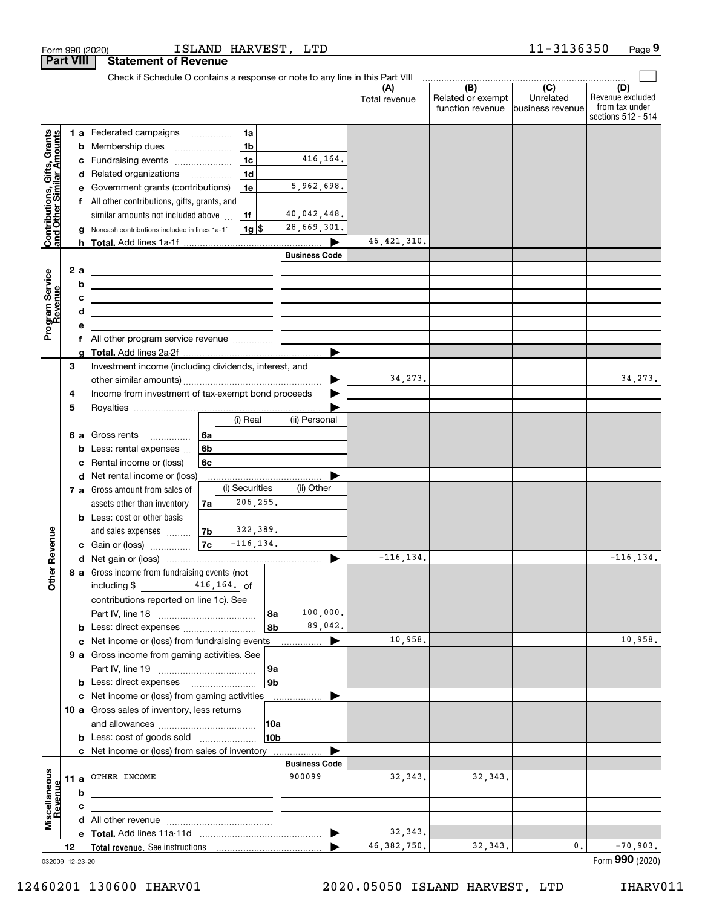|                                                           | <b>Part VIII</b> | <b>Statement of Revenue</b>                                                                                                   |                                |                      |                                                           |                                                   |                                                                 |
|-----------------------------------------------------------|------------------|-------------------------------------------------------------------------------------------------------------------------------|--------------------------------|----------------------|-----------------------------------------------------------|---------------------------------------------------|-----------------------------------------------------------------|
|                                                           |                  | Check if Schedule O contains a response or note to any line in this Part VIII                                                 |                                |                      |                                                           |                                                   |                                                                 |
|                                                           |                  |                                                                                                                               |                                | (A)<br>Total revenue | $\overline{(B)}$<br>Related or exempt<br>function revenue | $\overline{(C)}$<br>Unrelated<br>business revenue | (D)<br>Revenue excluded<br>from tax under<br>sections 512 - 514 |
|                                                           |                  | 1a<br>1 a Federated campaigns                                                                                                 |                                |                      |                                                           |                                                   |                                                                 |
|                                                           |                  | 1 <sub>b</sub><br>Membership dues<br>b                                                                                        |                                |                      |                                                           |                                                   |                                                                 |
|                                                           | с                | 1 <sub>c</sub><br>Fundraising events                                                                                          | 416,164.                       |                      |                                                           |                                                   |                                                                 |
| Contributions, Gifts, Grants<br>and Other Similar Amounts |                  | 1 <sub>d</sub><br>Related organizations<br>d                                                                                  |                                |                      |                                                           |                                                   |                                                                 |
|                                                           |                  | 1e<br>Government grants (contributions)<br>е                                                                                  | 5,962,698.                     |                      |                                                           |                                                   |                                                                 |
|                                                           | f                | All other contributions, gifts, grants, and                                                                                   |                                |                      |                                                           |                                                   |                                                                 |
|                                                           |                  | similar amounts not included above<br>1f                                                                                      | 40,042,448.                    |                      |                                                           |                                                   |                                                                 |
|                                                           |                  | 1g <br>Noncash contributions included in lines 1a-1f                                                                          | 28,669,301.                    |                      |                                                           |                                                   |                                                                 |
|                                                           |                  |                                                                                                                               |                                | 46, 421, 310.        |                                                           |                                                   |                                                                 |
|                                                           |                  |                                                                                                                               | <b>Business Code</b>           |                      |                                                           |                                                   |                                                                 |
|                                                           | 2 a              | <u> 1989 - Johann Barn, amerikansk politiker (</u>                                                                            |                                |                      |                                                           |                                                   |                                                                 |
|                                                           |                  | b<br>the control of the control of the control of the control of the control of                                               |                                |                      |                                                           |                                                   |                                                                 |
|                                                           |                  | с<br><u> 1989 - Johann John Stone, markin fizikar (h. 1982).</u>                                                              |                                |                      |                                                           |                                                   |                                                                 |
|                                                           |                  | d<br><u> 1989 - Johann Barn, mars ann an t-Amhair ann an t-Amhair ann an t-Amhair ann an t-Amhair ann an t-Amhair ann an </u> |                                |                      |                                                           |                                                   |                                                                 |
| Program Service<br>Revenue                                | е                |                                                                                                                               |                                |                      |                                                           |                                                   |                                                                 |
|                                                           |                  | f All other program service revenue                                                                                           |                                |                      |                                                           |                                                   |                                                                 |
|                                                           | a                |                                                                                                                               | ▶                              |                      |                                                           |                                                   |                                                                 |
|                                                           | 3                | Investment income (including dividends, interest, and                                                                         |                                |                      |                                                           |                                                   |                                                                 |
|                                                           |                  |                                                                                                                               |                                | 34,273.              |                                                           |                                                   | 34, 273.                                                        |
|                                                           | 4                | Income from investment of tax-exempt bond proceeds                                                                            |                                |                      |                                                           |                                                   |                                                                 |
|                                                           | 5                |                                                                                                                               |                                |                      |                                                           |                                                   |                                                                 |
|                                                           |                  | (i) Real                                                                                                                      | (ii) Personal                  |                      |                                                           |                                                   |                                                                 |
|                                                           | 6а               | Gross rents<br>l 6a<br>.                                                                                                      |                                |                      |                                                           |                                                   |                                                                 |
|                                                           | b                | 6 <sub>b</sub><br>Less: rental expenses                                                                                       |                                |                      |                                                           |                                                   |                                                                 |
|                                                           | c                | 6c<br>Rental income or (loss)                                                                                                 |                                |                      |                                                           |                                                   |                                                                 |
|                                                           |                  | Net rental income or (loss)<br>d                                                                                              |                                |                      |                                                           |                                                   |                                                                 |
|                                                           |                  | (i) Securities<br>7 a Gross amount from sales of                                                                              | (ii) Other                     |                      |                                                           |                                                   |                                                                 |
|                                                           |                  | 206, 255.<br>assets other than inventory<br>7a                                                                                |                                |                      |                                                           |                                                   |                                                                 |
|                                                           |                  | <b>b</b> Less: cost or other basis                                                                                            |                                |                      |                                                           |                                                   |                                                                 |
|                                                           |                  | 322,389.<br> 7 <sub>b</sub>  <br>and sales expenses                                                                           |                                |                      |                                                           |                                                   |                                                                 |
| Revenue                                                   |                  | $-116, 134.$<br>$\vert$ 7c $\vert$<br>c Gain or (loss)                                                                        |                                |                      |                                                           |                                                   |                                                                 |
|                                                           |                  |                                                                                                                               | ▶                              | $-116, 134.$         |                                                           |                                                   | $-116, 134.$                                                    |
| <b>Other</b>                                              |                  | 8 a Gross income from fundraising events (not                                                                                 |                                |                      |                                                           |                                                   |                                                                 |
|                                                           |                  | $416, 164.$ of<br>including \$                                                                                                |                                |                      |                                                           |                                                   |                                                                 |
|                                                           |                  | contributions reported on line 1c). See                                                                                       |                                |                      |                                                           |                                                   |                                                                 |
|                                                           |                  |                                                                                                                               | 100,000.<br>8a                 |                      |                                                           |                                                   |                                                                 |
|                                                           |                  |                                                                                                                               | 89,042.<br>8b                  |                      |                                                           |                                                   |                                                                 |
|                                                           |                  | c Net income or (loss) from fundraising events                                                                                | ▶                              | 10,958.              |                                                           |                                                   | 10,958.                                                         |
|                                                           |                  | 9 a Gross income from gaming activities. See                                                                                  |                                |                      |                                                           |                                                   |                                                                 |
|                                                           |                  |                                                                                                                               | 9a                             |                      |                                                           |                                                   |                                                                 |
|                                                           |                  | <b>b</b> Less: direct expenses <b>manually</b>                                                                                | 9b                             |                      |                                                           |                                                   |                                                                 |
|                                                           |                  | c Net income or (loss) from gaming activities                                                                                 |                                |                      |                                                           |                                                   |                                                                 |
|                                                           |                  | 10 a Gross sales of inventory, less returns                                                                                   |                                |                      |                                                           |                                                   |                                                                 |
|                                                           |                  |                                                                                                                               | 10a                            |                      |                                                           |                                                   |                                                                 |
|                                                           |                  | <b>b</b> Less: cost of goods sold                                                                                             | 10b                            |                      |                                                           |                                                   |                                                                 |
|                                                           |                  | c Net income or (loss) from sales of inventory                                                                                |                                |                      |                                                           |                                                   |                                                                 |
|                                                           |                  | 11 a OTHER INCOME                                                                                                             | <b>Business Code</b><br>900099 | 32, 343.             | 32, 343.                                                  |                                                   |                                                                 |
|                                                           |                  |                                                                                                                               |                                |                      |                                                           |                                                   |                                                                 |
| Revenue                                                   | b                |                                                                                                                               |                                |                      |                                                           |                                                   |                                                                 |
| Miscellaneous                                             | c                |                                                                                                                               |                                |                      |                                                           |                                                   |                                                                 |
|                                                           |                  |                                                                                                                               |                                | 32, 343.             |                                                           |                                                   |                                                                 |
|                                                           |                  |                                                                                                                               | ▶                              | 46, 382, 750.        | 32, 343.                                                  | 0.                                                | $-70,903.$                                                      |
|                                                           | 12               |                                                                                                                               |                                |                      |                                                           |                                                   |                                                                 |

Form 990 (2020) ISLAND HARVES'I', L'I'D I I - 3 I 3 6 3 5 0 Page

ISLAND HARVEST, LTD

032009 12-23-20

**9**

11-3136350

Form (2020) **990**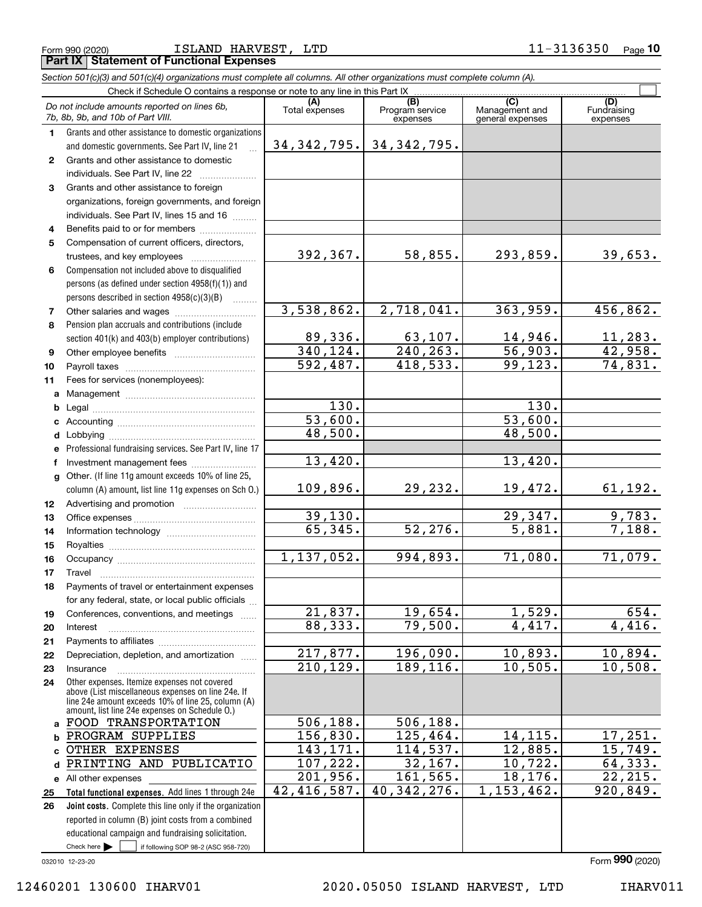Form 990 (2020) Page ISLAND HARVEST, LTD 11-3136350 **Part IX Statement of Functional Expenses**

|              | Section 501(c)(3) and 501(c)(4) organizations must complete all columns. All other organizations must complete column (A). |                       |                                    |                                           |                                |
|--------------|----------------------------------------------------------------------------------------------------------------------------|-----------------------|------------------------------------|-------------------------------------------|--------------------------------|
|              | Check if Schedule O contains a response or note to any line in this Part IX                                                |                       |                                    |                                           |                                |
|              | Do not include amounts reported on lines 6b,<br>7b, 8b, 9b, and 10b of Part VIII.                                          | (A)<br>Total expenses | (B)<br>Program service<br>expenses | (C)<br>Management and<br>general expenses | (D)<br>Fundraising<br>expenses |
| 1.           | Grants and other assistance to domestic organizations                                                                      |                       |                                    |                                           |                                |
|              | and domestic governments. See Part IV, line 21                                                                             | 34, 342, 795.         | 34, 342, 795.                      |                                           |                                |
| $\mathbf{2}$ | Grants and other assistance to domestic                                                                                    |                       |                                    |                                           |                                |
|              | individuals. See Part IV, line 22                                                                                          |                       |                                    |                                           |                                |
| 3            | Grants and other assistance to foreign                                                                                     |                       |                                    |                                           |                                |
|              | organizations, foreign governments, and foreign                                                                            |                       |                                    |                                           |                                |
|              | individuals. See Part IV, lines 15 and 16                                                                                  |                       |                                    |                                           |                                |
| 4            | Benefits paid to or for members                                                                                            |                       |                                    |                                           |                                |
| 5            | Compensation of current officers, directors,                                                                               |                       |                                    |                                           |                                |
|              |                                                                                                                            | 392,367.              | 58,855.                            | 293,859.                                  | 39,653.                        |
| 6            | Compensation not included above to disqualified                                                                            |                       |                                    |                                           |                                |
|              | persons (as defined under section 4958(f)(1)) and                                                                          |                       |                                    |                                           |                                |
|              | persons described in section 4958(c)(3)(B)                                                                                 |                       |                                    |                                           |                                |
| 7            |                                                                                                                            | 3,538,862.            | 2,718,041.                         | 363,959.                                  | 456,862.                       |
| 8            | Pension plan accruals and contributions (include                                                                           |                       |                                    |                                           |                                |
|              | section 401(k) and 403(b) employer contributions)                                                                          | 89,336.               | 63,107.                            | 14,946.                                   | 11,283.                        |
| 9            |                                                                                                                            | 340, 124.             | 240, 263.                          | 56,903.                                   | 42,958.                        |
| 10           |                                                                                                                            | 592,487.              | 418,533.                           | 99, 123.                                  | 74,831.                        |
| 11           | Fees for services (nonemployees):                                                                                          |                       |                                    |                                           |                                |
|              |                                                                                                                            |                       |                                    |                                           |                                |
| b            |                                                                                                                            | $\overline{130}$ .    |                                    | $\overline{130}$ .                        |                                |
|              |                                                                                                                            | $\overline{53,600}$ . |                                    | 53,600.                                   |                                |
|              |                                                                                                                            | 48,500.               |                                    | 48,500.                                   |                                |
|              | e Professional fundraising services. See Part IV, line 17                                                                  |                       |                                    |                                           |                                |
| f            | Investment management fees                                                                                                 | 13,420.               |                                    | 13,420.                                   |                                |
|              | g Other. (If line 11g amount exceeds 10% of line 25,                                                                       |                       |                                    |                                           |                                |
|              | column (A) amount, list line 11g expenses on Sch O.)                                                                       | 109,896.              | 29,232.                            | 19,472.                                   | 61, 192.                       |
| 12           |                                                                                                                            |                       |                                    |                                           |                                |
| 13           |                                                                                                                            | 39, 130.              |                                    | 29,347.                                   | 9,783.                         |
| 14           |                                                                                                                            | 65,345.               | $\overline{52,276}$ .              | 5,881.                                    | 7,188.                         |
| 15           |                                                                                                                            |                       |                                    |                                           |                                |
| 16           |                                                                                                                            | 1, 137, 052.          | 994,893.                           | 71,080.                                   | 71,079.                        |
| 17           | Travel                                                                                                                     |                       |                                    |                                           |                                |
| 18           | Payments of travel or entertainment expenses                                                                               |                       |                                    |                                           |                                |
|              | for any federal, state, or local public officials                                                                          |                       |                                    |                                           |                                |
| 19           | Conferences, conventions, and meetings                                                                                     | 21,837.               | 19,654.                            | 1,529.                                    | 654.                           |
| 20           | Interest                                                                                                                   | 88, 333.              | 79,500.                            | 4,417.                                    | 4,416.                         |
| 21           |                                                                                                                            |                       |                                    |                                           |                                |
| 22           | Depreciation, depletion, and amortization                                                                                  | 217,877.              | 196,090.                           | 10,893.                                   | 10,894.                        |
| 23           | Insurance                                                                                                                  | 210, 129.             | 189, 116.                          | 10, 505.                                  | 10,508.                        |
| 24           | Other expenses. Itemize expenses not covered                                                                               |                       |                                    |                                           |                                |
|              | above (List miscellaneous expenses on line 24e. If                                                                         |                       |                                    |                                           |                                |
|              | line 24e amount exceeds 10% of line 25, column (A)<br>amount, list line 24e expenses on Schedule 0.)                       |                       |                                    |                                           |                                |
|              | a FOOD TRANSPORTATION                                                                                                      | 506,188.              | 506,188.                           |                                           |                                |
| b            | PROGRAM SUPPLIES                                                                                                           | 156,830.              | 125,464.                           | 14, 115.                                  | 17,251.                        |
| C.           | OTHER EXPENSES                                                                                                             | 143, 171.             | 114,537.                           | 12,885.                                   | 15,749.                        |
| d            | PRINTING AND PUBLICATIO                                                                                                    | 107, 222.             | 32,167.                            | 10, 722.                                  | 64, 333.                       |
|              | e All other expenses                                                                                                       | 201,956.              | 161, 565.                          | 18, 176.                                  | 22, 215.                       |
| 25           | Total functional expenses. Add lines 1 through 24e                                                                         | 42, 416, 587.         | 40, 342, 276.                      | 1, 153, 462.                              | 920,849.                       |
|              |                                                                                                                            |                       |                                    |                                           |                                |

Check here  $\bullet$  if following SOP 98-2 (ASC 958-720) reported in column (B) joint costs from a combined educational campaign and fundraising solicitation. Check here  $\blacktriangleright$ 

**Joint costs.** Complete this line only if the organization

Form (2020) **990**

032010 12-23-20

**26**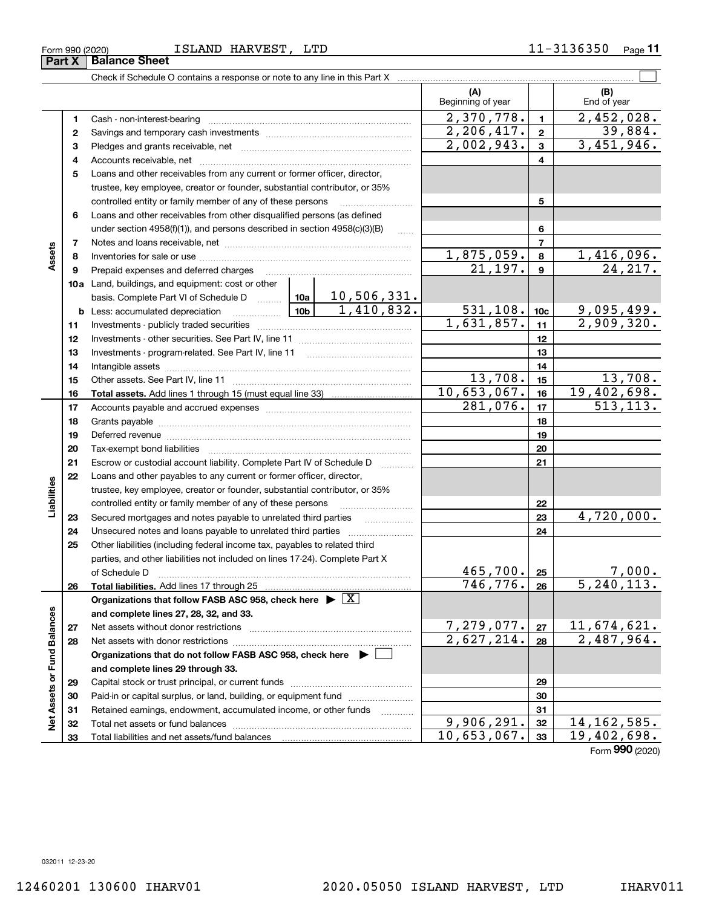#### Form 990 (2020) Page ISLAND HARVEST, LTD 11-3136350

|                             | Form 990 (2020) | ISLAND HARVEST, LTD                                                                                                                                        |                                        |                 | 11-3136350<br><sub>Page</sub> 11 |
|-----------------------------|-----------------|------------------------------------------------------------------------------------------------------------------------------------------------------------|----------------------------------------|-----------------|----------------------------------|
|                             | Part X          | <b>Balance Sheet</b>                                                                                                                                       |                                        |                 |                                  |
|                             |                 | Check if Schedule O contains a response or note to any line in this Part X [11] Check if Schedule O contains a response or note to any line in this Part X |                                        |                 |                                  |
|                             |                 |                                                                                                                                                            | (A)<br>Beginning of year               |                 | (B)<br>End of year               |
|                             | 1               | Cash - non-interest-bearing                                                                                                                                | 2,370,778.                             | $\mathbf{1}$    | 2,452,028.                       |
|                             | 2               |                                                                                                                                                            | 2,206,417.                             | $\mathbf{2}$    | 39,884.                          |
|                             | з               |                                                                                                                                                            | 2,002,943.                             | 3               | 3,451,946.                       |
|                             | 4               |                                                                                                                                                            |                                        | 4               |                                  |
|                             | 5               | Loans and other receivables from any current or former officer, director,                                                                                  |                                        |                 |                                  |
|                             |                 | trustee, key employee, creator or founder, substantial contributor, or 35%                                                                                 |                                        |                 |                                  |
|                             |                 | controlled entity or family member of any of these persons                                                                                                 |                                        | 5               |                                  |
|                             | 6               | Loans and other receivables from other disqualified persons (as defined                                                                                    |                                        |                 |                                  |
|                             |                 | under section $4958(f)(1)$ , and persons described in section $4958(c)(3)(B)$                                                                              |                                        | 6               |                                  |
|                             | 7               |                                                                                                                                                            |                                        | $\overline{7}$  |                                  |
| Assets                      | 8               |                                                                                                                                                            | <u>1,875,059.</u>                      | 8               | <u>1,416,096.</u>                |
|                             | 9               | Prepaid expenses and deferred charges                                                                                                                      | $\overline{21,197}$ .                  | 9               | 24, 217.                         |
|                             |                 | <b>10a</b> Land, buildings, and equipment: cost or other                                                                                                   |                                        |                 |                                  |
|                             |                 | basis. Complete Part VI of Schedule D $\frac{10a}{10a}$ 10, 506, 331.                                                                                      |                                        |                 |                                  |
|                             |                 | $10b$ $1,410,832$ .<br><b>b</b> Less: accumulated depreciation                                                                                             | <u>531,108.</u>                        | 10 <sub>c</sub> |                                  |
|                             | 11              |                                                                                                                                                            | 1,631,857.                             | 11              | $\frac{9,095,499.}{2,909,320.}$  |
|                             | 12              |                                                                                                                                                            |                                        | 12              |                                  |
|                             | 13              |                                                                                                                                                            |                                        | 13              |                                  |
|                             | 14              |                                                                                                                                                            |                                        | 14              |                                  |
|                             | 15              |                                                                                                                                                            | 13,708.                                | 15              | 13,708.                          |
|                             | 16              |                                                                                                                                                            | 10,653,067.                            | 16              | 19,402,698.                      |
|                             | 17              |                                                                                                                                                            | 281,076.                               | 17              | 513, 113.                        |
|                             | 18              |                                                                                                                                                            |                                        | 18              |                                  |
|                             | 19              |                                                                                                                                                            |                                        | 19              |                                  |
|                             | 20              |                                                                                                                                                            |                                        | 20              |                                  |
|                             | 21              | Escrow or custodial account liability. Complete Part IV of Schedule D                                                                                      |                                        | 21              |                                  |
|                             | 22              | Loans and other payables to any current or former officer, director,                                                                                       |                                        |                 |                                  |
| Liabilities                 |                 | trustee, key employee, creator or founder, substantial contributor, or 35%                                                                                 |                                        |                 |                                  |
|                             |                 | controlled entity or family member of any of these persons                                                                                                 |                                        | 22              |                                  |
|                             | 23              |                                                                                                                                                            |                                        | 23              | 4,720,000.                       |
|                             | 24              |                                                                                                                                                            |                                        | 24              |                                  |
|                             | 25              | Other liabilities (including federal income tax, payables to related third                                                                                 |                                        |                 |                                  |
|                             |                 | parties, and other liabilities not included on lines 17-24). Complete Part X                                                                               |                                        |                 |                                  |
|                             |                 | of Schedule D                                                                                                                                              | 465,700.                               | 25              | <u>7,000.</u>                    |
|                             | 26              | Total liabilities. Add lines 17 through 25                                                                                                                 | 746,776.                               | 26              | 5, 240, 113.                     |
|                             |                 | Organizations that follow FASB ASC 958, check here $\blacktriangleright \boxed{X}$                                                                         |                                        |                 |                                  |
|                             |                 | and complete lines 27, 28, 32, and 33.                                                                                                                     |                                        |                 |                                  |
|                             | 27              | Net assets without donor restrictions                                                                                                                      | 7,279,077.<br>$\overline{2,627,214}$ . | 27              | 11,674,621.                      |
|                             | 28              | Net assets with donor restrictions                                                                                                                         |                                        | 28              | 2,487,964.                       |
|                             |                 | Organizations that do not follow FASB ASC 958, check here $\blacktriangleright$                                                                            |                                        |                 |                                  |
|                             |                 | and complete lines 29 through 33.                                                                                                                          |                                        |                 |                                  |
|                             | 29              |                                                                                                                                                            |                                        | 29              |                                  |
| Net Assets or Fund Balances | 30              | Paid-in or capital surplus, or land, building, or equipment fund                                                                                           |                                        | 30              |                                  |
|                             | 31              | Retained earnings, endowment, accumulated income, or other funds                                                                                           | 9,906,291.                             | 31              | 14, 162, 585.                    |
|                             | 32              | Total net assets or fund balances                                                                                                                          | 10,653,067.                            | 32<br>33        | 19,402,698.                      |
|                             | 33              |                                                                                                                                                            |                                        |                 |                                  |

Form (2020) **990**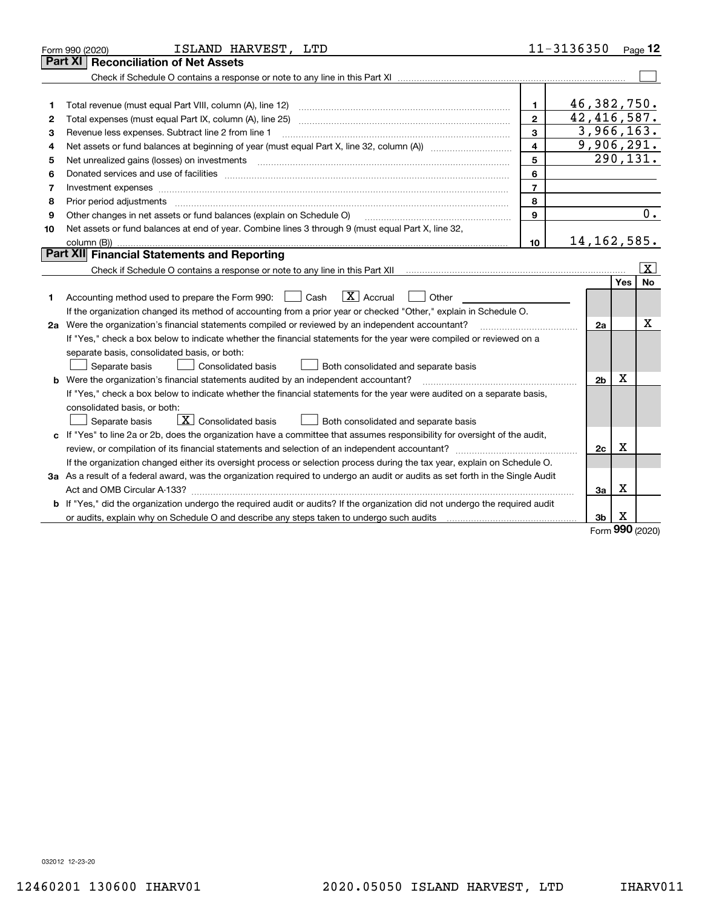|    | ISLAND HARVEST, LTD<br>Form 990 (2020)                                                                                                                                                                                         |                | 11-3136350                  |          | $Page$ 12               |  |
|----|--------------------------------------------------------------------------------------------------------------------------------------------------------------------------------------------------------------------------------|----------------|-----------------------------|----------|-------------------------|--|
|    | <b>Reconciliation of Net Assets</b><br>Part XI                                                                                                                                                                                 |                |                             |          |                         |  |
|    |                                                                                                                                                                                                                                |                |                             |          |                         |  |
|    |                                                                                                                                                                                                                                |                |                             |          |                         |  |
| 1  | Total revenue (must equal Part VIII, column (A), line 12)                                                                                                                                                                      | $\mathbf{1}$   | 46,382,750.                 |          |                         |  |
| 2  | Total expenses (must equal Part IX, column (A), line 25)                                                                                                                                                                       | $\mathbf{2}$   | $\overline{42}$ , 416, 587. |          |                         |  |
| 3  | Revenue less expenses. Subtract line 2 from line 1                                                                                                                                                                             | 3              | 3,966,163.                  |          |                         |  |
| 4  |                                                                                                                                                                                                                                | 4              | 9,906,291.                  |          |                         |  |
| 5  | Net unrealized gains (losses) on investments                                                                                                                                                                                   | 5              |                             |          | 290,131.                |  |
| 6  | Donated services and use of facilities [111] matter contracts and the service of facilities [11] matter contracts and use of facilities [11] matter contracts and the service of facilities [11] matter contracts and the serv | 6              |                             |          |                         |  |
| 7  | Investment expenses www.communication.com/www.communication.com/www.communication.com/www.com                                                                                                                                  | $\overline{7}$ |                             |          |                         |  |
| 8  | Prior period adjustments                                                                                                                                                                                                       | 8              |                             |          |                         |  |
| 9  | Other changes in net assets or fund balances (explain on Schedule O)                                                                                                                                                           | $\mathbf{q}$   |                             |          | 0.                      |  |
| 10 | Net assets or fund balances at end of year. Combine lines 3 through 9 (must equal Part X, line 32,                                                                                                                             |                |                             |          |                         |  |
|    |                                                                                                                                                                                                                                | 10             | 14, 162, 585.               |          |                         |  |
|    | Part XII Financial Statements and Reporting                                                                                                                                                                                    |                |                             |          |                         |  |
|    |                                                                                                                                                                                                                                |                |                             |          | $\overline{\mathbf{X}}$ |  |
|    |                                                                                                                                                                                                                                |                |                             | Yes      | No                      |  |
| 1. | $\boxed{\mathbf{X}}$ Accrual<br>Accounting method used to prepare the Form 990: <u>I</u> Cash<br>Other                                                                                                                         |                |                             |          |                         |  |
|    | If the organization changed its method of accounting from a prior year or checked "Other," explain in Schedule O.                                                                                                              |                |                             |          |                         |  |
|    | x<br>2a Were the organization's financial statements compiled or reviewed by an independent accountant?<br>2a                                                                                                                  |                |                             |          |                         |  |
|    | If "Yes," check a box below to indicate whether the financial statements for the year were compiled or reviewed on a                                                                                                           |                |                             |          |                         |  |
|    | separate basis, consolidated basis, or both:                                                                                                                                                                                   |                |                             |          |                         |  |
|    | Separate basis<br><b>Consolidated basis</b><br>Both consolidated and separate basis                                                                                                                                            |                |                             |          |                         |  |
|    | <b>b</b> Were the organization's financial statements audited by an independent accountant?                                                                                                                                    |                | 2 <sub>b</sub>              | х        |                         |  |
|    | If "Yes," check a box below to indicate whether the financial statements for the year were audited on a separate basis,                                                                                                        |                |                             |          |                         |  |
|    | consolidated basis, or both:                                                                                                                                                                                                   |                |                             |          |                         |  |
|    | $\mathbf{X}$ Consolidated basis<br>Both consolidated and separate basis<br>Separate basis                                                                                                                                      |                |                             |          |                         |  |
|    | c If "Yes" to line 2a or 2b, does the organization have a committee that assumes responsibility for oversight of the audit,                                                                                                    |                |                             |          |                         |  |
|    | review, or compilation of its financial statements and selection of an independent accountant?                                                                                                                                 |                | 2c                          | x        |                         |  |
|    | If the organization changed either its oversight process or selection process during the tax year, explain on Schedule O.                                                                                                      |                |                             |          |                         |  |
|    | 3a As a result of a federal award, was the organization required to undergo an audit or audits as set forth in the Single Audit                                                                                                |                |                             |          |                         |  |
|    |                                                                                                                                                                                                                                |                | За                          | X        |                         |  |
|    | b If "Yes," did the organization undergo the required audit or audits? If the organization did not undergo the required audit                                                                                                  |                |                             |          |                         |  |
|    |                                                                                                                                                                                                                                |                | 3 <sub>b</sub>              | х<br>nnn |                         |  |

Form (2020) **990**

032012 12-23-20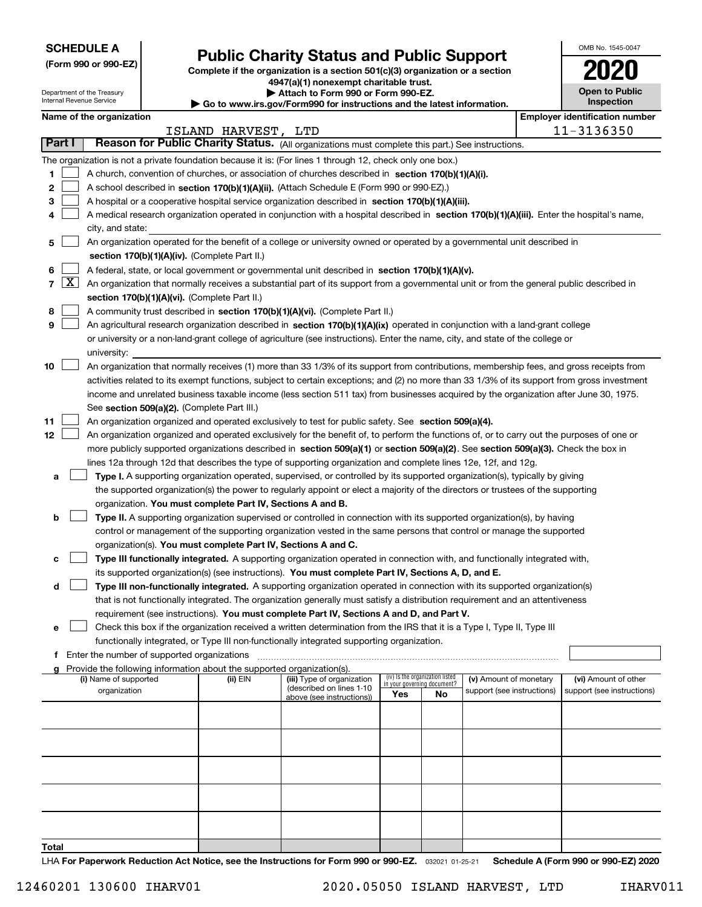| <b>SCHEDULE A</b> |
|-------------------|
|-------------------|

Department of the Treasury Internal Revenue Service

**(Form 990 or 990-EZ)**

# **Public Charity Status and Public Support**

**Complete if the organization is a section 501(c)(3) organization or a section 4947(a)(1) nonexempt charitable trust. | Attach to Form 990 or Form 990-EZ.** 

| ▶ Go to www.irs.gov/Form990 for instructions and the latest information |
|-------------------------------------------------------------------------|
|                                                                         |

| w.irs.gov/Form990 for instructions and the latest information. |  |
|----------------------------------------------------------------|--|
|----------------------------------------------------------------|--|

| OMB No 1545-0047                    |
|-------------------------------------|
| 1020                                |
| <b>Open to Public</b><br>Inspection |

|  | Name of the organization |
|--|--------------------------|
|--|--------------------------|

|                 | Name of the organization<br><b>Employer identification number</b> |                                                                                                                                                                                                                                                 |          |                                                        |                             |                                 |                            |  |                            |
|-----------------|-------------------------------------------------------------------|-------------------------------------------------------------------------------------------------------------------------------------------------------------------------------------------------------------------------------------------------|----------|--------------------------------------------------------|-----------------------------|---------------------------------|----------------------------|--|----------------------------|
|                 | ISLAND HARVEST, LTD                                               |                                                                                                                                                                                                                                                 |          |                                                        |                             | 11-3136350                      |                            |  |                            |
| Part I          |                                                                   | Reason for Public Charity Status. (All organizations must complete this part.) See instructions.                                                                                                                                                |          |                                                        |                             |                                 |                            |  |                            |
|                 |                                                                   | The organization is not a private foundation because it is: (For lines 1 through 12, check only one box.)                                                                                                                                       |          |                                                        |                             |                                 |                            |  |                            |
| 1               |                                                                   | A church, convention of churches, or association of churches described in section 170(b)(1)(A)(i).                                                                                                                                              |          |                                                        |                             |                                 |                            |  |                            |
| 2               |                                                                   | A school described in section 170(b)(1)(A)(ii). (Attach Schedule E (Form 990 or 990-EZ).)                                                                                                                                                       |          |                                                        |                             |                                 |                            |  |                            |
| 3               |                                                                   | A hospital or a cooperative hospital service organization described in section 170(b)(1)(A)(iii).                                                                                                                                               |          |                                                        |                             |                                 |                            |  |                            |
| 4               |                                                                   | A medical research organization operated in conjunction with a hospital described in section 170(b)(1)(A)(iii). Enter the hospital's name,                                                                                                      |          |                                                        |                             |                                 |                            |  |                            |
|                 |                                                                   | city, and state:                                                                                                                                                                                                                                |          |                                                        |                             |                                 |                            |  |                            |
| 5               |                                                                   | An organization operated for the benefit of a college or university owned or operated by a governmental unit described in                                                                                                                       |          |                                                        |                             |                                 |                            |  |                            |
|                 |                                                                   | section 170(b)(1)(A)(iv). (Complete Part II.)                                                                                                                                                                                                   |          |                                                        |                             |                                 |                            |  |                            |
| 6               |                                                                   | A federal, state, or local government or governmental unit described in section 170(b)(1)(A)(v).                                                                                                                                                |          |                                                        |                             |                                 |                            |  |                            |
| $\overline{7}$  | $\lfloor x \rfloor$                                               | An organization that normally receives a substantial part of its support from a governmental unit or from the general public described in                                                                                                       |          |                                                        |                             |                                 |                            |  |                            |
|                 |                                                                   | section 170(b)(1)(A)(vi). (Complete Part II.)                                                                                                                                                                                                   |          |                                                        |                             |                                 |                            |  |                            |
| 8               |                                                                   | A community trust described in section 170(b)(1)(A)(vi). (Complete Part II.)                                                                                                                                                                    |          |                                                        |                             |                                 |                            |  |                            |
| 9               |                                                                   | An agricultural research organization described in section 170(b)(1)(A)(ix) operated in conjunction with a land-grant college                                                                                                                   |          |                                                        |                             |                                 |                            |  |                            |
|                 |                                                                   | or university or a non-land-grant college of agriculture (see instructions). Enter the name, city, and state of the college or                                                                                                                  |          |                                                        |                             |                                 |                            |  |                            |
|                 |                                                                   | university:                                                                                                                                                                                                                                     |          |                                                        |                             |                                 |                            |  |                            |
| 10              |                                                                   | An organization that normally receives (1) more than 33 1/3% of its support from contributions, membership fees, and gross receipts from                                                                                                        |          |                                                        |                             |                                 |                            |  |                            |
|                 |                                                                   | activities related to its exempt functions, subject to certain exceptions; and (2) no more than 33 1/3% of its support from gross investment                                                                                                    |          |                                                        |                             |                                 |                            |  |                            |
|                 |                                                                   | income and unrelated business taxable income (less section 511 tax) from businesses acquired by the organization after June 30, 1975.                                                                                                           |          |                                                        |                             |                                 |                            |  |                            |
|                 |                                                                   | See section 509(a)(2). (Complete Part III.)                                                                                                                                                                                                     |          |                                                        |                             |                                 |                            |  |                            |
| 11              |                                                                   | An organization organized and operated exclusively to test for public safety. See section 509(a)(4).                                                                                                                                            |          |                                                        |                             |                                 |                            |  |                            |
| 12 <sub>2</sub> |                                                                   | An organization organized and operated exclusively for the benefit of, to perform the functions of, or to carry out the purposes of one or                                                                                                      |          |                                                        |                             |                                 |                            |  |                            |
|                 |                                                                   | more publicly supported organizations described in section 509(a)(1) or section 509(a)(2). See section 509(a)(3). Check the box in                                                                                                              |          |                                                        |                             |                                 |                            |  |                            |
|                 |                                                                   | lines 12a through 12d that describes the type of supporting organization and complete lines 12e, 12f, and 12g.                                                                                                                                  |          |                                                        |                             |                                 |                            |  |                            |
| а               |                                                                   | Type I. A supporting organization operated, supervised, or controlled by its supported organization(s), typically by giving                                                                                                                     |          |                                                        |                             |                                 |                            |  |                            |
|                 |                                                                   | the supported organization(s) the power to regularly appoint or elect a majority of the directors or trustees of the supporting                                                                                                                 |          |                                                        |                             |                                 |                            |  |                            |
|                 |                                                                   | organization. You must complete Part IV, Sections A and B.                                                                                                                                                                                      |          |                                                        |                             |                                 |                            |  |                            |
| b               |                                                                   | Type II. A supporting organization supervised or controlled in connection with its supported organization(s), by having<br>control or management of the supporting organization vested in the same persons that control or manage the supported |          |                                                        |                             |                                 |                            |  |                            |
|                 |                                                                   | organization(s). You must complete Part IV, Sections A and C.                                                                                                                                                                                   |          |                                                        |                             |                                 |                            |  |                            |
| с               |                                                                   | Type III functionally integrated. A supporting organization operated in connection with, and functionally integrated with,                                                                                                                      |          |                                                        |                             |                                 |                            |  |                            |
|                 |                                                                   | its supported organization(s) (see instructions). You must complete Part IV, Sections A, D, and E.                                                                                                                                              |          |                                                        |                             |                                 |                            |  |                            |
| d               |                                                                   | Type III non-functionally integrated. A supporting organization operated in connection with its supported organization(s)                                                                                                                       |          |                                                        |                             |                                 |                            |  |                            |
|                 |                                                                   | that is not functionally integrated. The organization generally must satisfy a distribution requirement and an attentiveness                                                                                                                    |          |                                                        |                             |                                 |                            |  |                            |
|                 |                                                                   | requirement (see instructions). You must complete Part IV, Sections A and D, and Part V.                                                                                                                                                        |          |                                                        |                             |                                 |                            |  |                            |
| е               |                                                                   | Check this box if the organization received a written determination from the IRS that it is a Type I, Type II, Type III                                                                                                                         |          |                                                        |                             |                                 |                            |  |                            |
|                 |                                                                   | functionally integrated, or Type III non-functionally integrated supporting organization.                                                                                                                                                       |          |                                                        |                             |                                 |                            |  |                            |
|                 |                                                                   | Enter the number of supported organizations                                                                                                                                                                                                     |          |                                                        |                             |                                 |                            |  |                            |
|                 |                                                                   | Provide the following information about the supported organization(s).                                                                                                                                                                          |          |                                                        |                             |                                 |                            |  |                            |
|                 |                                                                   | (i) Name of supported                                                                                                                                                                                                                           | (ii) EIN | (iii) Type of organization<br>(described on lines 1-10 | in your governing document? | (iv) Is the organization listed | (v) Amount of monetary     |  | (vi) Amount of other       |
|                 |                                                                   | organization                                                                                                                                                                                                                                    |          | above (see instructions))                              | Yes                         | No                              | support (see instructions) |  | support (see instructions) |
|                 |                                                                   |                                                                                                                                                                                                                                                 |          |                                                        |                             |                                 |                            |  |                            |
|                 |                                                                   |                                                                                                                                                                                                                                                 |          |                                                        |                             |                                 |                            |  |                            |
|                 |                                                                   |                                                                                                                                                                                                                                                 |          |                                                        |                             |                                 |                            |  |                            |
|                 |                                                                   |                                                                                                                                                                                                                                                 |          |                                                        |                             |                                 |                            |  |                            |
|                 |                                                                   |                                                                                                                                                                                                                                                 |          |                                                        |                             |                                 |                            |  |                            |
|                 |                                                                   |                                                                                                                                                                                                                                                 |          |                                                        |                             |                                 |                            |  |                            |
|                 |                                                                   |                                                                                                                                                                                                                                                 |          |                                                        |                             |                                 |                            |  |                            |
|                 |                                                                   |                                                                                                                                                                                                                                                 |          |                                                        |                             |                                 |                            |  |                            |
|                 |                                                                   |                                                                                                                                                                                                                                                 |          |                                                        |                             |                                 |                            |  |                            |
|                 |                                                                   |                                                                                                                                                                                                                                                 |          |                                                        |                             |                                 |                            |  |                            |
| Total           |                                                                   |                                                                                                                                                                                                                                                 |          |                                                        |                             |                                 |                            |  |                            |

LHA For Paperwork Reduction Act Notice, see the Instructions for Form 990 or 990-EZ. <sub>032021</sub> o1-25-21 Schedule A (Form 990 or 990-EZ) 2020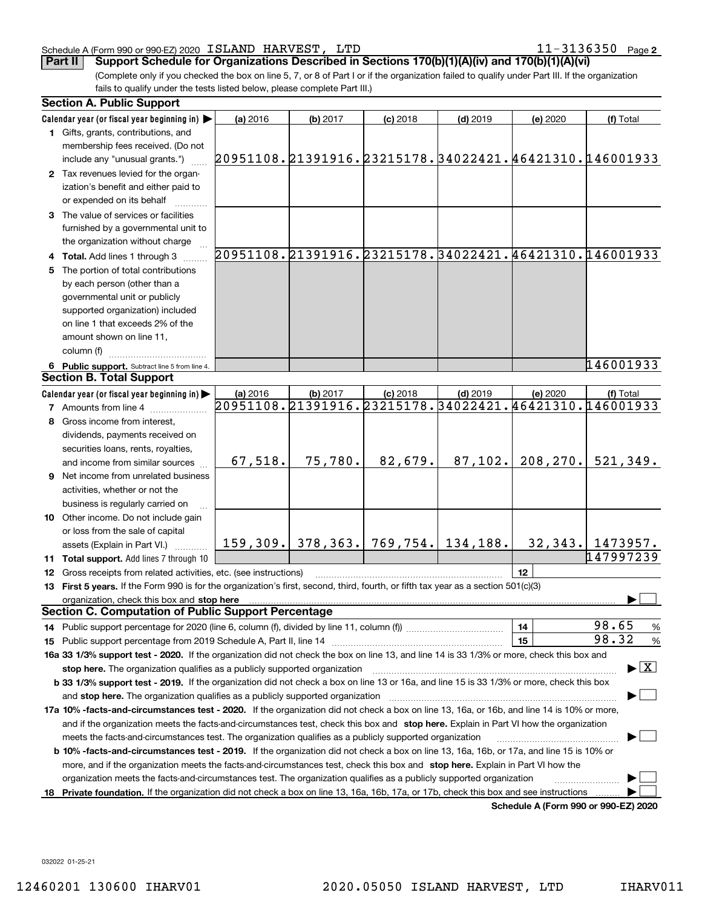#### Schedule A (Form 990 or 990-EZ) 2020 Page ISLAND HARVEST, LTD 11-3136350

**2**

(Complete only if you checked the box on line 5, 7, or 8 of Part I or if the organization failed to qualify under Part III. If the organization fails to qualify under the tests listed below, please complete Part III.) **Part II** Support Schedule for Organizations Described in Sections 170(b)(1)(A)(iv) and 170(b)(1)(A)(vi)

|     | <b>Section A. Public Support</b>                                                                                                               |                                                        |          |            |                                           |           |                                                        |
|-----|------------------------------------------------------------------------------------------------------------------------------------------------|--------------------------------------------------------|----------|------------|-------------------------------------------|-----------|--------------------------------------------------------|
|     | Calendar year (or fiscal year beginning in)                                                                                                    | (a) 2016                                               | (b) 2017 | $(c)$ 2018 | $(d)$ 2019                                | (e) 2020  | (f) Total                                              |
|     | 1 Gifts, grants, contributions, and                                                                                                            |                                                        |          |            |                                           |           |                                                        |
|     | membership fees received. (Do not                                                                                                              |                                                        |          |            |                                           |           |                                                        |
|     | include any "unusual grants.")                                                                                                                 | 20951108.21391916.23215178.34022421.46421310.146001933 |          |            |                                           |           |                                                        |
|     | 2 Tax revenues levied for the organ-                                                                                                           |                                                        |          |            |                                           |           |                                                        |
|     | ization's benefit and either paid to                                                                                                           |                                                        |          |            |                                           |           |                                                        |
|     | or expended on its behalf                                                                                                                      |                                                        |          |            |                                           |           |                                                        |
|     | 3 The value of services or facilities                                                                                                          |                                                        |          |            |                                           |           |                                                        |
|     | furnished by a governmental unit to                                                                                                            |                                                        |          |            |                                           |           |                                                        |
|     | the organization without charge                                                                                                                |                                                        |          |            |                                           |           |                                                        |
|     | 4 Total. Add lines 1 through 3                                                                                                                 |                                                        |          |            |                                           |           | 20951108.21391916.23215178.34022421.46421310.146001933 |
|     | 5 The portion of total contributions                                                                                                           |                                                        |          |            |                                           |           |                                                        |
|     | by each person (other than a                                                                                                                   |                                                        |          |            |                                           |           |                                                        |
|     | governmental unit or publicly                                                                                                                  |                                                        |          |            |                                           |           |                                                        |
|     | supported organization) included                                                                                                               |                                                        |          |            |                                           |           |                                                        |
|     | on line 1 that exceeds 2% of the                                                                                                               |                                                        |          |            |                                           |           |                                                        |
|     | amount shown on line 11,                                                                                                                       |                                                        |          |            |                                           |           |                                                        |
|     | column (f)                                                                                                                                     |                                                        |          |            |                                           |           |                                                        |
|     | 6 Public support. Subtract line 5 from line 4.                                                                                                 |                                                        |          |            |                                           |           | 146001933                                              |
|     | <b>Section B. Total Support</b>                                                                                                                |                                                        |          |            |                                           |           |                                                        |
|     | Calendar year (or fiscal year beginning in)                                                                                                    | (a) 2016                                               | (b) 2017 | $(c)$ 2018 | $(d)$ 2019                                | (e) 2020  | (f) Total                                              |
|     | <b>7</b> Amounts from line 4                                                                                                                   |                                                        |          |            |                                           |           | 20951108.21391916.23215178.34022421.46421310.146001933 |
|     | 8 Gross income from interest,                                                                                                                  |                                                        |          |            |                                           |           |                                                        |
|     | dividends, payments received on                                                                                                                |                                                        |          |            |                                           |           |                                                        |
|     | securities loans, rents, royalties,                                                                                                            |                                                        |          |            |                                           |           |                                                        |
|     | and income from similar sources                                                                                                                | 67,518.                                                | 75,780.  | 82,679.    | 87, 102.                                  | 208, 270. | 521,349.                                               |
|     | <b>9</b> Net income from unrelated business                                                                                                    |                                                        |          |            |                                           |           |                                                        |
|     | activities, whether or not the                                                                                                                 |                                                        |          |            |                                           |           |                                                        |
|     | business is regularly carried on                                                                                                               |                                                        |          |            |                                           |           |                                                        |
|     | 10 Other income. Do not include gain                                                                                                           |                                                        |          |            |                                           |           |                                                        |
|     | or loss from the sale of capital                                                                                                               |                                                        |          |            |                                           |           |                                                        |
|     | assets (Explain in Part VI.)                                                                                                                   |                                                        |          |            | $159, 309.$ 378, 363. 769, 754. 134, 188. |           | $32,343.$ 1473957.                                     |
|     | 11 Total support. Add lines 7 through 10                                                                                                       |                                                        |          |            |                                           |           | 147997239                                              |
|     | 12 Gross receipts from related activities, etc. (see instructions)                                                                             |                                                        |          |            |                                           | 12        |                                                        |
|     | 13 First 5 years. If the Form 990 is for the organization's first, second, third, fourth, or fifth tax year as a section 501(c)(3)             |                                                        |          |            |                                           |           |                                                        |
|     | organization, check this box and stop here                                                                                                     |                                                        |          |            |                                           |           |                                                        |
|     | <b>Section C. Computation of Public Support Percentage</b>                                                                                     |                                                        |          |            |                                           |           |                                                        |
|     |                                                                                                                                                |                                                        |          |            |                                           | 14        | 98.65<br>$\frac{9}{6}$                                 |
|     |                                                                                                                                                |                                                        |          |            |                                           | 15        | 98.32<br>$\frac{9}{6}$                                 |
|     | 16a 33 1/3% support test - 2020. If the organization did not check the box on line 13, and line 14 is 33 1/3% or more, check this box and      |                                                        |          |            |                                           |           |                                                        |
|     | stop here. The organization qualifies as a publicly supported organization                                                                     |                                                        |          |            |                                           |           | $\blacktriangleright$ $\boxed{\text{X}}$               |
|     | b 33 1/3% support test - 2019. If the organization did not check a box on line 13 or 16a, and line 15 is 33 1/3% or more, check this box       |                                                        |          |            |                                           |           |                                                        |
|     | and stop here. The organization qualifies as a publicly supported organization                                                                 |                                                        |          |            |                                           |           |                                                        |
|     | 17a 10% -facts-and-circumstances test - 2020. If the organization did not check a box on line 13, 16a, or 16b, and line 14 is 10% or more,     |                                                        |          |            |                                           |           |                                                        |
|     | and if the organization meets the facts-and-circumstances test, check this box and stop here. Explain in Part VI how the organization          |                                                        |          |            |                                           |           |                                                        |
|     | meets the facts-and-circumstances test. The organization qualifies as a publicly supported organization                                        |                                                        |          |            |                                           |           |                                                        |
|     | <b>b 10% -facts-and-circumstances test - 2019.</b> If the organization did not check a box on line 13, 16a, 16b, or 17a, and line 15 is 10% or |                                                        |          |            |                                           |           |                                                        |
|     | more, and if the organization meets the facts-and-circumstances test, check this box and stop here. Explain in Part VI how the                 |                                                        |          |            |                                           |           |                                                        |
|     | organization meets the facts-and-circumstances test. The organization qualifies as a publicly supported organization                           |                                                        |          |            |                                           |           |                                                        |
| 18. | Private foundation. If the organization did not check a box on line 13, 16a, 16b, 17a, or 17b, check this box and see instructions             |                                                        |          |            |                                           |           |                                                        |
|     |                                                                                                                                                |                                                        |          |            |                                           |           | Schedule A (Form 990 or 990-F7) 2020                   |

**Schedule A (Form 990 or 990-EZ) 2020**

032022 01-25-21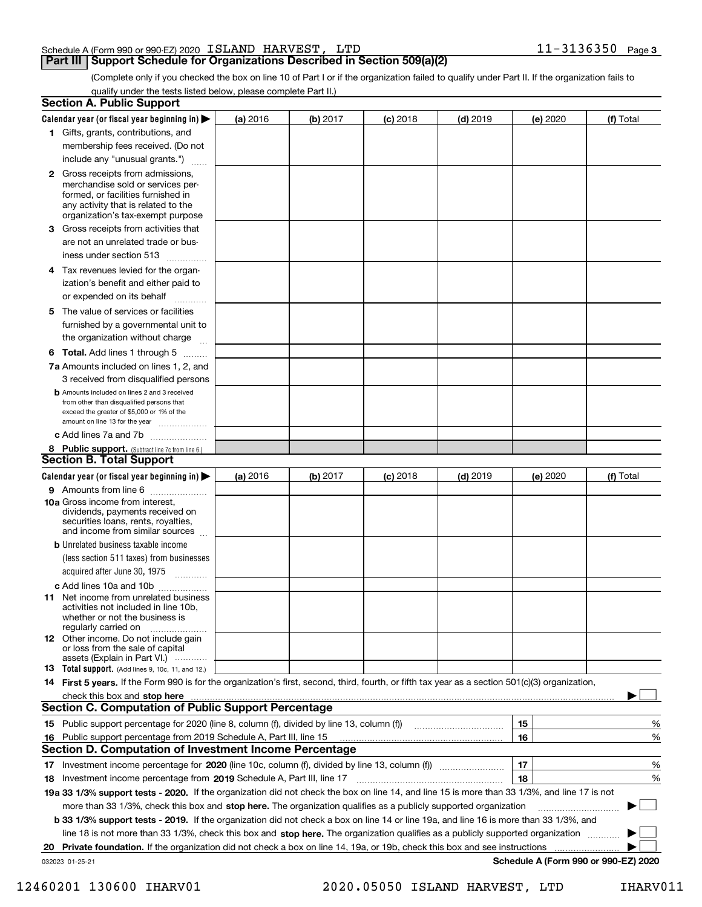#### Schedule A (Form 990 or 990-EZ) 2020 Page ISLAND HARVEST, LTD 11-3136350

#### **Part III Support Schedule for Organizations Described in Section 509(a)(2)**

**3**

(Complete only if you checked the box on line 10 of Part I or if the organization failed to qualify under Part II. If the organization fails to qualify under the tests listed below, please complete Part II.)

|    | <b>Section A. Public Support</b>                                                                                                                                 |          |          |            |            |          |                                      |
|----|------------------------------------------------------------------------------------------------------------------------------------------------------------------|----------|----------|------------|------------|----------|--------------------------------------|
|    | Calendar year (or fiscal year beginning in) $\blacktriangleright$                                                                                                | (a) 2016 | (b) 2017 | $(c)$ 2018 | $(d)$ 2019 | (e) 2020 | (f) Total                            |
|    | 1 Gifts, grants, contributions, and                                                                                                                              |          |          |            |            |          |                                      |
|    | membership fees received. (Do not                                                                                                                                |          |          |            |            |          |                                      |
|    | include any "unusual grants.")                                                                                                                                   |          |          |            |            |          |                                      |
|    | <b>2</b> Gross receipts from admissions,<br>merchandise sold or services per-<br>formed, or facilities furnished in                                              |          |          |            |            |          |                                      |
|    | any activity that is related to the<br>organization's tax-exempt purpose                                                                                         |          |          |            |            |          |                                      |
|    | 3 Gross receipts from activities that                                                                                                                            |          |          |            |            |          |                                      |
|    | are not an unrelated trade or bus-                                                                                                                               |          |          |            |            |          |                                      |
|    | iness under section 513                                                                                                                                          |          |          |            |            |          |                                      |
|    | 4 Tax revenues levied for the organ-                                                                                                                             |          |          |            |            |          |                                      |
|    | ization's benefit and either paid to                                                                                                                             |          |          |            |            |          |                                      |
|    | or expended on its behalf<br>.                                                                                                                                   |          |          |            |            |          |                                      |
|    | 5 The value of services or facilities                                                                                                                            |          |          |            |            |          |                                      |
|    | furnished by a governmental unit to                                                                                                                              |          |          |            |            |          |                                      |
|    | the organization without charge                                                                                                                                  |          |          |            |            |          |                                      |
|    | <b>6 Total.</b> Add lines 1 through 5                                                                                                                            |          |          |            |            |          |                                      |
|    | 7a Amounts included on lines 1, 2, and                                                                                                                           |          |          |            |            |          |                                      |
|    | 3 received from disqualified persons                                                                                                                             |          |          |            |            |          |                                      |
|    | <b>b</b> Amounts included on lines 2 and 3 received                                                                                                              |          |          |            |            |          |                                      |
|    | from other than disqualified persons that                                                                                                                        |          |          |            |            |          |                                      |
|    | exceed the greater of \$5,000 or 1% of the<br>amount on line 13 for the year                                                                                     |          |          |            |            |          |                                      |
|    | c Add lines 7a and 7b                                                                                                                                            |          |          |            |            |          |                                      |
|    |                                                                                                                                                                  |          |          |            |            |          |                                      |
|    | 8 Public support. (Subtract line 7c from line 6.)<br><b>Section B. Total Support</b>                                                                             |          |          |            |            |          |                                      |
|    |                                                                                                                                                                  |          |          |            |            |          |                                      |
|    | Calendar year (or fiscal year beginning in)                                                                                                                      | (a) 2016 | (b) 2017 | $(c)$ 2018 | $(d)$ 2019 | (e) 2020 | (f) Total                            |
|    | 9 Amounts from line 6                                                                                                                                            |          |          |            |            |          |                                      |
|    | 10a Gross income from interest,<br>dividends, payments received on<br>securities loans, rents, royalties,<br>and income from similar sources                     |          |          |            |            |          |                                      |
|    | <b>b</b> Unrelated business taxable income                                                                                                                       |          |          |            |            |          |                                      |
|    | (less section 511 taxes) from businesses                                                                                                                         |          |          |            |            |          |                                      |
|    | acquired after June 30, 1975                                                                                                                                     |          |          |            |            |          |                                      |
|    | c Add lines 10a and 10b                                                                                                                                          |          |          |            |            |          |                                      |
|    | 11 Net income from unrelated business<br>activities not included in line 10b,<br>whether or not the business is<br>regularly carried on                          |          |          |            |            |          |                                      |
|    | <b>12</b> Other income. Do not include gain                                                                                                                      |          |          |            |            |          |                                      |
|    | or loss from the sale of capital                                                                                                                                 |          |          |            |            |          |                                      |
|    | assets (Explain in Part VI.)<br><b>13</b> Total support. (Add lines 9, 10c, 11, and 12.)                                                                         |          |          |            |            |          |                                      |
|    | 14 First 5 years. If the Form 990 is for the organization's first, second, third, fourth, or fifth tax year as a section 501(c)(3) organization,                 |          |          |            |            |          |                                      |
|    |                                                                                                                                                                  |          |          |            |            |          |                                      |
|    | check this box and stop here <i>macuum macuum macuum macuum macuum macuum macuum macuum macuum</i><br><b>Section C. Computation of Public Support Percentage</b> |          |          |            |            |          |                                      |
|    | 15 Public support percentage for 2020 (line 8, column (f), divided by line 13, column (f))                                                                       |          |          |            |            | 15       |                                      |
|    |                                                                                                                                                                  |          |          |            |            | 16       | %                                    |
|    | 16 Public support percentage from 2019 Schedule A, Part III, line 15<br><b>Section D. Computation of Investment Income Percentage</b>                            |          |          |            |            |          | %                                    |
|    |                                                                                                                                                                  |          |          |            |            |          |                                      |
|    | 17 Investment income percentage for 2020 (line 10c, column (f), divided by line 13, column (f))                                                                  |          |          |            |            | 17       | %                                    |
|    | <b>18</b> Investment income percentage from <b>2019</b> Schedule A, Part III, line 17                                                                            |          |          |            |            | 18       | %                                    |
|    | 19a 33 1/3% support tests - 2020. If the organization did not check the box on line 14, and line 15 is more than 33 1/3%, and line 17 is not                     |          |          |            |            |          |                                      |
|    | more than 33 1/3%, check this box and stop here. The organization qualifies as a publicly supported organization                                                 |          |          |            |            |          | $\sim$ 1                             |
|    | b 33 1/3% support tests - 2019. If the organization did not check a box on line 14 or line 19a, and line 16 is more than 33 1/3%, and                            |          |          |            |            |          |                                      |
|    | line 18 is not more than 33 1/3%, check this box and stop here. The organization qualifies as a publicly supported organization                                  |          |          |            |            |          |                                      |
| 20 | Private foundation. If the organization did not check a box on line 14, 19a, or 19b, check this box and see instructions                                         |          |          |            |            |          |                                      |
|    | 032023 01-25-21                                                                                                                                                  |          |          |            |            |          | Schedule A (Form 990 or 990-EZ) 2020 |

12460201 130600 IHARV01 2020.05050 ISLAND HARVEST, LTD IHARV011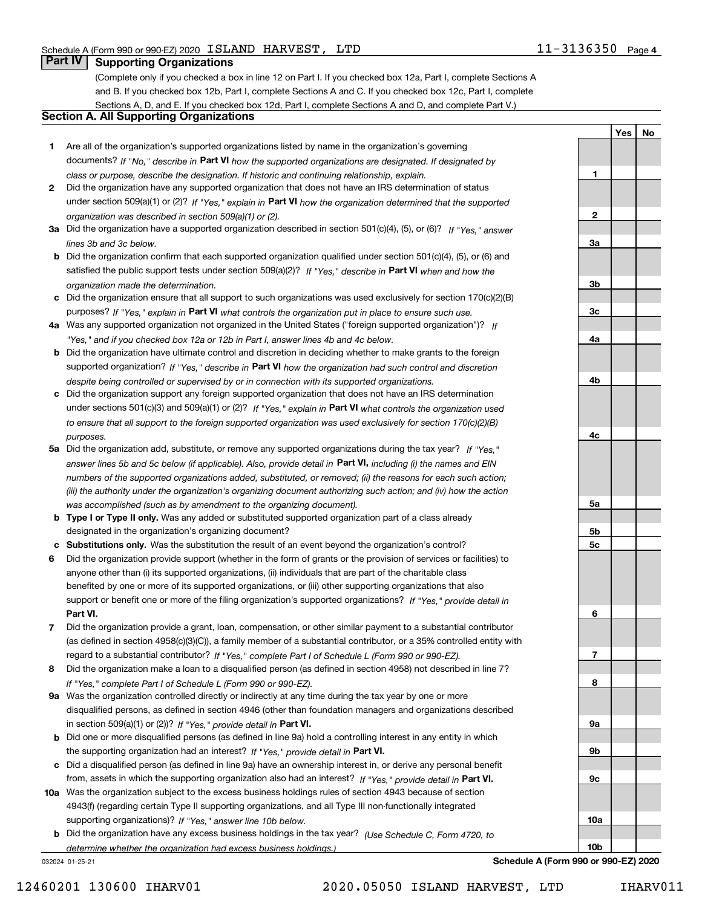**1**

**2**

**3a**

**3b**

**3c**

**4a**

**4b**

**4c**

**5a**

**5b5c**

**6**

**7**

**8**

**9a**

**9b**

**9c**

**10a**

**10b**

**YesNo**

# **Part IV Supporting Organizations**

(Complete only if you checked a box in line 12 on Part I. If you checked box 12a, Part I, complete Sections A and B. If you checked box 12b, Part I, complete Sections A and C. If you checked box 12c, Part I, complete Sections A, D, and E. If you checked box 12d, Part I, complete Sections A and D, and complete Part V.)

#### **Section A. All Supporting Organizations**

- **1** Are all of the organization's supported organizations listed by name in the organization's governing documents? If "No," describe in **Part VI** how the supported organizations are designated. If designated by *class or purpose, describe the designation. If historic and continuing relationship, explain.*
- **2** Did the organization have any supported organization that does not have an IRS determination of status under section 509(a)(1) or (2)? If "Yes," explain in Part VI how the organization determined that the supported *organization was described in section 509(a)(1) or (2).*
- **3a** Did the organization have a supported organization described in section 501(c)(4), (5), or (6)? If "Yes," answer *lines 3b and 3c below.*
- **b** Did the organization confirm that each supported organization qualified under section 501(c)(4), (5), or (6) and satisfied the public support tests under section 509(a)(2)? If "Yes," describe in **Part VI** when and how the *organization made the determination.*
- **c**Did the organization ensure that all support to such organizations was used exclusively for section 170(c)(2)(B) purposes? If "Yes," explain in **Part VI** what controls the organization put in place to ensure such use.
- **4a***If* Was any supported organization not organized in the United States ("foreign supported organization")? *"Yes," and if you checked box 12a or 12b in Part I, answer lines 4b and 4c below.*
- **b** Did the organization have ultimate control and discretion in deciding whether to make grants to the foreign supported organization? If "Yes," describe in **Part VI** how the organization had such control and discretion *despite being controlled or supervised by or in connection with its supported organizations.*
- **c** Did the organization support any foreign supported organization that does not have an IRS determination under sections 501(c)(3) and 509(a)(1) or (2)? If "Yes," explain in **Part VI** what controls the organization used *to ensure that all support to the foreign supported organization was used exclusively for section 170(c)(2)(B) purposes.*
- **5a** Did the organization add, substitute, or remove any supported organizations during the tax year? If "Yes," answer lines 5b and 5c below (if applicable). Also, provide detail in **Part VI,** including (i) the names and EIN *numbers of the supported organizations added, substituted, or removed; (ii) the reasons for each such action; (iii) the authority under the organization's organizing document authorizing such action; and (iv) how the action was accomplished (such as by amendment to the organizing document).*
- **b** Type I or Type II only. Was any added or substituted supported organization part of a class already designated in the organization's organizing document?
- **cSubstitutions only.**  Was the substitution the result of an event beyond the organization's control?
- **6** Did the organization provide support (whether in the form of grants or the provision of services or facilities) to **Part VI.** *If "Yes," provide detail in* support or benefit one or more of the filing organization's supported organizations? anyone other than (i) its supported organizations, (ii) individuals that are part of the charitable class benefited by one or more of its supported organizations, or (iii) other supporting organizations that also
- **7**Did the organization provide a grant, loan, compensation, or other similar payment to a substantial contributor *If "Yes," complete Part I of Schedule L (Form 990 or 990-EZ).* regard to a substantial contributor? (as defined in section 4958(c)(3)(C)), a family member of a substantial contributor, or a 35% controlled entity with
- **8** Did the organization make a loan to a disqualified person (as defined in section 4958) not described in line 7? *If "Yes," complete Part I of Schedule L (Form 990 or 990-EZ).*
- **9a** Was the organization controlled directly or indirectly at any time during the tax year by one or more in section 509(a)(1) or (2))? If "Yes," *provide detail in* <code>Part VI.</code> disqualified persons, as defined in section 4946 (other than foundation managers and organizations described
- **b** Did one or more disqualified persons (as defined in line 9a) hold a controlling interest in any entity in which the supporting organization had an interest? If "Yes," provide detail in P**art VI**.
- **c**Did a disqualified person (as defined in line 9a) have an ownership interest in, or derive any personal benefit from, assets in which the supporting organization also had an interest? If "Yes," provide detail in P**art VI.**
- **10a** Was the organization subject to the excess business holdings rules of section 4943 because of section supporting organizations)? If "Yes," answer line 10b below. 4943(f) (regarding certain Type II supporting organizations, and all Type III non-functionally integrated
- **b** Did the organization have any excess business holdings in the tax year? (Use Schedule C, Form 4720, to *determine whether the organization had excess business holdings.)*

032024 01-25-21

**Schedule A (Form 990 or 990-EZ) 2020**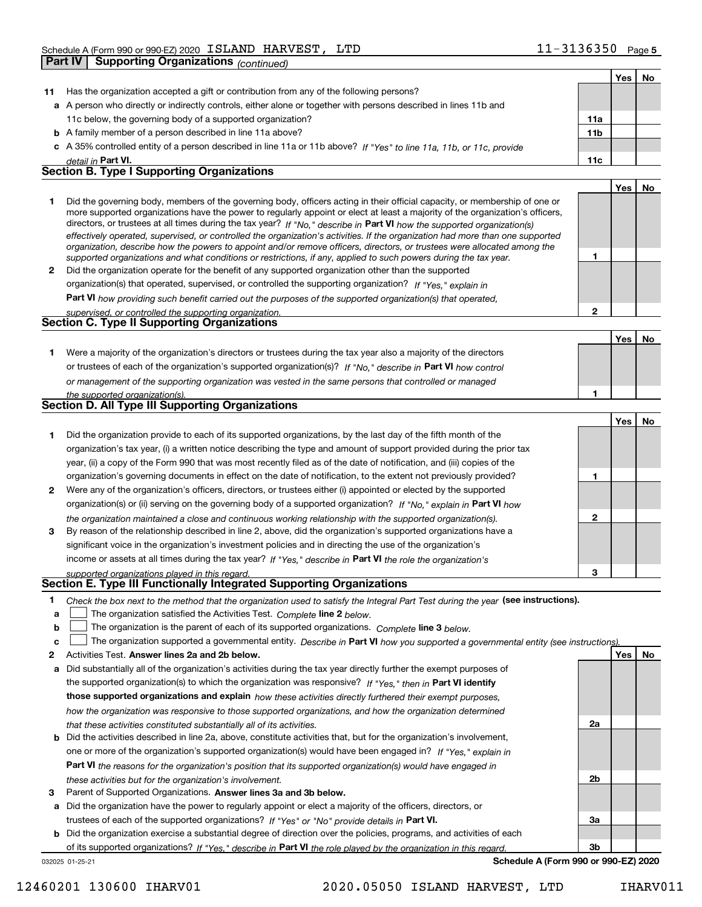|              | <b>Supporting Organizations (continued)</b><br><b>Part IV</b>                                                                                                                                                                                               |                 |            |    |
|--------------|-------------------------------------------------------------------------------------------------------------------------------------------------------------------------------------------------------------------------------------------------------------|-----------------|------------|----|
|              |                                                                                                                                                                                                                                                             |                 | Yes        | No |
| 11           | Has the organization accepted a gift or contribution from any of the following persons?                                                                                                                                                                     |                 |            |    |
|              | a A person who directly or indirectly controls, either alone or together with persons described in lines 11b and                                                                                                                                            |                 |            |    |
|              | 11c below, the governing body of a supported organization?                                                                                                                                                                                                  | 11a             |            |    |
|              | <b>b</b> A family member of a person described in line 11a above?                                                                                                                                                                                           | 11 <sub>b</sub> |            |    |
|              | c A 35% controlled entity of a person described in line 11a or 11b above? If "Yes" to line 11a, 11b, or 11c, provide                                                                                                                                        |                 |            |    |
|              | detail in Part VI.                                                                                                                                                                                                                                          | 11c             |            |    |
|              | <b>Section B. Type I Supporting Organizations</b>                                                                                                                                                                                                           |                 |            |    |
|              |                                                                                                                                                                                                                                                             |                 | Yes        | No |
| 1            | Did the governing body, members of the governing body, officers acting in their official capacity, or membership of one or<br>more supported organizations have the power to regularly appoint or elect at least a majority of the organization's officers, |                 |            |    |
|              | directors, or trustees at all times during the tax year? If "No," describe in Part VI how the supported organization(s)<br>effectively operated, supervised, or controlled the organization's activities. If the organization had more than one supported   |                 |            |    |
|              | organization, describe how the powers to appoint and/or remove officers, directors, or trustees were allocated among the                                                                                                                                    | 1               |            |    |
| $\mathbf{2}$ | supported organizations and what conditions or restrictions, if any, applied to such powers during the tax year.<br>Did the organization operate for the benefit of any supported organization other than the supported                                     |                 |            |    |
|              | organization(s) that operated, supervised, or controlled the supporting organization? If "Yes," explain in                                                                                                                                                  |                 |            |    |
|              | Part VI how providing such benefit carried out the purposes of the supported organization(s) that operated,                                                                                                                                                 |                 |            |    |
|              | supervised, or controlled the supporting organization.                                                                                                                                                                                                      | $\mathbf{2}$    |            |    |
|              | Section C. Type II Supporting Organizations                                                                                                                                                                                                                 |                 |            |    |
|              |                                                                                                                                                                                                                                                             |                 | Yes        | No |
| 1.           | Were a majority of the organization's directors or trustees during the tax year also a majority of the directors                                                                                                                                            |                 |            |    |
|              | or trustees of each of the organization's supported organization(s)? If "No," describe in Part VI how control                                                                                                                                               |                 |            |    |
|              | or management of the supporting organization was vested in the same persons that controlled or managed                                                                                                                                                      |                 |            |    |
|              | the supported organization(s).                                                                                                                                                                                                                              |                 |            |    |
|              | Section D. All Type III Supporting Organizations                                                                                                                                                                                                            |                 |            |    |
|              |                                                                                                                                                                                                                                                             |                 | Yes        | No |
| 1            | Did the organization provide to each of its supported organizations, by the last day of the fifth month of the                                                                                                                                              |                 |            |    |
|              | organization's tax year, (i) a written notice describing the type and amount of support provided during the prior tax                                                                                                                                       |                 |            |    |
|              | year, (ii) a copy of the Form 990 that was most recently filed as of the date of notification, and (iii) copies of the                                                                                                                                      |                 |            |    |
|              | organization's governing documents in effect on the date of notification, to the extent not previously provided?                                                                                                                                            | 1               |            |    |
| $\mathbf{2}$ | Were any of the organization's officers, directors, or trustees either (i) appointed or elected by the supported                                                                                                                                            |                 |            |    |
|              | organization(s) or (ii) serving on the governing body of a supported organization? If "No," explain in Part VI how                                                                                                                                          |                 |            |    |
|              | the organization maintained a close and continuous working relationship with the supported organization(s).                                                                                                                                                 | 2               |            |    |
| 3            | By reason of the relationship described in line 2, above, did the organization's supported organizations have a                                                                                                                                             |                 |            |    |
|              | significant voice in the organization's investment policies and in directing the use of the organization's                                                                                                                                                  |                 |            |    |
|              | income or assets at all times during the tax year? If "Yes," describe in Part VI the role the organization's                                                                                                                                                |                 |            |    |
|              | supported organizations played in this regard.                                                                                                                                                                                                              | 3               |            |    |
|              | Section E. Type III Functionally Integrated Supporting Organizations                                                                                                                                                                                        |                 |            |    |
| 1            | Check the box next to the method that the organization used to satisfy the Integral Part Test during the year (see instructions).                                                                                                                           |                 |            |    |
| a            | The organization satisfied the Activities Test. Complete line 2 below.                                                                                                                                                                                      |                 |            |    |
| b            | The organization is the parent of each of its supported organizations. Complete line 3 below.                                                                                                                                                               |                 |            |    |
| c            | The organization supported a governmental entity. Describe in Part VI how you supported a governmental entity (see instructions)                                                                                                                            |                 |            |    |
| 2            | Activities Test. Answer lines 2a and 2b below.                                                                                                                                                                                                              |                 | <b>Yes</b> | No |
| а            | Did substantially all of the organization's activities during the tax year directly further the exempt purposes of                                                                                                                                          |                 |            |    |
|              | the supported organization(s) to which the organization was responsive? If "Yes." then in Part VI identify                                                                                                                                                  |                 |            |    |

**b** Did the activities described in line 2a, above, constitute activities that, but for the organization's involvement, **those supported organizations and explain**  *how these activities directly furthered their exempt purposes, how the organization was responsive to those supported organizations, and how the organization determined that these activities constituted substantially all of its activities.* one or more of the organization's supported organization(s) would have been engaged in? If "Yes," e*xplain in* 

# **Part VI**  *the reasons for the organization's position that its supported organization(s) would have engaged in these activities but for the organization's involvement.*

**3** Parent of Supported Organizations. Answer lines 3a and 3b below.

**a** Did the organization have the power to regularly appoint or elect a majority of the officers, directors, or trustees of each of the supported organizations? If "Yes" or "No" provide details in **Part VI.** 

**b** Did the organization exercise a substantial degree of direction over the policies, programs, and activities of each of its supported organizations? If "Yes," describe in Part VI the role played by the organization in this regard.

032025 01-25-21

**Schedule A (Form 990 or 990-EZ) 2020**

**2a**

**2b**

**3a**

**3b**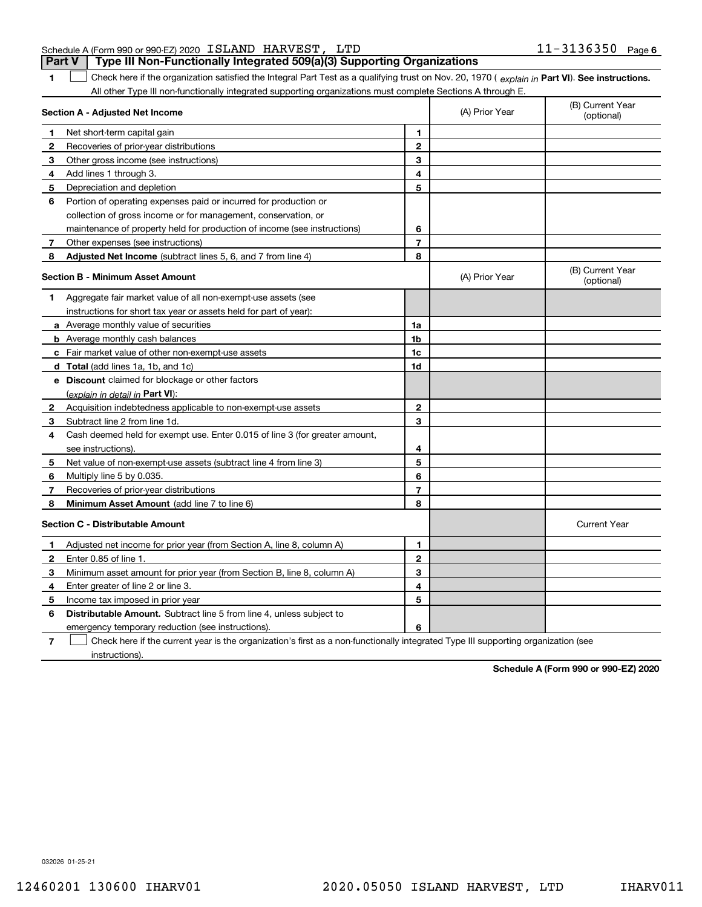#### Schedule A (Form 990 or 990-EZ) 2020 Page ISLAND HARVEST, LTD 11-3136350 **Part V Type III Non-Functionally Integrated 509(a)(3) Supporting Organizations**

**1**1 Check here if the organization satisfied the Integral Part Test as a qualifying trust on Nov. 20, 1970 (explain in Part VI). See instructions. All other Type III non-functionally integrated supporting organizations must complete Sections A through E.

|              | Section A - Adjusted Net Income                                             |                | (A) Prior Year | (B) Current Year<br>(optional) |
|--------------|-----------------------------------------------------------------------------|----------------|----------------|--------------------------------|
| 1            | Net short-term capital gain                                                 | 1              |                |                                |
| 2            | Recoveries of prior-year distributions                                      | $\mathbf{2}$   |                |                                |
| З            | Other gross income (see instructions)                                       | 3              |                |                                |
| 4            | Add lines 1 through 3.                                                      | 4              |                |                                |
| 5            | Depreciation and depletion                                                  | 5              |                |                                |
| 6            | Portion of operating expenses paid or incurred for production or            |                |                |                                |
|              | collection of gross income or for management, conservation, or              |                |                |                                |
|              | maintenance of property held for production of income (see instructions)    | 6              |                |                                |
| 7            | Other expenses (see instructions)                                           | $\overline{7}$ |                |                                |
| 8            | Adjusted Net Income (subtract lines 5, 6, and 7 from line 4)                | 8              |                |                                |
|              | <b>Section B - Minimum Asset Amount</b>                                     |                | (A) Prior Year | (B) Current Year<br>(optional) |
| 1            | Aggregate fair market value of all non-exempt-use assets (see               |                |                |                                |
|              | instructions for short tax year or assets held for part of year):           |                |                |                                |
|              | a Average monthly value of securities                                       | 1a             |                |                                |
|              | <b>b</b> Average monthly cash balances                                      | 1b             |                |                                |
|              | c Fair market value of other non-exempt-use assets                          | 1c             |                |                                |
|              | d Total (add lines 1a, 1b, and 1c)                                          | 1d             |                |                                |
|              | <b>e</b> Discount claimed for blockage or other factors                     |                |                |                                |
|              | (explain in detail in Part VI):                                             |                |                |                                |
| 2            | Acquisition indebtedness applicable to non-exempt-use assets                | $\mathbf{2}$   |                |                                |
| З            | Subtract line 2 from line 1d.                                               | 3              |                |                                |
| 4            | Cash deemed held for exempt use. Enter 0.015 of line 3 (for greater amount, |                |                |                                |
|              | see instructions).                                                          | 4              |                |                                |
| 5            | Net value of non-exempt-use assets (subtract line 4 from line 3)            | 5              |                |                                |
| 6            | Multiply line 5 by 0.035.                                                   | 6              |                |                                |
| 7            | Recoveries of prior-year distributions                                      | 7              |                |                                |
| 8            | Minimum Asset Amount (add line 7 to line 6)                                 | 8              |                |                                |
|              | <b>Section C - Distributable Amount</b>                                     |                |                | <b>Current Year</b>            |
| 1            | Adjusted net income for prior year (from Section A, line 8, column A)       | 1              |                |                                |
| $\mathbf{2}$ | Enter 0.85 of line 1.                                                       | $\mathbf{2}$   |                |                                |
| 3            | Minimum asset amount for prior year (from Section B, line 8, column A)      | 3              |                |                                |
| 4            | Enter greater of line 2 or line 3.                                          | 4              |                |                                |
| 5            | Income tax imposed in prior year                                            | 5              |                |                                |
| 6            | <b>Distributable Amount.</b> Subtract line 5 from line 4, unless subject to |                |                |                                |
|              | emergency temporary reduction (see instructions).                           | 6              |                |                                |
|              |                                                                             |                |                |                                |

**7**Check here if the current year is the organization's first as a non-functionally integrated Type III supporting organization (see instructions).

**Schedule A (Form 990 or 990-EZ) 2020**

032026 01-25-21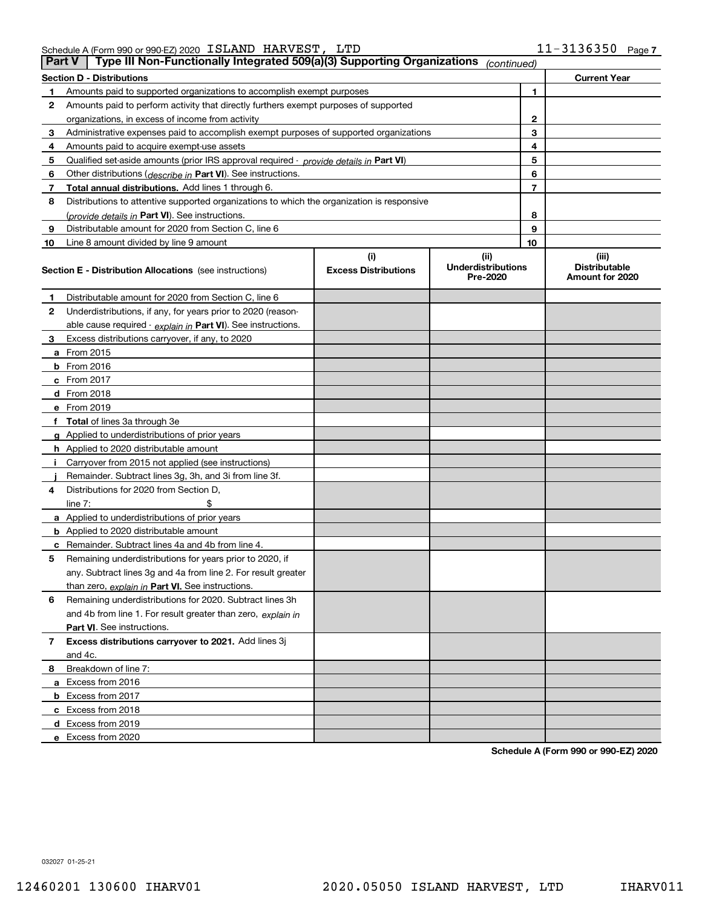| Schedule A (Form 990 or 990-EZ) 2020 $\,$ $\,$ ISLAND $\,$ $\,$ HARVEST , $\,$ LTD |  | $11 - 3136350$ Page: |  |
|------------------------------------------------------------------------------------|--|----------------------|--|
|                                                                                    |  |                      |  |

| <b>Part V</b> | Type III Non-Functionally Integrated 509(a)(3) Supporting Organizations                    |                                    | (continued)                                   |    |                                                  |
|---------------|--------------------------------------------------------------------------------------------|------------------------------------|-----------------------------------------------|----|--------------------------------------------------|
|               | <b>Section D - Distributions</b>                                                           |                                    |                                               |    | <b>Current Year</b>                              |
| 1             | Amounts paid to supported organizations to accomplish exempt purposes                      |                                    |                                               | 1  |                                                  |
| 2             | Amounts paid to perform activity that directly furthers exempt purposes of supported       |                                    |                                               |    |                                                  |
|               | organizations, in excess of income from activity                                           |                                    |                                               | 2  |                                                  |
| 3             | Administrative expenses paid to accomplish exempt purposes of supported organizations      |                                    |                                               | 3  |                                                  |
| 4             | Amounts paid to acquire exempt-use assets                                                  |                                    |                                               | 4  |                                                  |
| 5             | Qualified set-aside amounts (prior IRS approval required - provide details in Part VI)     |                                    |                                               | 5  |                                                  |
| 6             | Other distributions ( <i>describe in</i> Part VI). See instructions.                       |                                    |                                               | 6  |                                                  |
| 7             | Total annual distributions. Add lines 1 through 6.                                         |                                    |                                               | 7  |                                                  |
| 8             | Distributions to attentive supported organizations to which the organization is responsive |                                    |                                               |    |                                                  |
|               | (provide details in Part VI). See instructions.                                            |                                    |                                               | 8  |                                                  |
| 9             | Distributable amount for 2020 from Section C, line 6                                       |                                    |                                               | 9  |                                                  |
| 10            | Line 8 amount divided by line 9 amount                                                     |                                    |                                               | 10 |                                                  |
|               | <b>Section E - Distribution Allocations</b> (see instructions)                             | (i)<br><b>Excess Distributions</b> | (ii)<br><b>Underdistributions</b><br>Pre-2020 |    | (iii)<br><b>Distributable</b><br>Amount for 2020 |
| 1             | Distributable amount for 2020 from Section C, line 6                                       |                                    |                                               |    |                                                  |
| 2             | Underdistributions, if any, for years prior to 2020 (reason-                               |                                    |                                               |    |                                                  |
|               | able cause required - explain in Part VI). See instructions.                               |                                    |                                               |    |                                                  |
| 3             | Excess distributions carryover, if any, to 2020                                            |                                    |                                               |    |                                                  |
|               | a From 2015                                                                                |                                    |                                               |    |                                                  |
|               | <b>b</b> From 2016                                                                         |                                    |                                               |    |                                                  |
|               | $c$ From 2017                                                                              |                                    |                                               |    |                                                  |
|               | d From 2018                                                                                |                                    |                                               |    |                                                  |
|               | e From 2019                                                                                |                                    |                                               |    |                                                  |
|               | f Total of lines 3a through 3e                                                             |                                    |                                               |    |                                                  |
|               | g Applied to underdistributions of prior years                                             |                                    |                                               |    |                                                  |
|               | <b>h</b> Applied to 2020 distributable amount                                              |                                    |                                               |    |                                                  |
|               | Carryover from 2015 not applied (see instructions)                                         |                                    |                                               |    |                                                  |
|               | Remainder. Subtract lines 3g, 3h, and 3i from line 3f.                                     |                                    |                                               |    |                                                  |
| 4             | Distributions for 2020 from Section D,                                                     |                                    |                                               |    |                                                  |
|               | line $7:$                                                                                  |                                    |                                               |    |                                                  |
|               | a Applied to underdistributions of prior years                                             |                                    |                                               |    |                                                  |
|               | <b>b</b> Applied to 2020 distributable amount                                              |                                    |                                               |    |                                                  |
|               | c Remainder. Subtract lines 4a and 4b from line 4.                                         |                                    |                                               |    |                                                  |
| 5.            | Remaining underdistributions for years prior to 2020, if                                   |                                    |                                               |    |                                                  |
|               | any. Subtract lines 3g and 4a from line 2. For result greater                              |                                    |                                               |    |                                                  |
|               | than zero, explain in Part VI. See instructions.                                           |                                    |                                               |    |                                                  |
| 6             | Remaining underdistributions for 2020. Subtract lines 3h                                   |                                    |                                               |    |                                                  |
|               | and 4b from line 1. For result greater than zero, explain in                               |                                    |                                               |    |                                                  |
|               | Part VI. See instructions.                                                                 |                                    |                                               |    |                                                  |
| 7             | Excess distributions carryover to 2021. Add lines 3j                                       |                                    |                                               |    |                                                  |
|               | and 4c.                                                                                    |                                    |                                               |    |                                                  |
| 8             | Breakdown of line 7:                                                                       |                                    |                                               |    |                                                  |
|               | a Excess from 2016                                                                         |                                    |                                               |    |                                                  |
|               | <b>b</b> Excess from 2017                                                                  |                                    |                                               |    |                                                  |
|               | c Excess from 2018                                                                         |                                    |                                               |    |                                                  |
|               | d Excess from 2019                                                                         |                                    |                                               |    |                                                  |
|               | e Excess from 2020                                                                         |                                    |                                               |    |                                                  |

**Schedule A (Form 990 or 990-EZ) 2020**

032027 01-25-21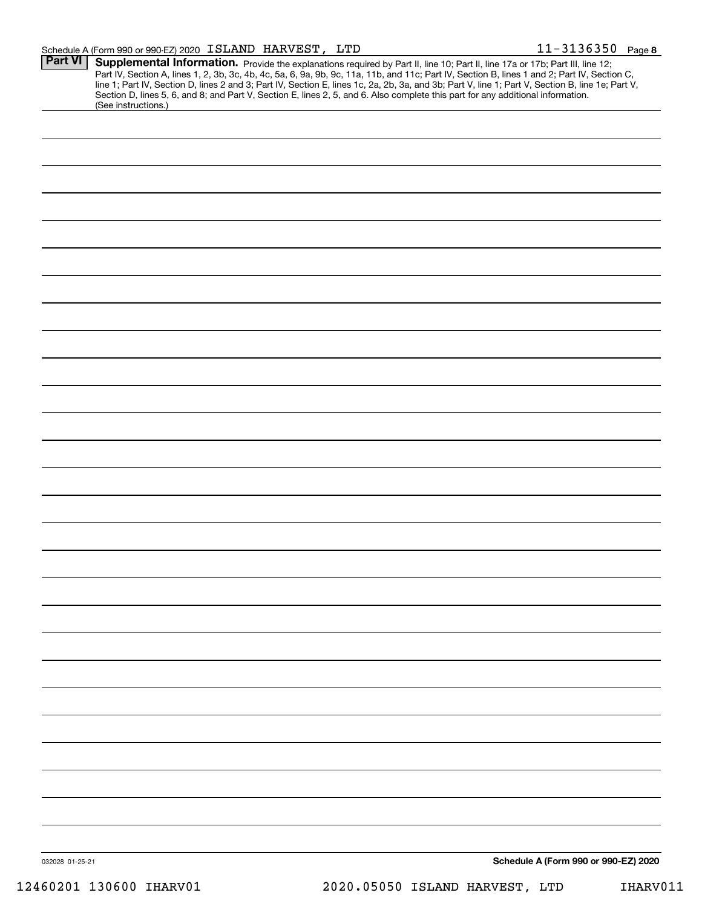| Part VI         | Supplemental Information. Provide the explanations required by Part II, line 10; Part II, line 17a or 17b; Part III, line 12;                                                                                                                                                                                                                                                                                                                              |
|-----------------|------------------------------------------------------------------------------------------------------------------------------------------------------------------------------------------------------------------------------------------------------------------------------------------------------------------------------------------------------------------------------------------------------------------------------------------------------------|
|                 | Part IV, Section A, lines 1, 2, 3b, 3c, 4b, 4c, 5a, 6, 9a, 9b, 9c, 11a, 11b, and 11c; Part IV, Section B, lines 1 and 2; Part IV, Section C,<br>line 1; Part IV, Section D, lines 2 and 3; Part IV, Section E, lines 1c, 2a, 2b, 3a, and 3b; Part V, line 1; Part V, Section B, line 1e; Part V,<br>Section D, lines 5, 6, and 8; and Part V, Section E, lines 2, 5, and 6. Also complete this part for any additional information.<br>(See instructions.) |
|                 |                                                                                                                                                                                                                                                                                                                                                                                                                                                            |
|                 |                                                                                                                                                                                                                                                                                                                                                                                                                                                            |
|                 |                                                                                                                                                                                                                                                                                                                                                                                                                                                            |
|                 |                                                                                                                                                                                                                                                                                                                                                                                                                                                            |
|                 |                                                                                                                                                                                                                                                                                                                                                                                                                                                            |
|                 |                                                                                                                                                                                                                                                                                                                                                                                                                                                            |
|                 |                                                                                                                                                                                                                                                                                                                                                                                                                                                            |
|                 |                                                                                                                                                                                                                                                                                                                                                                                                                                                            |
|                 |                                                                                                                                                                                                                                                                                                                                                                                                                                                            |
|                 |                                                                                                                                                                                                                                                                                                                                                                                                                                                            |
|                 |                                                                                                                                                                                                                                                                                                                                                                                                                                                            |
|                 |                                                                                                                                                                                                                                                                                                                                                                                                                                                            |
|                 |                                                                                                                                                                                                                                                                                                                                                                                                                                                            |
|                 |                                                                                                                                                                                                                                                                                                                                                                                                                                                            |
|                 |                                                                                                                                                                                                                                                                                                                                                                                                                                                            |
|                 |                                                                                                                                                                                                                                                                                                                                                                                                                                                            |
|                 |                                                                                                                                                                                                                                                                                                                                                                                                                                                            |
|                 |                                                                                                                                                                                                                                                                                                                                                                                                                                                            |
|                 |                                                                                                                                                                                                                                                                                                                                                                                                                                                            |
|                 |                                                                                                                                                                                                                                                                                                                                                                                                                                                            |
|                 |                                                                                                                                                                                                                                                                                                                                                                                                                                                            |
|                 |                                                                                                                                                                                                                                                                                                                                                                                                                                                            |
|                 |                                                                                                                                                                                                                                                                                                                                                                                                                                                            |
|                 |                                                                                                                                                                                                                                                                                                                                                                                                                                                            |
|                 |                                                                                                                                                                                                                                                                                                                                                                                                                                                            |
|                 |                                                                                                                                                                                                                                                                                                                                                                                                                                                            |
|                 |                                                                                                                                                                                                                                                                                                                                                                                                                                                            |
|                 |                                                                                                                                                                                                                                                                                                                                                                                                                                                            |
|                 |                                                                                                                                                                                                                                                                                                                                                                                                                                                            |
|                 |                                                                                                                                                                                                                                                                                                                                                                                                                                                            |
|                 |                                                                                                                                                                                                                                                                                                                                                                                                                                                            |
|                 |                                                                                                                                                                                                                                                                                                                                                                                                                                                            |
|                 |                                                                                                                                                                                                                                                                                                                                                                                                                                                            |
| 032028 01-25-21 | Schedule A (Form 990 or 990-EZ) 2020                                                                                                                                                                                                                                                                                                                                                                                                                       |

12460201 130600 IHARV01 2020.05050 ISLAND HARVEST, LTD IHARV011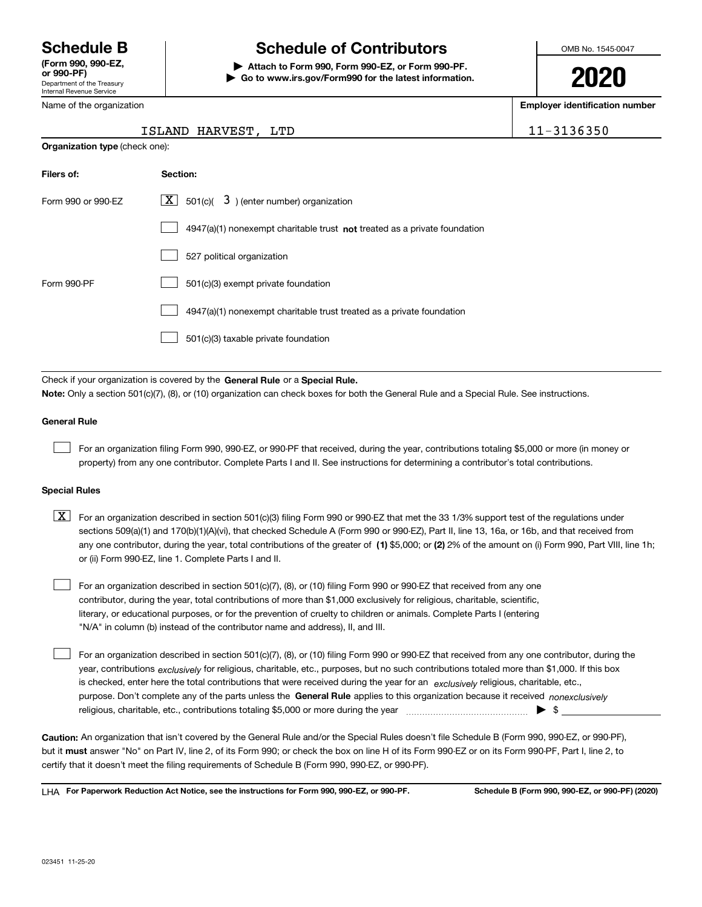Department of the Treasury Internal Revenue Service **(Form 990, 990-EZ, or 990-PF)**

Name of the organization

# **Schedule B Schedule of Contributors**

**| Attach to Form 990, Form 990-EZ, or Form 990-PF. | Go to www.irs.gov/Form990 for the latest information.** OMB No. 1545-0047

**2020**

**Employer identification number**

11-3136350

| ISLAND HARVEST, | LTD |
|-----------------|-----|
|                 |     |

| <b>Organization type (check one):</b> |                                                                             |  |  |  |
|---------------------------------------|-----------------------------------------------------------------------------|--|--|--|
| Filers of:                            | Section:                                                                    |  |  |  |
| Form 990 or 990-EZ                    | $\underline{X}$ 501(c)( 3) (enter number) organization                      |  |  |  |
|                                       | $4947(a)(1)$ nonexempt charitable trust not treated as a private foundation |  |  |  |
|                                       | 527 political organization                                                  |  |  |  |
| Form 990-PF                           | 501(c)(3) exempt private foundation                                         |  |  |  |
|                                       | 4947(a)(1) nonexempt charitable trust treated as a private foundation       |  |  |  |
|                                       | 501(c)(3) taxable private foundation                                        |  |  |  |
|                                       |                                                                             |  |  |  |

Check if your organization is covered by the **General Rule** or a **Special Rule. Note:**  Only a section 501(c)(7), (8), or (10) organization can check boxes for both the General Rule and a Special Rule. See instructions.

#### **General Rule**

 $\mathcal{L}^{\text{max}}$ 

For an organization filing Form 990, 990-EZ, or 990-PF that received, during the year, contributions totaling \$5,000 or more (in money or property) from any one contributor. Complete Parts I and II. See instructions for determining a contributor's total contributions.

#### **Special Rules**

any one contributor, during the year, total contributions of the greater of  $\,$  (1) \$5,000; or **(2)** 2% of the amount on (i) Form 990, Part VIII, line 1h;  $\boxed{\textbf{X}}$  For an organization described in section 501(c)(3) filing Form 990 or 990-EZ that met the 33 1/3% support test of the regulations under sections 509(a)(1) and 170(b)(1)(A)(vi), that checked Schedule A (Form 990 or 990-EZ), Part II, line 13, 16a, or 16b, and that received from or (ii) Form 990-EZ, line 1. Complete Parts I and II.

For an organization described in section 501(c)(7), (8), or (10) filing Form 990 or 990-EZ that received from any one contributor, during the year, total contributions of more than \$1,000 exclusively for religious, charitable, scientific, literary, or educational purposes, or for the prevention of cruelty to children or animals. Complete Parts I (entering "N/A" in column (b) instead of the contributor name and address), II, and III.  $\mathcal{L}^{\text{max}}$ 

purpose. Don't complete any of the parts unless the **General Rule** applies to this organization because it received *nonexclusively* year, contributions <sub>exclusively</sub> for religious, charitable, etc., purposes, but no such contributions totaled more than \$1,000. If this box is checked, enter here the total contributions that were received during the year for an  $\;$ exclusively religious, charitable, etc., For an organization described in section 501(c)(7), (8), or (10) filing Form 990 or 990-EZ that received from any one contributor, during the religious, charitable, etc., contributions totaling \$5,000 or more during the year  $\Box$ — $\Box$   $\Box$   $\Box$  $\mathcal{L}^{\text{max}}$ 

**Caution:**  An organization that isn't covered by the General Rule and/or the Special Rules doesn't file Schedule B (Form 990, 990-EZ, or 990-PF),  **must** but it answer "No" on Part IV, line 2, of its Form 990; or check the box on line H of its Form 990-EZ or on its Form 990-PF, Part I, line 2, to certify that it doesn't meet the filing requirements of Schedule B (Form 990, 990-EZ, or 990-PF).

**For Paperwork Reduction Act Notice, see the instructions for Form 990, 990-EZ, or 990-PF. Schedule B (Form 990, 990-EZ, or 990-PF) (2020)** LHA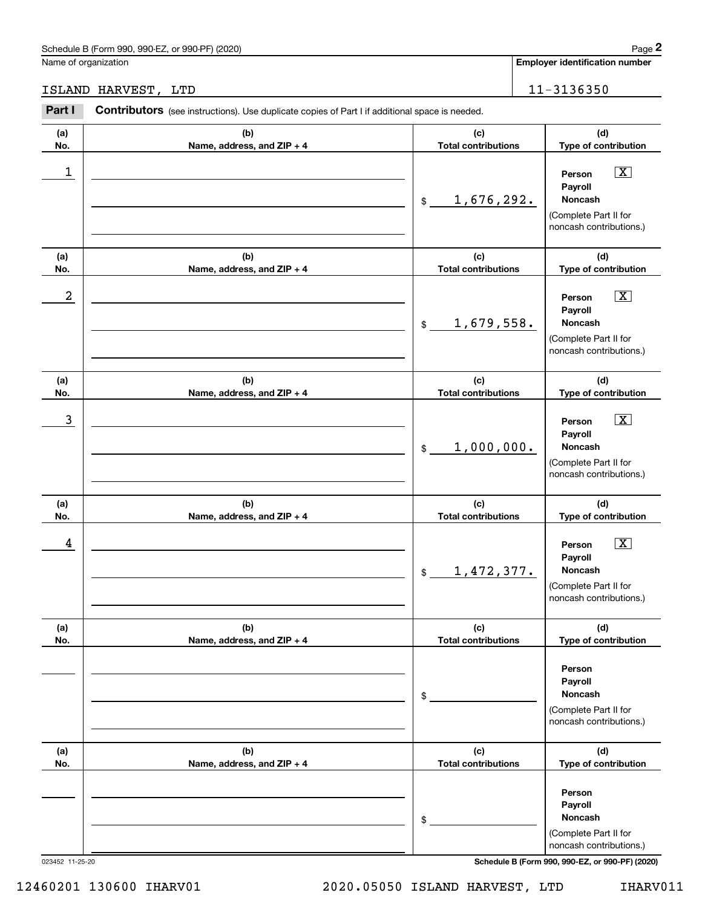# ISLAND HARVEST, LTD 11-3136350

|                      | Schedule B (Form 990, 990-EZ, or 990-PF) (2020)                                                |                                   | Page 2                                                                                                 |
|----------------------|------------------------------------------------------------------------------------------------|-----------------------------------|--------------------------------------------------------------------------------------------------------|
| Name of organization |                                                                                                |                                   | <b>Employer identification number</b>                                                                  |
|                      | ISLAND HARVEST, LTD                                                                            |                                   | 11-3136350                                                                                             |
| Part I               | Contributors (see instructions). Use duplicate copies of Part I if additional space is needed. |                                   |                                                                                                        |
| (a)<br>No.           | (b)<br>Name, address, and ZIP + 4                                                              | (c)<br><b>Total contributions</b> | (d)<br>Type of contribution                                                                            |
| $\mathbf 1$          |                                                                                                | 1,676,292.<br>\$                  | $\boxed{\text{X}}$<br>Person<br>Payroll<br>Noncash<br>(Complete Part II for<br>noncash contributions.) |
| (a)<br>No.           | (b)<br>Name, address, and ZIP + 4                                                              | (c)<br><b>Total contributions</b> | (d)<br>Type of contribution                                                                            |
| $\boldsymbol{2}$     |                                                                                                | 1,679,558.<br>\$                  | $\boxed{\text{X}}$<br>Person<br>Payroll<br>Noncash<br>(Complete Part II for<br>noncash contributions.) |
| (a)<br>No.           | (b)<br>Name, address, and ZIP + 4                                                              | (c)<br><b>Total contributions</b> | (d)<br>Type of contribution                                                                            |
| $\mathbf{3}$         |                                                                                                | 1,000,000.<br>\$                  | $\boxed{\text{X}}$<br>Person<br>Payroll<br>Noncash<br>(Complete Part II for<br>noncash contributions.) |
| (a)<br>No.           | (b)<br>Name, address, and ZIP + 4                                                              | (c)<br><b>Total contributions</b> | (d)<br>Type of contribution                                                                            |
| 4                    |                                                                                                | 1,472,377.<br>\$                  | $\boxed{\text{X}}$<br>Person<br>Payroll<br>Noncash<br>(Complete Part II for<br>noncash contributions.) |
| (a)<br>No.           | (b)<br>Name, address, and ZIP + 4                                                              | (c)<br><b>Total contributions</b> | (d)<br>Type of contribution                                                                            |
|                      |                                                                                                | \$                                | Person<br>Payroll<br>Noncash<br>(Complete Part II for<br>noncash contributions.)                       |
| (a)<br>No.           | (b)<br>Name, address, and ZIP + 4                                                              | (c)<br><b>Total contributions</b> | (d)<br>Type of contribution                                                                            |
|                      |                                                                                                | \$                                | Person<br>Payroll<br>Noncash<br>(Complete Part II for<br>noncash contributions.)                       |

023452 11-25-20 **Schedule B (Form 990, 990-EZ, or 990-PF) (2020)**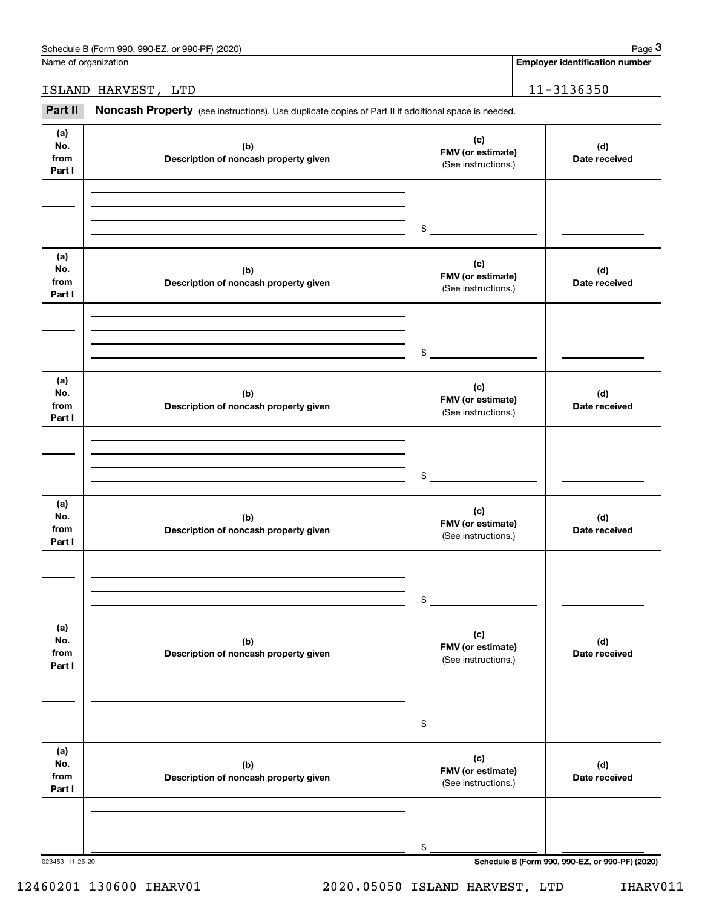### ISLAND HARVEST, LTD 11-3136350

|                              | Schedule B (Form 990, 990-EZ, or 990-PF) (2020)                                                     |                                                 | Page 3                                |
|------------------------------|-----------------------------------------------------------------------------------------------------|-------------------------------------------------|---------------------------------------|
| Name of organization         |                                                                                                     |                                                 | <b>Employer identification number</b> |
|                              | ISLAND HARVEST, LTD                                                                                 |                                                 | 11-3136350                            |
| Part II                      | Noncash Property (see instructions). Use duplicate copies of Part II if additional space is needed. |                                                 |                                       |
| (a)<br>No.<br>from<br>Part I | (b)<br>Description of noncash property given                                                        | (c)<br>FMV (or estimate)<br>(See instructions.) | (d)<br>Date received                  |
|                              |                                                                                                     | \$                                              |                                       |
| (a)<br>No.<br>from<br>Part I | (b)<br>Description of noncash property given                                                        | (c)<br>FMV (or estimate)<br>(See instructions.) | (d)<br>Date received                  |
|                              |                                                                                                     | \$                                              |                                       |
| (a)<br>No.<br>from<br>Part I | (b)<br>Description of noncash property given                                                        | (c)<br>FMV (or estimate)<br>(See instructions.) | (d)<br>Date received                  |
|                              |                                                                                                     | \$                                              |                                       |
| (a)<br>No.<br>from<br>Part I | (b)<br>Description of noncash property given                                                        | (c)<br>FMV (or estimate)<br>(See instructions.) | (d)<br>Date received                  |
|                              |                                                                                                     | \$                                              |                                       |
| (a)<br>No.<br>from<br>Part I | (b)<br>Description of noncash property given                                                        | (c)<br>FMV (or estimate)<br>(See instructions.) | (d)<br>Date received                  |
|                              |                                                                                                     | \$                                              |                                       |
| (a)<br>No.<br>from<br>Part I | (b)<br>Description of noncash property given                                                        | (c)<br>FMV (or estimate)<br>(See instructions.) | (d)<br>Date received                  |
|                              |                                                                                                     | \$                                              |                                       |

023453 11-25-20 **Schedule B (Form 990, 990-EZ, or 990-PF) (2020)**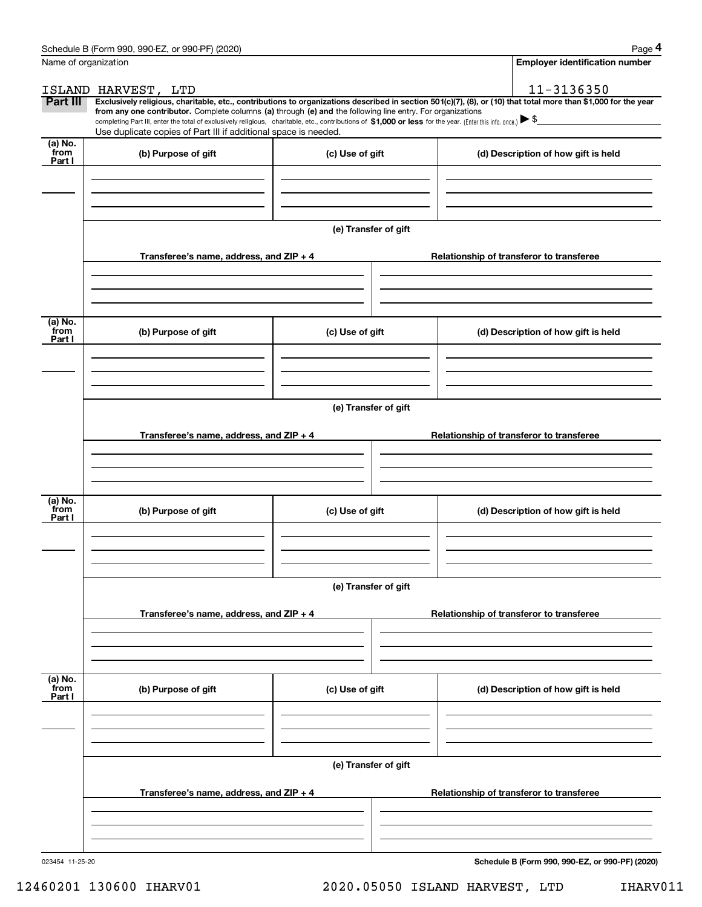|                           | Schedule B (Form 990, 990-EZ, or 990-PF) (2020)                                                                                                                                                                                                      |                      |                                                                                                                                                                | Page 4 |  |  |  |  |  |
|---------------------------|------------------------------------------------------------------------------------------------------------------------------------------------------------------------------------------------------------------------------------------------------|----------------------|----------------------------------------------------------------------------------------------------------------------------------------------------------------|--------|--|--|--|--|--|
| Name of organization      |                                                                                                                                                                                                                                                      |                      | <b>Employer identification number</b>                                                                                                                          |        |  |  |  |  |  |
|                           | ISLAND HARVEST, LTD                                                                                                                                                                                                                                  |                      | 11-3136350                                                                                                                                                     |        |  |  |  |  |  |
| Part III                  | from any one contributor. Complete columns (a) through (e) and the following line entry. For organizations                                                                                                                                           |                      | Exclusively religious, charitable, etc., contributions to organizations described in section 501(c)(7), (8), or (10) that total more than \$1,000 for the year |        |  |  |  |  |  |
|                           | completing Part III, enter the total of exclusively religious, charitable, etc., contributions of \$1,000 or less for the year. (Enter this info. once.) $\blacktriangleright$ \$<br>Use duplicate copies of Part III if additional space is needed. |                      |                                                                                                                                                                |        |  |  |  |  |  |
| (a) No.                   |                                                                                                                                                                                                                                                      |                      |                                                                                                                                                                |        |  |  |  |  |  |
| from<br>Part I            | (b) Purpose of gift                                                                                                                                                                                                                                  | (c) Use of gift      | (d) Description of how gift is held                                                                                                                            |        |  |  |  |  |  |
|                           |                                                                                                                                                                                                                                                      |                      |                                                                                                                                                                |        |  |  |  |  |  |
|                           |                                                                                                                                                                                                                                                      |                      |                                                                                                                                                                |        |  |  |  |  |  |
|                           |                                                                                                                                                                                                                                                      |                      |                                                                                                                                                                |        |  |  |  |  |  |
|                           |                                                                                                                                                                                                                                                      | (e) Transfer of gift |                                                                                                                                                                |        |  |  |  |  |  |
|                           | Transferee's name, address, and ZIP + 4                                                                                                                                                                                                              |                      | Relationship of transferor to transferee                                                                                                                       |        |  |  |  |  |  |
|                           |                                                                                                                                                                                                                                                      |                      |                                                                                                                                                                |        |  |  |  |  |  |
|                           |                                                                                                                                                                                                                                                      |                      |                                                                                                                                                                |        |  |  |  |  |  |
|                           |                                                                                                                                                                                                                                                      |                      |                                                                                                                                                                |        |  |  |  |  |  |
| (a) No.<br>from           | (b) Purpose of gift                                                                                                                                                                                                                                  | (c) Use of gift      | (d) Description of how gift is held                                                                                                                            |        |  |  |  |  |  |
| Part I                    |                                                                                                                                                                                                                                                      |                      |                                                                                                                                                                |        |  |  |  |  |  |
|                           |                                                                                                                                                                                                                                                      |                      |                                                                                                                                                                |        |  |  |  |  |  |
|                           |                                                                                                                                                                                                                                                      |                      |                                                                                                                                                                |        |  |  |  |  |  |
|                           |                                                                                                                                                                                                                                                      |                      |                                                                                                                                                                |        |  |  |  |  |  |
|                           |                                                                                                                                                                                                                                                      | (e) Transfer of gift |                                                                                                                                                                |        |  |  |  |  |  |
|                           | Transferee's name, address, and ZIP + 4                                                                                                                                                                                                              |                      | Relationship of transferor to transferee                                                                                                                       |        |  |  |  |  |  |
|                           |                                                                                                                                                                                                                                                      |                      |                                                                                                                                                                |        |  |  |  |  |  |
|                           |                                                                                                                                                                                                                                                      |                      |                                                                                                                                                                |        |  |  |  |  |  |
|                           |                                                                                                                                                                                                                                                      |                      |                                                                                                                                                                |        |  |  |  |  |  |
| (a) No.<br>from<br>Part I | (b) Purpose of gift                                                                                                                                                                                                                                  | (c) Use of gift      | (d) Description of how gift is held                                                                                                                            |        |  |  |  |  |  |
|                           |                                                                                                                                                                                                                                                      |                      |                                                                                                                                                                |        |  |  |  |  |  |
|                           |                                                                                                                                                                                                                                                      |                      |                                                                                                                                                                |        |  |  |  |  |  |
|                           |                                                                                                                                                                                                                                                      |                      |                                                                                                                                                                |        |  |  |  |  |  |
|                           |                                                                                                                                                                                                                                                      | (e) Transfer of gift |                                                                                                                                                                |        |  |  |  |  |  |
|                           |                                                                                                                                                                                                                                                      |                      |                                                                                                                                                                |        |  |  |  |  |  |
|                           | Transferee's name, address, and ZIP + 4                                                                                                                                                                                                              |                      | Relationship of transferor to transferee                                                                                                                       |        |  |  |  |  |  |
|                           |                                                                                                                                                                                                                                                      |                      |                                                                                                                                                                |        |  |  |  |  |  |
|                           |                                                                                                                                                                                                                                                      |                      |                                                                                                                                                                |        |  |  |  |  |  |
| (a) No.<br>from           |                                                                                                                                                                                                                                                      |                      |                                                                                                                                                                |        |  |  |  |  |  |
| Part I                    | (b) Purpose of gift                                                                                                                                                                                                                                  | (c) Use of gift      | (d) Description of how gift is held                                                                                                                            |        |  |  |  |  |  |
|                           |                                                                                                                                                                                                                                                      |                      |                                                                                                                                                                |        |  |  |  |  |  |
|                           |                                                                                                                                                                                                                                                      |                      |                                                                                                                                                                |        |  |  |  |  |  |
|                           |                                                                                                                                                                                                                                                      |                      |                                                                                                                                                                |        |  |  |  |  |  |
|                           |                                                                                                                                                                                                                                                      | (e) Transfer of gift |                                                                                                                                                                |        |  |  |  |  |  |
|                           | Transferee's name, address, and $ZIP + 4$                                                                                                                                                                                                            |                      | Relationship of transferor to transferee                                                                                                                       |        |  |  |  |  |  |
|                           |                                                                                                                                                                                                                                                      |                      |                                                                                                                                                                |        |  |  |  |  |  |
|                           |                                                                                                                                                                                                                                                      |                      |                                                                                                                                                                |        |  |  |  |  |  |
|                           |                                                                                                                                                                                                                                                      |                      |                                                                                                                                                                |        |  |  |  |  |  |

**Schedule B (Form 990, 990-EZ, or 990-PF) (2020)**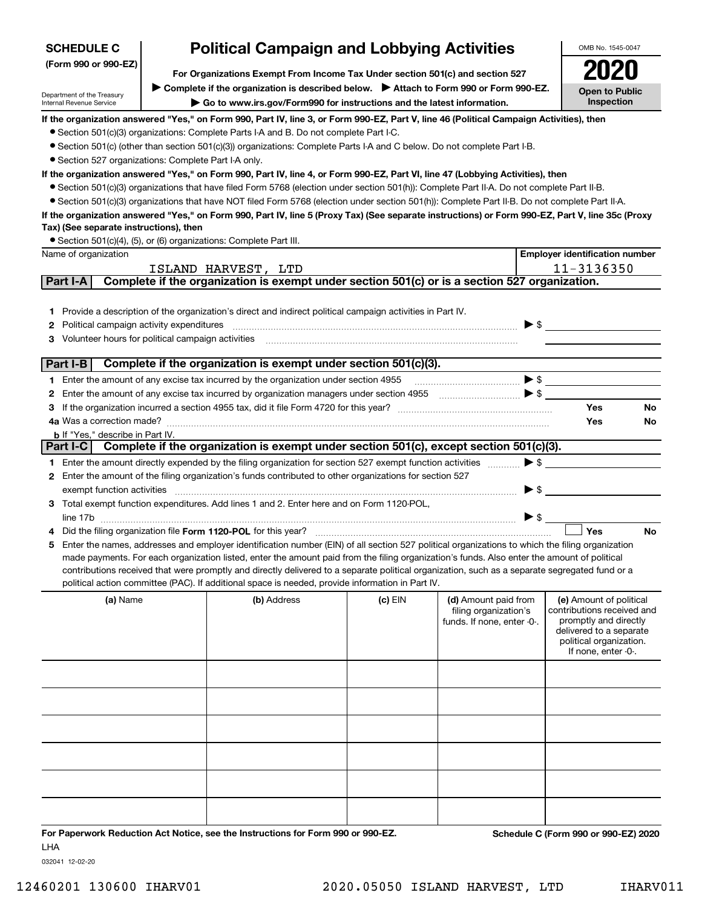| <b>SCHEDULE C</b>                                    | <b>Political Campaign and Lobbying Activities</b>                             | OMB No. 1545-0047                                                                                                                                                              |           |                                                                             |                          |                                                                                                                                                             |
|------------------------------------------------------|-------------------------------------------------------------------------------|--------------------------------------------------------------------------------------------------------------------------------------------------------------------------------|-----------|-----------------------------------------------------------------------------|--------------------------|-------------------------------------------------------------------------------------------------------------------------------------------------------------|
| (Form 990 or 990-EZ)                                 | For Organizations Exempt From Income Tax Under section 501(c) and section 527 |                                                                                                                                                                                |           |                                                                             |                          |                                                                                                                                                             |
|                                                      |                                                                               |                                                                                                                                                                                |           |                                                                             |                          |                                                                                                                                                             |
| Department of the Treasury                           |                                                                               | Complete if the organization is described below. > Attach to Form 990 or Form 990-EZ.                                                                                          |           |                                                                             |                          | <b>Open to Public</b><br><b>Inspection</b>                                                                                                                  |
| Internal Revenue Service                             |                                                                               | Go to www.irs.gov/Form990 for instructions and the latest information.                                                                                                         |           |                                                                             |                          |                                                                                                                                                             |
|                                                      |                                                                               | If the organization answered "Yes," on Form 990, Part IV, line 3, or Form 990-EZ, Part V, line 46 (Political Campaign Activities), then                                        |           |                                                                             |                          |                                                                                                                                                             |
|                                                      |                                                                               | • Section 501(c)(3) organizations: Complete Parts I-A and B. Do not complete Part I-C.                                                                                         |           |                                                                             |                          |                                                                                                                                                             |
| • Section 527 organizations: Complete Part I-A only. |                                                                               | • Section 501(c) (other than section 501(c)(3)) organizations: Complete Parts I-A and C below. Do not complete Part I-B.                                                       |           |                                                                             |                          |                                                                                                                                                             |
|                                                      |                                                                               | If the organization answered "Yes," on Form 990, Part IV, line 4, or Form 990-EZ, Part VI, line 47 (Lobbying Activities), then                                                 |           |                                                                             |                          |                                                                                                                                                             |
|                                                      |                                                                               | • Section 501(c)(3) organizations that have filed Form 5768 (election under section 501(h)): Complete Part II-A. Do not complete Part II-B.                                    |           |                                                                             |                          |                                                                                                                                                             |
|                                                      |                                                                               | • Section 501(c)(3) organizations that have NOT filed Form 5768 (election under section 501(h)): Complete Part II-B. Do not complete Part II-A.                                |           |                                                                             |                          |                                                                                                                                                             |
|                                                      |                                                                               | If the organization answered "Yes," on Form 990, Part IV, line 5 (Proxy Tax) (See separate instructions) or Form 990-EZ, Part V, line 35c (Proxy                               |           |                                                                             |                          |                                                                                                                                                             |
| Tax) (See separate instructions), then               |                                                                               |                                                                                                                                                                                |           |                                                                             |                          |                                                                                                                                                             |
|                                                      |                                                                               | • Section 501(c)(4), (5), or (6) organizations: Complete Part III.                                                                                                             |           |                                                                             |                          |                                                                                                                                                             |
| Name of organization                                 |                                                                               |                                                                                                                                                                                |           |                                                                             |                          | <b>Employer identification number</b>                                                                                                                       |
|                                                      |                                                                               | ISLAND HARVEST, LTD                                                                                                                                                            |           |                                                                             |                          | 11-3136350                                                                                                                                                  |
| Part I-A                                             |                                                                               | Complete if the organization is exempt under section 501(c) or is a section 527 organization.                                                                                  |           |                                                                             |                          |                                                                                                                                                             |
|                                                      |                                                                               |                                                                                                                                                                                |           |                                                                             |                          |                                                                                                                                                             |
|                                                      |                                                                               | 1 Provide a description of the organization's direct and indirect political campaign activities in Part IV.                                                                    |           |                                                                             |                          |                                                                                                                                                             |
| <b>2</b> Political campaign activity expenditures    |                                                                               |                                                                                                                                                                                |           |                                                                             | $\blacktriangleright$ \$ |                                                                                                                                                             |
| 3 Volunteer hours for political campaign activities  |                                                                               |                                                                                                                                                                                |           |                                                                             |                          |                                                                                                                                                             |
|                                                      |                                                                               |                                                                                                                                                                                |           |                                                                             |                          |                                                                                                                                                             |
| Part I-B                                             |                                                                               | Complete if the organization is exempt under section 501(c)(3).                                                                                                                |           |                                                                             |                          |                                                                                                                                                             |
|                                                      |                                                                               | 1 Enter the amount of any excise tax incurred by the organization under section 4955                                                                                           |           |                                                                             |                          | $\blacktriangleright$ \$                                                                                                                                    |
|                                                      |                                                                               | 2 Enter the amount of any excise tax incurred by organization managers under section 4955                                                                                      |           | $\ldots$ $\bullet$                                                          |                          |                                                                                                                                                             |
| З                                                    |                                                                               | If the organization incurred a section 4955 tax, did it file Form 4720 for this year?<br>If the organization incurred a section 4955 tax, did it file Form 4720 for this year? |           |                                                                             |                          | Yes<br>No                                                                                                                                                   |
|                                                      |                                                                               |                                                                                                                                                                                |           |                                                                             |                          | Yes<br>No                                                                                                                                                   |
| <b>b</b> If "Yes," describe in Part IV.              |                                                                               | Part I-C Complete if the organization is exempt under section 501(c), except section 501(c)(3).                                                                                |           |                                                                             |                          |                                                                                                                                                             |
|                                                      |                                                                               | 1 Enter the amount directly expended by the filing organization for section 527 exempt function activities                                                                     |           |                                                                             | $\blacktriangleright$ \$ |                                                                                                                                                             |
|                                                      |                                                                               | 2 Enter the amount of the filing organization's funds contributed to other organizations for section 527                                                                       |           |                                                                             |                          |                                                                                                                                                             |
| exempt function activities                           |                                                                               |                                                                                                                                                                                |           |                                                                             | $\blacktriangleright$ \$ |                                                                                                                                                             |
|                                                      |                                                                               | 3 Total exempt function expenditures. Add lines 1 and 2. Enter here and on Form 1120-POL,                                                                                      |           |                                                                             |                          |                                                                                                                                                             |
|                                                      |                                                                               |                                                                                                                                                                                |           |                                                                             | $\blacktriangleright$ \$ |                                                                                                                                                             |
|                                                      |                                                                               | Did the filing organization file Form 1120-POL for this year?                                                                                                                  |           |                                                                             |                          | Yes<br><b>No</b>                                                                                                                                            |
|                                                      |                                                                               | 5 Enter the names, addresses and employer identification number (EIN) of all section 527 political organizations to which the filing organization                              |           |                                                                             |                          |                                                                                                                                                             |
|                                                      |                                                                               | made payments. For each organization listed, enter the amount paid from the filing organization's funds. Also enter the amount of political                                    |           |                                                                             |                          |                                                                                                                                                             |
|                                                      |                                                                               | contributions received that were promptly and directly delivered to a separate political organization, such as a separate segregated fund or a                                 |           |                                                                             |                          |                                                                                                                                                             |
|                                                      |                                                                               | political action committee (PAC). If additional space is needed, provide information in Part IV.                                                                               |           |                                                                             |                          |                                                                                                                                                             |
| (a) Name                                             |                                                                               | (b) Address                                                                                                                                                                    | $(c)$ EIN | (d) Amount paid from<br>filing organization's<br>funds. If none, enter -0-. |                          | (e) Amount of political<br>contributions received and<br>promptly and directly<br>delivered to a separate<br>political organization.<br>If none, enter -0-. |
|                                                      |                                                                               |                                                                                                                                                                                |           |                                                                             |                          |                                                                                                                                                             |
|                                                      |                                                                               |                                                                                                                                                                                |           |                                                                             |                          |                                                                                                                                                             |
|                                                      |                                                                               |                                                                                                                                                                                |           |                                                                             |                          |                                                                                                                                                             |
|                                                      |                                                                               |                                                                                                                                                                                |           |                                                                             |                          |                                                                                                                                                             |
|                                                      |                                                                               |                                                                                                                                                                                |           |                                                                             |                          |                                                                                                                                                             |
|                                                      |                                                                               |                                                                                                                                                                                |           |                                                                             |                          |                                                                                                                                                             |

**For Paperwork Reduction Act Notice, see the Instructions for Form 990 or 990-EZ. Schedule C (Form 990 or 990-EZ) 2020** LHA

032041 12-02-20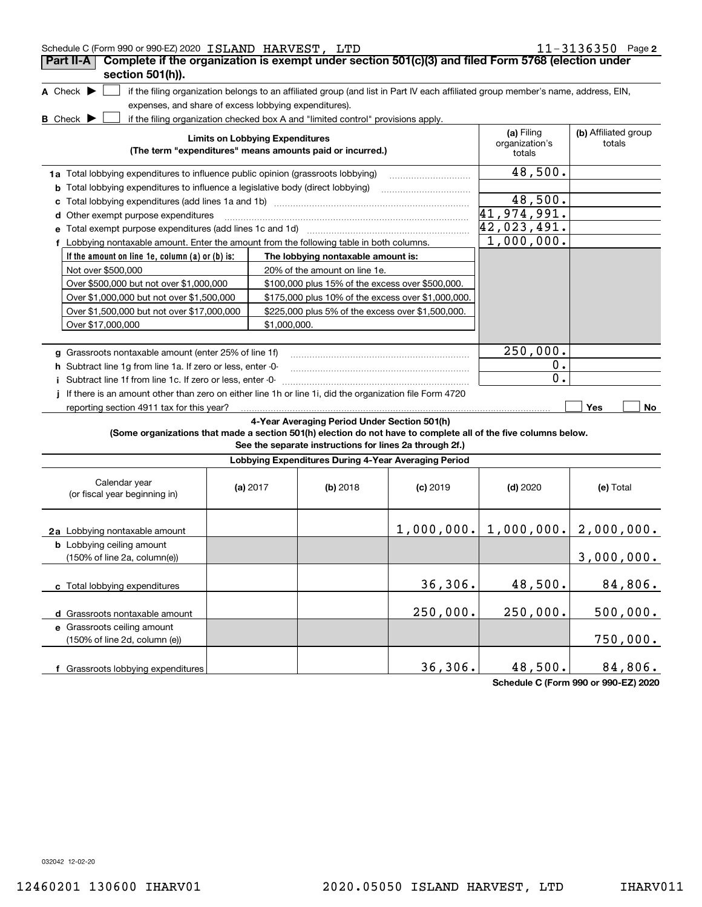| Schedule C (Form 990 or 990-EZ) 2020 ISLAND HARVEST, LTD |  | $11 - 3136350$ Page 2                                                                                                 |  |
|----------------------------------------------------------|--|-----------------------------------------------------------------------------------------------------------------------|--|
|                                                          |  | <b>Part II-A</b> Complete if the organization is exempt under section $501(c)(3)$ and filed Form 5768 (election under |  |

| 41.117<br>section 501(h)).                                                                                     |                                                                                          |                                        |                                                                                                         | אין טטוויט הואטווייני ווייט איז ווייט איז ווייט האטווייני ווייט ווייט און ווייט ווייט ווייט ווייט ווי                             |                                        |                                |
|----------------------------------------------------------------------------------------------------------------|------------------------------------------------------------------------------------------|----------------------------------------|---------------------------------------------------------------------------------------------------------|-----------------------------------------------------------------------------------------------------------------------------------|----------------------------------------|--------------------------------|
| A Check $\blacktriangleright$                                                                                  |                                                                                          |                                        |                                                                                                         | if the filing organization belongs to an affiliated group (and list in Part IV each affiliated group member's name, address, EIN, |                                        |                                |
| expenses, and share of excess lobbying expenditures).                                                          |                                                                                          |                                        |                                                                                                         |                                                                                                                                   |                                        |                                |
| <b>B</b> Check D                                                                                               |                                                                                          |                                        | if the filing organization checked box A and "limited control" provisions apply.                        |                                                                                                                                   |                                        |                                |
|                                                                                                                |                                                                                          | <b>Limits on Lobbying Expenditures</b> | (The term "expenditures" means amounts paid or incurred.)                                               |                                                                                                                                   | (a) Filing<br>organization's<br>totals | (b) Affiliated group<br>totals |
| 1a Total lobbying expenditures to influence public opinion (grassroots lobbying)                               |                                                                                          |                                        |                                                                                                         |                                                                                                                                   | 48,500.                                |                                |
| <b>b</b> Total lobbying expenditures to influence a legislative body (direct lobbying)                         |                                                                                          |                                        |                                                                                                         |                                                                                                                                   |                                        |                                |
|                                                                                                                | 48,500.                                                                                  |                                        |                                                                                                         |                                                                                                                                   |                                        |                                |
| d Other exempt purpose expenditures                                                                            | 41,974,991.                                                                              |                                        |                                                                                                         |                                                                                                                                   |                                        |                                |
| e Total exempt purpose expenditures (add lines 1c and 1d)                                                      | 42,023,491.                                                                              |                                        |                                                                                                         |                                                                                                                                   |                                        |                                |
|                                                                                                                | f Lobbying nontaxable amount. Enter the amount from the following table in both columns. |                                        |                                                                                                         |                                                                                                                                   |                                        |                                |
| If the amount on line 1e, column (a) or (b) is:<br>The lobbying nontaxable amount is:                          |                                                                                          |                                        |                                                                                                         |                                                                                                                                   |                                        |                                |
| Not over \$500,000                                                                                             |                                                                                          |                                        | 20% of the amount on line 1e.                                                                           |                                                                                                                                   |                                        |                                |
| Over \$500,000 but not over \$1,000,000                                                                        |                                                                                          |                                        | \$100,000 plus 15% of the excess over \$500,000.                                                        |                                                                                                                                   |                                        |                                |
| Over \$1,000,000 but not over \$1,500,000<br>\$175,000 plus 10% of the excess over \$1,000,000.                |                                                                                          |                                        |                                                                                                         |                                                                                                                                   |                                        |                                |
| Over \$1,500,000 but not over \$17,000,000                                                                     |                                                                                          |                                        | \$225,000 plus 5% of the excess over \$1,500,000.                                                       |                                                                                                                                   |                                        |                                |
| Over \$17,000,000                                                                                              |                                                                                          | \$1,000,000.                           |                                                                                                         |                                                                                                                                   |                                        |                                |
|                                                                                                                |                                                                                          |                                        |                                                                                                         |                                                                                                                                   |                                        |                                |
| g Grassroots nontaxable amount (enter 25% of line 1f)                                                          |                                                                                          |                                        |                                                                                                         |                                                                                                                                   | 250,000.                               |                                |
| h Subtract line 1g from line 1a. If zero or less, enter -0-                                                    |                                                                                          |                                        |                                                                                                         |                                                                                                                                   | 0.                                     |                                |
| i Subtract line 1f from line 1c. If zero or less, enter -0-                                                    |                                                                                          |                                        |                                                                                                         |                                                                                                                                   | $\overline{0}$ .                       |                                |
| If there is an amount other than zero on either line 1h or line 1i, did the organization file Form 4720        |                                                                                          |                                        |                                                                                                         |                                                                                                                                   |                                        |                                |
| reporting section 4911 tax for this year?                                                                      |                                                                                          |                                        |                                                                                                         |                                                                                                                                   |                                        | Yes<br>No                      |
| (Some organizations that made a section 501(h) election do not have to complete all of the five columns below. |                                                                                          |                                        | 4-Year Averaging Period Under Section 501(h)<br>See the separate instructions for lines 2a through 2f.) |                                                                                                                                   |                                        |                                |
|                                                                                                                |                                                                                          |                                        | Lobbying Expenditures During 4-Year Averaging Period                                                    |                                                                                                                                   |                                        |                                |
| Calendar year<br>(or fiscal year beginning in)                                                                 |                                                                                          | (a) $2017$                             | (b) 2018                                                                                                | $(c)$ 2019                                                                                                                        | $(d)$ 2020                             | (e) Total                      |
| 2a Lobbying nontaxable amount                                                                                  |                                                                                          |                                        |                                                                                                         |                                                                                                                                   | $1,000,000.$ $ 1,000,000.$             | 2,000,000.                     |
| <b>b</b> Lobbying ceiling amount                                                                               |                                                                                          |                                        |                                                                                                         |                                                                                                                                   |                                        |                                |
| $(150\% \text{ of line } 2a, \text{ column}(e))$                                                               |                                                                                          |                                        |                                                                                                         |                                                                                                                                   |                                        | 3,000,000.                     |
| c Total lobbying expenditures                                                                                  |                                                                                          |                                        |                                                                                                         | 36,306.                                                                                                                           | 48,500.                                | 84,806.                        |
| d Grassroots nontaxable amount                                                                                 |                                                                                          |                                        |                                                                                                         | 250,000.                                                                                                                          | 250,000.                               | 500,000.                       |
| e Grassroots ceiling amount<br>(150% of line 2d, column (e))                                                   |                                                                                          |                                        |                                                                                                         |                                                                                                                                   |                                        | 750,000.                       |

**Schedule C (Form 990 or 990-EZ) 2020**

84,806.

032042 12-02-20

**f** Grassroots lobbying expenditures

36,306. 48,500.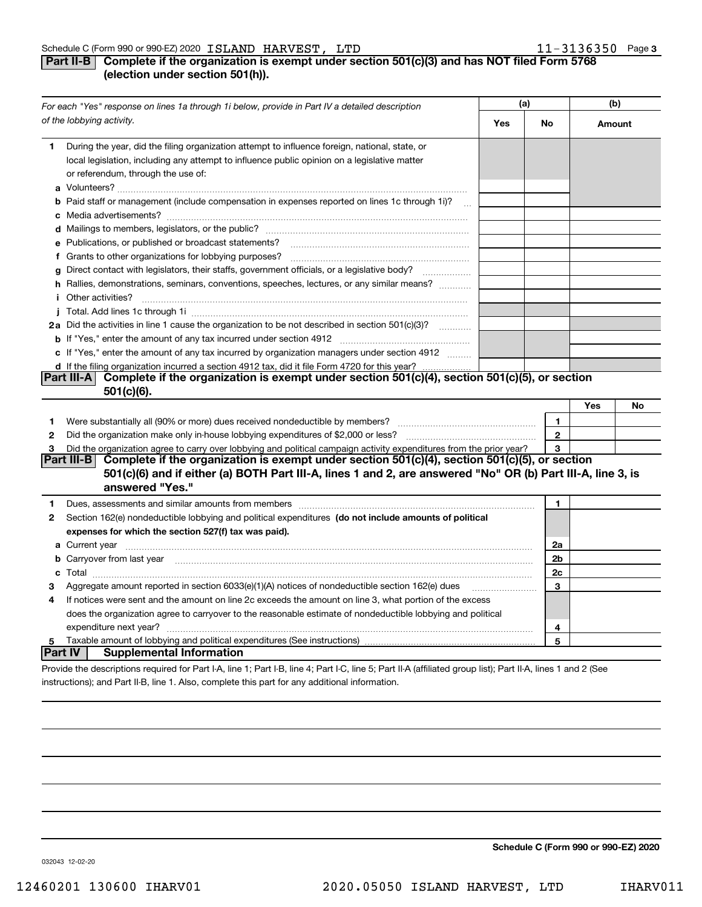#### **Part II-B** Complete if the organization is exempt under section 501(c)(3) and has NOT filed Form 5768 **(election under section 501(h)).**

|                | For each "Yes" response on lines 1a through 1i below, provide in Part IV a detailed description                                                                                                                                      |    | (a)          |     | (b) |  |
|----------------|--------------------------------------------------------------------------------------------------------------------------------------------------------------------------------------------------------------------------------------|----|--------------|-----|-----|--|
|                | of the lobbying activity.                                                                                                                                                                                                            | No | Amount       |     |     |  |
| 1.             | During the year, did the filing organization attempt to influence foreign, national, state, or<br>local legislation, including any attempt to influence public opinion on a legislative matter<br>or referendum, through the use of: |    |              |     |     |  |
|                | <b>b</b> Paid staff or management (include compensation in expenses reported on lines 1c through 1i)?<br>$\mathbf{r}$                                                                                                                |    |              |     |     |  |
|                |                                                                                                                                                                                                                                      |    |              |     |     |  |
|                | e Publications, or published or broadcast statements?                                                                                                                                                                                |    |              |     |     |  |
|                | f Grants to other organizations for lobbying purposes?                                                                                                                                                                               |    |              |     |     |  |
| g              | Direct contact with legislators, their staffs, government officials, or a legislative body?                                                                                                                                          |    |              |     |     |  |
| i.             | h Rallies, demonstrations, seminars, conventions, speeches, lectures, or any similar means?<br>Other activities?                                                                                                                     |    |              |     |     |  |
|                |                                                                                                                                                                                                                                      |    |              |     |     |  |
|                | 2a Did the activities in line 1 cause the organization to be not described in section 501(c)(3)?                                                                                                                                     |    |              |     |     |  |
|                |                                                                                                                                                                                                                                      |    |              |     |     |  |
|                | c If "Yes," enter the amount of any tax incurred by organization managers under section 4912                                                                                                                                         |    |              |     |     |  |
|                | d If the filing organization incurred a section 4912 tax, did it file Form 4720 for this year?                                                                                                                                       |    |              |     |     |  |
|                | Part III-A Complete if the organization is exempt under section 501(c)(4), section 501(c)(5), or section                                                                                                                             |    |              |     |     |  |
|                | $501(c)(6)$ .                                                                                                                                                                                                                        |    |              |     |     |  |
|                |                                                                                                                                                                                                                                      |    |              | Yes | No  |  |
| 1              | Were substantially all (90% or more) dues received nondeductible by members?                                                                                                                                                         |    | $\mathbf{1}$ |     |     |  |
| $\mathbf{2}$   | Did the organization make only in house lobbying expenditures of \$2,000 or less?                                                                                                                                                    |    | $\mathbf{2}$ |     |     |  |
| 3              | Did the organization agree to carry over lobbying and political campaign activity expenditures from the prior year?                                                                                                                  |    | 3            |     |     |  |
|                | Complete if the organization is exempt under section 501(c)(4), section 501(c)(5), or section<br>Part III-B                                                                                                                          |    |              |     |     |  |
|                | 501(c)(6) and if either (a) BOTH Part III-A, lines 1 and 2, are answered "No" OR (b) Part III-A, line 3, is<br>answered "Yes."                                                                                                       |    |              |     |     |  |
| 1.             | Dues, assessments and similar amounts from members [111] matter continuum matter and similar amounts and similar amounts from members [11] matter continuum matter and similar amounts from members [11] matter and similar an       |    | 1.           |     |     |  |
| 2              | Section 162(e) nondeductible lobbying and political expenditures (do not include amounts of political                                                                                                                                |    |              |     |     |  |
|                | expenses for which the section 527(f) tax was paid).                                                                                                                                                                                 |    |              |     |     |  |
|                |                                                                                                                                                                                                                                      |    | 2a           |     |     |  |
|                | b Carryover from last year manufactured and contain an account of the control of the control of the control of                                                                                                                       |    | 2b           |     |     |  |
|                |                                                                                                                                                                                                                                      |    | 2c           |     |     |  |
|                | Aggregate amount reported in section 6033(e)(1)(A) notices of nondeductible section 162(e) dues                                                                                                                                      |    | 3            |     |     |  |
| 4              | If notices were sent and the amount on line 2c exceeds the amount on line 3, what portion of the excess                                                                                                                              |    |              |     |     |  |
|                | does the organization agree to carryover to the reasonable estimate of nondeductible lobbying and political                                                                                                                          |    |              |     |     |  |
|                | expenditure next year?                                                                                                                                                                                                               |    | 4            |     |     |  |
| 5              |                                                                                                                                                                                                                                      |    | 5            |     |     |  |
| <b>Part IV</b> | <b>Supplemental Information</b>                                                                                                                                                                                                      |    |              |     |     |  |
|                | Provide the descriptions required for Part I-A, line 1; Part I-B, line 4; Part I-C, line 5; Part II-A (affiliated group list); Part II-A, lines 1 and 2 (See                                                                         |    |              |     |     |  |

instructions); and Part II-B, line 1. Also, complete this part for any additional information.

**Schedule C (Form 990 or 990-EZ) 2020**

032043 12-02-20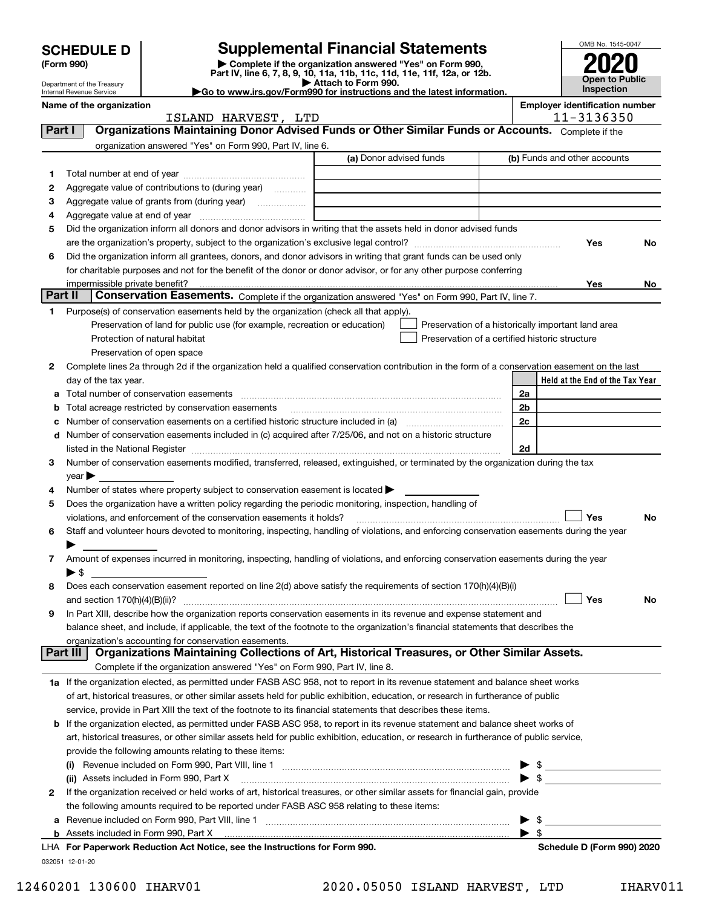| <b>SCHEDULE D</b><br>(Form 990)                        | <b>Supplemental Financial Statements</b><br>Complete if the organization answered "Yes" on Form 990,                                           |                | OMB No. 1545-0047                                  |    |
|--------------------------------------------------------|------------------------------------------------------------------------------------------------------------------------------------------------|----------------|----------------------------------------------------|----|
|                                                        | Part IV, line 6, 7, 8, 9, 10, 11a, 11b, 11c, 11d, 11e, 11f, 12a, or 12b.                                                                       |                | <b>Open to Public</b>                              |    |
| Department of the Treasury<br>Internal Revenue Service | Attach to Form 990.<br>Go to www.irs.gov/Form990 for instructions and the latest information.                                                  |                | Inspection                                         |    |
| Name of the organization                               |                                                                                                                                                |                | <b>Employer identification number</b>              |    |
|                                                        | ISLAND HARVEST, LTD                                                                                                                            |                | 11-3136350                                         |    |
| Part I                                                 | Organizations Maintaining Donor Advised Funds or Other Similar Funds or Accounts. Complete if the                                              |                |                                                    |    |
|                                                        | organization answered "Yes" on Form 990, Part IV, line 6.                                                                                      |                |                                                    |    |
|                                                        | (a) Donor advised funds                                                                                                                        |                | (b) Funds and other accounts                       |    |
| 1                                                      |                                                                                                                                                |                |                                                    |    |
| 2                                                      | Aggregate value of contributions to (during year)                                                                                              |                |                                                    |    |
| з                                                      |                                                                                                                                                |                |                                                    |    |
| 4                                                      |                                                                                                                                                |                |                                                    |    |
| 5                                                      | Did the organization inform all donors and donor advisors in writing that the assets held in donor advised funds                               |                |                                                    |    |
|                                                        |                                                                                                                                                |                | <b>Yes</b>                                         | No |
| 6                                                      | Did the organization inform all grantees, donors, and donor advisors in writing that grant funds can be used only                              |                |                                                    |    |
|                                                        | for charitable purposes and not for the benefit of the donor or donor advisor, or for any other purpose conferring                             |                |                                                    |    |
|                                                        |                                                                                                                                                |                | Yes                                                | No |
| Part II                                                | Conservation Easements. Complete if the organization answered "Yes" on Form 990, Part IV, line 7.                                              |                |                                                    |    |
| 1                                                      | Purpose(s) of conservation easements held by the organization (check all that apply).                                                          |                |                                                    |    |
|                                                        | Preservation of land for public use (for example, recreation or education)                                                                     |                | Preservation of a historically important land area |    |
|                                                        | Protection of natural habitat<br>Preservation of a certified historic structure                                                                |                |                                                    |    |
|                                                        | Preservation of open space                                                                                                                     |                |                                                    |    |
| 2                                                      | Complete lines 2a through 2d if the organization held a qualified conservation contribution in the form of a conservation easement on the last |                |                                                    |    |
| day of the tax year.                                   |                                                                                                                                                |                | Held at the End of the Tax Year                    |    |
| a                                                      | Total number of conservation easements                                                                                                         | 2a             |                                                    |    |
|                                                        | Total acreage restricted by conservation easements                                                                                             | 2 <sub>b</sub> |                                                    |    |
|                                                        |                                                                                                                                                | 2c             |                                                    |    |
|                                                        | d Number of conservation easements included in (c) acquired after 7/25/06, and not on a historic structure                                     |                |                                                    |    |

| listed in the National Register                                                                                                    | 2d |
|------------------------------------------------------------------------------------------------------------------------------------|----|
| 3 Number of conservation easements modified, transferred, released, extinguished, or terminated by the organization during the tax |    |
| vear                                                                                                                               |    |

| 4 Number of states where property subject to conservation easement is located >                          |
|----------------------------------------------------------------------------------------------------------|
| 5 Does the organization have a written policy regarding the periodic monitoring, inspection, handling of |

| violations, and enforcement of the conservation easements it holds?                                                                         | ່ Yes ∶ | <b>No</b> |
|---------------------------------------------------------------------------------------------------------------------------------------------|---------|-----------|
| 6 Staff and volunteer hours devoted to monitoring, inspecting, handling of violations, and enforcing conservation easements during the year |         |           |
|                                                                                                                                             |         |           |
| Amount of expenses incurred in monitoring, inspecting, handling of violations, and enforcing conservation easements during the year         |         |           |

| 8 | Does each conservation easement reported on line 2(d) above satisfy the requirements of section 170(h)(4)(B)(i)       |           |
|---|-----------------------------------------------------------------------------------------------------------------------|-----------|
|   | <b>Yes</b><br>and section $170(h)(4)(B)(ii)?$                                                                         | <b>No</b> |
|   | 9 In Part XIII, describe how the organization reports conservation easements in its revenue and expense statement and |           |

|  |                                                       |  | art III   Organizatione Meinteining Collections of Art, Historical Tressures, or Other Rimiler Assets                             |  |
|--|-------------------------------------------------------|--|-----------------------------------------------------------------------------------------------------------------------------------|--|
|  | organization's accounting for conservation easements. |  |                                                                                                                                   |  |
|  |                                                       |  | balance sheet, and include, if applicable, the text of the footnote to the organization's financial statements that describes the |  |
|  |                                                       |  |                                                                                                                                   |  |

| Part III   Organizations Maintaining Collections of Art, Historical Treasures, or Other Similar Assets. |  |
|---------------------------------------------------------------------------------------------------------|--|
| Complete if the organization answered "Yes" on Form 990, Part IV, line 8.                               |  |
|                                                                                                         |  |

| 1a If the organization elected, as permitted under FASB ASC 958, not to report in its revenue statement and balance sheet works   |
|-----------------------------------------------------------------------------------------------------------------------------------|
| of art, historical treasures, or other similar assets held for public exhibition, education, or research in furtherance of public |
| service, provide in Part XIII the text of the footnote to its financial statements that describes these items.                    |

| <b>b</b> If the organization elected, as permitted under FASB ASC 958, to report in its revenue statement and balance sheet works of    |     |  |
|-----------------------------------------------------------------------------------------------------------------------------------------|-----|--|
| art, historical treasures, or other similar assets held for public exhibition, education, or research in furtherance of public service, |     |  |
| provide the following amounts relating to these items:                                                                                  |     |  |
| (i) Revenue included on Form 990 Part VIII line 1                                                                                       | ► ৎ |  |

| UA For Department Reduction Act Notice, and the Instructions for Form 000                                                      | Cabadula D (Earm 000) 2020 |
|--------------------------------------------------------------------------------------------------------------------------------|----------------------------|
|                                                                                                                                |                            |
| <b>a</b> Revenue included on Form 990, Part VIII, line 1                                                                       |                            |
| the following amounts required to be reported under FASB ASC 958 relating to these items:                                      |                            |
| 2 If the organization received or held works of art, historical treasures, or other similar assets for financial gain, provide |                            |
| (ii) Assets included in Form 990, Part X [11] [12] Assets included in Form 990, Part X                                         |                            |
| (i)                                                                                                                            |                            |

032051 12-01-20 **For Paperwork Reduction Act Notice, see the Instructions for Form 990. Schedule D (Form 990) 2020** LHA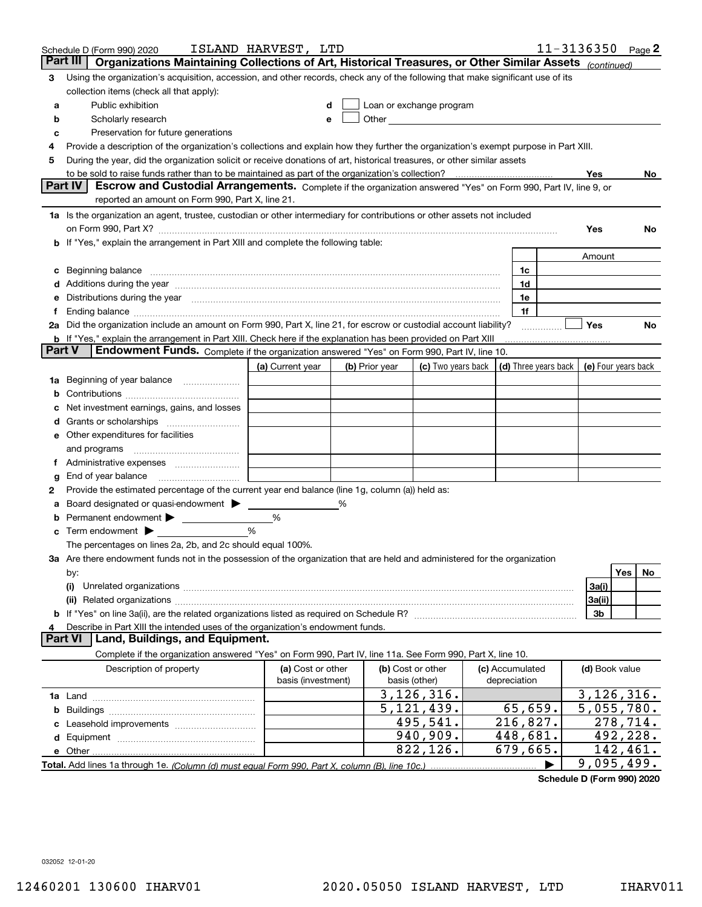| Organizations Maintaining Collections of Art, Historical Treasures, or Other Similar Assets (continued)<br>Part III<br>Using the organization's acquisition, accession, and other records, check any of the following that make significant use of its<br>3<br>collection items (check all that apply):<br>Public exhibition<br>Loan or exchange program<br>a<br>d<br>Other and the contract of the contract of the contract of the contract of the contract of the contract of the contract of the contract of the contract of the contract of the contract of the contract of the contract of the<br>Scholarly research<br>b<br>е<br>Preservation for future generations<br>с<br>Provide a description of the organization's collections and explain how they further the organization's exempt purpose in Part XIII.<br>4<br>During the year, did the organization solicit or receive donations of art, historical treasures, or other similar assets<br>5<br>Yes<br>No.<br><b>Part IV</b><br>Escrow and Custodial Arrangements. Complete if the organization answered "Yes" on Form 990, Part IV, line 9, or<br>reported an amount on Form 990, Part X, line 21.<br>1a Is the organization an agent, trustee, custodian or other intermediary for contributions or other assets not included<br>Yes<br><b>No</b><br>b If "Yes," explain the arrangement in Part XIII and complete the following table:<br>Amount<br>Beginning balance material content contracts and content and content and content and content and content and content and content and content and content and content and content and content and content and content and conte<br>1c<br>c<br>1d<br>Distributions during the year manufactured and continuum and continuum and continuum and continuum and continuum<br>1e<br>е<br>1f<br>Ending balance manufactured and contract the contract of the contract of the contract of the contract of the contract of the contract of the contract of the contract of the contract of the contract of the contract of the c<br>Ť.<br>2a Did the organization include an amount on Form 990, Part X, line 21, for escrow or custodial account liability?<br>Yes<br>No<br>b If "Yes," explain the arrangement in Part XIII. Check here if the explanation has been provided on Part XIII<br>Part V<br>Endowment Funds. Complete if the organization answered "Yes" on Form 990, Part IV, line 10.<br>(c) Two years back (d) Three years back<br>(a) Current year<br>(b) Prior year<br>(e) Four years back<br>1a Beginning of year balance<br>b<br>Net investment earnings, gains, and losses<br>d<br>e Other expenditures for facilities<br>and programs<br>Administrative expenses<br>Ť.<br>End of year balance<br>g<br>Provide the estimated percentage of the current year end balance (line 1g, column (a)) held as:<br>2<br>Board designated or quasi-endowment<br>%<br>а<br>Permanent endowment ><br>%<br>b<br>Term endowment $\blacktriangleright$<br>%<br>c<br>The percentages on lines 2a, 2b, and 2c should equal 100%.<br>3a Are there endowment funds not in the possession of the organization that are held and administered for the organization<br>Yes<br>No.<br>by:<br>(i)<br>3a(i)<br>3a(ii)<br>3b<br>Describe in Part XIII the intended uses of the organization's endowment funds.<br>4<br>Land, Buildings, and Equipment.<br><b>Part VI</b><br>Complete if the organization answered "Yes" on Form 990, Part IV, line 11a. See Form 990, Part X, line 10.<br>(b) Cost or other<br>Description of property<br>(a) Cost or other<br>(c) Accumulated<br>(d) Book value<br>basis (investment)<br>depreciation<br>basis (other)<br>3,126,316.<br>3, 126, 316.<br>$\overline{5}$ , 121, 439.<br>65,659.<br>$\overline{5}$ , 055, 780.<br>b<br>495,541.<br>216,827.<br>278,714.<br>c<br>492,228.<br>940,909.<br>448,681.<br>679,665.<br>822,126.<br>142,461.<br>9,095,499. | Schedule D (Form 990) 2020 | ISLAND HARVEST, LTD |  |  |  |  |  | 11-3136350 | Page 2 |  |  |  |
|-----------------------------------------------------------------------------------------------------------------------------------------------------------------------------------------------------------------------------------------------------------------------------------------------------------------------------------------------------------------------------------------------------------------------------------------------------------------------------------------------------------------------------------------------------------------------------------------------------------------------------------------------------------------------------------------------------------------------------------------------------------------------------------------------------------------------------------------------------------------------------------------------------------------------------------------------------------------------------------------------------------------------------------------------------------------------------------------------------------------------------------------------------------------------------------------------------------------------------------------------------------------------------------------------------------------------------------------------------------------------------------------------------------------------------------------------------------------------------------------------------------------------------------------------------------------------------------------------------------------------------------------------------------------------------------------------------------------------------------------------------------------------------------------------------------------------------------------------------------------------------------------------------------------------------------------------------------------------------------------------------------------------------------------------------------------------------------------------------------------------------------------------------------------------------------------------------------------------------------------------------------------------------------------------------------------------------------------------------------------------------------------------------------------------------------------------------------------------------------------------------------------------------------------------------------------------------------------------------------------------------------------------------------------------------------------------------------------------------------------------------------------------------------------------------------------------------------------------------------------------------------------------------------------------------------------------------------------------------------------------------------------------------------------------------------------------------------------------------------------------------------------------------------------------------------------------------------------------------------------------------------------------------------------------------------------------------------------------------------------------------------------------------------------------------------------------------------------------------------------------------------------------------------------------------------------------------------------------------------------------------------------------------------------------------------------------------------------------------------------------------------------------------------------------------------------------------------------------------------------------------------------------------------|----------------------------|---------------------|--|--|--|--|--|------------|--------|--|--|--|
|                                                                                                                                                                                                                                                                                                                                                                                                                                                                                                                                                                                                                                                                                                                                                                                                                                                                                                                                                                                                                                                                                                                                                                                                                                                                                                                                                                                                                                                                                                                                                                                                                                                                                                                                                                                                                                                                                                                                                                                                                                                                                                                                                                                                                                                                                                                                                                                                                                                                                                                                                                                                                                                                                                                                                                                                                                                                                                                                                                                                                                                                                                                                                                                                                                                                                                                                                                                                                                                                                                                                                                                                                                                                                                                                                                                                                                                                                                           |                            |                     |  |  |  |  |  |            |        |  |  |  |
|                                                                                                                                                                                                                                                                                                                                                                                                                                                                                                                                                                                                                                                                                                                                                                                                                                                                                                                                                                                                                                                                                                                                                                                                                                                                                                                                                                                                                                                                                                                                                                                                                                                                                                                                                                                                                                                                                                                                                                                                                                                                                                                                                                                                                                                                                                                                                                                                                                                                                                                                                                                                                                                                                                                                                                                                                                                                                                                                                                                                                                                                                                                                                                                                                                                                                                                                                                                                                                                                                                                                                                                                                                                                                                                                                                                                                                                                                                           |                            |                     |  |  |  |  |  |            |        |  |  |  |
|                                                                                                                                                                                                                                                                                                                                                                                                                                                                                                                                                                                                                                                                                                                                                                                                                                                                                                                                                                                                                                                                                                                                                                                                                                                                                                                                                                                                                                                                                                                                                                                                                                                                                                                                                                                                                                                                                                                                                                                                                                                                                                                                                                                                                                                                                                                                                                                                                                                                                                                                                                                                                                                                                                                                                                                                                                                                                                                                                                                                                                                                                                                                                                                                                                                                                                                                                                                                                                                                                                                                                                                                                                                                                                                                                                                                                                                                                                           |                            |                     |  |  |  |  |  |            |        |  |  |  |
|                                                                                                                                                                                                                                                                                                                                                                                                                                                                                                                                                                                                                                                                                                                                                                                                                                                                                                                                                                                                                                                                                                                                                                                                                                                                                                                                                                                                                                                                                                                                                                                                                                                                                                                                                                                                                                                                                                                                                                                                                                                                                                                                                                                                                                                                                                                                                                                                                                                                                                                                                                                                                                                                                                                                                                                                                                                                                                                                                                                                                                                                                                                                                                                                                                                                                                                                                                                                                                                                                                                                                                                                                                                                                                                                                                                                                                                                                                           |                            |                     |  |  |  |  |  |            |        |  |  |  |
|                                                                                                                                                                                                                                                                                                                                                                                                                                                                                                                                                                                                                                                                                                                                                                                                                                                                                                                                                                                                                                                                                                                                                                                                                                                                                                                                                                                                                                                                                                                                                                                                                                                                                                                                                                                                                                                                                                                                                                                                                                                                                                                                                                                                                                                                                                                                                                                                                                                                                                                                                                                                                                                                                                                                                                                                                                                                                                                                                                                                                                                                                                                                                                                                                                                                                                                                                                                                                                                                                                                                                                                                                                                                                                                                                                                                                                                                                                           |                            |                     |  |  |  |  |  |            |        |  |  |  |
|                                                                                                                                                                                                                                                                                                                                                                                                                                                                                                                                                                                                                                                                                                                                                                                                                                                                                                                                                                                                                                                                                                                                                                                                                                                                                                                                                                                                                                                                                                                                                                                                                                                                                                                                                                                                                                                                                                                                                                                                                                                                                                                                                                                                                                                                                                                                                                                                                                                                                                                                                                                                                                                                                                                                                                                                                                                                                                                                                                                                                                                                                                                                                                                                                                                                                                                                                                                                                                                                                                                                                                                                                                                                                                                                                                                                                                                                                                           |                            |                     |  |  |  |  |  |            |        |  |  |  |
|                                                                                                                                                                                                                                                                                                                                                                                                                                                                                                                                                                                                                                                                                                                                                                                                                                                                                                                                                                                                                                                                                                                                                                                                                                                                                                                                                                                                                                                                                                                                                                                                                                                                                                                                                                                                                                                                                                                                                                                                                                                                                                                                                                                                                                                                                                                                                                                                                                                                                                                                                                                                                                                                                                                                                                                                                                                                                                                                                                                                                                                                                                                                                                                                                                                                                                                                                                                                                                                                                                                                                                                                                                                                                                                                                                                                                                                                                                           |                            |                     |  |  |  |  |  |            |        |  |  |  |
|                                                                                                                                                                                                                                                                                                                                                                                                                                                                                                                                                                                                                                                                                                                                                                                                                                                                                                                                                                                                                                                                                                                                                                                                                                                                                                                                                                                                                                                                                                                                                                                                                                                                                                                                                                                                                                                                                                                                                                                                                                                                                                                                                                                                                                                                                                                                                                                                                                                                                                                                                                                                                                                                                                                                                                                                                                                                                                                                                                                                                                                                                                                                                                                                                                                                                                                                                                                                                                                                                                                                                                                                                                                                                                                                                                                                                                                                                                           |                            |                     |  |  |  |  |  |            |        |  |  |  |
|                                                                                                                                                                                                                                                                                                                                                                                                                                                                                                                                                                                                                                                                                                                                                                                                                                                                                                                                                                                                                                                                                                                                                                                                                                                                                                                                                                                                                                                                                                                                                                                                                                                                                                                                                                                                                                                                                                                                                                                                                                                                                                                                                                                                                                                                                                                                                                                                                                                                                                                                                                                                                                                                                                                                                                                                                                                                                                                                                                                                                                                                                                                                                                                                                                                                                                                                                                                                                                                                                                                                                                                                                                                                                                                                                                                                                                                                                                           |                            |                     |  |  |  |  |  |            |        |  |  |  |
|                                                                                                                                                                                                                                                                                                                                                                                                                                                                                                                                                                                                                                                                                                                                                                                                                                                                                                                                                                                                                                                                                                                                                                                                                                                                                                                                                                                                                                                                                                                                                                                                                                                                                                                                                                                                                                                                                                                                                                                                                                                                                                                                                                                                                                                                                                                                                                                                                                                                                                                                                                                                                                                                                                                                                                                                                                                                                                                                                                                                                                                                                                                                                                                                                                                                                                                                                                                                                                                                                                                                                                                                                                                                                                                                                                                                                                                                                                           |                            |                     |  |  |  |  |  |            |        |  |  |  |
|                                                                                                                                                                                                                                                                                                                                                                                                                                                                                                                                                                                                                                                                                                                                                                                                                                                                                                                                                                                                                                                                                                                                                                                                                                                                                                                                                                                                                                                                                                                                                                                                                                                                                                                                                                                                                                                                                                                                                                                                                                                                                                                                                                                                                                                                                                                                                                                                                                                                                                                                                                                                                                                                                                                                                                                                                                                                                                                                                                                                                                                                                                                                                                                                                                                                                                                                                                                                                                                                                                                                                                                                                                                                                                                                                                                                                                                                                                           |                            |                     |  |  |  |  |  |            |        |  |  |  |
|                                                                                                                                                                                                                                                                                                                                                                                                                                                                                                                                                                                                                                                                                                                                                                                                                                                                                                                                                                                                                                                                                                                                                                                                                                                                                                                                                                                                                                                                                                                                                                                                                                                                                                                                                                                                                                                                                                                                                                                                                                                                                                                                                                                                                                                                                                                                                                                                                                                                                                                                                                                                                                                                                                                                                                                                                                                                                                                                                                                                                                                                                                                                                                                                                                                                                                                                                                                                                                                                                                                                                                                                                                                                                                                                                                                                                                                                                                           |                            |                     |  |  |  |  |  |            |        |  |  |  |
|                                                                                                                                                                                                                                                                                                                                                                                                                                                                                                                                                                                                                                                                                                                                                                                                                                                                                                                                                                                                                                                                                                                                                                                                                                                                                                                                                                                                                                                                                                                                                                                                                                                                                                                                                                                                                                                                                                                                                                                                                                                                                                                                                                                                                                                                                                                                                                                                                                                                                                                                                                                                                                                                                                                                                                                                                                                                                                                                                                                                                                                                                                                                                                                                                                                                                                                                                                                                                                                                                                                                                                                                                                                                                                                                                                                                                                                                                                           |                            |                     |  |  |  |  |  |            |        |  |  |  |
|                                                                                                                                                                                                                                                                                                                                                                                                                                                                                                                                                                                                                                                                                                                                                                                                                                                                                                                                                                                                                                                                                                                                                                                                                                                                                                                                                                                                                                                                                                                                                                                                                                                                                                                                                                                                                                                                                                                                                                                                                                                                                                                                                                                                                                                                                                                                                                                                                                                                                                                                                                                                                                                                                                                                                                                                                                                                                                                                                                                                                                                                                                                                                                                                                                                                                                                                                                                                                                                                                                                                                                                                                                                                                                                                                                                                                                                                                                           |                            |                     |  |  |  |  |  |            |        |  |  |  |
|                                                                                                                                                                                                                                                                                                                                                                                                                                                                                                                                                                                                                                                                                                                                                                                                                                                                                                                                                                                                                                                                                                                                                                                                                                                                                                                                                                                                                                                                                                                                                                                                                                                                                                                                                                                                                                                                                                                                                                                                                                                                                                                                                                                                                                                                                                                                                                                                                                                                                                                                                                                                                                                                                                                                                                                                                                                                                                                                                                                                                                                                                                                                                                                                                                                                                                                                                                                                                                                                                                                                                                                                                                                                                                                                                                                                                                                                                                           |                            |                     |  |  |  |  |  |            |        |  |  |  |
|                                                                                                                                                                                                                                                                                                                                                                                                                                                                                                                                                                                                                                                                                                                                                                                                                                                                                                                                                                                                                                                                                                                                                                                                                                                                                                                                                                                                                                                                                                                                                                                                                                                                                                                                                                                                                                                                                                                                                                                                                                                                                                                                                                                                                                                                                                                                                                                                                                                                                                                                                                                                                                                                                                                                                                                                                                                                                                                                                                                                                                                                                                                                                                                                                                                                                                                                                                                                                                                                                                                                                                                                                                                                                                                                                                                                                                                                                                           |                            |                     |  |  |  |  |  |            |        |  |  |  |
|                                                                                                                                                                                                                                                                                                                                                                                                                                                                                                                                                                                                                                                                                                                                                                                                                                                                                                                                                                                                                                                                                                                                                                                                                                                                                                                                                                                                                                                                                                                                                                                                                                                                                                                                                                                                                                                                                                                                                                                                                                                                                                                                                                                                                                                                                                                                                                                                                                                                                                                                                                                                                                                                                                                                                                                                                                                                                                                                                                                                                                                                                                                                                                                                                                                                                                                                                                                                                                                                                                                                                                                                                                                                                                                                                                                                                                                                                                           |                            |                     |  |  |  |  |  |            |        |  |  |  |
|                                                                                                                                                                                                                                                                                                                                                                                                                                                                                                                                                                                                                                                                                                                                                                                                                                                                                                                                                                                                                                                                                                                                                                                                                                                                                                                                                                                                                                                                                                                                                                                                                                                                                                                                                                                                                                                                                                                                                                                                                                                                                                                                                                                                                                                                                                                                                                                                                                                                                                                                                                                                                                                                                                                                                                                                                                                                                                                                                                                                                                                                                                                                                                                                                                                                                                                                                                                                                                                                                                                                                                                                                                                                                                                                                                                                                                                                                                           |                            |                     |  |  |  |  |  |            |        |  |  |  |
|                                                                                                                                                                                                                                                                                                                                                                                                                                                                                                                                                                                                                                                                                                                                                                                                                                                                                                                                                                                                                                                                                                                                                                                                                                                                                                                                                                                                                                                                                                                                                                                                                                                                                                                                                                                                                                                                                                                                                                                                                                                                                                                                                                                                                                                                                                                                                                                                                                                                                                                                                                                                                                                                                                                                                                                                                                                                                                                                                                                                                                                                                                                                                                                                                                                                                                                                                                                                                                                                                                                                                                                                                                                                                                                                                                                                                                                                                                           |                            |                     |  |  |  |  |  |            |        |  |  |  |
|                                                                                                                                                                                                                                                                                                                                                                                                                                                                                                                                                                                                                                                                                                                                                                                                                                                                                                                                                                                                                                                                                                                                                                                                                                                                                                                                                                                                                                                                                                                                                                                                                                                                                                                                                                                                                                                                                                                                                                                                                                                                                                                                                                                                                                                                                                                                                                                                                                                                                                                                                                                                                                                                                                                                                                                                                                                                                                                                                                                                                                                                                                                                                                                                                                                                                                                                                                                                                                                                                                                                                                                                                                                                                                                                                                                                                                                                                                           |                            |                     |  |  |  |  |  |            |        |  |  |  |
|                                                                                                                                                                                                                                                                                                                                                                                                                                                                                                                                                                                                                                                                                                                                                                                                                                                                                                                                                                                                                                                                                                                                                                                                                                                                                                                                                                                                                                                                                                                                                                                                                                                                                                                                                                                                                                                                                                                                                                                                                                                                                                                                                                                                                                                                                                                                                                                                                                                                                                                                                                                                                                                                                                                                                                                                                                                                                                                                                                                                                                                                                                                                                                                                                                                                                                                                                                                                                                                                                                                                                                                                                                                                                                                                                                                                                                                                                                           |                            |                     |  |  |  |  |  |            |        |  |  |  |
|                                                                                                                                                                                                                                                                                                                                                                                                                                                                                                                                                                                                                                                                                                                                                                                                                                                                                                                                                                                                                                                                                                                                                                                                                                                                                                                                                                                                                                                                                                                                                                                                                                                                                                                                                                                                                                                                                                                                                                                                                                                                                                                                                                                                                                                                                                                                                                                                                                                                                                                                                                                                                                                                                                                                                                                                                                                                                                                                                                                                                                                                                                                                                                                                                                                                                                                                                                                                                                                                                                                                                                                                                                                                                                                                                                                                                                                                                                           |                            |                     |  |  |  |  |  |            |        |  |  |  |
|                                                                                                                                                                                                                                                                                                                                                                                                                                                                                                                                                                                                                                                                                                                                                                                                                                                                                                                                                                                                                                                                                                                                                                                                                                                                                                                                                                                                                                                                                                                                                                                                                                                                                                                                                                                                                                                                                                                                                                                                                                                                                                                                                                                                                                                                                                                                                                                                                                                                                                                                                                                                                                                                                                                                                                                                                                                                                                                                                                                                                                                                                                                                                                                                                                                                                                                                                                                                                                                                                                                                                                                                                                                                                                                                                                                                                                                                                                           |                            |                     |  |  |  |  |  |            |        |  |  |  |
|                                                                                                                                                                                                                                                                                                                                                                                                                                                                                                                                                                                                                                                                                                                                                                                                                                                                                                                                                                                                                                                                                                                                                                                                                                                                                                                                                                                                                                                                                                                                                                                                                                                                                                                                                                                                                                                                                                                                                                                                                                                                                                                                                                                                                                                                                                                                                                                                                                                                                                                                                                                                                                                                                                                                                                                                                                                                                                                                                                                                                                                                                                                                                                                                                                                                                                                                                                                                                                                                                                                                                                                                                                                                                                                                                                                                                                                                                                           |                            |                     |  |  |  |  |  |            |        |  |  |  |
|                                                                                                                                                                                                                                                                                                                                                                                                                                                                                                                                                                                                                                                                                                                                                                                                                                                                                                                                                                                                                                                                                                                                                                                                                                                                                                                                                                                                                                                                                                                                                                                                                                                                                                                                                                                                                                                                                                                                                                                                                                                                                                                                                                                                                                                                                                                                                                                                                                                                                                                                                                                                                                                                                                                                                                                                                                                                                                                                                                                                                                                                                                                                                                                                                                                                                                                                                                                                                                                                                                                                                                                                                                                                                                                                                                                                                                                                                                           |                            |                     |  |  |  |  |  |            |        |  |  |  |
|                                                                                                                                                                                                                                                                                                                                                                                                                                                                                                                                                                                                                                                                                                                                                                                                                                                                                                                                                                                                                                                                                                                                                                                                                                                                                                                                                                                                                                                                                                                                                                                                                                                                                                                                                                                                                                                                                                                                                                                                                                                                                                                                                                                                                                                                                                                                                                                                                                                                                                                                                                                                                                                                                                                                                                                                                                                                                                                                                                                                                                                                                                                                                                                                                                                                                                                                                                                                                                                                                                                                                                                                                                                                                                                                                                                                                                                                                                           |                            |                     |  |  |  |  |  |            |        |  |  |  |
|                                                                                                                                                                                                                                                                                                                                                                                                                                                                                                                                                                                                                                                                                                                                                                                                                                                                                                                                                                                                                                                                                                                                                                                                                                                                                                                                                                                                                                                                                                                                                                                                                                                                                                                                                                                                                                                                                                                                                                                                                                                                                                                                                                                                                                                                                                                                                                                                                                                                                                                                                                                                                                                                                                                                                                                                                                                                                                                                                                                                                                                                                                                                                                                                                                                                                                                                                                                                                                                                                                                                                                                                                                                                                                                                                                                                                                                                                                           |                            |                     |  |  |  |  |  |            |        |  |  |  |
|                                                                                                                                                                                                                                                                                                                                                                                                                                                                                                                                                                                                                                                                                                                                                                                                                                                                                                                                                                                                                                                                                                                                                                                                                                                                                                                                                                                                                                                                                                                                                                                                                                                                                                                                                                                                                                                                                                                                                                                                                                                                                                                                                                                                                                                                                                                                                                                                                                                                                                                                                                                                                                                                                                                                                                                                                                                                                                                                                                                                                                                                                                                                                                                                                                                                                                                                                                                                                                                                                                                                                                                                                                                                                                                                                                                                                                                                                                           |                            |                     |  |  |  |  |  |            |        |  |  |  |
|                                                                                                                                                                                                                                                                                                                                                                                                                                                                                                                                                                                                                                                                                                                                                                                                                                                                                                                                                                                                                                                                                                                                                                                                                                                                                                                                                                                                                                                                                                                                                                                                                                                                                                                                                                                                                                                                                                                                                                                                                                                                                                                                                                                                                                                                                                                                                                                                                                                                                                                                                                                                                                                                                                                                                                                                                                                                                                                                                                                                                                                                                                                                                                                                                                                                                                                                                                                                                                                                                                                                                                                                                                                                                                                                                                                                                                                                                                           |                            |                     |  |  |  |  |  |            |        |  |  |  |
|                                                                                                                                                                                                                                                                                                                                                                                                                                                                                                                                                                                                                                                                                                                                                                                                                                                                                                                                                                                                                                                                                                                                                                                                                                                                                                                                                                                                                                                                                                                                                                                                                                                                                                                                                                                                                                                                                                                                                                                                                                                                                                                                                                                                                                                                                                                                                                                                                                                                                                                                                                                                                                                                                                                                                                                                                                                                                                                                                                                                                                                                                                                                                                                                                                                                                                                                                                                                                                                                                                                                                                                                                                                                                                                                                                                                                                                                                                           |                            |                     |  |  |  |  |  |            |        |  |  |  |
|                                                                                                                                                                                                                                                                                                                                                                                                                                                                                                                                                                                                                                                                                                                                                                                                                                                                                                                                                                                                                                                                                                                                                                                                                                                                                                                                                                                                                                                                                                                                                                                                                                                                                                                                                                                                                                                                                                                                                                                                                                                                                                                                                                                                                                                                                                                                                                                                                                                                                                                                                                                                                                                                                                                                                                                                                                                                                                                                                                                                                                                                                                                                                                                                                                                                                                                                                                                                                                                                                                                                                                                                                                                                                                                                                                                                                                                                                                           |                            |                     |  |  |  |  |  |            |        |  |  |  |
|                                                                                                                                                                                                                                                                                                                                                                                                                                                                                                                                                                                                                                                                                                                                                                                                                                                                                                                                                                                                                                                                                                                                                                                                                                                                                                                                                                                                                                                                                                                                                                                                                                                                                                                                                                                                                                                                                                                                                                                                                                                                                                                                                                                                                                                                                                                                                                                                                                                                                                                                                                                                                                                                                                                                                                                                                                                                                                                                                                                                                                                                                                                                                                                                                                                                                                                                                                                                                                                                                                                                                                                                                                                                                                                                                                                                                                                                                                           |                            |                     |  |  |  |  |  |            |        |  |  |  |
|                                                                                                                                                                                                                                                                                                                                                                                                                                                                                                                                                                                                                                                                                                                                                                                                                                                                                                                                                                                                                                                                                                                                                                                                                                                                                                                                                                                                                                                                                                                                                                                                                                                                                                                                                                                                                                                                                                                                                                                                                                                                                                                                                                                                                                                                                                                                                                                                                                                                                                                                                                                                                                                                                                                                                                                                                                                                                                                                                                                                                                                                                                                                                                                                                                                                                                                                                                                                                                                                                                                                                                                                                                                                                                                                                                                                                                                                                                           |                            |                     |  |  |  |  |  |            |        |  |  |  |
|                                                                                                                                                                                                                                                                                                                                                                                                                                                                                                                                                                                                                                                                                                                                                                                                                                                                                                                                                                                                                                                                                                                                                                                                                                                                                                                                                                                                                                                                                                                                                                                                                                                                                                                                                                                                                                                                                                                                                                                                                                                                                                                                                                                                                                                                                                                                                                                                                                                                                                                                                                                                                                                                                                                                                                                                                                                                                                                                                                                                                                                                                                                                                                                                                                                                                                                                                                                                                                                                                                                                                                                                                                                                                                                                                                                                                                                                                                           |                            |                     |  |  |  |  |  |            |        |  |  |  |
|                                                                                                                                                                                                                                                                                                                                                                                                                                                                                                                                                                                                                                                                                                                                                                                                                                                                                                                                                                                                                                                                                                                                                                                                                                                                                                                                                                                                                                                                                                                                                                                                                                                                                                                                                                                                                                                                                                                                                                                                                                                                                                                                                                                                                                                                                                                                                                                                                                                                                                                                                                                                                                                                                                                                                                                                                                                                                                                                                                                                                                                                                                                                                                                                                                                                                                                                                                                                                                                                                                                                                                                                                                                                                                                                                                                                                                                                                                           |                            |                     |  |  |  |  |  |            |        |  |  |  |
|                                                                                                                                                                                                                                                                                                                                                                                                                                                                                                                                                                                                                                                                                                                                                                                                                                                                                                                                                                                                                                                                                                                                                                                                                                                                                                                                                                                                                                                                                                                                                                                                                                                                                                                                                                                                                                                                                                                                                                                                                                                                                                                                                                                                                                                                                                                                                                                                                                                                                                                                                                                                                                                                                                                                                                                                                                                                                                                                                                                                                                                                                                                                                                                                                                                                                                                                                                                                                                                                                                                                                                                                                                                                                                                                                                                                                                                                                                           |                            |                     |  |  |  |  |  |            |        |  |  |  |
|                                                                                                                                                                                                                                                                                                                                                                                                                                                                                                                                                                                                                                                                                                                                                                                                                                                                                                                                                                                                                                                                                                                                                                                                                                                                                                                                                                                                                                                                                                                                                                                                                                                                                                                                                                                                                                                                                                                                                                                                                                                                                                                                                                                                                                                                                                                                                                                                                                                                                                                                                                                                                                                                                                                                                                                                                                                                                                                                                                                                                                                                                                                                                                                                                                                                                                                                                                                                                                                                                                                                                                                                                                                                                                                                                                                                                                                                                                           |                            |                     |  |  |  |  |  |            |        |  |  |  |
|                                                                                                                                                                                                                                                                                                                                                                                                                                                                                                                                                                                                                                                                                                                                                                                                                                                                                                                                                                                                                                                                                                                                                                                                                                                                                                                                                                                                                                                                                                                                                                                                                                                                                                                                                                                                                                                                                                                                                                                                                                                                                                                                                                                                                                                                                                                                                                                                                                                                                                                                                                                                                                                                                                                                                                                                                                                                                                                                                                                                                                                                                                                                                                                                                                                                                                                                                                                                                                                                                                                                                                                                                                                                                                                                                                                                                                                                                                           |                            |                     |  |  |  |  |  |            |        |  |  |  |
|                                                                                                                                                                                                                                                                                                                                                                                                                                                                                                                                                                                                                                                                                                                                                                                                                                                                                                                                                                                                                                                                                                                                                                                                                                                                                                                                                                                                                                                                                                                                                                                                                                                                                                                                                                                                                                                                                                                                                                                                                                                                                                                                                                                                                                                                                                                                                                                                                                                                                                                                                                                                                                                                                                                                                                                                                                                                                                                                                                                                                                                                                                                                                                                                                                                                                                                                                                                                                                                                                                                                                                                                                                                                                                                                                                                                                                                                                                           |                            |                     |  |  |  |  |  |            |        |  |  |  |
|                                                                                                                                                                                                                                                                                                                                                                                                                                                                                                                                                                                                                                                                                                                                                                                                                                                                                                                                                                                                                                                                                                                                                                                                                                                                                                                                                                                                                                                                                                                                                                                                                                                                                                                                                                                                                                                                                                                                                                                                                                                                                                                                                                                                                                                                                                                                                                                                                                                                                                                                                                                                                                                                                                                                                                                                                                                                                                                                                                                                                                                                                                                                                                                                                                                                                                                                                                                                                                                                                                                                                                                                                                                                                                                                                                                                                                                                                                           |                            |                     |  |  |  |  |  |            |        |  |  |  |
|                                                                                                                                                                                                                                                                                                                                                                                                                                                                                                                                                                                                                                                                                                                                                                                                                                                                                                                                                                                                                                                                                                                                                                                                                                                                                                                                                                                                                                                                                                                                                                                                                                                                                                                                                                                                                                                                                                                                                                                                                                                                                                                                                                                                                                                                                                                                                                                                                                                                                                                                                                                                                                                                                                                                                                                                                                                                                                                                                                                                                                                                                                                                                                                                                                                                                                                                                                                                                                                                                                                                                                                                                                                                                                                                                                                                                                                                                                           |                            |                     |  |  |  |  |  |            |        |  |  |  |
|                                                                                                                                                                                                                                                                                                                                                                                                                                                                                                                                                                                                                                                                                                                                                                                                                                                                                                                                                                                                                                                                                                                                                                                                                                                                                                                                                                                                                                                                                                                                                                                                                                                                                                                                                                                                                                                                                                                                                                                                                                                                                                                                                                                                                                                                                                                                                                                                                                                                                                                                                                                                                                                                                                                                                                                                                                                                                                                                                                                                                                                                                                                                                                                                                                                                                                                                                                                                                                                                                                                                                                                                                                                                                                                                                                                                                                                                                                           |                            |                     |  |  |  |  |  |            |        |  |  |  |
|                                                                                                                                                                                                                                                                                                                                                                                                                                                                                                                                                                                                                                                                                                                                                                                                                                                                                                                                                                                                                                                                                                                                                                                                                                                                                                                                                                                                                                                                                                                                                                                                                                                                                                                                                                                                                                                                                                                                                                                                                                                                                                                                                                                                                                                                                                                                                                                                                                                                                                                                                                                                                                                                                                                                                                                                                                                                                                                                                                                                                                                                                                                                                                                                                                                                                                                                                                                                                                                                                                                                                                                                                                                                                                                                                                                                                                                                                                           |                            |                     |  |  |  |  |  |            |        |  |  |  |
|                                                                                                                                                                                                                                                                                                                                                                                                                                                                                                                                                                                                                                                                                                                                                                                                                                                                                                                                                                                                                                                                                                                                                                                                                                                                                                                                                                                                                                                                                                                                                                                                                                                                                                                                                                                                                                                                                                                                                                                                                                                                                                                                                                                                                                                                                                                                                                                                                                                                                                                                                                                                                                                                                                                                                                                                                                                                                                                                                                                                                                                                                                                                                                                                                                                                                                                                                                                                                                                                                                                                                                                                                                                                                                                                                                                                                                                                                                           |                            |                     |  |  |  |  |  |            |        |  |  |  |
|                                                                                                                                                                                                                                                                                                                                                                                                                                                                                                                                                                                                                                                                                                                                                                                                                                                                                                                                                                                                                                                                                                                                                                                                                                                                                                                                                                                                                                                                                                                                                                                                                                                                                                                                                                                                                                                                                                                                                                                                                                                                                                                                                                                                                                                                                                                                                                                                                                                                                                                                                                                                                                                                                                                                                                                                                                                                                                                                                                                                                                                                                                                                                                                                                                                                                                                                                                                                                                                                                                                                                                                                                                                                                                                                                                                                                                                                                                           |                            |                     |  |  |  |  |  |            |        |  |  |  |
|                                                                                                                                                                                                                                                                                                                                                                                                                                                                                                                                                                                                                                                                                                                                                                                                                                                                                                                                                                                                                                                                                                                                                                                                                                                                                                                                                                                                                                                                                                                                                                                                                                                                                                                                                                                                                                                                                                                                                                                                                                                                                                                                                                                                                                                                                                                                                                                                                                                                                                                                                                                                                                                                                                                                                                                                                                                                                                                                                                                                                                                                                                                                                                                                                                                                                                                                                                                                                                                                                                                                                                                                                                                                                                                                                                                                                                                                                                           |                            |                     |  |  |  |  |  |            |        |  |  |  |
|                                                                                                                                                                                                                                                                                                                                                                                                                                                                                                                                                                                                                                                                                                                                                                                                                                                                                                                                                                                                                                                                                                                                                                                                                                                                                                                                                                                                                                                                                                                                                                                                                                                                                                                                                                                                                                                                                                                                                                                                                                                                                                                                                                                                                                                                                                                                                                                                                                                                                                                                                                                                                                                                                                                                                                                                                                                                                                                                                                                                                                                                                                                                                                                                                                                                                                                                                                                                                                                                                                                                                                                                                                                                                                                                                                                                                                                                                                           |                            |                     |  |  |  |  |  |            |        |  |  |  |
|                                                                                                                                                                                                                                                                                                                                                                                                                                                                                                                                                                                                                                                                                                                                                                                                                                                                                                                                                                                                                                                                                                                                                                                                                                                                                                                                                                                                                                                                                                                                                                                                                                                                                                                                                                                                                                                                                                                                                                                                                                                                                                                                                                                                                                                                                                                                                                                                                                                                                                                                                                                                                                                                                                                                                                                                                                                                                                                                                                                                                                                                                                                                                                                                                                                                                                                                                                                                                                                                                                                                                                                                                                                                                                                                                                                                                                                                                                           |                            |                     |  |  |  |  |  |            |        |  |  |  |
|                                                                                                                                                                                                                                                                                                                                                                                                                                                                                                                                                                                                                                                                                                                                                                                                                                                                                                                                                                                                                                                                                                                                                                                                                                                                                                                                                                                                                                                                                                                                                                                                                                                                                                                                                                                                                                                                                                                                                                                                                                                                                                                                                                                                                                                                                                                                                                                                                                                                                                                                                                                                                                                                                                                                                                                                                                                                                                                                                                                                                                                                                                                                                                                                                                                                                                                                                                                                                                                                                                                                                                                                                                                                                                                                                                                                                                                                                                           |                            |                     |  |  |  |  |  |            |        |  |  |  |

**Schedule D (Form 990) 2020**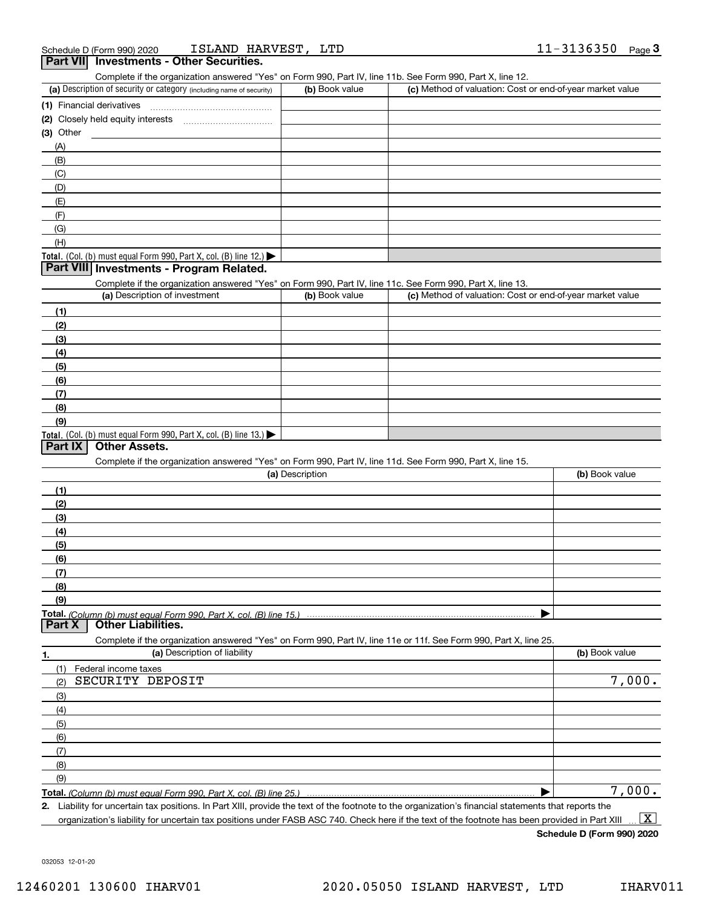| ISLAND HARVEST,<br>Schedule D (Form 990) 2020                                                                                                        | LTD             |                                                           | 11-3136350<br>Page $3$ |
|------------------------------------------------------------------------------------------------------------------------------------------------------|-----------------|-----------------------------------------------------------|------------------------|
| <b>Part VII</b> Investments - Other Securities.                                                                                                      |                 |                                                           |                        |
| Complete if the organization answered "Yes" on Form 990, Part IV, line 11b. See Form 990, Part X, line 12.                                           |                 |                                                           |                        |
| (a) Description of security or category (including name of security)                                                                                 | (b) Book value  | (c) Method of valuation: Cost or end-of-year market value |                        |
| (1) Financial derivatives                                                                                                                            |                 |                                                           |                        |
|                                                                                                                                                      |                 |                                                           |                        |
| $(3)$ Other                                                                                                                                          |                 |                                                           |                        |
| (A)                                                                                                                                                  |                 |                                                           |                        |
| (B)                                                                                                                                                  |                 |                                                           |                        |
| (C)                                                                                                                                                  |                 |                                                           |                        |
| (D)<br>(E)                                                                                                                                           |                 |                                                           |                        |
| (F)                                                                                                                                                  |                 |                                                           |                        |
| (G)                                                                                                                                                  |                 |                                                           |                        |
| (H)                                                                                                                                                  |                 |                                                           |                        |
| Total. (Col. (b) must equal Form $990$ , Part X, col. (B) line 12.)                                                                                  |                 |                                                           |                        |
| Part VIII Investments - Program Related.                                                                                                             |                 |                                                           |                        |
| Complete if the organization answered "Yes" on Form 990, Part IV, line 11c. See Form 990, Part X, line 13.                                           |                 |                                                           |                        |
| (a) Description of investment                                                                                                                        | (b) Book value  | (c) Method of valuation: Cost or end-of-year market value |                        |
| (1)                                                                                                                                                  |                 |                                                           |                        |
| (2)                                                                                                                                                  |                 |                                                           |                        |
| (3)                                                                                                                                                  |                 |                                                           |                        |
| (4)                                                                                                                                                  |                 |                                                           |                        |
| (5)                                                                                                                                                  |                 |                                                           |                        |
| (6)                                                                                                                                                  |                 |                                                           |                        |
| (7)                                                                                                                                                  |                 |                                                           |                        |
| (8)                                                                                                                                                  |                 |                                                           |                        |
| (9)                                                                                                                                                  |                 |                                                           |                        |
| Total. (Col. (b) must equal Form 990, Part X, col. (B) line 13.)                                                                                     |                 |                                                           |                        |
| <b>Part IX</b><br><b>Other Assets.</b>                                                                                                               |                 |                                                           |                        |
| Complete if the organization answered "Yes" on Form 990, Part IV, line 11d. See Form 990, Part X, line 15.                                           | (a) Description |                                                           | (b) Book value         |
|                                                                                                                                                      |                 |                                                           |                        |
| (1)                                                                                                                                                  |                 |                                                           |                        |
| (2)                                                                                                                                                  |                 |                                                           |                        |
| (3)                                                                                                                                                  |                 |                                                           |                        |
| (4)<br>(5)                                                                                                                                           |                 |                                                           |                        |
| (6)                                                                                                                                                  |                 |                                                           |                        |
| (7)                                                                                                                                                  |                 |                                                           |                        |
| (8)                                                                                                                                                  |                 |                                                           |                        |
| (9)                                                                                                                                                  |                 |                                                           |                        |
|                                                                                                                                                      |                 |                                                           |                        |
| <b>Other Liabilities.</b><br>  Part X                                                                                                                |                 |                                                           |                        |
| Complete if the organization answered "Yes" on Form 990, Part IV, line 11e or 11f. See Form 990, Part X, line 25.                                    |                 |                                                           |                        |
| (a) Description of liability<br>1.                                                                                                                   |                 |                                                           | (b) Book value         |
| (1)<br>Federal income taxes                                                                                                                          |                 |                                                           |                        |
| SECURITY DEPOSIT<br>(2)                                                                                                                              |                 |                                                           | 7,000.                 |
| (3)                                                                                                                                                  |                 |                                                           |                        |
| (4)                                                                                                                                                  |                 |                                                           |                        |
| (5)                                                                                                                                                  |                 |                                                           |                        |
| (6)                                                                                                                                                  |                 |                                                           |                        |
| (7)                                                                                                                                                  |                 |                                                           |                        |
| (8)                                                                                                                                                  |                 |                                                           |                        |
| (9)                                                                                                                                                  |                 |                                                           |                        |
| Total. (Column (b) must equal Form 990, Part X, col. (B) line 25.)                                                                                   |                 |                                                           | $\overline{7,000}$ .   |
| 2. Liability for uncertain tax positions. In Part XIII, provide the text of the footnote to the organization's financial statements that reports the |                 |                                                           |                        |

organization's liability for uncertain tax positions under FASB ASC 740. Check here if the text of the footnote has been provided in Part XIII  $\boxed{\text{X}}$ 

**Schedule D (Form 990) 2020**

032053 12-01-20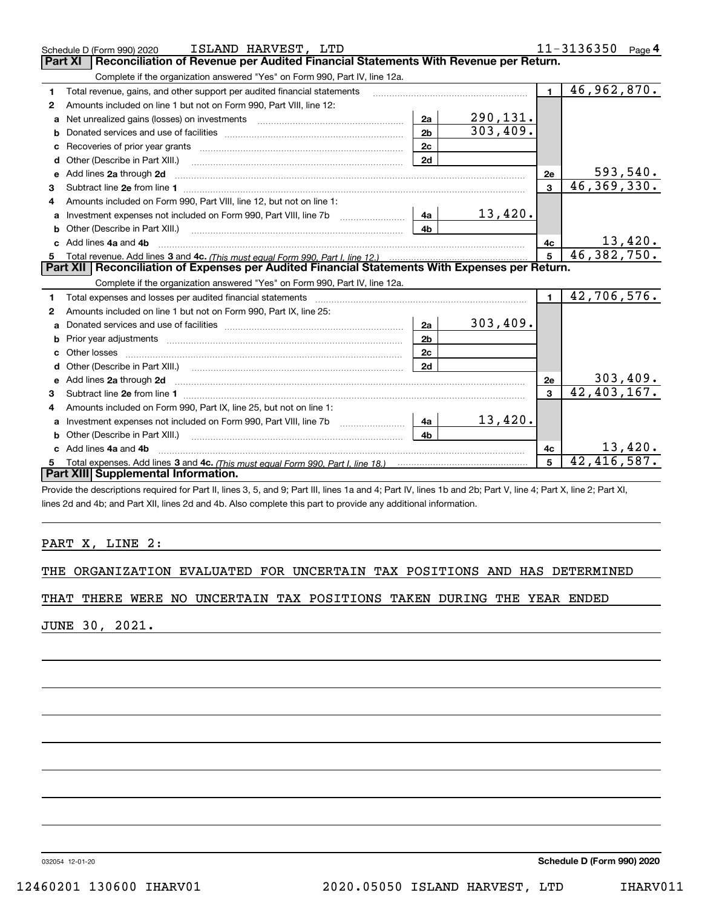|    | ISLAND HARVEST, LTD<br>Schedule D (Form 990) 2020                                                                                                                                                                                                                                                                                                                                                                                                            |                |                        |                 | 11-3136350<br>Page $4$ |  |  |  |  |
|----|--------------------------------------------------------------------------------------------------------------------------------------------------------------------------------------------------------------------------------------------------------------------------------------------------------------------------------------------------------------------------------------------------------------------------------------------------------------|----------------|------------------------|-----------------|------------------------|--|--|--|--|
|    | Reconciliation of Revenue per Audited Financial Statements With Revenue per Return.<br><b>Part XI</b>                                                                                                                                                                                                                                                                                                                                                        |                |                        |                 |                        |  |  |  |  |
|    | Complete if the organization answered "Yes" on Form 990, Part IV, line 12a.                                                                                                                                                                                                                                                                                                                                                                                  |                |                        |                 |                        |  |  |  |  |
| 1  | Total revenue, gains, and other support per audited financial statements                                                                                                                                                                                                                                                                                                                                                                                     |                |                        | $\blacksquare$  | 46,962,870.            |  |  |  |  |
| 2  | Amounts included on line 1 but not on Form 990, Part VIII, line 12:                                                                                                                                                                                                                                                                                                                                                                                          |                |                        |                 |                        |  |  |  |  |
| a  | Net unrealized gains (losses) on investments [11] matter contracts and the unrealized gains (losses) on investments                                                                                                                                                                                                                                                                                                                                          | 2a             | 290,131.               |                 |                        |  |  |  |  |
| b  |                                                                                                                                                                                                                                                                                                                                                                                                                                                              | 2 <sub>b</sub> | $\overline{303,409}$ . |                 |                        |  |  |  |  |
|    |                                                                                                                                                                                                                                                                                                                                                                                                                                                              | 2c             |                        |                 |                        |  |  |  |  |
| d  | Other (Describe in Part XIII.) <b>2006</b> 2007 2010 2010 2010 2010 2011 2012 2013 2014 2014 2015 2016 2017 2018 2019 2016 2017 2018 2019 2016 2017 2018 2019 2016 2017 2018 2019 2018 2019 2019 2016 2017 2018 2019 2018 2019 2019                                                                                                                                                                                                                          | 2d             |                        |                 |                        |  |  |  |  |
| е  | Add lines 2a through 2d                                                                                                                                                                                                                                                                                                                                                                                                                                      |                |                        | 2e              | 593,540.               |  |  |  |  |
| 3  |                                                                                                                                                                                                                                                                                                                                                                                                                                                              |                |                        | $\mathbf{3}$    | 46, 369, 330.          |  |  |  |  |
| 4  | Amounts included on Form 990, Part VIII, line 12, but not on line 1:                                                                                                                                                                                                                                                                                                                                                                                         |                |                        |                 |                        |  |  |  |  |
| a  | Investment expenses not included on Form 990, Part VIII, line 7b [1000000000000000000000000000000000                                                                                                                                                                                                                                                                                                                                                         | 4a             | 13,420.                |                 |                        |  |  |  |  |
|    |                                                                                                                                                                                                                                                                                                                                                                                                                                                              | 4 <sub>b</sub> |                        |                 |                        |  |  |  |  |
|    | c Add lines 4a and 4b                                                                                                                                                                                                                                                                                                                                                                                                                                        |                |                        | 4c              | 13,420.                |  |  |  |  |
|    |                                                                                                                                                                                                                                                                                                                                                                                                                                                              |                |                        |                 |                        |  |  |  |  |
| 5  |                                                                                                                                                                                                                                                                                                                                                                                                                                                              |                |                        | $5\phantom{.0}$ | 46,382,750.            |  |  |  |  |
|    | Part XII   Reconciliation of Expenses per Audited Financial Statements With Expenses per Return.                                                                                                                                                                                                                                                                                                                                                             |                |                        |                 |                        |  |  |  |  |
|    | Complete if the organization answered "Yes" on Form 990, Part IV, line 12a.                                                                                                                                                                                                                                                                                                                                                                                  |                |                        |                 |                        |  |  |  |  |
| 1  | Total expenses and losses per audited financial statements                                                                                                                                                                                                                                                                                                                                                                                                   |                |                        | $\blacksquare$  | 42,706,576.            |  |  |  |  |
| 2  | Amounts included on line 1 but not on Form 990, Part IX, line 25:                                                                                                                                                                                                                                                                                                                                                                                            |                |                        |                 |                        |  |  |  |  |
| a  |                                                                                                                                                                                                                                                                                                                                                                                                                                                              | 2a             | 303,409.               |                 |                        |  |  |  |  |
| b  |                                                                                                                                                                                                                                                                                                                                                                                                                                                              | 2 <sub>b</sub> |                        |                 |                        |  |  |  |  |
| c. | Other losses                                                                                                                                                                                                                                                                                                                                                                                                                                                 | 2c             |                        |                 |                        |  |  |  |  |
| d  | Other (Describe in Part XIII.) (2000) (2000) (2000) (2000) (2000) (2000) (2000) (2000) (2000) (2000) (2000) (2000) (2000) (2000) (2000) (2000) (2000) (2000) (2000) (2000) (2000) (2000) (2000) (2000) (2000) (2000) (2000) (2                                                                                                                                                                                                                               | 2d             |                        |                 |                        |  |  |  |  |
|    |                                                                                                                                                                                                                                                                                                                                                                                                                                                              |                |                        | 2e              | 303,409.               |  |  |  |  |
| 3  | e Add lines 2a through 2d <b>contract and all anomination</b> and all and all anomalism and all anomalism and all anomalism and all anomalism and all anomalism and all anomalism and all anomalism and all anomalism and all anoma                                                                                                                                                                                                                          |                |                        | $\mathbf{3}$    | $42,403,167$ .         |  |  |  |  |
| 4  | Amounts included on Form 990, Part IX, line 25, but not on line 1:                                                                                                                                                                                                                                                                                                                                                                                           |                |                        |                 |                        |  |  |  |  |
| a  |                                                                                                                                                                                                                                                                                                                                                                                                                                                              | 4a             | 13,420.                |                 |                        |  |  |  |  |
| b  | Other (Describe in Part XIII.)<br>$\overline{a_1, \ldots, a_n, \ldots, a_n, \ldots, a_n, \ldots, a_n, \ldots, a_n, \ldots, a_n, \ldots, a_n, \ldots, a_n, \ldots, a_n, \ldots, a_n, \ldots, a_n, \ldots, a_n, \ldots, a_n, \ldots, a_n, \ldots, a_n, \ldots, a_n, \ldots, a_n, \ldots, a_n, \ldots, a_n, \ldots, a_n, \ldots, a_n, \ldots, a_n, \ldots, a_n, \ldots, a_n, \ldots, a_n, \ldots, a_n, \ldots, a_n, \ldots, a_n, \ldots, a_n, \ldots, a_n, \ld$ | 4 <sub>b</sub> |                        |                 |                        |  |  |  |  |
|    | c Add lines 4a and 4b                                                                                                                                                                                                                                                                                                                                                                                                                                        |                |                        | 4c              | 13,420.                |  |  |  |  |
| 5  |                                                                                                                                                                                                                                                                                                                                                                                                                                                              |                |                        | 5               | 42,416,587.            |  |  |  |  |
|    | Part XIII Supplemental Information.                                                                                                                                                                                                                                                                                                                                                                                                                          |                |                        |                 |                        |  |  |  |  |

Provide the descriptions required for Part II, lines 3, 5, and 9; Part III, lines 1a and 4; Part IV, lines 1b and 2b; Part V, line 4; Part X, line 2; Part XI, lines 2d and 4b; and Part XII, lines 2d and 4b. Also complete this part to provide any additional information.

#### PART X, LINE 2:

|  | THE ORGANIZATION EVALUATED FOR UNCERTAIN TAX POSITIONS AND HAS DETERMINED |  |  |  |  |  |  |  |  |
|--|---------------------------------------------------------------------------|--|--|--|--|--|--|--|--|
|--|---------------------------------------------------------------------------|--|--|--|--|--|--|--|--|

#### THAT THERE WERE NO UNCERTAIN TAX POSITIONS TAKEN DURING THE YEAR ENDED

JUNE 30, 2021.

032054 12-01-20

**Schedule D (Form 990) 2020**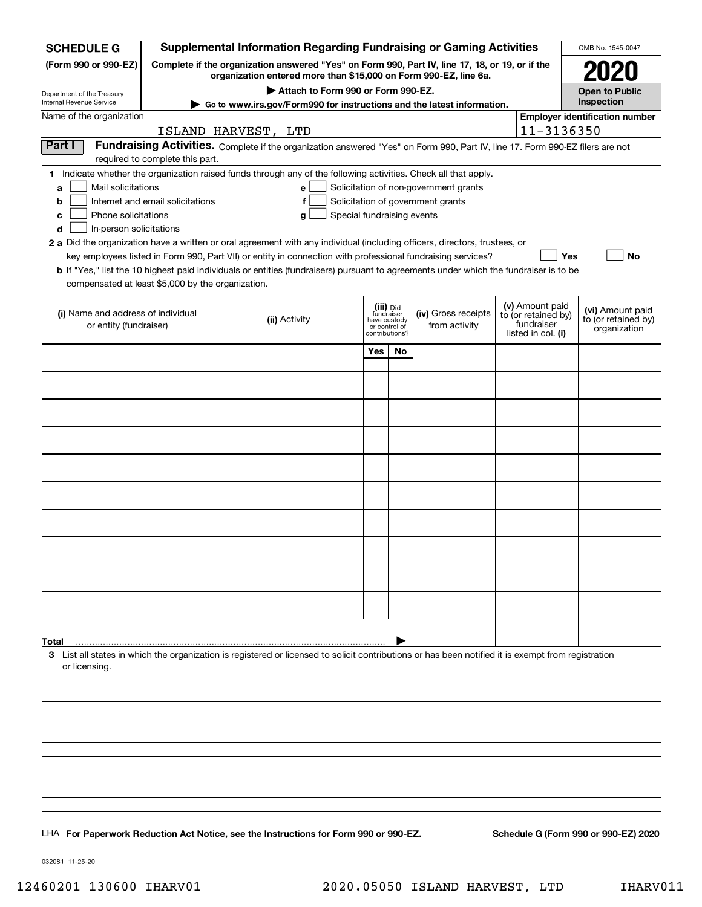| <b>SCHEDULE G</b>                                                                                                                                                                                                                                                                                                                                                                                                                                                                                                                       |                                                                                                                                                                     |                     |                                           |                                           |                               | <b>Supplemental Information Regarding Fundraising or Gaming Activities</b>                                                                                                                |  |                                                                            | OMB No. 1545-0047                                       |  |  |
|-----------------------------------------------------------------------------------------------------------------------------------------------------------------------------------------------------------------------------------------------------------------------------------------------------------------------------------------------------------------------------------------------------------------------------------------------------------------------------------------------------------------------------------------|---------------------------------------------------------------------------------------------------------------------------------------------------------------------|---------------------|-------------------------------------------|-------------------------------------------|-------------------------------|-------------------------------------------------------------------------------------------------------------------------------------------------------------------------------------------|--|----------------------------------------------------------------------------|---------------------------------------------------------|--|--|
| (Form 990 or 990-EZ)                                                                                                                                                                                                                                                                                                                                                                                                                                                                                                                    | Complete if the organization answered "Yes" on Form 990, Part IV, line 17, 18, or 19, or if the<br>organization entered more than \$15,000 on Form 990-EZ, line 6a. |                     |                                           |                                           |                               |                                                                                                                                                                                           |  |                                                                            |                                                         |  |  |
| Department of the Treasury                                                                                                                                                                                                                                                                                                                                                                                                                                                                                                              | Attach to Form 990 or Form 990-EZ.<br><b>Open to Public</b>                                                                                                         |                     |                                           |                                           |                               |                                                                                                                                                                                           |  |                                                                            |                                                         |  |  |
| Internal Revenue Service                                                                                                                                                                                                                                                                                                                                                                                                                                                                                                                |                                                                                                                                                                     |                     |                                           |                                           |                               | ► Go to www.irs.gov/Form990 for instructions and the latest information.                                                                                                                  |  |                                                                            | Inspection                                              |  |  |
| Name of the organization                                                                                                                                                                                                                                                                                                                                                                                                                                                                                                                |                                                                                                                                                                     | ISLAND HARVEST, LTD |                                           |                                           |                               |                                                                                                                                                                                           |  | 11-3136350                                                                 | <b>Employer identification number</b>                   |  |  |
| Part I                                                                                                                                                                                                                                                                                                                                                                                                                                                                                                                                  | required to complete this part.                                                                                                                                     |                     |                                           |                                           |                               | Fundraising Activities. Complete if the organization answered "Yes" on Form 990, Part IV, line 17. Form 990-EZ filers are not                                                             |  |                                                                            |                                                         |  |  |
| 1 Indicate whether the organization raised funds through any of the following activities. Check all that apply.<br>Mail solicitations<br>a<br>b<br>Phone solicitations<br>с<br>In-person solicitations<br>d<br>2 a Did the organization have a written or oral agreement with any individual (including officers, directors, trustees, or<br>b If "Yes," list the 10 highest paid individuals or entities (fundraisers) pursuant to agreements under which the fundraiser is to be<br>compensated at least \$5,000 by the organization. | Internet and email solicitations                                                                                                                                    |                     | e<br>f<br>Special fundraising events<br>g |                                           |                               | Solicitation of non-government grants<br>Solicitation of government grants<br>key employees listed in Form 990, Part VII) or entity in connection with professional fundraising services? |  | Yes                                                                        | <b>No</b>                                               |  |  |
| (i) Name and address of individual<br>or entity (fundraiser)                                                                                                                                                                                                                                                                                                                                                                                                                                                                            |                                                                                                                                                                     |                     | (ii) Activity                             | (iii) Did<br>fundraiser<br>contributions? | have custody<br>or control of | (iv) Gross receipts<br>from activity                                                                                                                                                      |  | (v) Amount paid<br>to (or retained by)<br>fundraiser<br>listed in col. (i) | (vi) Amount paid<br>to (or retained by)<br>organization |  |  |
|                                                                                                                                                                                                                                                                                                                                                                                                                                                                                                                                         |                                                                                                                                                                     |                     |                                           | Yes                                       | No                            |                                                                                                                                                                                           |  |                                                                            |                                                         |  |  |
|                                                                                                                                                                                                                                                                                                                                                                                                                                                                                                                                         |                                                                                                                                                                     |                     |                                           |                                           |                               |                                                                                                                                                                                           |  |                                                                            |                                                         |  |  |
|                                                                                                                                                                                                                                                                                                                                                                                                                                                                                                                                         |                                                                                                                                                                     |                     |                                           |                                           |                               |                                                                                                                                                                                           |  |                                                                            |                                                         |  |  |
|                                                                                                                                                                                                                                                                                                                                                                                                                                                                                                                                         |                                                                                                                                                                     |                     |                                           |                                           |                               |                                                                                                                                                                                           |  |                                                                            |                                                         |  |  |
|                                                                                                                                                                                                                                                                                                                                                                                                                                                                                                                                         |                                                                                                                                                                     |                     |                                           |                                           |                               |                                                                                                                                                                                           |  |                                                                            |                                                         |  |  |
|                                                                                                                                                                                                                                                                                                                                                                                                                                                                                                                                         |                                                                                                                                                                     |                     |                                           |                                           |                               |                                                                                                                                                                                           |  |                                                                            |                                                         |  |  |
|                                                                                                                                                                                                                                                                                                                                                                                                                                                                                                                                         |                                                                                                                                                                     |                     |                                           |                                           |                               |                                                                                                                                                                                           |  |                                                                            |                                                         |  |  |
|                                                                                                                                                                                                                                                                                                                                                                                                                                                                                                                                         |                                                                                                                                                                     |                     |                                           |                                           |                               |                                                                                                                                                                                           |  |                                                                            |                                                         |  |  |
|                                                                                                                                                                                                                                                                                                                                                                                                                                                                                                                                         |                                                                                                                                                                     |                     |                                           |                                           |                               |                                                                                                                                                                                           |  |                                                                            |                                                         |  |  |
|                                                                                                                                                                                                                                                                                                                                                                                                                                                                                                                                         |                                                                                                                                                                     |                     |                                           |                                           |                               |                                                                                                                                                                                           |  |                                                                            |                                                         |  |  |
|                                                                                                                                                                                                                                                                                                                                                                                                                                                                                                                                         |                                                                                                                                                                     |                     |                                           |                                           |                               |                                                                                                                                                                                           |  |                                                                            |                                                         |  |  |
| Total                                                                                                                                                                                                                                                                                                                                                                                                                                                                                                                                   |                                                                                                                                                                     |                     |                                           |                                           |                               |                                                                                                                                                                                           |  |                                                                            |                                                         |  |  |
| 3 List all states in which the organization is registered or licensed to solicit contributions or has been notified it is exempt from registration<br>or licensing.                                                                                                                                                                                                                                                                                                                                                                     |                                                                                                                                                                     |                     |                                           |                                           |                               |                                                                                                                                                                                           |  |                                                                            |                                                         |  |  |
|                                                                                                                                                                                                                                                                                                                                                                                                                                                                                                                                         |                                                                                                                                                                     |                     |                                           |                                           |                               |                                                                                                                                                                                           |  |                                                                            |                                                         |  |  |
|                                                                                                                                                                                                                                                                                                                                                                                                                                                                                                                                         |                                                                                                                                                                     |                     |                                           |                                           |                               |                                                                                                                                                                                           |  |                                                                            |                                                         |  |  |
|                                                                                                                                                                                                                                                                                                                                                                                                                                                                                                                                         |                                                                                                                                                                     |                     |                                           |                                           |                               |                                                                                                                                                                                           |  |                                                                            |                                                         |  |  |
|                                                                                                                                                                                                                                                                                                                                                                                                                                                                                                                                         |                                                                                                                                                                     |                     |                                           |                                           |                               |                                                                                                                                                                                           |  |                                                                            |                                                         |  |  |
|                                                                                                                                                                                                                                                                                                                                                                                                                                                                                                                                         |                                                                                                                                                                     |                     |                                           |                                           |                               |                                                                                                                                                                                           |  |                                                                            |                                                         |  |  |
|                                                                                                                                                                                                                                                                                                                                                                                                                                                                                                                                         |                                                                                                                                                                     |                     |                                           |                                           |                               |                                                                                                                                                                                           |  |                                                                            |                                                         |  |  |
|                                                                                                                                                                                                                                                                                                                                                                                                                                                                                                                                         |                                                                                                                                                                     |                     |                                           |                                           |                               |                                                                                                                                                                                           |  |                                                                            |                                                         |  |  |
| LHA For Paperwork Reduction Act Notice, see the Instructions for Form 990 or 990-EZ.                                                                                                                                                                                                                                                                                                                                                                                                                                                    |                                                                                                                                                                     |                     |                                           |                                           |                               |                                                                                                                                                                                           |  |                                                                            | Schedule G (Form 990 or 990-EZ) 2020                    |  |  |

032081 11-25-20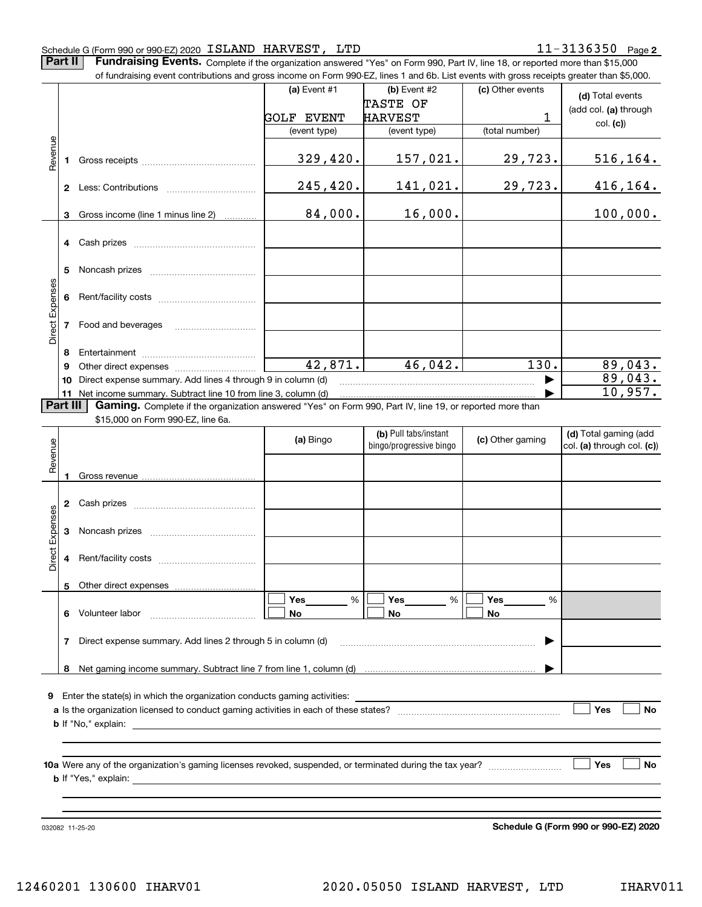#### Schedule G (Form 990 or 990-EZ) 2020 Page ISLAND HARVEST, LTD 11-3136350

**Part II** | Fundraising Events. Complete if the organization answered "Yes" on Form 990, Part IV, line 18, or reported more than \$15,000

|                 |          | of fundraising event contributions and gross income on Form 990-EZ, lines 1 and 6b. List events with gross receipts greater than \$5,000. |                   |                         |                    |                            |
|-----------------|----------|-------------------------------------------------------------------------------------------------------------------------------------------|-------------------|-------------------------|--------------------|----------------------------|
|                 |          |                                                                                                                                           | (a) Event #1      | (b) Event #2            | (c) Other events   | (d) Total events           |
|                 |          |                                                                                                                                           |                   | TASTE OF                |                    | (add col. (a) through      |
|                 |          |                                                                                                                                           | <b>GOLF EVENT</b> | <b>HARVEST</b>          | 1                  | col. (c)                   |
|                 |          |                                                                                                                                           | (event type)      | (event type)            | (total number)     |                            |
|                 |          |                                                                                                                                           |                   |                         |                    |                            |
| Revenue         | 1.       |                                                                                                                                           | 329,420.          | <u>157,021.</u>         | 29,723.            | 516,164.                   |
|                 |          |                                                                                                                                           | 245,420.          | 141,021.                | 29,723.            |                            |
|                 |          |                                                                                                                                           |                   |                         |                    | <u>416,164.</u>            |
|                 | 3        | Gross income (line 1 minus line 2)                                                                                                        | 84,000.           | 16,000.                 |                    | 100,000.                   |
|                 |          |                                                                                                                                           |                   |                         |                    |                            |
|                 | 5        |                                                                                                                                           |                   |                         |                    |                            |
|                 |          |                                                                                                                                           |                   |                         |                    |                            |
| Direct Expenses |          | 7 Food and beverages                                                                                                                      |                   |                         |                    |                            |
|                 | 8        |                                                                                                                                           |                   |                         |                    |                            |
|                 | 9        |                                                                                                                                           | 42,871.           | 46,042.                 | $\overline{130}$ . | 89,043.                    |
|                 | 10       | Direct expense summary. Add lines 4 through 9 in column (d)                                                                               |                   |                         |                    | 89,043.                    |
|                 |          | 11 Net income summary. Subtract line 10 from line 3, column (d)                                                                           |                   |                         |                    | 10,957.                    |
|                 | Part III | Gaming. Complete if the organization answered "Yes" on Form 990, Part IV, line 19, or reported more than                                  |                   |                         |                    |                            |
|                 |          | \$15,000 on Form 990-EZ, line 6a.                                                                                                         |                   |                         |                    |                            |
|                 |          |                                                                                                                                           | (a) Bingo         | (b) Pull tabs/instant   | (c) Other gaming   | (d) Total gaming (add      |
| Revenue         |          |                                                                                                                                           |                   | bingo/progressive bingo |                    | col. (a) through col. (c)) |
|                 |          |                                                                                                                                           |                   |                         |                    |                            |
|                 |          |                                                                                                                                           |                   |                         |                    |                            |
|                 |          |                                                                                                                                           |                   |                         |                    |                            |
|                 |          |                                                                                                                                           |                   |                         |                    |                            |
|                 |          |                                                                                                                                           |                   |                         |                    |                            |
| Expenses        | 3        |                                                                                                                                           |                   |                         |                    |                            |
|                 |          |                                                                                                                                           |                   |                         |                    |                            |
| <b>Direct</b>   |          |                                                                                                                                           |                   |                         |                    |                            |
|                 |          | 5 Other direct expenses                                                                                                                   |                   |                         |                    |                            |
|                 |          |                                                                                                                                           | %<br>Yes          | %<br>Yes                | Yes<br>%           |                            |
|                 |          | 6 Volunteer labor                                                                                                                         | No                | No                      | No                 |                            |
|                 |          |                                                                                                                                           |                   |                         |                    |                            |
|                 | 7        | Direct expense summary. Add lines 2 through 5 in column (d)                                                                               |                   |                         |                    |                            |
|                 |          |                                                                                                                                           |                   |                         |                    |                            |
|                 |          |                                                                                                                                           |                   |                         |                    |                            |
|                 |          |                                                                                                                                           |                   |                         |                    |                            |
|                 |          | <b>9</b> Enter the state(s) in which the organization conducts gaming activities:                                                         |                   |                         |                    |                            |
|                 |          |                                                                                                                                           |                   |                         |                    | Yes<br>No                  |
|                 |          |                                                                                                                                           |                   |                         |                    |                            |
|                 |          |                                                                                                                                           |                   |                         |                    |                            |
|                 |          |                                                                                                                                           |                   |                         |                    | Yes<br>No                  |
|                 |          |                                                                                                                                           |                   |                         |                    |                            |
|                 |          |                                                                                                                                           |                   |                         |                    |                            |
|                 |          |                                                                                                                                           |                   |                         |                    |                            |
|                 |          |                                                                                                                                           |                   |                         |                    |                            |

032082 11-25-20

**Schedule G (Form 990 or 990-EZ) 2020**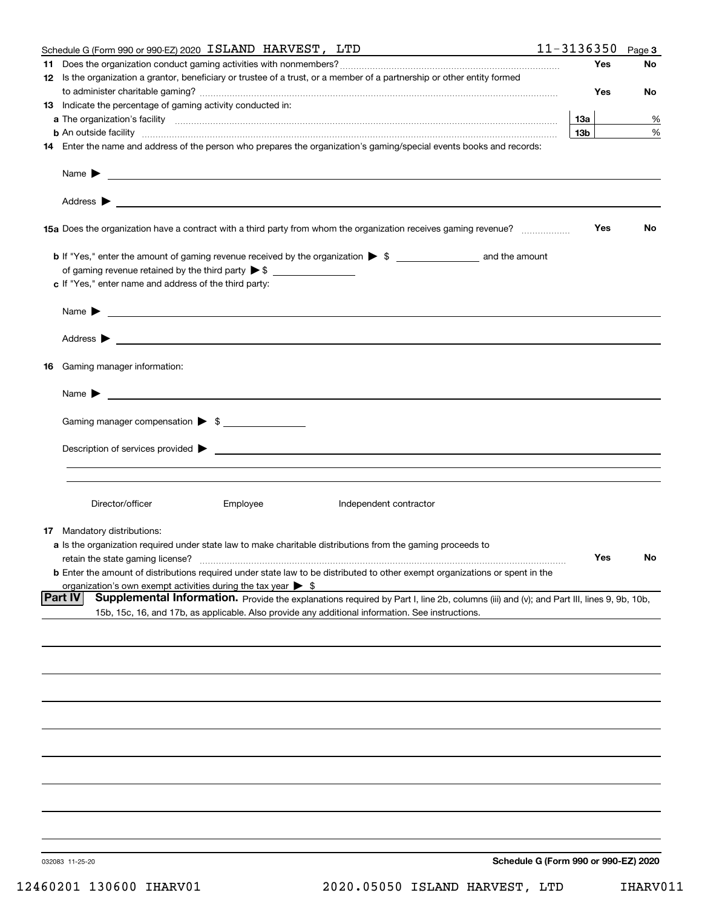| 11-3136350<br>Schedule G (Form 990 or 990-EZ) 2020 ISLAND HARVEST, LTD                                                                                                                                                                                 |                                      |     | Page 3    |
|--------------------------------------------------------------------------------------------------------------------------------------------------------------------------------------------------------------------------------------------------------|--------------------------------------|-----|-----------|
|                                                                                                                                                                                                                                                        |                                      | Yes | No        |
| 12 Is the organization a grantor, beneficiary or trustee of a trust, or a member of a partnership or other entity formed                                                                                                                               |                                      |     |           |
|                                                                                                                                                                                                                                                        |                                      | Yes | No        |
| 13 Indicate the percentage of gaming activity conducted in:                                                                                                                                                                                            |                                      |     |           |
|                                                                                                                                                                                                                                                        | 13а                                  |     | %         |
|                                                                                                                                                                                                                                                        | 13 <sub>b</sub>                      |     | $\%$      |
| 14 Enter the name and address of the person who prepares the organization's gaming/special events books and records:                                                                                                                                   |                                      |     |           |
|                                                                                                                                                                                                                                                        |                                      |     |           |
| Address $\blacktriangleright$<br><u> 1989 - Johann Stein, fransk politiker (d. 1989)</u>                                                                                                                                                               |                                      |     |           |
| 15a Does the organization have a contract with a third party from whom the organization receives gaming revenue?                                                                                                                                       |                                      | Yes | <b>No</b> |
|                                                                                                                                                                                                                                                        |                                      |     |           |
| of gaming revenue retained by the third party $\triangleright$ \$                                                                                                                                                                                      |                                      |     |           |
| c If "Yes," enter name and address of the third party:                                                                                                                                                                                                 |                                      |     |           |
|                                                                                                                                                                                                                                                        |                                      |     |           |
| Name $\blacktriangleright$<br><u> 1989 - Andrea Andrew Maria (h. 1989).</u>                                                                                                                                                                            |                                      |     |           |
| Address $\blacktriangleright$<br><u> 1989 - Andrea Station Barbara, amerikan personal (h. 1989)</u>                                                                                                                                                    |                                      |     |           |
| 16 Gaming manager information:                                                                                                                                                                                                                         |                                      |     |           |
| Name $\blacktriangleright$<br><u> 1989 - Andrea Andrew Maria (h. 1989).</u>                                                                                                                                                                            |                                      |     |           |
| Gaming manager compensation > \$                                                                                                                                                                                                                       |                                      |     |           |
|                                                                                                                                                                                                                                                        |                                      |     |           |
| Description of services provided >                                                                                                                                                                                                                     |                                      |     |           |
|                                                                                                                                                                                                                                                        |                                      |     |           |
|                                                                                                                                                                                                                                                        |                                      |     |           |
| Director/officer<br>Employee<br>Independent contractor                                                                                                                                                                                                 |                                      |     |           |
| 17 Mandatory distributions:                                                                                                                                                                                                                            |                                      |     |           |
| a Is the organization required under state law to make charitable distributions from the gaming proceeds to                                                                                                                                            |                                      |     |           |
| retain the state gaming license?                                                                                                                                                                                                                       |                                      | Yes | No        |
| <b>b</b> Enter the amount of distributions required under state law to be distributed to other exempt organizations or spent in the                                                                                                                    |                                      |     |           |
| organization's own exempt activities during the tax year $\triangleright$ \$                                                                                                                                                                           |                                      |     |           |
| Supplemental Information. Provide the explanations required by Part I, line 2b, columns (iii) and (v); and Part III, lines 9, 9b, 10b,<br> Part IV<br>15b, 15c, 16, and 17b, as applicable. Also provide any additional information. See instructions. |                                      |     |           |
|                                                                                                                                                                                                                                                        |                                      |     |           |
|                                                                                                                                                                                                                                                        |                                      |     |           |
|                                                                                                                                                                                                                                                        |                                      |     |           |
|                                                                                                                                                                                                                                                        |                                      |     |           |
|                                                                                                                                                                                                                                                        |                                      |     |           |
|                                                                                                                                                                                                                                                        |                                      |     |           |
|                                                                                                                                                                                                                                                        |                                      |     |           |
|                                                                                                                                                                                                                                                        |                                      |     |           |
|                                                                                                                                                                                                                                                        |                                      |     |           |
|                                                                                                                                                                                                                                                        |                                      |     |           |
|                                                                                                                                                                                                                                                        |                                      |     |           |
|                                                                                                                                                                                                                                                        |                                      |     |           |
|                                                                                                                                                                                                                                                        |                                      |     |           |
| 032083 11-25-20                                                                                                                                                                                                                                        | Schedule G (Form 990 or 990-EZ) 2020 |     |           |
|                                                                                                                                                                                                                                                        |                                      |     |           |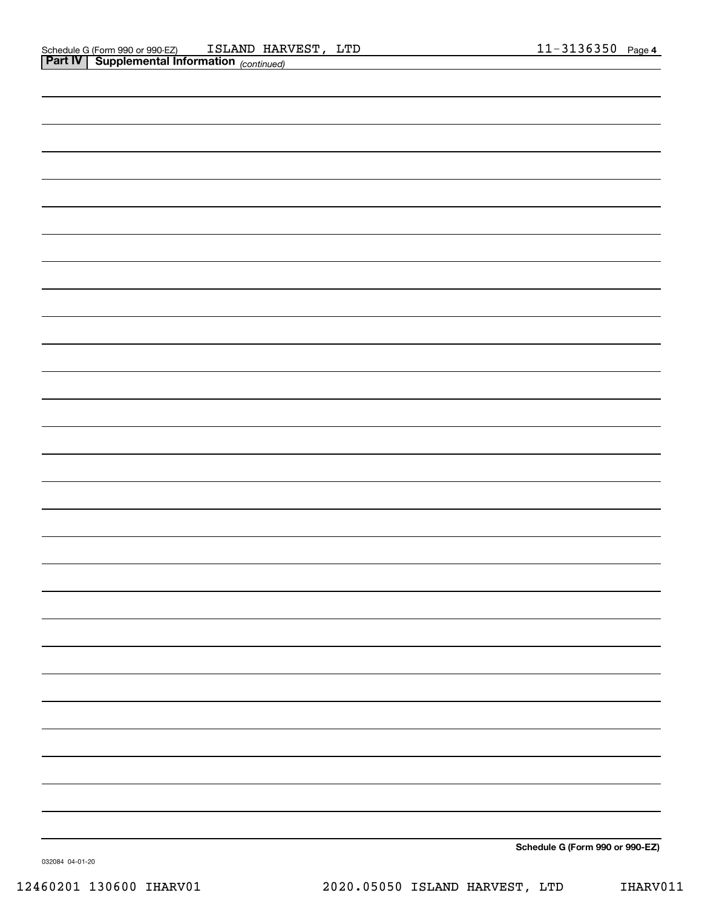**Schedule G (Form 990 or 990-EZ)**

032084 04-01-20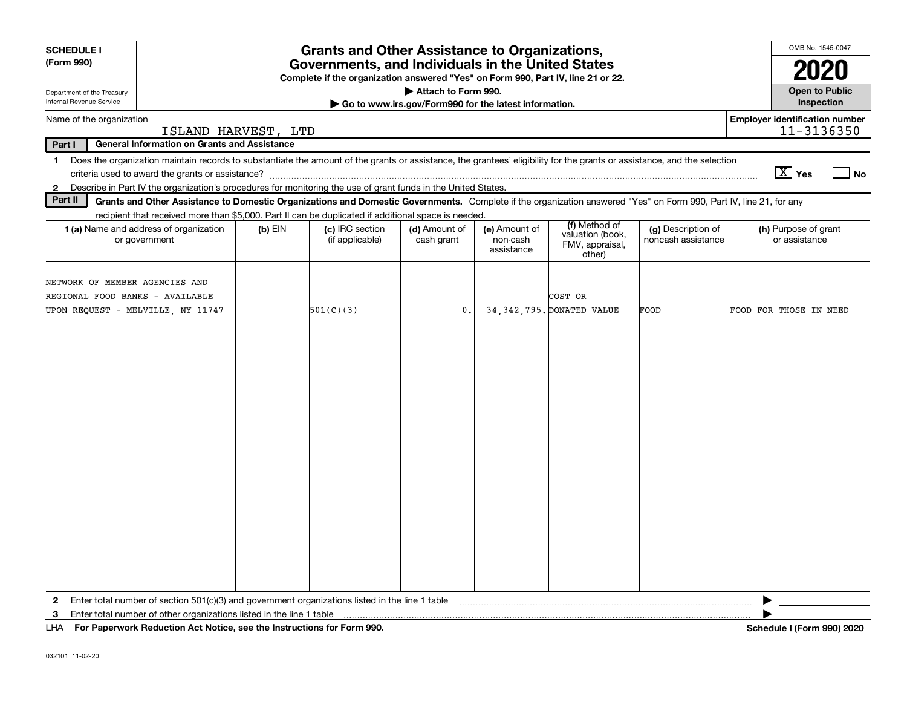| <b>SCHEDULE I</b><br>(Form 990)                        |                                                                                                                                                                                                                                                                           |           | <b>Grants and Other Assistance to Organizations,</b><br>Governments, and Individuals in the United States<br>Complete if the organization answered "Yes" on Form 990, Part IV, line 21 or 22. |                                                                              |                                         |                                                                |                                          | OMB No. 1545-0047<br>2020                                                                                                                                                                                                                                                                                                                                                            |
|--------------------------------------------------------|---------------------------------------------------------------------------------------------------------------------------------------------------------------------------------------------------------------------------------------------------------------------------|-----------|-----------------------------------------------------------------------------------------------------------------------------------------------------------------------------------------------|------------------------------------------------------------------------------|-----------------------------------------|----------------------------------------------------------------|------------------------------------------|--------------------------------------------------------------------------------------------------------------------------------------------------------------------------------------------------------------------------------------------------------------------------------------------------------------------------------------------------------------------------------------|
| Department of the Treasury<br>Internal Revenue Service |                                                                                                                                                                                                                                                                           |           |                                                                                                                                                                                               | Attach to Form 990.<br>Go to www.irs.gov/Form990 for the latest information. |                                         |                                                                |                                          | <b>Open to Public</b><br>Inspection                                                                                                                                                                                                                                                                                                                                                  |
| Name of the organization                               | ISLAND HARVEST, LTD                                                                                                                                                                                                                                                       |           |                                                                                                                                                                                               |                                                                              |                                         |                                                                |                                          | <b>Employer identification number</b><br>11-3136350                                                                                                                                                                                                                                                                                                                                  |
| Part I                                                 | <b>General Information on Grants and Assistance</b>                                                                                                                                                                                                                       |           |                                                                                                                                                                                               |                                                                              |                                         |                                                                |                                          |                                                                                                                                                                                                                                                                                                                                                                                      |
| $\mathbf 1$                                            | Does the organization maintain records to substantiate the amount of the grants or assistance, the grantees' eligibility for the grants or assistance, and the selection                                                                                                  |           |                                                                                                                                                                                               |                                                                              |                                         |                                                                |                                          | $\boxed{\text{X}}$ Yes<br>  No                                                                                                                                                                                                                                                                                                                                                       |
| $\mathbf{2}$<br>Part II                                | Describe in Part IV the organization's procedures for monitoring the use of grant funds in the United States.                                                                                                                                                             |           |                                                                                                                                                                                               |                                                                              |                                         |                                                                |                                          |                                                                                                                                                                                                                                                                                                                                                                                      |
|                                                        | Grants and Other Assistance to Domestic Organizations and Domestic Governments. Complete if the organization answered "Yes" on Form 990, Part IV, line 21, for any<br>recipient that received more than \$5,000. Part II can be duplicated if additional space is needed. |           |                                                                                                                                                                                               |                                                                              |                                         |                                                                |                                          |                                                                                                                                                                                                                                                                                                                                                                                      |
|                                                        | <b>1 (a)</b> Name and address of organization<br>or government                                                                                                                                                                                                            | $(b)$ EIN | (c) IRC section<br>(if applicable)                                                                                                                                                            | (d) Amount of<br>cash grant                                                  | (e) Amount of<br>non-cash<br>assistance | (f) Method of<br>valuation (book,<br>FMV, appraisal,<br>other) | (g) Description of<br>noncash assistance | (h) Purpose of grant<br>or assistance                                                                                                                                                                                                                                                                                                                                                |
|                                                        | NETWORK OF MEMBER AGENCIES AND<br>REGIONAL FOOD BANKS - AVAILABLE                                                                                                                                                                                                         |           |                                                                                                                                                                                               |                                                                              |                                         | COST OR                                                        |                                          |                                                                                                                                                                                                                                                                                                                                                                                      |
|                                                        | UPON REQUEST - MELVILLE, NY 11747                                                                                                                                                                                                                                         |           | 501(C)(3)                                                                                                                                                                                     | $\mathbf{0}$ .                                                               |                                         | 34, 342, 795. DONATED VALUE                                    | FOOD                                     | FOOD FOR THOSE IN NEED                                                                                                                                                                                                                                                                                                                                                               |
|                                                        |                                                                                                                                                                                                                                                                           |           |                                                                                                                                                                                               |                                                                              |                                         |                                                                |                                          |                                                                                                                                                                                                                                                                                                                                                                                      |
|                                                        |                                                                                                                                                                                                                                                                           |           |                                                                                                                                                                                               |                                                                              |                                         |                                                                |                                          |                                                                                                                                                                                                                                                                                                                                                                                      |
|                                                        |                                                                                                                                                                                                                                                                           |           |                                                                                                                                                                                               |                                                                              |                                         |                                                                |                                          |                                                                                                                                                                                                                                                                                                                                                                                      |
|                                                        |                                                                                                                                                                                                                                                                           |           |                                                                                                                                                                                               |                                                                              |                                         |                                                                |                                          |                                                                                                                                                                                                                                                                                                                                                                                      |
| 3                                                      | Enter total number of section 501(c)(3) and government organizations listed in the line 1 table                                                                                                                                                                           |           |                                                                                                                                                                                               |                                                                              |                                         |                                                                |                                          | $\overline{1}$ $\overline{1}$ $\overline{1}$ $\overline{1}$ $\overline{1}$ $\overline{1}$ $\overline{1}$ $\overline{1}$ $\overline{1}$ $\overline{1}$ $\overline{1}$ $\overline{1}$ $\overline{1}$ $\overline{1}$ $\overline{1}$ $\overline{1}$ $\overline{1}$ $\overline{1}$ $\overline{1}$ $\overline{1}$ $\overline{1}$ $\overline{1}$ $\overline{1}$ $\overline{1}$ $\overline{$ |

**For Paperwork Reduction Act Notice, see the Instructions for Form 990. Schedule I (Form 990) 2020** LHA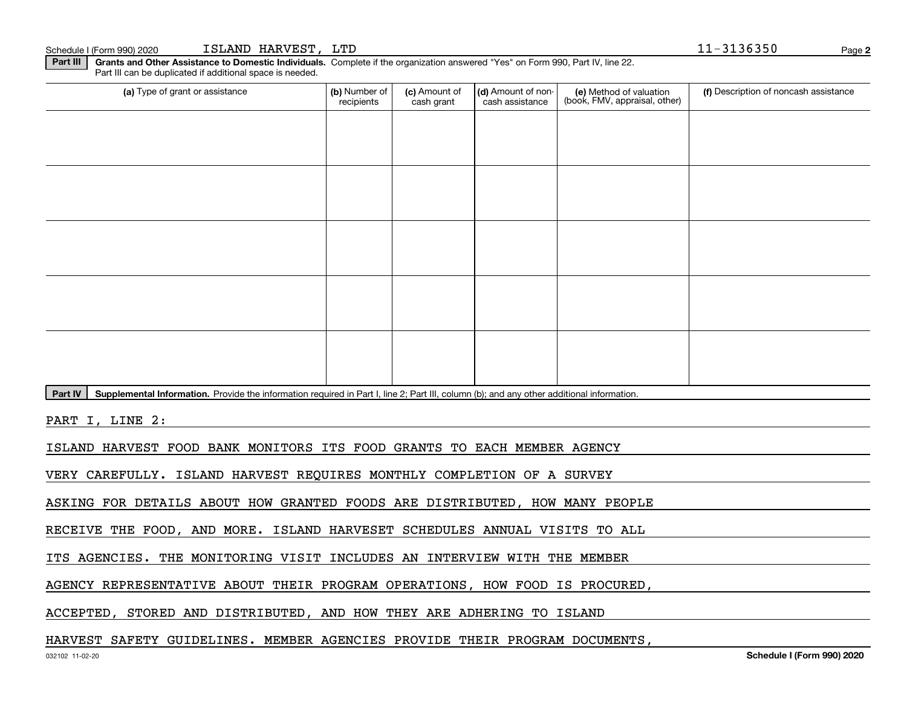**2**Schedule I (Form 990) 2020 ISLAND HARVEST,LTD 11-3136350 Page

**Part III | Grants and Other Assistance to Domestic Individuals. Complete if the organization answered "Yes" on Form 990, Part IV, line 22.** Part III can be duplicated if additional space is needed.

| (a) Type of grant or assistance                                                                                                                      | (b) Number of<br>recipients | (c) Amount of<br>cash grant | (d) Amount of non-<br>cash assistance | (e) Method of valuation<br>(book, FMV, appraisal, other) | (f) Description of noncash assistance |
|------------------------------------------------------------------------------------------------------------------------------------------------------|-----------------------------|-----------------------------|---------------------------------------|----------------------------------------------------------|---------------------------------------|
|                                                                                                                                                      |                             |                             |                                       |                                                          |                                       |
|                                                                                                                                                      |                             |                             |                                       |                                                          |                                       |
|                                                                                                                                                      |                             |                             |                                       |                                                          |                                       |
|                                                                                                                                                      |                             |                             |                                       |                                                          |                                       |
|                                                                                                                                                      |                             |                             |                                       |                                                          |                                       |
|                                                                                                                                                      |                             |                             |                                       |                                                          |                                       |
|                                                                                                                                                      |                             |                             |                                       |                                                          |                                       |
|                                                                                                                                                      |                             |                             |                                       |                                                          |                                       |
|                                                                                                                                                      |                             |                             |                                       |                                                          |                                       |
|                                                                                                                                                      |                             |                             |                                       |                                                          |                                       |
| Part IV<br>Supplemental Information. Provide the information required in Part I, line 2; Part III, column (b); and any other additional information. |                             |                             |                                       |                                                          |                                       |

PART I, LINE 2:

ISLAND HARVEST FOOD BANK MONITORS ITS FOOD GRANTS TO EACH MEMBER AGENCY

VERY CAREFULLY. ISLAND HARVEST REQUIRES MONTHLY COMPLETION OF A SURVEY

ASKING FOR DETAILS ABOUT HOW GRANTED FOODS ARE DISTRIBUTED, HOW MANY PEOPLE

RECEIVE THE FOOD, AND MORE. ISLAND HARVESET SCHEDULES ANNUAL VISITS TO ALL

ITS AGENCIES. THE MONITORING VISIT INCLUDES AN INTERVIEW WITH THE MEMBER

AGENCY REPRESENTATIVE ABOUT THEIR PROGRAM OPERATIONS, HOW FOOD IS PROCURED,

ACCEPTED, STORED AND DISTRIBUTED, AND HOW THEY ARE ADHERING TO ISLAND

## HARVEST SAFETY GUIDELINES. MEMBER AGENCIES PROVIDE THEIR PROGRAM DOCUMENTS,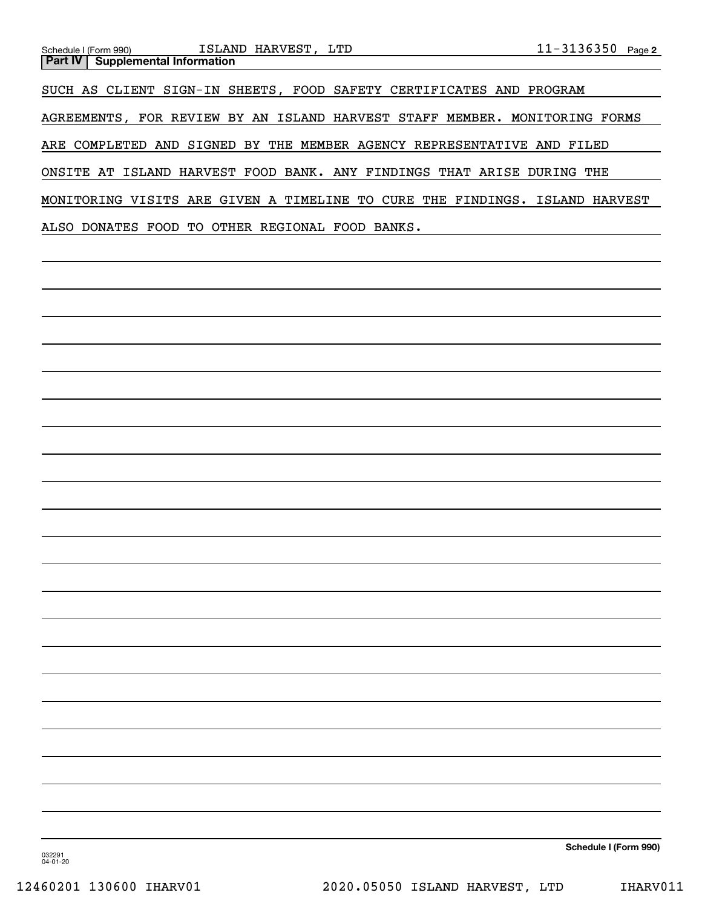| $11 - 3136350$ Page 2<br>ISLAND HARVEST, LTD<br>Schedule I (Form 990)<br><b>Supplemental Information</b><br><b>Part IV</b> |  |
|----------------------------------------------------------------------------------------------------------------------------|--|
| SUCH AS CLIENT SIGN-IN SHEETS, FOOD SAFETY CERTIFICATES AND PROGRAM                                                        |  |
| AGREEMENTS, FOR REVIEW BY AN ISLAND HARVEST STAFF MEMBER. MONITORING FORMS                                                 |  |
| ARE COMPLETED AND SIGNED BY THE MEMBER AGENCY REPRESENTATIVE AND FILED                                                     |  |
| ONSITE AT ISLAND HARVEST FOOD BANK. ANY FINDINGS THAT ARISE DURING THE                                                     |  |
| MONITORING VISITS ARE GIVEN A TIMELINE TO CURE THE FINDINGS. ISLAND HARVEST                                                |  |
| ALSO DONATES FOOD TO OTHER REGIONAL FOOD BANKS.                                                                            |  |
|                                                                                                                            |  |
|                                                                                                                            |  |
|                                                                                                                            |  |
|                                                                                                                            |  |
|                                                                                                                            |  |
|                                                                                                                            |  |
|                                                                                                                            |  |
|                                                                                                                            |  |
|                                                                                                                            |  |
|                                                                                                                            |  |
|                                                                                                                            |  |
|                                                                                                                            |  |

**Schedule I (Form 990)**

032291 04-01-20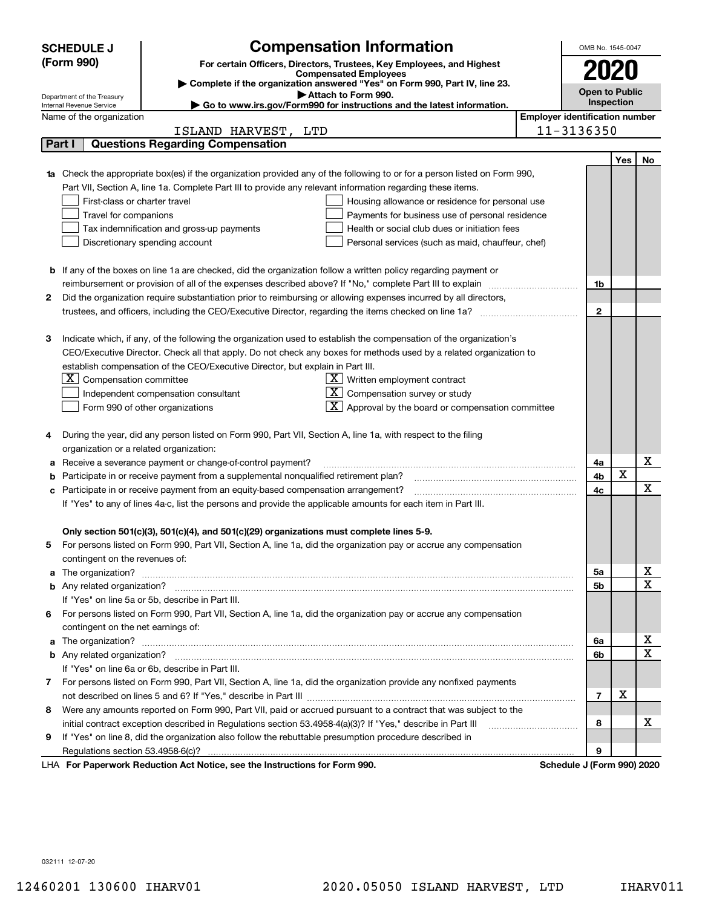|                                                                                | <b>SCHEDULE J</b>                                                                                  | <b>Compensation Information</b>                                                                                        |  |  | OMB No. 1545-0047                     |                       |    |  |  |
|--------------------------------------------------------------------------------|----------------------------------------------------------------------------------------------------|------------------------------------------------------------------------------------------------------------------------|--|--|---------------------------------------|-----------------------|----|--|--|
| (Form 990)                                                                     |                                                                                                    | For certain Officers, Directors, Trustees, Key Employees, and Highest                                                  |  |  |                                       |                       |    |  |  |
|                                                                                |                                                                                                    | <b>Compensated Employees</b>                                                                                           |  |  |                                       | 2020                  |    |  |  |
|                                                                                |                                                                                                    | Complete if the organization answered "Yes" on Form 990, Part IV, line 23.<br>Attach to Form 990.                      |  |  |                                       | <b>Open to Public</b> |    |  |  |
|                                                                                | Department of the Treasury<br>Internal Revenue Service                                             | ► Go to www.irs.gov/Form990 for instructions and the latest information.                                               |  |  |                                       | <b>Inspection</b>     |    |  |  |
|                                                                                | Name of the organization                                                                           |                                                                                                                        |  |  | <b>Employer identification number</b> |                       |    |  |  |
|                                                                                |                                                                                                    | ISLAND HARVEST,<br>LTD                                                                                                 |  |  | 11-3136350                            |                       |    |  |  |
| Part I                                                                         |                                                                                                    | <b>Questions Regarding Compensation</b>                                                                                |  |  |                                       |                       |    |  |  |
|                                                                                |                                                                                                    |                                                                                                                        |  |  |                                       | Yes                   | No |  |  |
| 1a                                                                             |                                                                                                    | Check the appropriate box(es) if the organization provided any of the following to or for a person listed on Form 990, |  |  |                                       |                       |    |  |  |
|                                                                                |                                                                                                    | Part VII, Section A, line 1a. Complete Part III to provide any relevant information regarding these items.             |  |  |                                       |                       |    |  |  |
|                                                                                | First-class or charter travel                                                                      | Housing allowance or residence for personal use                                                                        |  |  |                                       |                       |    |  |  |
|                                                                                | Travel for companions                                                                              | Payments for business use of personal residence                                                                        |  |  |                                       |                       |    |  |  |
|                                                                                |                                                                                                    | Tax indemnification and gross-up payments<br>Health or social club dues or initiation fees                             |  |  |                                       |                       |    |  |  |
|                                                                                |                                                                                                    | Discretionary spending account<br>Personal services (such as maid, chauffeur, chef)                                    |  |  |                                       |                       |    |  |  |
|                                                                                |                                                                                                    |                                                                                                                        |  |  |                                       |                       |    |  |  |
|                                                                                |                                                                                                    | <b>b</b> If any of the boxes on line 1a are checked, did the organization follow a written policy regarding payment or |  |  |                                       |                       |    |  |  |
|                                                                                |                                                                                                    | reimbursement or provision of all of the expenses described above? If "No," complete Part III to explain               |  |  | 1b                                    |                       |    |  |  |
| 2                                                                              |                                                                                                    | Did the organization require substantiation prior to reimbursing or allowing expenses incurred by all directors,       |  |  |                                       |                       |    |  |  |
|                                                                                |                                                                                                    | trustees, and officers, including the CEO/Executive Director, regarding the items checked on line 1a?                  |  |  | $\mathbf{2}$                          |                       |    |  |  |
|                                                                                |                                                                                                    |                                                                                                                        |  |  |                                       |                       |    |  |  |
| З                                                                              |                                                                                                    | Indicate which, if any, of the following the organization used to establish the compensation of the organization's     |  |  |                                       |                       |    |  |  |
|                                                                                |                                                                                                    | CEO/Executive Director. Check all that apply. Do not check any boxes for methods used by a related organization to     |  |  |                                       |                       |    |  |  |
| establish compensation of the CEO/Executive Director, but explain in Part III. |                                                                                                    |                                                                                                                        |  |  |                                       |                       |    |  |  |
|                                                                                | $X$ Compensation committee<br>$X$ Written employment contract                                      |                                                                                                                        |  |  |                                       |                       |    |  |  |
|                                                                                | $\overline{X}$ Compensation survey or study<br>Independent compensation consultant                 |                                                                                                                        |  |  |                                       |                       |    |  |  |
|                                                                                |                                                                                                    | $\lfloor \underline{X} \rfloor$ Approval by the board or compensation committee<br>Form 990 of other organizations     |  |  |                                       |                       |    |  |  |
| 4                                                                              |                                                                                                    | During the year, did any person listed on Form 990, Part VII, Section A, line 1a, with respect to the filing           |  |  |                                       |                       |    |  |  |
|                                                                                |                                                                                                    | organization or a related organization:                                                                                |  |  |                                       |                       |    |  |  |
| а                                                                              | Receive a severance payment or change-of-control payment?                                          |                                                                                                                        |  |  | 4a                                    |                       | X  |  |  |
| b                                                                              |                                                                                                    | Participate in or receive payment from a supplemental nonqualified retirement plan?                                    |  |  | 4b                                    | X                     |    |  |  |
| с                                                                              |                                                                                                    | Participate in or receive payment from an equity-based compensation arrangement?                                       |  |  | 4с                                    |                       | х  |  |  |
|                                                                                |                                                                                                    | If "Yes" to any of lines 4a-c, list the persons and provide the applicable amounts for each item in Part III.          |  |  |                                       |                       |    |  |  |
|                                                                                |                                                                                                    |                                                                                                                        |  |  |                                       |                       |    |  |  |
|                                                                                |                                                                                                    | Only section 501(c)(3), 501(c)(4), and 501(c)(29) organizations must complete lines 5-9.                               |  |  |                                       |                       |    |  |  |
|                                                                                |                                                                                                    | For persons listed on Form 990, Part VII, Section A, line 1a, did the organization pay or accrue any compensation      |  |  |                                       |                       |    |  |  |
|                                                                                | contingent on the revenues of:                                                                     |                                                                                                                        |  |  |                                       |                       |    |  |  |
|                                                                                |                                                                                                    | a The organization? <b>Entitled Strategies and Strategies and Strategies</b> and The organization?                     |  |  | 5а                                    |                       | х  |  |  |
|                                                                                |                                                                                                    |                                                                                                                        |  |  | 5b                                    |                       | х  |  |  |
|                                                                                |                                                                                                    | If "Yes" on line 5a or 5b, describe in Part III.                                                                       |  |  |                                       |                       |    |  |  |
|                                                                                |                                                                                                    | 6 For persons listed on Form 990, Part VII, Section A, line 1a, did the organization pay or accrue any compensation    |  |  |                                       |                       |    |  |  |
|                                                                                | contingent on the net earnings of:                                                                 |                                                                                                                        |  |  |                                       |                       |    |  |  |
|                                                                                | a The organization? <b>Entitled Strategies and Strategies and Strategies</b> and The organization? |                                                                                                                        |  |  | 6a                                    |                       | х  |  |  |
|                                                                                |                                                                                                    |                                                                                                                        |  |  | 6b                                    |                       | X  |  |  |
|                                                                                |                                                                                                    | If "Yes" on line 6a or 6b, describe in Part III.                                                                       |  |  |                                       |                       |    |  |  |
|                                                                                |                                                                                                    | 7 For persons listed on Form 990, Part VII, Section A, line 1a, did the organization provide any nonfixed payments     |  |  |                                       |                       |    |  |  |
|                                                                                |                                                                                                    |                                                                                                                        |  |  | $\overline{7}$                        | X                     |    |  |  |
| 8                                                                              |                                                                                                    | Were any amounts reported on Form 990, Part VII, paid or accrued pursuant to a contract that was subject to the        |  |  |                                       |                       |    |  |  |
|                                                                                |                                                                                                    | initial contract exception described in Regulations section 53.4958-4(a)(3)? If "Yes," describe in Part III            |  |  | 8                                     |                       | х  |  |  |
| 9.                                                                             |                                                                                                    | If "Yes" on line 8, did the organization also follow the rebuttable presumption procedure described in                 |  |  |                                       |                       |    |  |  |
|                                                                                |                                                                                                    |                                                                                                                        |  |  | 9                                     |                       |    |  |  |
|                                                                                |                                                                                                    | LHA For Paperwork Reduction Act Notice, see the Instructions for Form 990.                                             |  |  | Schedule J (Form 990) 2020            |                       |    |  |  |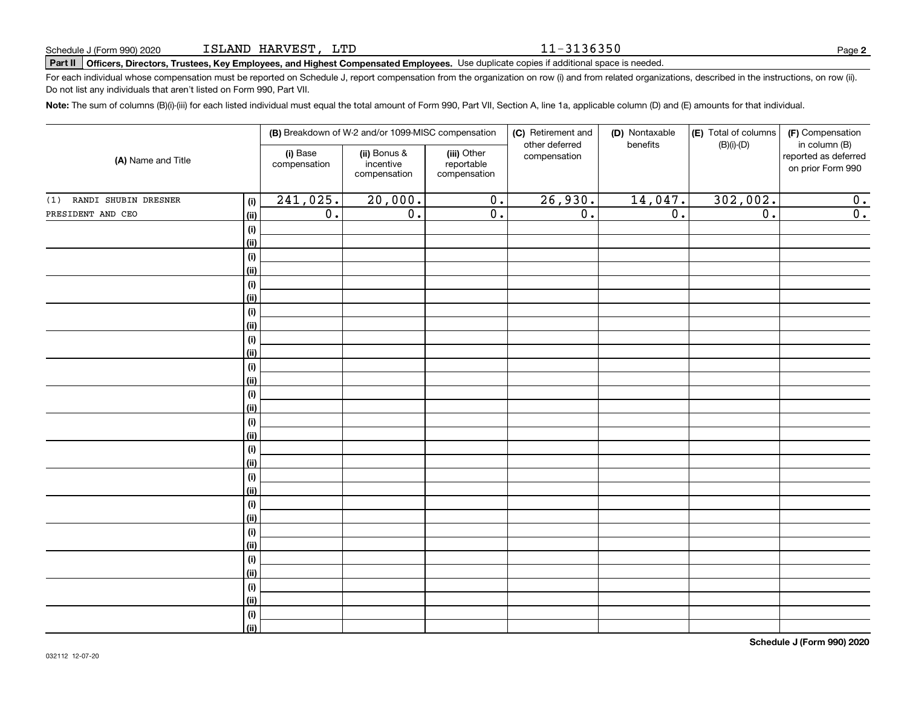11-3136350

# **Part II Officers, Directors, Trustees, Key Employees, and Highest Compensated Employees.**  Schedule J (Form 990) 2020 Page Use duplicate copies if additional space is needed.

For each individual whose compensation must be reported on Schedule J, report compensation from the organization on row (i) and from related organizations, described in the instructions, on row (ii). Do not list any individuals that aren't listed on Form 990, Part VII.

**Note:**  The sum of columns (B)(i)-(iii) for each listed individual must equal the total amount of Form 990, Part VII, Section A, line 1a, applicable column (D) and (E) amounts for that individual.

| (A) Name and Title          |                    |                          | (B) Breakdown of W-2 and/or 1099-MISC compensation |                                           | (C) Retirement and             | (D) Nontaxable<br>benefits | (E) Total of columns<br>$(B)(i)-(D)$ | (F) Compensation<br>in column (B)         |
|-----------------------------|--------------------|--------------------------|----------------------------------------------------|-------------------------------------------|--------------------------------|----------------------------|--------------------------------------|-------------------------------------------|
|                             |                    | (i) Base<br>compensation | (ii) Bonus &<br>incentive<br>compensation          | (iii) Other<br>reportable<br>compensation | other deferred<br>compensation |                            |                                      | reported as deferred<br>on prior Form 990 |
| RANDI SHUBIN DRESNER<br>(1) | (i)                | 241,025.                 | 20,000.                                            | $\overline{0}$ .                          | 26,930.                        | 14,047.                    | 302,002.                             | $\overline{0}$ .                          |
| PRESIDENT AND CEO           | (ii)               | $\overline{0}$ .         | $\overline{0}$ .                                   | $\overline{0}$ .                          | $\overline{0}$ .               | $\overline{0}$ .           | $\overline{0}$ .                     | $\overline{0}$ .                          |
|                             | (i)                |                          |                                                    |                                           |                                |                            |                                      |                                           |
|                             | (ii)               |                          |                                                    |                                           |                                |                            |                                      |                                           |
|                             | (i)                |                          |                                                    |                                           |                                |                            |                                      |                                           |
|                             | (ii)               |                          |                                                    |                                           |                                |                            |                                      |                                           |
|                             | (i)                |                          |                                                    |                                           |                                |                            |                                      |                                           |
|                             | (ii)               |                          |                                                    |                                           |                                |                            |                                      |                                           |
|                             | (i)                |                          |                                                    |                                           |                                |                            |                                      |                                           |
|                             | (ii)               |                          |                                                    |                                           |                                |                            |                                      |                                           |
|                             | (i)                |                          |                                                    |                                           |                                |                            |                                      |                                           |
|                             | (ii)               |                          |                                                    |                                           |                                |                            |                                      |                                           |
|                             | (i)<br>(ii)        |                          |                                                    |                                           |                                |                            |                                      |                                           |
|                             |                    |                          |                                                    |                                           |                                |                            |                                      |                                           |
|                             | $(\sf{i})$<br>(ii) |                          |                                                    |                                           |                                |                            |                                      |                                           |
|                             | (i)                |                          |                                                    |                                           |                                |                            |                                      |                                           |
|                             | (ii)               |                          |                                                    |                                           |                                |                            |                                      |                                           |
|                             | (i)                |                          |                                                    |                                           |                                |                            |                                      |                                           |
|                             | (ii)               |                          |                                                    |                                           |                                |                            |                                      |                                           |
|                             | (i)                |                          |                                                    |                                           |                                |                            |                                      |                                           |
|                             | (ii)               |                          |                                                    |                                           |                                |                            |                                      |                                           |
|                             | (i)                |                          |                                                    |                                           |                                |                            |                                      |                                           |
|                             | (ii)               |                          |                                                    |                                           |                                |                            |                                      |                                           |
|                             | (i)                |                          |                                                    |                                           |                                |                            |                                      |                                           |
|                             | (ii)               |                          |                                                    |                                           |                                |                            |                                      |                                           |
|                             | $(\sf{i})$         |                          |                                                    |                                           |                                |                            |                                      |                                           |
|                             | (ii)               |                          |                                                    |                                           |                                |                            |                                      |                                           |
|                             | $(\sf{i})$         |                          |                                                    |                                           |                                |                            |                                      |                                           |
|                             | (ii)               |                          |                                                    |                                           |                                |                            |                                      |                                           |
|                             | $(\sf{i})$         |                          |                                                    |                                           |                                |                            |                                      |                                           |
|                             | (ii)               |                          |                                                    |                                           |                                |                            |                                      |                                           |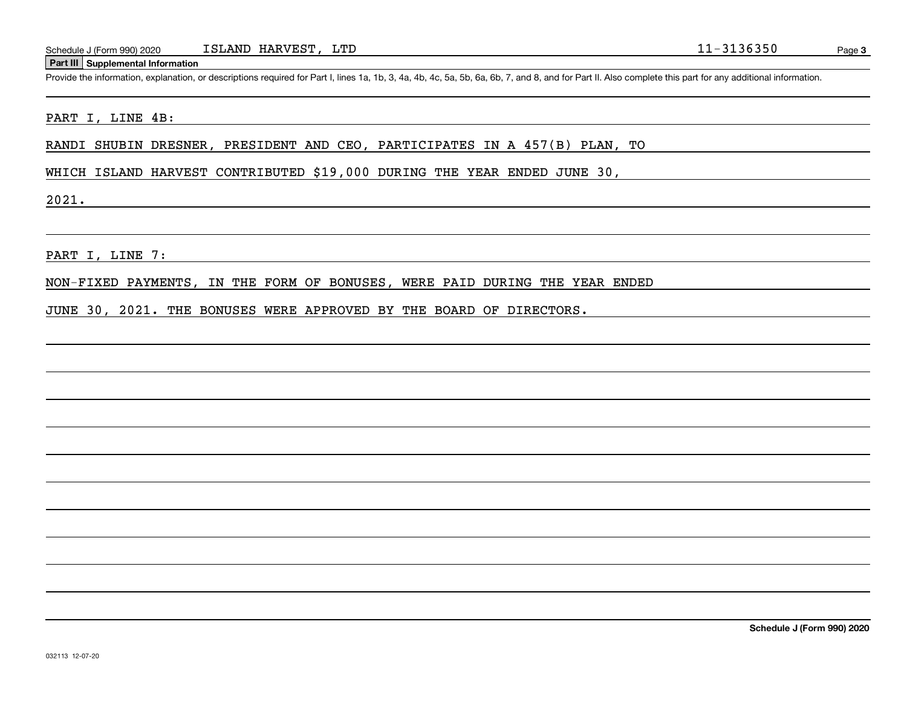Schedule J (Form 990) 2020 ISLAND HARVEST, LTD<br>
Part III Supplemental Information<br>
Provide the information, explanation, or descriptions required for Part I, lines 1a, 1b, 3, 4a, 4b, 4c, 5a, 5b, 6a, 6b, 7, and 8, and for P

#### PART I, LINE 4B:

RANDI SHUBIN DRESNER, PRESIDENT AND CEO, PARTICIPATES IN A 457(B) PLAN, TO

WHICH ISLAND HARVEST CONTRIBUTED \$19,000 DURING THE YEAR ENDED JUNE 30,

2021.

PART I, LINE 7:

NON-FIXED PAYMENTS, IN THE FORM OF BONUSES, WERE PAID DURING THE YEAR ENDED

JUNE 30, 2021. THE BONUSES WERE APPROVED BY THE BOARD OF DIRECTORS.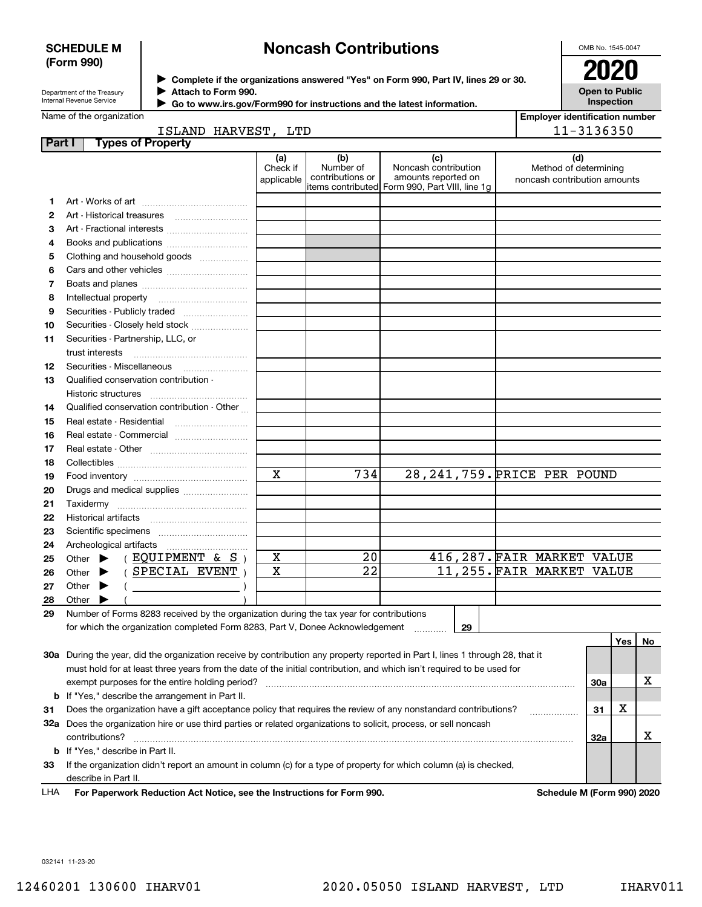### **SCHEDULE M (Form 990)**

# **Noncash Contributions**

OMB No. 1545-0047

| Department of the Treasury |
|----------------------------|
| Internal Revenue Service   |

**Complete if the organizations answered "Yes" on Form 990, Part IV, lines 29 or 30.** <sup>J</sup>**2020 Attach to Form 990.** J

**Open to Public Inspection**

|  | Go to www.irs.gov/Form990 for instructions and the latest information. |
|--|------------------------------------------------------------------------|
|--|------------------------------------------------------------------------|

| Name of the organization |  |  |  |  |
|--------------------------|--|--|--|--|
|--------------------------|--|--|--|--|

|  | <b>Employer identification number</b> |
|--|---------------------------------------|
|  | 11 - 31 3 6 3 5 0                     |

 $\blacktriangleright$ 

| 11-3136350<br>ISLAND HARVEST, LTD |                                                                                                                                |                               |                                      |                                                                                                      |                                                              |         |           |
|-----------------------------------|--------------------------------------------------------------------------------------------------------------------------------|-------------------------------|--------------------------------------|------------------------------------------------------------------------------------------------------|--------------------------------------------------------------|---------|-----------|
| Part I                            | <b>Types of Property</b>                                                                                                       |                               |                                      |                                                                                                      |                                                              |         |           |
|                                   |                                                                                                                                | (a)<br>Check if<br>applicable | (b)<br>Number of<br>contributions or | (c)<br>Noncash contribution<br>amounts reported on<br>items contributed Form 990, Part VIII, line 1g | (d)<br>Method of determining<br>noncash contribution amounts |         |           |
| 1                                 |                                                                                                                                |                               |                                      |                                                                                                      |                                                              |         |           |
| 2                                 |                                                                                                                                |                               |                                      |                                                                                                      |                                                              |         |           |
| 3                                 | Art - Fractional interests                                                                                                     |                               |                                      |                                                                                                      |                                                              |         |           |
| 4                                 | Books and publications                                                                                                         |                               |                                      |                                                                                                      |                                                              |         |           |
| 5                                 | Clothing and household goods                                                                                                   |                               |                                      |                                                                                                      |                                                              |         |           |
| 6                                 |                                                                                                                                |                               |                                      |                                                                                                      |                                                              |         |           |
| 7                                 |                                                                                                                                |                               |                                      |                                                                                                      |                                                              |         |           |
| 8                                 |                                                                                                                                |                               |                                      |                                                                                                      |                                                              |         |           |
| 9                                 |                                                                                                                                |                               |                                      |                                                                                                      |                                                              |         |           |
| 10                                | Securities - Closely held stock                                                                                                |                               |                                      |                                                                                                      |                                                              |         |           |
| 11                                | Securities - Partnership, LLC, or                                                                                              |                               |                                      |                                                                                                      |                                                              |         |           |
|                                   | trust interests                                                                                                                |                               |                                      |                                                                                                      |                                                              |         |           |
| 12                                | Securities - Miscellaneous                                                                                                     |                               |                                      |                                                                                                      |                                                              |         |           |
| 13                                | Qualified conservation contribution -                                                                                          |                               |                                      |                                                                                                      |                                                              |         |           |
|                                   |                                                                                                                                |                               |                                      |                                                                                                      |                                                              |         |           |
| 14                                | Qualified conservation contribution - Other                                                                                    |                               |                                      |                                                                                                      |                                                              |         |           |
| 15                                | Real estate - Residential                                                                                                      |                               |                                      |                                                                                                      |                                                              |         |           |
| 16                                | Real estate - Commercial                                                                                                       |                               |                                      |                                                                                                      |                                                              |         |           |
| 17                                |                                                                                                                                |                               |                                      |                                                                                                      |                                                              |         |           |
| 18                                |                                                                                                                                |                               |                                      |                                                                                                      |                                                              |         |           |
| 19                                |                                                                                                                                | $\mathbf x$                   | 734                                  | 28, 241, 759. PRICE PER POUND                                                                        |                                                              |         |           |
| 20                                | Drugs and medical supplies                                                                                                     |                               |                                      |                                                                                                      |                                                              |         |           |
| 21                                |                                                                                                                                |                               |                                      |                                                                                                      |                                                              |         |           |
| 22                                |                                                                                                                                |                               |                                      |                                                                                                      |                                                              |         |           |
| 23                                |                                                                                                                                |                               |                                      |                                                                                                      |                                                              |         |           |
| 24                                |                                                                                                                                |                               | 20                                   |                                                                                                      |                                                              |         |           |
| 25                                | (EQUIPMENT & S)<br>Other $\blacktriangleright$<br>(SPECIAL EVENT)                                                              | х<br>$\mathbf X$              | $\overline{22}$                      |                                                                                                      | 416, 287. FAIR MARKET VALUE<br>11,255. FAIR MARKET VALUE     |         |           |
| 26                                | Other $\blacktriangleright$                                                                                                    |                               |                                      |                                                                                                      |                                                              |         |           |
| 27                                | Other $\blacktriangleright$<br>$\left(\begin{array}{ccc}\n&\n&\n\end{array}\right)$                                            |                               |                                      |                                                                                                      |                                                              |         |           |
| 28                                | Other $\blacktriangleright$<br>Number of Forms 8283 received by the organization during the tax year for contributions         |                               |                                      |                                                                                                      |                                                              |         |           |
| 29                                | for which the organization completed Form 8283, Part V, Donee Acknowledgement                                                  |                               |                                      | 29                                                                                                   |                                                              |         |           |
|                                   |                                                                                                                                |                               |                                      | 1.1.1.1.1.1.1.1.1                                                                                    |                                                              | Yes     | <b>No</b> |
|                                   | 30a During the year, did the organization receive by contribution any property reported in Part I, lines 1 through 28, that it |                               |                                      |                                                                                                      |                                                              |         |           |
|                                   | must hold for at least three years from the date of the initial contribution, and which isn't required to be used for          |                               |                                      |                                                                                                      |                                                              |         |           |
|                                   | exempt purposes for the entire holding period?                                                                                 |                               |                                      |                                                                                                      |                                                              | 30a     | х         |
| b                                 | If "Yes," describe the arrangement in Part II.                                                                                 |                               |                                      |                                                                                                      |                                                              |         |           |
| 31                                | Does the organization have a gift acceptance policy that requires the review of any nonstandard contributions?                 |                               |                                      |                                                                                                      |                                                              | х<br>31 |           |
|                                   | 32a Does the organization hire or use third parties or related organizations to solicit, process, or sell noncash              |                               |                                      |                                                                                                      |                                                              |         |           |
|                                   | contributions?                                                                                                                 |                               |                                      |                                                                                                      |                                                              | 32a     | х         |
|                                   | <b>b</b> If "Yes," describe in Part II.                                                                                        |                               |                                      |                                                                                                      |                                                              |         |           |
| 33                                | If the organization didn't report an amount in column (c) for a type of property for which column (a) is checked,              |                               |                                      |                                                                                                      |                                                              |         |           |
|                                   | describe in Part II.                                                                                                           |                               |                                      |                                                                                                      |                                                              |         |           |
|                                   |                                                                                                                                |                               |                                      |                                                                                                      |                                                              |         |           |

**For Paperwork Reduction Act Notice, see the Instructions for Form 990. Schedule M (Form 990) 2020** LHA

032141 11-23-20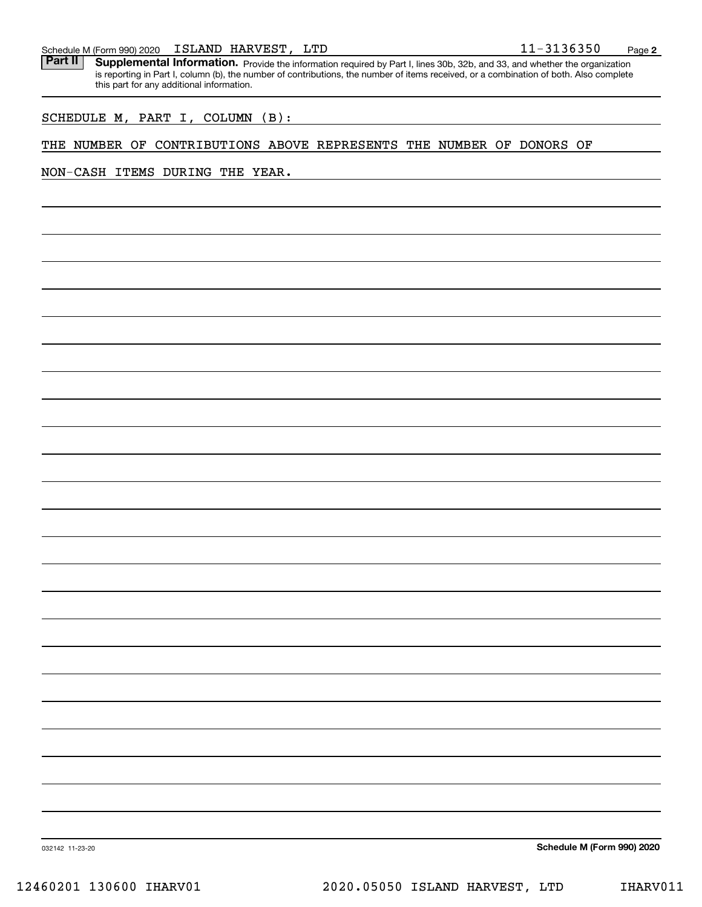|  | Schedule M (Form 990) 2020 |  | ISLAND HARVEST, | LTD | $11 - 3136350$ | Page |  |
|--|----------------------------|--|-----------------|-----|----------------|------|--|
|--|----------------------------|--|-----------------|-----|----------------|------|--|

Part II | Supplemental Information. Provide the information required by Part I, lines 30b, 32b, and 33, and whether the organization is reporting in Part I, column (b), the number of contributions, the number of items received, or a combination of both. Also complete this part for any additional information.

SCHEDULE M, PART I, COLUMN (B):

# THE NUMBER OF CONTRIBUTIONS ABOVE REPRESENTS THE NUMBER OF DONORS OF

NON-CASH ITEMS DURING THE YEAR.

**Schedule M (Form 990) 2020**

**2**

032142 11-23-20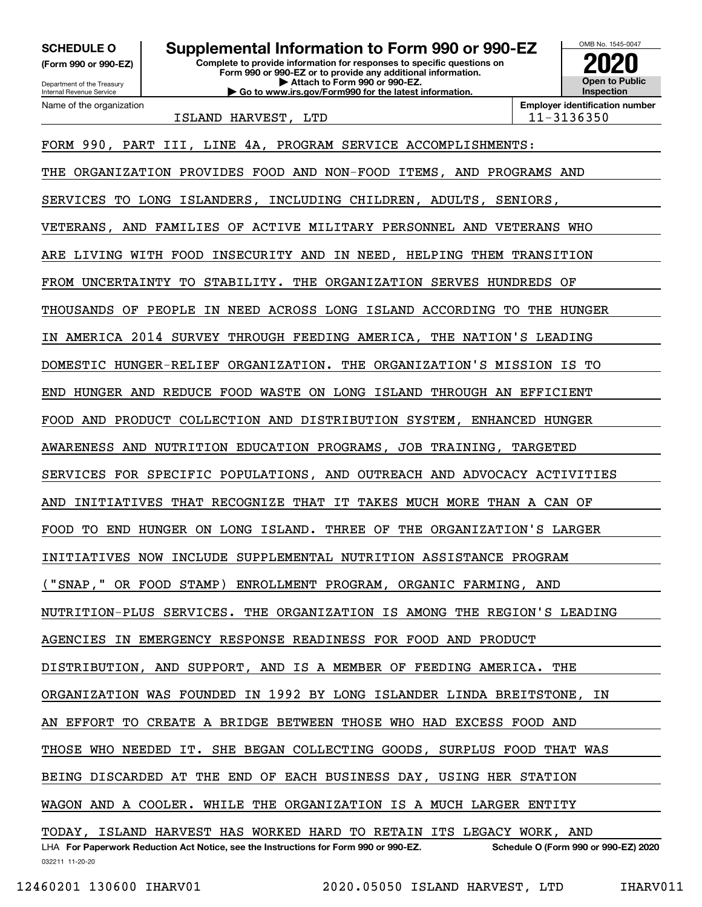**(Form 990 or 990-EZ)**

Department of the Treasury Internal Revenue Service Name of the organization

**Complete to provide information for responses to specific questions on Form 990 or 990-EZ or to provide any additional information. | Attach to Form 990 or 990-EZ. | Go to www.irs.gov/Form990 for the latest information. SCHEDULE O Supplemental Information to Form 990 or 990-EZ**



ISLAND HARVEST, LTD 11-3136350

032211 11-20-20 LHA For Paperwork Reduction Act Notice, see the Instructions for Form 990 or 990-EZ. Schedule O (Form 990 or 990-EZ) 2020 FORM 990, PART III, LINE 4A, PROGRAM SERVICE ACCOMPLISHMENTS: THE ORGANIZATION PROVIDES FOOD AND NON-FOOD ITEMS, AND PROGRAMS AND SERVICES TO LONG ISLANDERS, INCLUDING CHILDREN, ADULTS, SENIORS, VETERANS, AND FAMILIES OF ACTIVE MILITARY PERSONNEL AND VETERANS WHO ARE LIVING WITH FOOD INSECURITY AND IN NEED, HELPING THEM TRANSITION FROM UNCERTAINTY TO STABILITY. THE ORGANIZATION SERVES HUNDREDS OF THOUSANDS OF PEOPLE IN NEED ACROSS LONG ISLAND ACCORDING TO THE HUNGER AMERICA 2014 SURVEY THROUGH FEEDING AMERICA, THE NATION'S LEADING DOMESTIC HUNGER-RELIEF ORGANIZATION. THE ORGANIZATION'S MISSION IS TO END HUNGER AND REDUCE FOOD WASTE ON LONG ISLAND THROUGH AN EFFICIENT FOOD AND PRODUCT COLLECTION AND DISTRIBUTION SYSTEM, ENHANCED HUNGER AWARENESS AND NUTRITION EDUCATION PROGRAMS, JOB TRAINING, TARGETED SERVICES FOR SPECIFIC POPULATIONS, AND OUTREACH AND ADVOCACY ACTIVITIES AND INITIATIVES THAT RECOGNIZE THAT IT TAKES MUCH MORE THAN A CAN OF FOOD TO END HUNGER ON LONG ISLAND. THREE OF THE ORGANIZATION'S LARGER INITIATIVES NOW INCLUDE SUPPLEMENTAL NUTRITION ASSISTANCE PROGRAM ("SNAP," OR FOOD STAMP) ENROLLMENT PROGRAM, ORGANIC FARMING, AND NUTRITION-PLUS SERVICES. THE ORGANIZATION IS AMONG THE REGION'S LEADING AGENCIES IN EMERGENCY RESPONSE READINESS FOR FOOD AND PRODUCT DISTRIBUTION, AND SUPPORT, AND IS A MEMBER OF FEEDING AMERICA. THE ORGANIZATION WAS FOUNDED IN 1992 BY LONG ISLANDER LINDA BREITSTONE, IN AN EFFORT TO CREATE A BRIDGE BETWEEN THOSE WHO HAD EXCESS FOOD AND THOSE WHO NEEDED IT. SHE BEGAN COLLECTING GOODS, SURPLUS FOOD THAT WAS BEING DISCARDED AT THE END OF EACH BUSINESS DAY, USING HER STATION WAGON AND A COOLER. WHILE THE ORGANIZATION IS A MUCH LARGER ENTITY TODAY, ISLAND HARVEST HAS WORKED HARD TO RETAIN ITS LEGACY WORK, AND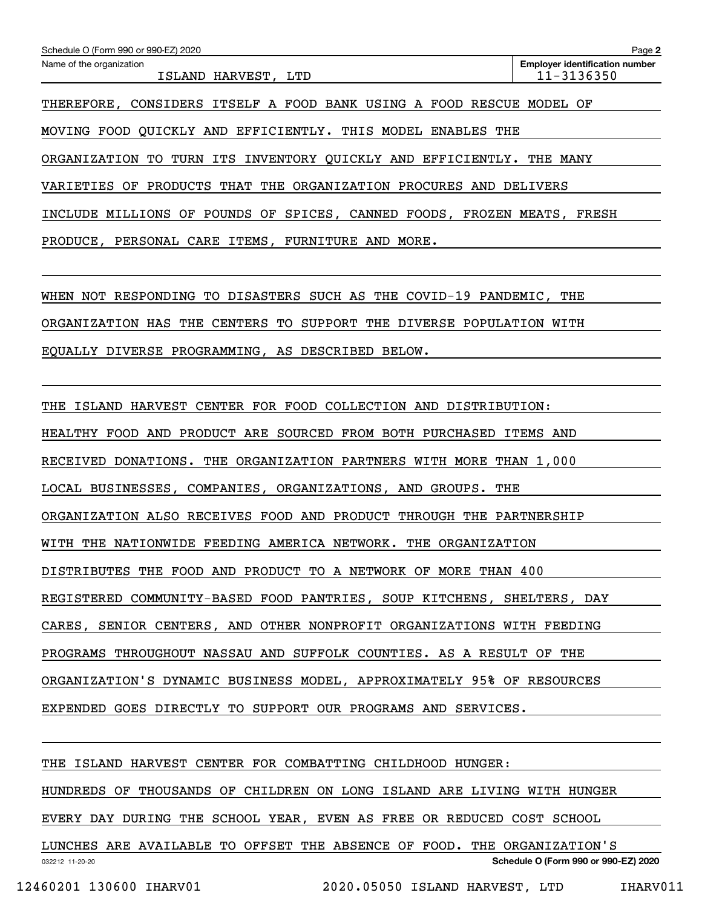| Schedule O (Form 990 or 990-EZ) 2020                                    | Page 2                                              |  |  |  |  |
|-------------------------------------------------------------------------|-----------------------------------------------------|--|--|--|--|
| Name of the organization<br>ISLAND HARVEST, LTD                         | <b>Employer identification number</b><br>11-3136350 |  |  |  |  |
| THEREFORE, CONSIDERS ITSELF A FOOD BANK USING A FOOD RESCUE MODEL OF    |                                                     |  |  |  |  |
| MOVING FOOD QUICKLY AND EFFICIENTLY. THIS MODEL<br>ENABLES<br>THE       |                                                     |  |  |  |  |
| ORGANIZATION TO TURN ITS INVENTORY QUICKLY AND EFFICIENTLY.<br>THE MANY |                                                     |  |  |  |  |
| VARIETIES OF PRODUCTS THAT THE ORGANIZATION PROCURES AND<br>DELIVERS    |                                                     |  |  |  |  |
| INCLUDE MILLIONS OF POUNDS OF SPICES, CANNED FOODS, FROZEN MEATS, FRESH |                                                     |  |  |  |  |
| PRODUCE, PERSONAL CARE ITEMS, FURNITURE AND MORE.                       |                                                     |  |  |  |  |
|                                                                         |                                                     |  |  |  |  |
| WHEN NOT RESPONDING TO DISASTERS SUCH AS THE COVID-19 PANDEMIC, THE     |                                                     |  |  |  |  |
| ORGANIZATION HAS THE CENTERS TO<br>SUPPORT THE DIVERSE POPULATION WITH  |                                                     |  |  |  |  |
| EQUALLY DIVERSE PROGRAMMING, AS DESCRIBED BELOW.                        |                                                     |  |  |  |  |

THE ISLAND HARVEST CENTER FOR FOOD COLLECTION AND DISTRIBUTION:

HEALTHY FOOD AND PRODUCT ARE SOURCED FROM BOTH PURCHASED ITEMS AND

RECEIVED DONATIONS. THE ORGANIZATION PARTNERS WITH MORE THAN 1,000

LOCAL BUSINESSES, COMPANIES, ORGANIZATIONS, AND GROUPS. THE

ORGANIZATION ALSO RECEIVES FOOD AND PRODUCT THROUGH THE PARTNERSHIP

WITH THE NATIONWIDE FEEDING AMERICA NETWORK. THE ORGANIZATION

DISTRIBUTES THE FOOD AND PRODUCT TO A NETWORK OF MORE THAN 400

REGISTERED COMMUNITY-BASED FOOD PANTRIES, SOUP KITCHENS, SHELTERS, DAY

CARES, SENIOR CENTERS, AND OTHER NONPROFIT ORGANIZATIONS WITH FEEDING

PROGRAMS THROUGHOUT NASSAU AND SUFFOLK COUNTIES. AS A RESULT OF THE

ORGANIZATION'S DYNAMIC BUSINESS MODEL, APPROXIMATELY 95% OF RESOURCES

EXPENDED GOES DIRECTLY TO SUPPORT OUR PROGRAMS AND SERVICES.

THE ISLAND HARVEST CENTER FOR COMBATTING CHILDHOOD HUNGER:

HUNDREDS OF THOUSANDS OF CHILDREN ON LONG ISLAND ARE LIVING WITH HUNGER

EVERY DAY DURING THE SCHOOL YEAR, EVEN AS FREE OR REDUCED COST SCHOOL

032212 11-20-20 **Schedule O (Form 990 or 990-EZ) 2020** LUNCHES ARE AVAILABLE TO OFFSET THE ABSENCE OF FOOD. THE ORGANIZATION'S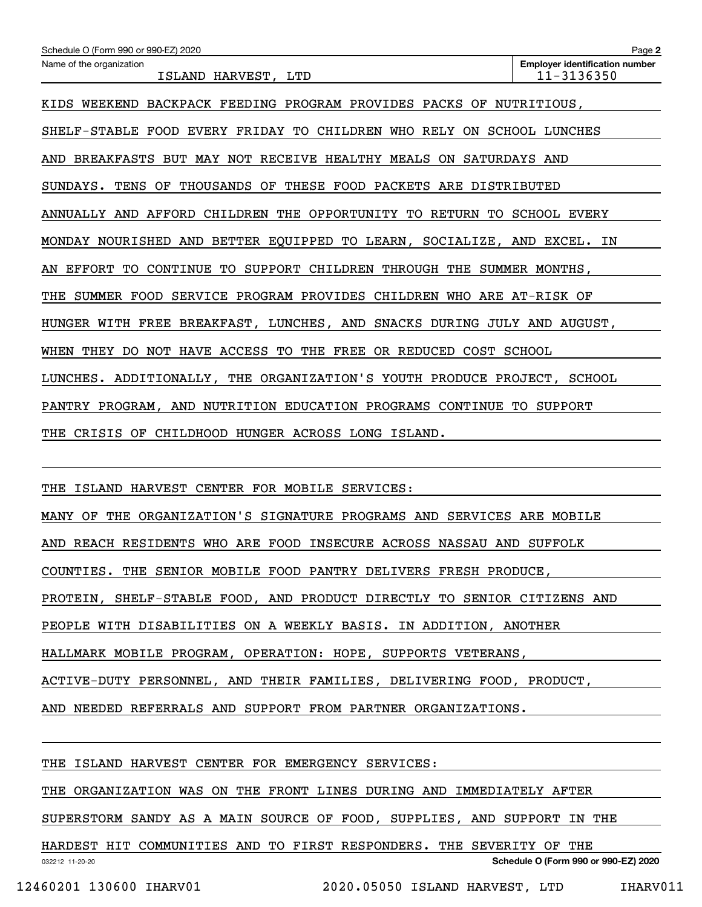| Schedule O (Form 990 or 990-EZ) 2020                                       | Page 2                                              |  |  |  |  |
|----------------------------------------------------------------------------|-----------------------------------------------------|--|--|--|--|
| Name of the organization<br>ISLAND HARVEST, LTD                            | <b>Employer identification number</b><br>11-3136350 |  |  |  |  |
| KIDS WEEKEND BACKPACK FEEDING PROGRAM PROVIDES PACKS OF NUTRITIOUS,        |                                                     |  |  |  |  |
| SHELF-STABLE FOOD EVERY FRIDAY TO CHILDREN WHO RELY ON SCHOOL LUNCHES      |                                                     |  |  |  |  |
| AND BREAKFASTS BUT MAY NOT RECEIVE HEALTHY MEALS ON SATURDAYS AND          |                                                     |  |  |  |  |
| SUNDAYS. TENS OF THOUSANDS OF THESE FOOD PACKETS ARE DISTRIBUTED           |                                                     |  |  |  |  |
| ANNUALLY AND AFFORD CHILDREN THE OPPORTUNITY TO RETURN TO SCHOOL EVERY     |                                                     |  |  |  |  |
| MONDAY NOURISHED AND BETTER EQUIPPED TO LEARN, SOCIALIZE, AND EXCEL. IN    |                                                     |  |  |  |  |
| EFFORT TO CONTINUE<br>TO SUPPORT CHILDREN THROUGH THE SUMMER MONTHS,<br>AN |                                                     |  |  |  |  |
| SUMMER FOOD SERVICE PROGRAM PROVIDES CHILDREN WHO ARE AT-RISK OF<br>THE    |                                                     |  |  |  |  |
| HUNGER WITH FREE BREAKFAST, LUNCHES, AND SNACKS DURING JULY AND AUGUST,    |                                                     |  |  |  |  |
| WHEN<br>THEY DO NOT HAVE ACCESS TO THE FREE OR REDUCED COST SCHOOL         |                                                     |  |  |  |  |
| LUNCHES. ADDITIONALLY, THE ORGANIZATION'S YOUTH PRODUCE PROJECT, SCHOOL    |                                                     |  |  |  |  |
| PANTRY PROGRAM, AND NUTRITION EDUCATION PROGRAMS CONTINUE TO SUPPORT       |                                                     |  |  |  |  |
| THE CRISIS OF CHILDHOOD HUNGER ACROSS LONG ISLAND.                         |                                                     |  |  |  |  |
|                                                                            |                                                     |  |  |  |  |

THE ISLAND HARVEST CENTER FOR MOBILE SERVICES:

MANY OF THE ORGANIZATION'S SIGNATURE PROGRAMS AND SERVICES ARE MOBILE

AND REACH RESIDENTS WHO ARE FOOD INSECURE ACROSS NASSAU AND SUFFOLK

COUNTIES. THE SENIOR MOBILE FOOD PANTRY DELIVERS FRESH PRODUCE,

PROTEIN, SHELF-STABLE FOOD, AND PRODUCT DIRECTLY TO SENIOR CITIZENS AND

PEOPLE WITH DISABILITIES ON A WEEKLY BASIS. IN ADDITION, ANOTHER

HALLMARK MOBILE PROGRAM, OPERATION: HOPE, SUPPORTS VETERANS,

ACTIVE-DUTY PERSONNEL, AND THEIR FAMILIES, DELIVERING FOOD, PRODUCT,

AND NEEDED REFERRALS AND SUPPORT FROM PARTNER ORGANIZATIONS.

THE ISLAND HARVEST CENTER FOR EMERGENCY SERVICES:

THE ORGANIZATION WAS ON THE FRONT LINES DURING AND IMMEDIATELY AFTER

SUPERSTORM SANDY AS A MAIN SOURCE OF FOOD, SUPPLIES, AND SUPPORT IN THE

032212 11-20-20 **Schedule O (Form 990 or 990-EZ) 2020** HARDEST HIT COMMUNITIES AND TO FIRST RESPONDERS. THE SEVERITY OF THE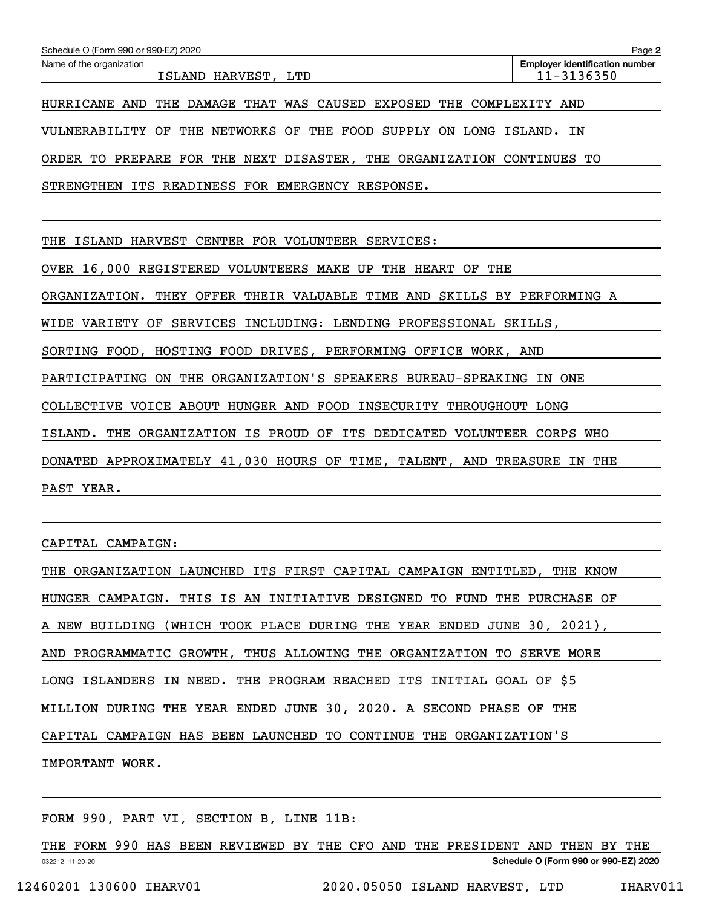| Schedule O (Form 990 or 990-EZ) 2020                                    | Page 2                                              |  |  |  |  |  |
|-------------------------------------------------------------------------|-----------------------------------------------------|--|--|--|--|--|
| Name of the organization<br>ISLAND HARVEST, LTD                         | <b>Employer identification number</b><br>11-3136350 |  |  |  |  |  |
| HURRICANE AND THE DAMAGE THAT WAS CAUSED EXPOSED THE COMPLEXITY AND     |                                                     |  |  |  |  |  |
| VULNERABILITY OF THE NETWORKS OF<br>THE FOOD SUPPLY ON LONG ISLAND. IN  |                                                     |  |  |  |  |  |
| ORDER TO PREPARE FOR THE NEXT DISASTER, THE ORGANIZATION CONTINUES TO   |                                                     |  |  |  |  |  |
| STRENGTHEN ITS READINESS FOR EMERGENCY RESPONSE.                        |                                                     |  |  |  |  |  |
|                                                                         |                                                     |  |  |  |  |  |
| THE ISLAND HARVEST CENTER FOR VOLUNTEER SERVICES:                       |                                                     |  |  |  |  |  |
| OVER 16,000 REGISTERED VOLUNTEERS MAKE UP THE HEART OF THE              |                                                     |  |  |  |  |  |
| ORGANIZATION. THEY OFFER THEIR VALUABLE TIME AND SKILLS BY PERFORMING A |                                                     |  |  |  |  |  |
| WIDE VARIETY OF SERVICES INCLUDING: LENDING PROFESSIONAL SKILLS,        |                                                     |  |  |  |  |  |
| SORTING FOOD, HOSTING FOOD DRIVES, PERFORMING OFFICE WORK, AND          |                                                     |  |  |  |  |  |
| PARTICIPATING ON THE ORGANIZATION'S SPEAKERS BUREAU-SPEAKING IN ONE     |                                                     |  |  |  |  |  |
| COLLECTIVE VOICE ABOUT HUNGER AND FOOD INSECURITY THROUGHOUT LONG       |                                                     |  |  |  |  |  |
| ISLAND. THE ORGANIZATION IS PROUD OF ITS DEDICATED VOLUNTEER CORPS WHO  |                                                     |  |  |  |  |  |
| DONATED APPROXIMATELY 41,030 HOURS OF TIME, TALENT, AND TREASURE IN THE |                                                     |  |  |  |  |  |
| PAST YEAR.                                                              |                                                     |  |  |  |  |  |
|                                                                         |                                                     |  |  |  |  |  |
| CAPITAL CAMPAIGN:                                                       |                                                     |  |  |  |  |  |

| THE ORGANIZATION LAUNCHED ITS FIRST CAPITAL CAMPAIGN ENTITLED, THE KNOW |
|-------------------------------------------------------------------------|
| HUNGER CAMPAIGN. THIS IS AN INITIATIVE DESIGNED TO FUND THE PURCHASE OF |
| A NEW BUILDING (WHICH TOOK PLACE DURING THE YEAR ENDED JUNE 30, 2021),  |
| AND PROGRAMMATIC GROWTH, THUS ALLOWING THE ORGANIZATION TO SERVE MORE   |
| LONG ISLANDERS IN NEED. THE PROGRAM REACHED ITS INITIAL GOAL OF \$5     |
| MILLION DURING THE YEAR ENDED JUNE 30, 2020. A SECOND PHASE OF THE      |
| CAPITAL CAMPAIGN HAS BEEN LAUNCHED TO CONTINUE THE ORGANIZATION'S       |
| IMPORTANT WORK.                                                         |

FORM 990, PART VI, SECTION B, LINE 11B:

032212 11-20-20 **Schedule O (Form 990 or 990-EZ) 2020** THE FORM 990 HAS BEEN REVIEWED BY THE CFO AND THE PRESIDENT AND THEN BY THE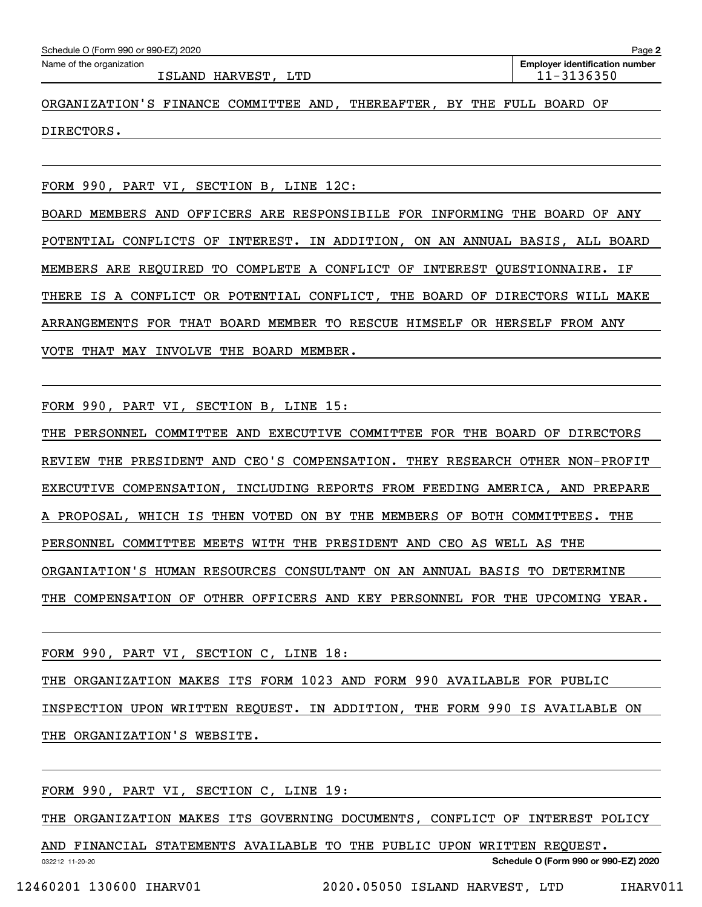| Schedule O (Form 990 or 990-EZ) 2020                                   | Page 2                                              |
|------------------------------------------------------------------------|-----------------------------------------------------|
| Name of the organization<br>ISLAND HARVEST, LTD                        | <b>Employer identification number</b><br>11-3136350 |
| ORGANIZATION'S FINANCE COMMITTEE AND, THEREAFTER, BY THE FULL BOARD OF |                                                     |
| DIRECTORS.                                                             |                                                     |
|                                                                        |                                                     |

FORM 990, PART VI, SECTION B, LINE 12C:

BOARD MEMBERS AND OFFICERS ARE RESPONSIBILE FOR INFORMING THE BOARD OF ANY POTENTIAL CONFLICTS OF INTEREST. IN ADDITION, ON AN ANNUAL BASIS, ALL BOARD MEMBERS ARE REQUIRED TO COMPLETE A CONFLICT OF INTEREST QUESTIONNAIRE. IF THERE IS A CONFLICT OR POTENTIAL CONFLICT, THE BOARD OF DIRECTORS WILL MAKE ARRANGEMENTS FOR THAT BOARD MEMBER TO RESCUE HIMSELF OR HERSELF FROM ANY VOTE THAT MAY INVOLVE THE BOARD MEMBER.

FORM 990, PART VI, SECTION B, LINE 15:

THE PERSONNEL COMMITTEE AND EXECUTIVE COMMITTEE FOR THE BOARD OF DIRECTORS REVIEW THE PRESIDENT AND CEO'S COMPENSATION. THEY RESEARCH OTHER NON-PROFIT EXECUTIVE COMPENSATION, INCLUDING REPORTS FROM FEEDING AMERICA, AND PREPARE A PROPOSAL, WHICH IS THEN VOTED ON BY THE MEMBERS OF BOTH COMMITTEES. THE PERSONNEL COMMITTEE MEETS WITH THE PRESIDENT AND CEO AS WELL AS THE ORGANIATION'S HUMAN RESOURCES CONSULTANT ON AN ANNUAL BASIS TO DETERMINE THE COMPENSATION OF OTHER OFFICERS AND KEY PERSONNEL FOR THE UPCOMING YEAR.

FORM 990, PART VI, SECTION C, LINE 18:

THE ORGANIZATION MAKES ITS FORM 1023 AND FORM 990 AVAILABLE FOR PUBLIC INSPECTION UPON WRITTEN REQUEST. IN ADDITION, THE FORM 990 IS AVAILABLE ON THE ORGANIZATION'S WEBSITE.

FORM 990, PART VI, SECTION C, LINE 19:

THE ORGANIZATION MAKES ITS GOVERNING DOCUMENTS, CONFLICT OF INTEREST POLICY

032212 11-20-20 **Schedule O (Form 990 or 990-EZ) 2020** AND FINANCIAL STATEMENTS AVAILABLE TO THE PUBLIC UPON WRITTEN REQUEST.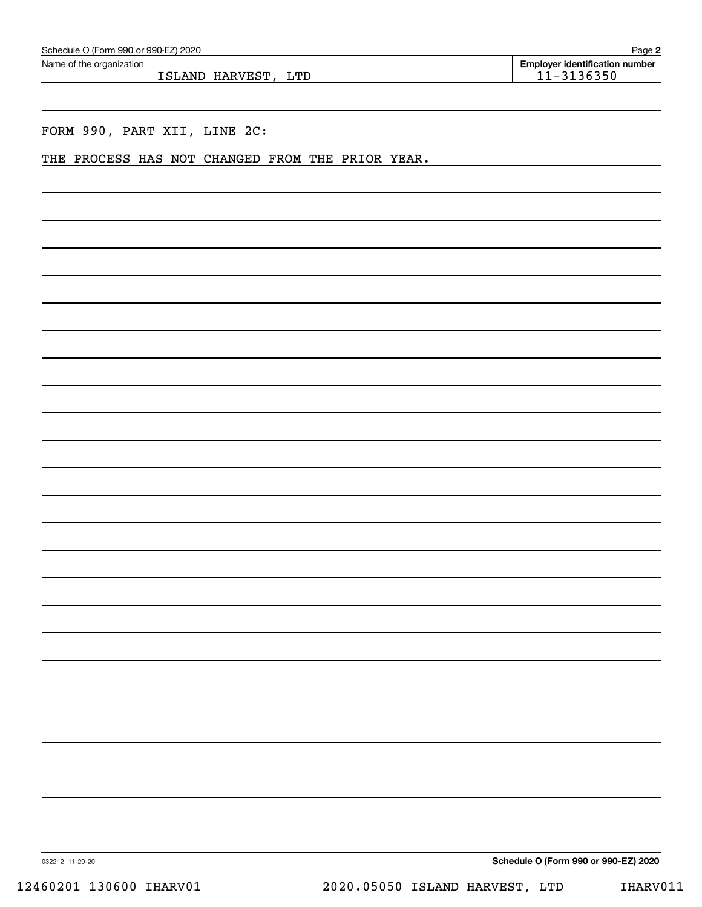|  | Schedule O (Form 990 or 990-EZ) 2020 |  |
|--|--------------------------------------|--|
|--|--------------------------------------|--|

ISLAND HARVEST, LTD 11-3136350

**2** Echedule O (Form 990 or 990-EZ) 2020<br>Name of the organization **number** Name of the organization **number** 

## FORM 990, PART XII, LINE 2C:

#### THE PROCESS HAS NOT CHANGED FROM THE PRIOR YEAR.

**Schedule O (Form 990 or 990-EZ) 2020**

032212 11-20-20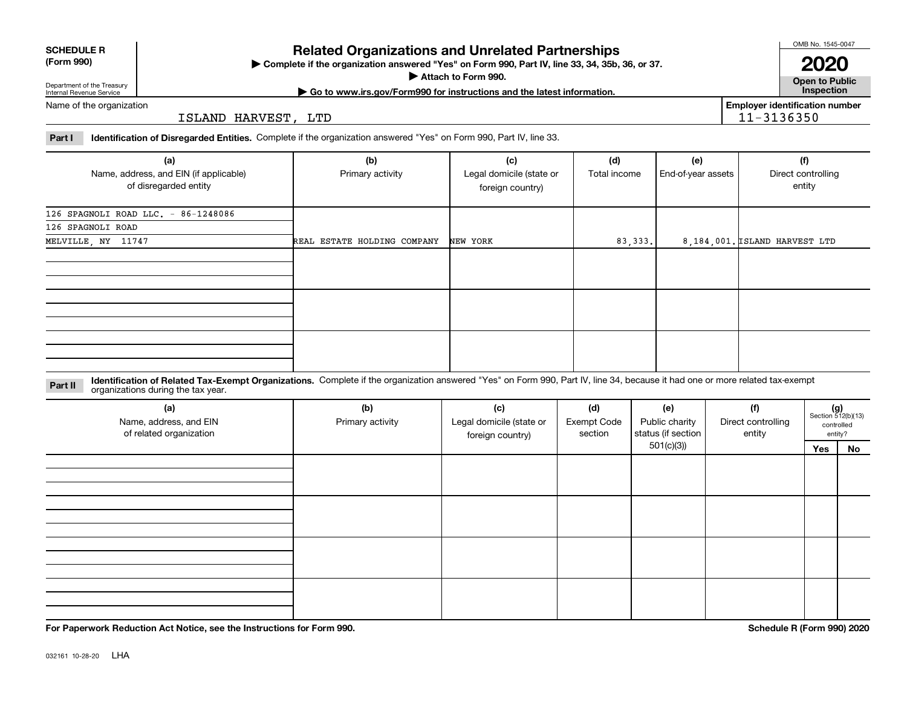| <b>SCHEDULE R</b> |
|-------------------|
| ----              |

#### **(Form 990)**

# **Related Organizations and Unrelated Partnerships**

**Complete if the organization answered "Yes" on Form 990, Part IV, line 33, 34, 35b, 36, or 37.** |

**Attach to Form 990.**  |

OMB No. 1545-0047

**Open to Public | Go to www.irs.gov/Form990 for instructions and the latest information. Inspection 2020**

**Employer identification number**

11-3136350

Department of the Treasury Internal Revenue Service Name of the organization

ISLAND HARVEST, LTD

**Part I Identification of Disregarded Entities.**  Complete if the organization answered "Yes" on Form 990, Part IV, line 33.

| (a)<br>Name, address, and EIN (if applicable)<br>of disregarded entity | (b)<br>Primary activity     | (c)<br>Legal domicile (state or<br>foreign country) | (d)<br>Total income | (e)<br>End-of-year assets | (f)<br>Direct controlling<br>entity |
|------------------------------------------------------------------------|-----------------------------|-----------------------------------------------------|---------------------|---------------------------|-------------------------------------|
| 126 SPAGNOLI ROAD LLC. - 86-1248086                                    |                             |                                                     |                     |                           |                                     |
| 126 SPAGNOLI ROAD                                                      |                             |                                                     |                     |                           |                                     |
| MELVILLE, NY 11747                                                     | REAL ESTATE HOLDING COMPANY | NEW YORK                                            | 83, 333.            |                           | 8,184,001. ISLAND HARVEST LTD       |
|                                                                        |                             |                                                     |                     |                           |                                     |
|                                                                        |                             |                                                     |                     |                           |                                     |
|                                                                        |                             |                                                     |                     |                           |                                     |

**Identification of Related Tax-Exempt Organizations.** Complete if the organization answered "Yes" on Form 990, Part IV, line 34, because it had one or more related tax-exempt **Part II** organizations during the tax year.

| (a)<br>Name, address, and EIN<br>of related organization | (b)<br>Primary activity | (c)<br>Legal domicile (state or<br>foreign country) | (d)<br><b>Exempt Code</b><br>section | (e)<br>Public charity<br>status (if section | (f)<br>Direct controlling<br>entity | $(g)$<br>Section 512(b)(13) | controlled<br>entity? |
|----------------------------------------------------------|-------------------------|-----------------------------------------------------|--------------------------------------|---------------------------------------------|-------------------------------------|-----------------------------|-----------------------|
|                                                          |                         |                                                     |                                      | 501(c)(3)                                   |                                     | Yes                         | No                    |
|                                                          |                         |                                                     |                                      |                                             |                                     |                             |                       |
|                                                          |                         |                                                     |                                      |                                             |                                     |                             |                       |
|                                                          |                         |                                                     |                                      |                                             |                                     |                             |                       |

**For Paperwork Reduction Act Notice, see the Instructions for Form 990. Schedule R (Form 990) 2020**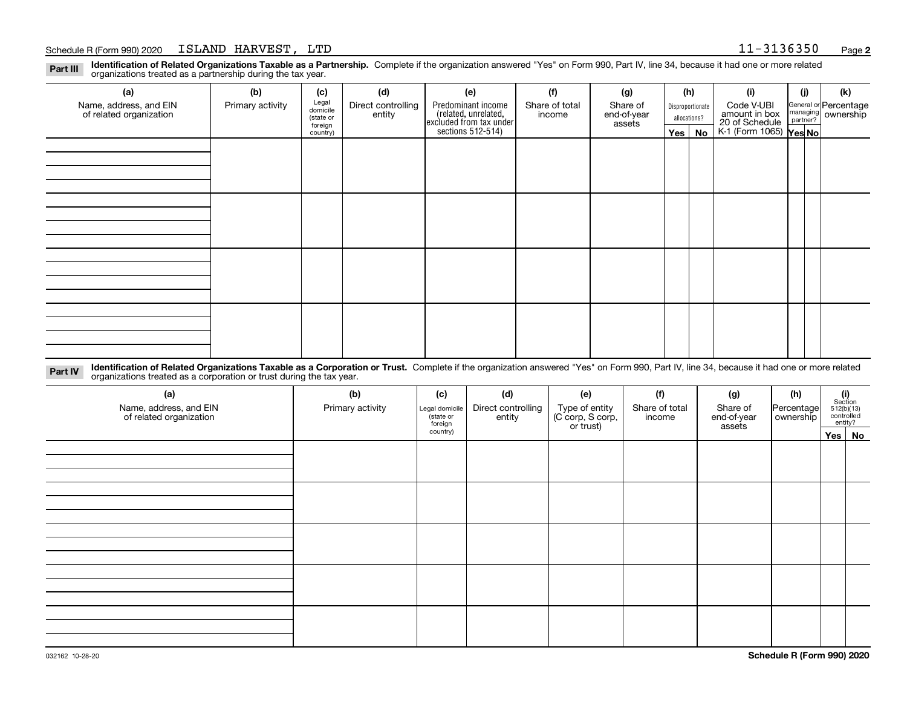#### Schedule R (Form 990) 2020 Page ISLAND HARVEST, LTD 11-3136350

**2**

**Identification of Related Organizations Taxable as a Partnership.** Complete if the organization answered "Yes" on Form 990, Part IV, line 34, because it had one or more related **Part III** organizations treated as a partnership during the tax year.

| (a)                                               | (b)              | (c)                  | (d)                          | (e)                                                                 | (f)                      | (g)                     | (h) |                  | (i)                                      | (j)                                                       | (k) |
|---------------------------------------------------|------------------|----------------------|------------------------------|---------------------------------------------------------------------|--------------------------|-------------------------|-----|------------------|------------------------------------------|-----------------------------------------------------------|-----|
| Name, address, and EIN<br>of related organization | Primary activity | Legal<br>domicile    | Direct controlling<br>entity | Predominant income                                                  | Share of total<br>income | Share of<br>end-of-year |     | Disproportionate | Code V-UBI<br>amount in box              |                                                           |     |
|                                                   |                  | (state or<br>foreign |                              |                                                                     |                          | assets                  |     | allocations?     |                                          | General or Percentage<br>managing<br>partner?<br>partner? |     |
|                                                   |                  | country)             |                              | related, unrelated,<br>excluded from tax under<br>sections 512-514) |                          |                         |     | $Yes \mid No$    | 20 of Schedule<br>K-1 (Form 1065) Yes No |                                                           |     |
|                                                   |                  |                      |                              |                                                                     |                          |                         |     |                  |                                          |                                                           |     |
|                                                   |                  |                      |                              |                                                                     |                          |                         |     |                  |                                          |                                                           |     |
|                                                   |                  |                      |                              |                                                                     |                          |                         |     |                  |                                          |                                                           |     |
|                                                   |                  |                      |                              |                                                                     |                          |                         |     |                  |                                          |                                                           |     |
|                                                   |                  |                      |                              |                                                                     |                          |                         |     |                  |                                          |                                                           |     |
|                                                   |                  |                      |                              |                                                                     |                          |                         |     |                  |                                          |                                                           |     |
|                                                   |                  |                      |                              |                                                                     |                          |                         |     |                  |                                          |                                                           |     |
|                                                   |                  |                      |                              |                                                                     |                          |                         |     |                  |                                          |                                                           |     |
|                                                   |                  |                      |                              |                                                                     |                          |                         |     |                  |                                          |                                                           |     |
|                                                   |                  |                      |                              |                                                                     |                          |                         |     |                  |                                          |                                                           |     |
|                                                   |                  |                      |                              |                                                                     |                          |                         |     |                  |                                          |                                                           |     |
|                                                   |                  |                      |                              |                                                                     |                          |                         |     |                  |                                          |                                                           |     |
|                                                   |                  |                      |                              |                                                                     |                          |                         |     |                  |                                          |                                                           |     |
|                                                   |                  |                      |                              |                                                                     |                          |                         |     |                  |                                          |                                                           |     |
|                                                   |                  |                      |                              |                                                                     |                          |                         |     |                  |                                          |                                                           |     |
|                                                   |                  |                      |                              |                                                                     |                          |                         |     |                  |                                          |                                                           |     |
|                                                   |                  |                      |                              |                                                                     |                          |                         |     |                  |                                          |                                                           |     |

**Identification of Related Organizations Taxable as a Corporation or Trust.** Complete if the organization answered "Yes" on Form 990, Part IV, line 34, because it had one or more related **Part IV** organizations treated as a corporation or trust during the tax year.

| (a)<br>Name, address, and EIN<br>of related organization | (b)<br>Primary activity | (d)<br>(f)<br>(c)<br>(e)<br>Direct controlling<br>Type of entity<br>(C corp, S corp,<br>or trust)<br>Share of total<br>Legal domicile<br>(state or<br>entity<br>income<br>foreign |  | (g)<br>Share of<br>end-of-year<br>assets |  | (h)<br>Percentage<br>ownership | $\begin{array}{c} \textbf{(i)}\\ \text{Section}\\ 512 \text{(b)} \text{(13)}\\ \text{controlled}\\ \text{entity?} \end{array}$ |  |          |
|----------------------------------------------------------|-------------------------|-----------------------------------------------------------------------------------------------------------------------------------------------------------------------------------|--|------------------------------------------|--|--------------------------------|--------------------------------------------------------------------------------------------------------------------------------|--|----------|
|                                                          |                         | country)                                                                                                                                                                          |  |                                          |  |                                |                                                                                                                                |  | Yes   No |
|                                                          |                         |                                                                                                                                                                                   |  |                                          |  |                                |                                                                                                                                |  |          |
|                                                          |                         |                                                                                                                                                                                   |  |                                          |  |                                |                                                                                                                                |  |          |
|                                                          |                         |                                                                                                                                                                                   |  |                                          |  |                                |                                                                                                                                |  |          |
|                                                          |                         |                                                                                                                                                                                   |  |                                          |  |                                |                                                                                                                                |  |          |
|                                                          |                         |                                                                                                                                                                                   |  |                                          |  |                                |                                                                                                                                |  |          |
|                                                          |                         |                                                                                                                                                                                   |  |                                          |  |                                |                                                                                                                                |  |          |
|                                                          |                         |                                                                                                                                                                                   |  |                                          |  |                                |                                                                                                                                |  |          |
|                                                          |                         |                                                                                                                                                                                   |  |                                          |  |                                |                                                                                                                                |  |          |
|                                                          |                         |                                                                                                                                                                                   |  |                                          |  |                                |                                                                                                                                |  |          |
|                                                          |                         |                                                                                                                                                                                   |  |                                          |  |                                |                                                                                                                                |  |          |
|                                                          |                         |                                                                                                                                                                                   |  |                                          |  |                                |                                                                                                                                |  |          |
|                                                          |                         |                                                                                                                                                                                   |  |                                          |  |                                |                                                                                                                                |  |          |
|                                                          |                         |                                                                                                                                                                                   |  |                                          |  |                                |                                                                                                                                |  |          |
|                                                          |                         |                                                                                                                                                                                   |  |                                          |  |                                |                                                                                                                                |  |          |
|                                                          |                         |                                                                                                                                                                                   |  |                                          |  |                                |                                                                                                                                |  |          |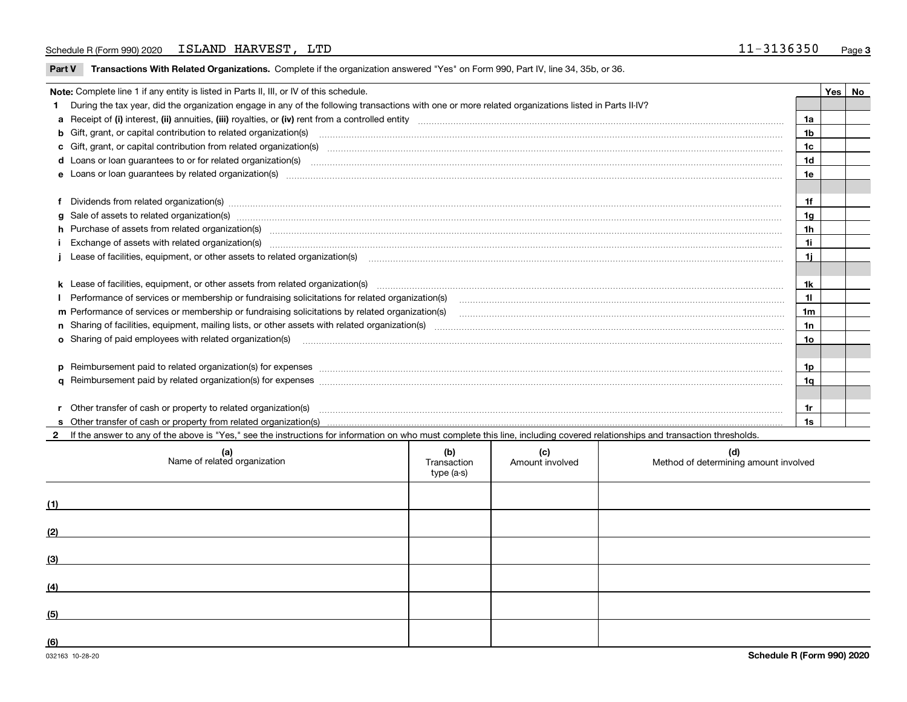|  | Part V Transactions With Related Organizations. Complete if the organization answered "Yes" on Form 990, Part IV, line 34, 35b, or 36 |  |  |
|--|---------------------------------------------------------------------------------------------------------------------------------------|--|--|
|--|---------------------------------------------------------------------------------------------------------------------------------------|--|--|

| Note: Complete line 1 if any entity is listed in Parts II, III, or IV of this schedule.                                                                                                                                        |                |  |  |  |  |
|--------------------------------------------------------------------------------------------------------------------------------------------------------------------------------------------------------------------------------|----------------|--|--|--|--|
| During the tax year, did the organization engage in any of the following transactions with one or more related organizations listed in Parts II-IV?                                                                            |                |  |  |  |  |
|                                                                                                                                                                                                                                | 1a             |  |  |  |  |
| b Gift, grant, or capital contribution to related organization(s) material contracts and contribution to related organization(s)                                                                                               | 1 <sub>b</sub> |  |  |  |  |
| c Gift, grant, or capital contribution from related organization(s) manufaction contribution from related organization(s) manufaction contribution from related organization(s) manufaction manufaction contribution from rela | 1c             |  |  |  |  |
|                                                                                                                                                                                                                                | 1d             |  |  |  |  |
|                                                                                                                                                                                                                                | 1e             |  |  |  |  |
|                                                                                                                                                                                                                                |                |  |  |  |  |
| f Dividends from related organization(s) material contracts and contracts and contracts are proportional contracts and contracts are proportional contracts and contracts are proportional contracts and contracts are proport | 1f             |  |  |  |  |
| g Sale of assets to related organization(s) manufactured and content to the content of the content of the content of the content of the content of the content of the content of the content of the content of the content of  | 1 <sub>g</sub> |  |  |  |  |
| h Purchase of assets from related organization(s) manufactured content to content the content of the content of the content of the content of the content of the content of the content of the content of the content of the c | 1 <sub>h</sub> |  |  |  |  |
| i Exchange of assets with related organization(s) www.communically.communically.communically.communically.communically.communically.communically.communically.communically.communically.communically.communically.communically | 1i             |  |  |  |  |
|                                                                                                                                                                                                                                | 1i             |  |  |  |  |
|                                                                                                                                                                                                                                |                |  |  |  |  |
|                                                                                                                                                                                                                                | 1k             |  |  |  |  |
| I Performance of services or membership or fundraising solicitations for related organization(s)                                                                                                                               | 11             |  |  |  |  |
| m Performance of services or membership or fundraising solicitations by related organization(s)                                                                                                                                | 1m             |  |  |  |  |
|                                                                                                                                                                                                                                | 1n             |  |  |  |  |
| o Sharing of paid employees with related organization(s) manufactured and content to the content of the content of the content of the content of the content of the content of the content of the content of the content of th | 10             |  |  |  |  |
|                                                                                                                                                                                                                                |                |  |  |  |  |
| p Reimbursement paid to related organization(s) for expenses [1111] and the content of the content of the content of the content of the content of the content of the content of the content of the content of the content of  | 1p             |  |  |  |  |
|                                                                                                                                                                                                                                | 1q             |  |  |  |  |
|                                                                                                                                                                                                                                |                |  |  |  |  |
| r Other transfer of cash or property to related organization(s)                                                                                                                                                                | 1r             |  |  |  |  |
|                                                                                                                                                                                                                                | 1s             |  |  |  |  |

**2**If the answer to any of the above is "Yes," see the instructions for information on who must complete this line, including covered relationships and transaction thresholds.

|     | (a)<br>Name of related organization | (b)<br>Transaction<br>type (a-s) | (c)<br>Amount involved | (d)<br>Method of determining amount involved |
|-----|-------------------------------------|----------------------------------|------------------------|----------------------------------------------|
| (1) |                                     |                                  |                        |                                              |
| (2) |                                     |                                  |                        |                                              |
| (3) |                                     |                                  |                        |                                              |
| (4) |                                     |                                  |                        |                                              |
| (5) |                                     |                                  |                        |                                              |
| (6) |                                     |                                  |                        |                                              |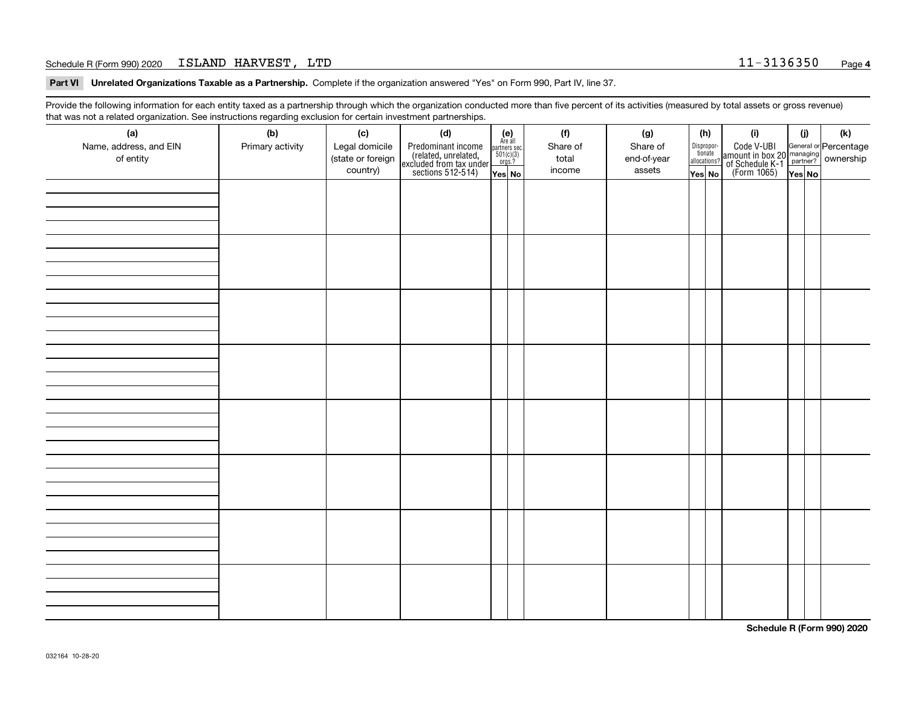#### Schedule R (Form 990) 2020 Page ISLAND HARVEST, LTD 11-3136350

**Part VI Unrelated Organizations Taxable as a Partnership. Complete if the organization answered "Yes" on Form 990, Part IV, line 37.** 

Provide the following information for each entity taxed as a partnership through which the organization conducted more than five percent of its activities (measured by total assets or gross revenue) that was not a related organization. See instructions regarding exclusion for certain investment partnerships.

| ີ<br>(a)<br>Name, address, and EIN<br>of entity | $\tilde{}$<br>(b)<br>Primary activity | (c)<br>Legal domicile<br>(state or foreign<br>country) | (d)<br>Predominant income<br>(related, unrelated,<br>excluded from tax under<br>sections 512-514) | $(e)$<br>Are all<br>partners sec.<br>$501(c)(3)$<br>$orgs.?$<br>Yes No | (f)<br>Share of<br>total<br>income | (g)<br>Share of<br>end-of-year<br>assets | (h)<br>Dispropor-<br>tionate<br>allocations?<br>Yes No | (i)<br>Code V-UBI<br>amount in box 20 managing<br>of Schedule K-1 partner? ownership<br>(Form 1065)<br>ves No | (i)<br>Yes No | (k) |
|-------------------------------------------------|---------------------------------------|--------------------------------------------------------|---------------------------------------------------------------------------------------------------|------------------------------------------------------------------------|------------------------------------|------------------------------------------|--------------------------------------------------------|---------------------------------------------------------------------------------------------------------------|---------------|-----|
|                                                 |                                       |                                                        |                                                                                                   |                                                                        |                                    |                                          |                                                        |                                                                                                               |               |     |
|                                                 |                                       |                                                        |                                                                                                   |                                                                        |                                    |                                          |                                                        |                                                                                                               |               |     |
|                                                 |                                       |                                                        |                                                                                                   |                                                                        |                                    |                                          |                                                        |                                                                                                               |               |     |
|                                                 |                                       |                                                        |                                                                                                   |                                                                        |                                    |                                          |                                                        |                                                                                                               |               |     |
|                                                 |                                       |                                                        |                                                                                                   |                                                                        |                                    |                                          |                                                        |                                                                                                               |               |     |
|                                                 |                                       |                                                        |                                                                                                   |                                                                        |                                    |                                          |                                                        |                                                                                                               |               |     |
|                                                 |                                       |                                                        |                                                                                                   |                                                                        |                                    |                                          |                                                        |                                                                                                               |               |     |
|                                                 |                                       |                                                        |                                                                                                   |                                                                        |                                    |                                          |                                                        |                                                                                                               |               |     |

**Schedule R (Form 990) 2020**